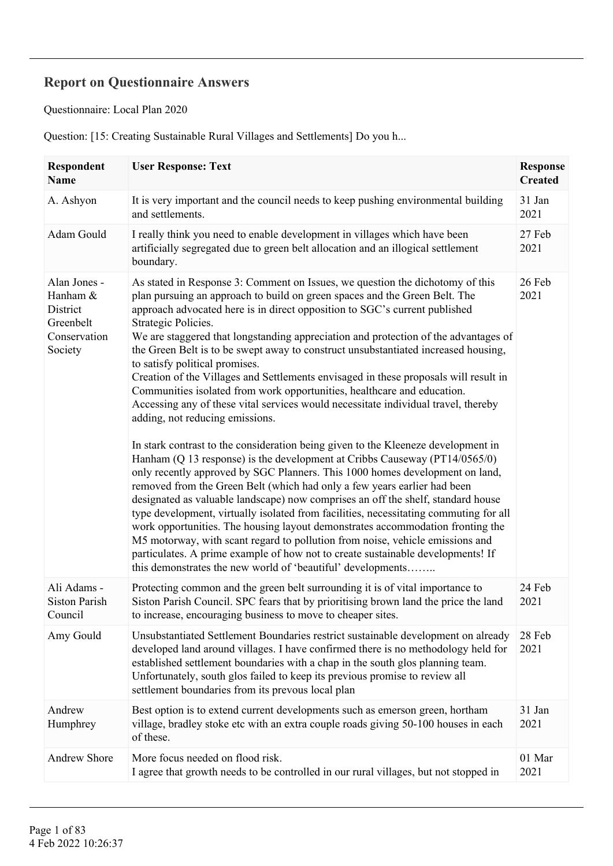## **Report on Questionnaire Answers**

Questionnaire: Local Plan 2020

Question: [15: Creating Sustainable Rural Villages and Settlements] Do you h...

| Respondent<br>Name                                                           | <b>User Response: Text</b>                                                                                                                                                                                                                                                                                                                                                                                                                                                                                                                                                                                                                                                                                                                                                                                                                                                                                                                                                                                                                                                                                                                                                                                                                                                                                                                                                                                                                                                                                                                                                                                       | <b>Response</b><br><b>Created</b> |
|------------------------------------------------------------------------------|------------------------------------------------------------------------------------------------------------------------------------------------------------------------------------------------------------------------------------------------------------------------------------------------------------------------------------------------------------------------------------------------------------------------------------------------------------------------------------------------------------------------------------------------------------------------------------------------------------------------------------------------------------------------------------------------------------------------------------------------------------------------------------------------------------------------------------------------------------------------------------------------------------------------------------------------------------------------------------------------------------------------------------------------------------------------------------------------------------------------------------------------------------------------------------------------------------------------------------------------------------------------------------------------------------------------------------------------------------------------------------------------------------------------------------------------------------------------------------------------------------------------------------------------------------------------------------------------------------------|-----------------------------------|
| A. Ashyon                                                                    | It is very important and the council needs to keep pushing environmental building<br>and settlements.                                                                                                                                                                                                                                                                                                                                                                                                                                                                                                                                                                                                                                                                                                                                                                                                                                                                                                                                                                                                                                                                                                                                                                                                                                                                                                                                                                                                                                                                                                            | 31 Jan<br>2021                    |
| Adam Gould                                                                   | I really think you need to enable development in villages which have been<br>artificially segregated due to green belt allocation and an illogical settlement<br>boundary.                                                                                                                                                                                                                                                                                                                                                                                                                                                                                                                                                                                                                                                                                                                                                                                                                                                                                                                                                                                                                                                                                                                                                                                                                                                                                                                                                                                                                                       | 27 Feb<br>2021                    |
| Alan Jones -<br>Hanham &<br>District<br>Greenbelt<br>Conservation<br>Society | As stated in Response 3: Comment on Issues, we question the dichotomy of this<br>plan pursuing an approach to build on green spaces and the Green Belt. The<br>approach advocated here is in direct opposition to SGC's current published<br>Strategic Policies.<br>We are staggered that longstanding appreciation and protection of the advantages of<br>the Green Belt is to be swept away to construct unsubstantiated increased housing,<br>to satisfy political promises.<br>Creation of the Villages and Settlements envisaged in these proposals will result in<br>Communities isolated from work opportunities, healthcare and education.<br>Accessing any of these vital services would necessitate individual travel, thereby<br>adding, not reducing emissions.<br>In stark contrast to the consideration being given to the Kleeneze development in<br>Hanham (Q 13 response) is the development at Cribbs Causeway ( $PT14/0565/0$ )<br>only recently approved by SGC Planners. This 1000 homes development on land,<br>removed from the Green Belt (which had only a few years earlier had been<br>designated as valuable landscape) now comprises an off the shelf, standard house<br>type development, virtually isolated from facilities, necessitating commuting for all<br>work opportunities. The housing layout demonstrates accommodation fronting the<br>M5 motorway, with scant regard to pollution from noise, vehicle emissions and<br>particulates. A prime example of how not to create sustainable developments! If<br>this demonstrates the new world of 'beautiful' developments | 26 Feb<br>2021                    |
| Ali Adams -<br><b>Siston Parish</b><br>Council                               | Protecting common and the green belt surrounding it is of vital importance to<br>Siston Parish Council. SPC fears that by prioritising brown land the price the land<br>to increase, encouraging business to move to cheaper sites.                                                                                                                                                                                                                                                                                                                                                                                                                                                                                                                                                                                                                                                                                                                                                                                                                                                                                                                                                                                                                                                                                                                                                                                                                                                                                                                                                                              | 24 Feb<br>2021                    |
| Amy Gould                                                                    | Unsubstantiated Settlement Boundaries restrict sustainable development on already<br>developed land around villages. I have confirmed there is no methodology held for<br>established settlement boundaries with a chap in the south glos planning team.<br>Unfortunately, south glos failed to keep its previous promise to review all<br>settlement boundaries from its prevous local plan                                                                                                                                                                                                                                                                                                                                                                                                                                                                                                                                                                                                                                                                                                                                                                                                                                                                                                                                                                                                                                                                                                                                                                                                                     | 28 Feb<br>2021                    |
| Andrew<br>Humphrey                                                           | Best option is to extend current developments such as emerson green, hortham<br>village, bradley stoke etc with an extra couple roads giving 50-100 houses in each<br>of these.                                                                                                                                                                                                                                                                                                                                                                                                                                                                                                                                                                                                                                                                                                                                                                                                                                                                                                                                                                                                                                                                                                                                                                                                                                                                                                                                                                                                                                  | 31 Jan<br>2021                    |
| <b>Andrew Shore</b>                                                          | More focus needed on flood risk.<br>I agree that growth needs to be controlled in our rural villages, but not stopped in                                                                                                                                                                                                                                                                                                                                                                                                                                                                                                                                                                                                                                                                                                                                                                                                                                                                                                                                                                                                                                                                                                                                                                                                                                                                                                                                                                                                                                                                                         | 01 Mar<br>2021                    |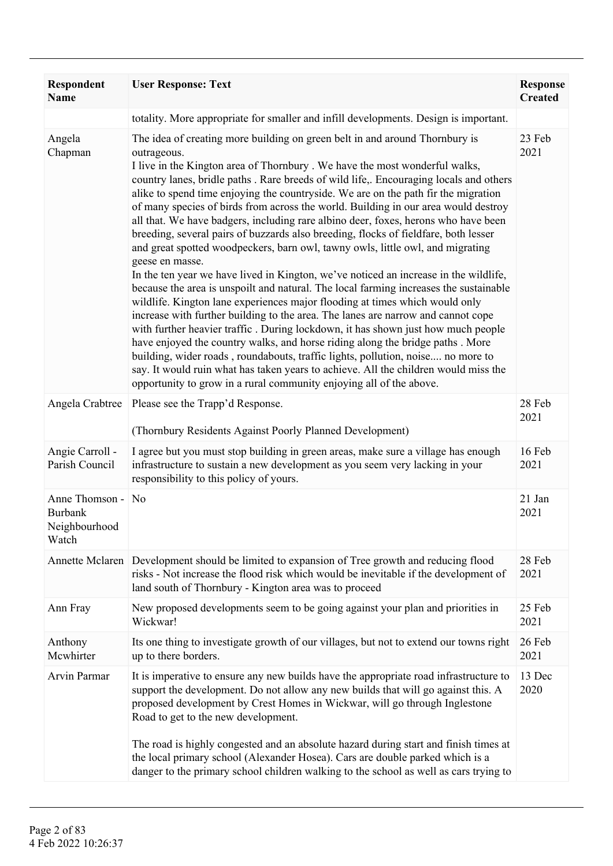| Respondent<br><b>Name</b>                                  | <b>User Response: Text</b>                                                                                                                                                                                                                                                                                                                                                                                                                                                                                                                                                                                                                                                                                                                                                                                                                                                                                                                                                                                                                                                                                                                                                                                                                                                                                                                                                                                                                                                                                  | <b>Response</b><br><b>Created</b> |
|------------------------------------------------------------|-------------------------------------------------------------------------------------------------------------------------------------------------------------------------------------------------------------------------------------------------------------------------------------------------------------------------------------------------------------------------------------------------------------------------------------------------------------------------------------------------------------------------------------------------------------------------------------------------------------------------------------------------------------------------------------------------------------------------------------------------------------------------------------------------------------------------------------------------------------------------------------------------------------------------------------------------------------------------------------------------------------------------------------------------------------------------------------------------------------------------------------------------------------------------------------------------------------------------------------------------------------------------------------------------------------------------------------------------------------------------------------------------------------------------------------------------------------------------------------------------------------|-----------------------------------|
|                                                            | totality. More appropriate for smaller and infill developments. Design is important.                                                                                                                                                                                                                                                                                                                                                                                                                                                                                                                                                                                                                                                                                                                                                                                                                                                                                                                                                                                                                                                                                                                                                                                                                                                                                                                                                                                                                        |                                   |
| Angela<br>Chapman                                          | The idea of creating more building on green belt in and around Thornbury is<br>outrageous.<br>I live in the Kington area of Thornbury. We have the most wonderful walks,<br>country lanes, bridle paths . Rare breeds of wild life,. Encouraging locals and others<br>alike to spend time enjoying the countryside. We are on the path fir the migration<br>of many species of birds from across the world. Building in our area would destroy<br>all that. We have badgers, including rare albino deer, foxes, herons who have been<br>breeding, several pairs of buzzards also breeding, flocks of fieldfare, both lesser<br>and great spotted woodpeckers, barn owl, tawny owls, little owl, and migrating<br>geese en masse.<br>In the ten year we have lived in Kington, we've noticed an increase in the wildlife,<br>because the area is unspoilt and natural. The local farming increases the sustainable<br>wildlife. Kington lane experiences major flooding at times which would only<br>increase with further building to the area. The lanes are narrow and cannot cope<br>with further heavier traffic. During lockdown, it has shown just how much people<br>have enjoyed the country walks, and horse riding along the bridge paths . More<br>building, wider roads, roundabouts, traffic lights, pollution, noise no more to<br>say. It would ruin what has taken years to achieve. All the children would miss the<br>opportunity to grow in a rural community enjoying all of the above. | 23 Feb<br>2021                    |
| Angela Crabtree                                            | Please see the Trapp'd Response.<br>(Thornbury Residents Against Poorly Planned Development)                                                                                                                                                                                                                                                                                                                                                                                                                                                                                                                                                                                                                                                                                                                                                                                                                                                                                                                                                                                                                                                                                                                                                                                                                                                                                                                                                                                                                | 28 Feb<br>2021                    |
| Angie Carroll -<br>Parish Council                          | I agree but you must stop building in green areas, make sure a village has enough<br>infrastructure to sustain a new development as you seem very lacking in your<br>responsibility to this policy of yours.                                                                                                                                                                                                                                                                                                                                                                                                                                                                                                                                                                                                                                                                                                                                                                                                                                                                                                                                                                                                                                                                                                                                                                                                                                                                                                | 16 Feb<br>2021                    |
| Anne Thomson -<br><b>Burbank</b><br>Neighbourhood<br>Watch | N <sub>o</sub>                                                                                                                                                                                                                                                                                                                                                                                                                                                                                                                                                                                                                                                                                                                                                                                                                                                                                                                                                                                                                                                                                                                                                                                                                                                                                                                                                                                                                                                                                              | 21 Jan<br>2021                    |
|                                                            | Annette Mclaren Development should be limited to expansion of Tree growth and reducing flood<br>risks - Not increase the flood risk which would be inevitable if the development of<br>land south of Thornbury - Kington area was to proceed                                                                                                                                                                                                                                                                                                                                                                                                                                                                                                                                                                                                                                                                                                                                                                                                                                                                                                                                                                                                                                                                                                                                                                                                                                                                | 28 Feb<br>2021                    |
| Ann Fray                                                   | New proposed developments seem to be going against your plan and priorities in<br>Wickwar!                                                                                                                                                                                                                                                                                                                                                                                                                                                                                                                                                                                                                                                                                                                                                                                                                                                                                                                                                                                                                                                                                                                                                                                                                                                                                                                                                                                                                  | 25 Feb<br>2021                    |
| Anthony<br>Mcwhirter                                       | Its one thing to investigate growth of our villages, but not to extend our towns right<br>up to there borders.                                                                                                                                                                                                                                                                                                                                                                                                                                                                                                                                                                                                                                                                                                                                                                                                                                                                                                                                                                                                                                                                                                                                                                                                                                                                                                                                                                                              | 26 Feb<br>2021                    |
| Arvin Parmar                                               | It is imperative to ensure any new builds have the appropriate road infrastructure to<br>support the development. Do not allow any new builds that will go against this. A<br>proposed development by Crest Homes in Wickwar, will go through Inglestone<br>Road to get to the new development.                                                                                                                                                                                                                                                                                                                                                                                                                                                                                                                                                                                                                                                                                                                                                                                                                                                                                                                                                                                                                                                                                                                                                                                                             | 13 Dec<br>2020                    |
|                                                            | The road is highly congested and an absolute hazard during start and finish times at<br>the local primary school (Alexander Hosea). Cars are double parked which is a<br>danger to the primary school children walking to the school as well as cars trying to                                                                                                                                                                                                                                                                                                                                                                                                                                                                                                                                                                                                                                                                                                                                                                                                                                                                                                                                                                                                                                                                                                                                                                                                                                              |                                   |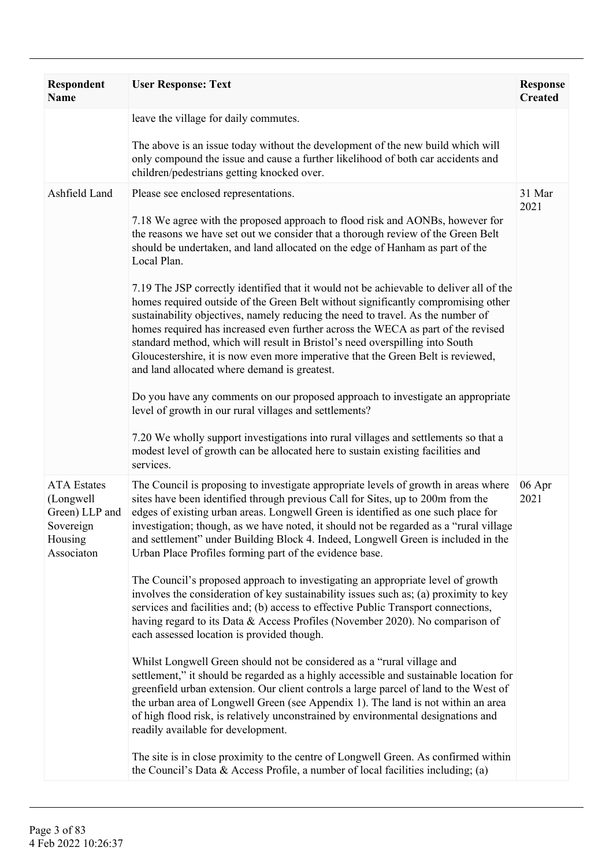| Respondent<br><b>Name</b>                                                               | <b>User Response: Text</b>                                                                                                                                                                                                                                                                                                                                                                                                                                                                                                                                              | <b>Response</b><br><b>Created</b> |
|-----------------------------------------------------------------------------------------|-------------------------------------------------------------------------------------------------------------------------------------------------------------------------------------------------------------------------------------------------------------------------------------------------------------------------------------------------------------------------------------------------------------------------------------------------------------------------------------------------------------------------------------------------------------------------|-----------------------------------|
|                                                                                         | leave the village for daily commutes.                                                                                                                                                                                                                                                                                                                                                                                                                                                                                                                                   |                                   |
|                                                                                         | The above is an issue today without the development of the new build which will<br>only compound the issue and cause a further likelihood of both car accidents and<br>children/pedestrians getting knocked over.                                                                                                                                                                                                                                                                                                                                                       |                                   |
| Ashfield Land                                                                           | Please see enclosed representations.                                                                                                                                                                                                                                                                                                                                                                                                                                                                                                                                    | 31 Mar                            |
|                                                                                         | 7.18 We agree with the proposed approach to flood risk and AONBs, however for<br>the reasons we have set out we consider that a thorough review of the Green Belt<br>should be undertaken, and land allocated on the edge of Hanham as part of the<br>Local Plan.                                                                                                                                                                                                                                                                                                       | 2021                              |
|                                                                                         | 7.19 The JSP correctly identified that it would not be achievable to deliver all of the<br>homes required outside of the Green Belt without significantly compromising other<br>sustainability objectives, namely reducing the need to travel. As the number of<br>homes required has increased even further across the WECA as part of the revised<br>standard method, which will result in Bristol's need overspilling into South<br>Gloucestershire, it is now even more imperative that the Green Belt is reviewed,<br>and land allocated where demand is greatest. |                                   |
|                                                                                         | Do you have any comments on our proposed approach to investigate an appropriate<br>level of growth in our rural villages and settlements?                                                                                                                                                                                                                                                                                                                                                                                                                               |                                   |
|                                                                                         | 7.20 We wholly support investigations into rural villages and settlements so that a<br>modest level of growth can be allocated here to sustain existing facilities and<br>services.                                                                                                                                                                                                                                                                                                                                                                                     |                                   |
| <b>ATA</b> Estates<br>(Longwell<br>Green) LLP and<br>Sovereign<br>Housing<br>Associaton | The Council is proposing to investigate appropriate levels of growth in areas where<br>sites have been identified through previous Call for Sites, up to 200m from the<br>edges of existing urban areas. Longwell Green is identified as one such place for<br>investigation; though, as we have noted, it should not be regarded as a "rural village"<br>and settlement" under Building Block 4. Indeed, Longwell Green is included in the<br>Urban Place Profiles forming part of the evidence base.                                                                  | 06 Apr<br>2021                    |
|                                                                                         | The Council's proposed approach to investigating an appropriate level of growth<br>involves the consideration of key sustainability issues such as; (a) proximity to key<br>services and facilities and; (b) access to effective Public Transport connections,<br>having regard to its Data & Access Profiles (November 2020). No comparison of<br>each assessed location is provided though.                                                                                                                                                                           |                                   |
|                                                                                         | Whilst Longwell Green should not be considered as a "rural village and<br>settlement," it should be regarded as a highly accessible and sustainable location for<br>greenfield urban extension. Our client controls a large parcel of land to the West of<br>the urban area of Longwell Green (see Appendix 1). The land is not within an area<br>of high flood risk, is relatively unconstrained by environmental designations and<br>readily available for development.                                                                                               |                                   |
|                                                                                         | The site is in close proximity to the centre of Longwell Green. As confirmed within<br>the Council's Data $\&$ Access Profile, a number of local facilities including; (a)                                                                                                                                                                                                                                                                                                                                                                                              |                                   |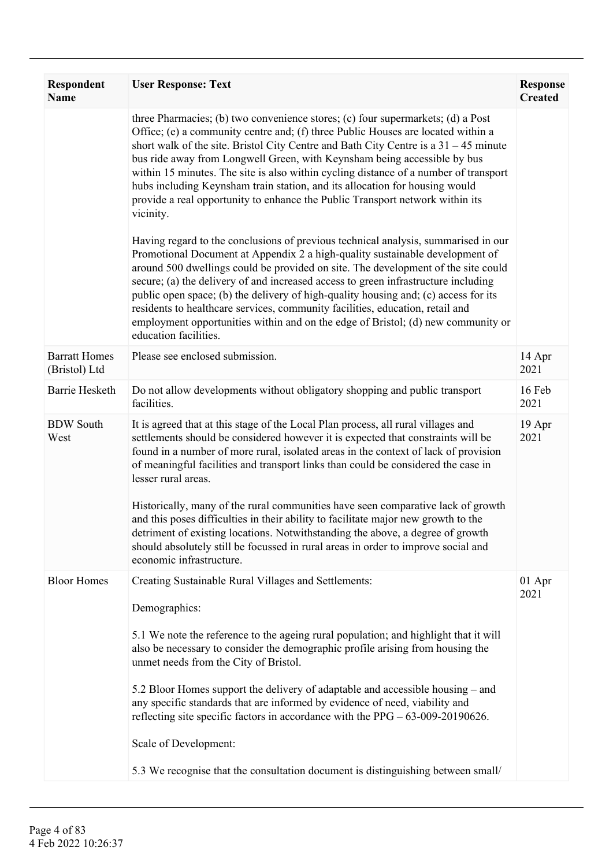| Respondent<br><b>Name</b>             | <b>User Response: Text</b>                                                                                                                                                                                                                                                                                                                                                                                                                                                                                                                                                                                                         | <b>Response</b><br><b>Created</b> |
|---------------------------------------|------------------------------------------------------------------------------------------------------------------------------------------------------------------------------------------------------------------------------------------------------------------------------------------------------------------------------------------------------------------------------------------------------------------------------------------------------------------------------------------------------------------------------------------------------------------------------------------------------------------------------------|-----------------------------------|
|                                       | three Pharmacies; (b) two convenience stores; (c) four supermarkets; (d) a Post<br>Office; (e) a community centre and; (f) three Public Houses are located within a<br>short walk of the site. Bristol City Centre and Bath City Centre is a $31 - 45$ minute<br>bus ride away from Longwell Green, with Keynsham being accessible by bus<br>within 15 minutes. The site is also within cycling distance of a number of transport<br>hubs including Keynsham train station, and its allocation for housing would<br>provide a real opportunity to enhance the Public Transport network within its<br>vicinity.                     |                                   |
|                                       | Having regard to the conclusions of previous technical analysis, summarised in our<br>Promotional Document at Appendix 2 a high-quality sustainable development of<br>around 500 dwellings could be provided on site. The development of the site could<br>secure; (a) the delivery of and increased access to green infrastructure including<br>public open space; (b) the delivery of high-quality housing and; (c) access for its<br>residents to healthcare services, community facilities, education, retail and<br>employment opportunities within and on the edge of Bristol; (d) new community or<br>education facilities. |                                   |
| <b>Barratt Homes</b><br>(Bristol) Ltd | Please see enclosed submission.                                                                                                                                                                                                                                                                                                                                                                                                                                                                                                                                                                                                    | 14 Apr<br>2021                    |
| Barrie Hesketh                        | Do not allow developments without obligatory shopping and public transport<br>facilities.                                                                                                                                                                                                                                                                                                                                                                                                                                                                                                                                          | 16 Feb<br>2021                    |
| <b>BDW</b> South<br>West              | It is agreed that at this stage of the Local Plan process, all rural villages and<br>settlements should be considered however it is expected that constraints will be<br>found in a number of more rural, isolated areas in the context of lack of provision<br>of meaningful facilities and transport links than could be considered the case in<br>lesser rural areas.                                                                                                                                                                                                                                                           | 19 Apr<br>2021                    |
|                                       | Historically, many of the rural communities have seen comparative lack of growth<br>and this poses difficulties in their ability to facilitate major new growth to the<br>detriment of existing locations. Notwithstanding the above, a degree of growth<br>should absolutely still be focussed in rural areas in order to improve social and<br>economic infrastructure.                                                                                                                                                                                                                                                          |                                   |
| <b>Bloor Homes</b>                    | Creating Sustainable Rural Villages and Settlements:<br>Demographics:                                                                                                                                                                                                                                                                                                                                                                                                                                                                                                                                                              | 01 Apr<br>2021                    |
|                                       | 5.1 We note the reference to the ageing rural population; and highlight that it will<br>also be necessary to consider the demographic profile arising from housing the<br>unmet needs from the City of Bristol.                                                                                                                                                                                                                                                                                                                                                                                                                    |                                   |
|                                       | 5.2 Bloor Homes support the delivery of adaptable and accessible housing – and<br>any specific standards that are informed by evidence of need, viability and<br>reflecting site specific factors in accordance with the $PPG - 63-009-20190626$ .                                                                                                                                                                                                                                                                                                                                                                                 |                                   |
|                                       | Scale of Development:                                                                                                                                                                                                                                                                                                                                                                                                                                                                                                                                                                                                              |                                   |
|                                       | 5.3 We recognise that the consultation document is distinguishing between small/                                                                                                                                                                                                                                                                                                                                                                                                                                                                                                                                                   |                                   |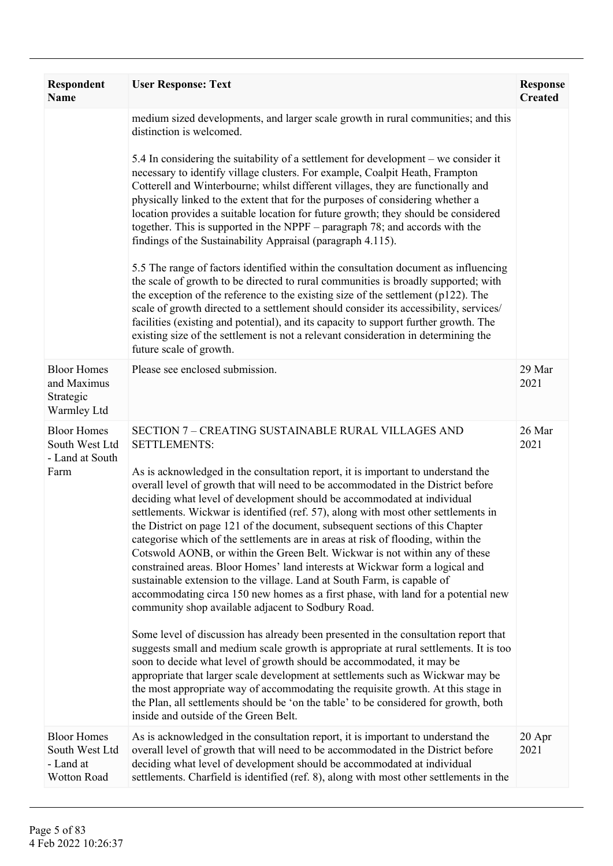| Respondent<br><b>Name</b>                                        | <b>User Response: Text</b>                                                                                                                                                                                                                                                                                                                                                                                                                                                                                                                                                                                                                                                                                                                                                                                                                                                                                                                                                                                                                                                                                                                                                                                                                                                                                                                                                                                                                                                                                                                     | <b>Response</b><br><b>Created</b> |
|------------------------------------------------------------------|------------------------------------------------------------------------------------------------------------------------------------------------------------------------------------------------------------------------------------------------------------------------------------------------------------------------------------------------------------------------------------------------------------------------------------------------------------------------------------------------------------------------------------------------------------------------------------------------------------------------------------------------------------------------------------------------------------------------------------------------------------------------------------------------------------------------------------------------------------------------------------------------------------------------------------------------------------------------------------------------------------------------------------------------------------------------------------------------------------------------------------------------------------------------------------------------------------------------------------------------------------------------------------------------------------------------------------------------------------------------------------------------------------------------------------------------------------------------------------------------------------------------------------------------|-----------------------------------|
|                                                                  | medium sized developments, and larger scale growth in rural communities; and this<br>distinction is welcomed.                                                                                                                                                                                                                                                                                                                                                                                                                                                                                                                                                                                                                                                                                                                                                                                                                                                                                                                                                                                                                                                                                                                                                                                                                                                                                                                                                                                                                                  |                                   |
|                                                                  | 5.4 In considering the suitability of a settlement for development – we consider it<br>necessary to identify village clusters. For example, Coalpit Heath, Frampton<br>Cotterell and Winterbourne; whilst different villages, they are functionally and<br>physically linked to the extent that for the purposes of considering whether a<br>location provides a suitable location for future growth; they should be considered<br>together. This is supported in the NPPF – paragraph 78; and accords with the<br>findings of the Sustainability Appraisal (paragraph 4.115).                                                                                                                                                                                                                                                                                                                                                                                                                                                                                                                                                                                                                                                                                                                                                                                                                                                                                                                                                                 |                                   |
|                                                                  | 5.5 The range of factors identified within the consultation document as influencing<br>the scale of growth to be directed to rural communities is broadly supported; with<br>the exception of the reference to the existing size of the settlement $(p122)$ . The<br>scale of growth directed to a settlement should consider its accessibility, services/<br>facilities (existing and potential), and its capacity to support further growth. The<br>existing size of the settlement is not a relevant consideration in determining the<br>future scale of growth.                                                                                                                                                                                                                                                                                                                                                                                                                                                                                                                                                                                                                                                                                                                                                                                                                                                                                                                                                                            |                                   |
| <b>Bloor Homes</b><br>and Maximus<br>Strategic<br>Warmley Ltd    | Please see enclosed submission.                                                                                                                                                                                                                                                                                                                                                                                                                                                                                                                                                                                                                                                                                                                                                                                                                                                                                                                                                                                                                                                                                                                                                                                                                                                                                                                                                                                                                                                                                                                | 29 Mar<br>2021                    |
| <b>Bloor Homes</b><br>South West Ltd<br>- Land at South<br>Farm  | SECTION 7 - CREATING SUSTAINABLE RURAL VILLAGES AND<br><b>SETTLEMENTS:</b><br>As is acknowledged in the consultation report, it is important to understand the<br>overall level of growth that will need to be accommodated in the District before<br>deciding what level of development should be accommodated at individual<br>settlements. Wickwar is identified (ref. 57), along with most other settlements in<br>the District on page 121 of the document, subsequent sections of this Chapter<br>categorise which of the settlements are in areas at risk of flooding, within the<br>Cotswold AONB, or within the Green Belt. Wickwar is not within any of these<br>constrained areas. Bloor Homes' land interests at Wickwar form a logical and<br>sustainable extension to the village. Land at South Farm, is capable of<br>accommodating circa 150 new homes as a first phase, with land for a potential new<br>community shop available adjacent to Sodbury Road.<br>Some level of discussion has already been presented in the consultation report that<br>suggests small and medium scale growth is appropriate at rural settlements. It is too<br>soon to decide what level of growth should be accommodated, it may be<br>appropriate that larger scale development at settlements such as Wickwar may be<br>the most appropriate way of accommodating the requisite growth. At this stage in<br>the Plan, all settlements should be 'on the table' to be considered for growth, both<br>inside and outside of the Green Belt. | 26 Mar<br>2021                    |
| <b>Bloor Homes</b><br>South West Ltd<br>- Land at<br>Wotton Road | As is acknowledged in the consultation report, it is important to understand the<br>overall level of growth that will need to be accommodated in the District before<br>deciding what level of development should be accommodated at individual<br>settlements. Charfield is identified (ref. 8), along with most other settlements in the                                                                                                                                                                                                                                                                                                                                                                                                                                                                                                                                                                                                                                                                                                                                                                                                                                                                                                                                                                                                                                                                                                                                                                                                     | $20$ Apr<br>2021                  |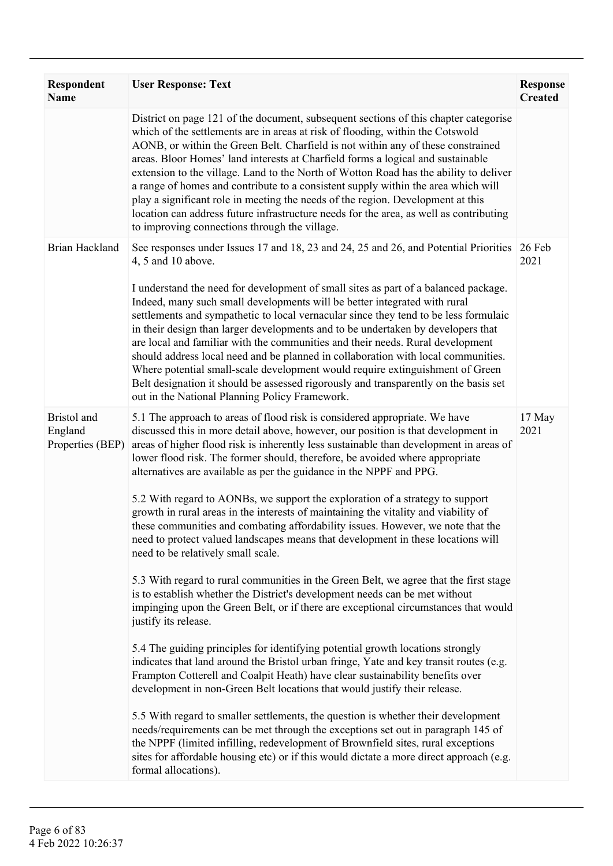| <b>Respondent</b><br><b>Name</b>           | <b>User Response: Text</b>                                                                                                                                                                                                                                                                                                                                                                                                                                                                                                                                                                                                                                                                                                                                                                                                                                                                                                                                                                                                                                                                                                                                                                                                                                                                                                                                                                                                                                                                                                                                                                                                                                                                                                                                                                                             | <b>Response</b><br><b>Created</b> |
|--------------------------------------------|------------------------------------------------------------------------------------------------------------------------------------------------------------------------------------------------------------------------------------------------------------------------------------------------------------------------------------------------------------------------------------------------------------------------------------------------------------------------------------------------------------------------------------------------------------------------------------------------------------------------------------------------------------------------------------------------------------------------------------------------------------------------------------------------------------------------------------------------------------------------------------------------------------------------------------------------------------------------------------------------------------------------------------------------------------------------------------------------------------------------------------------------------------------------------------------------------------------------------------------------------------------------------------------------------------------------------------------------------------------------------------------------------------------------------------------------------------------------------------------------------------------------------------------------------------------------------------------------------------------------------------------------------------------------------------------------------------------------------------------------------------------------------------------------------------------------|-----------------------------------|
|                                            | District on page 121 of the document, subsequent sections of this chapter categorise<br>which of the settlements are in areas at risk of flooding, within the Cotswold<br>AONB, or within the Green Belt. Charfield is not within any of these constrained<br>areas. Bloor Homes' land interests at Charfield forms a logical and sustainable<br>extension to the village. Land to the North of Wotton Road has the ability to deliver<br>a range of homes and contribute to a consistent supply within the area which will<br>play a significant role in meeting the needs of the region. Development at this<br>location can address future infrastructure needs for the area, as well as contributing<br>to improving connections through the village.                                                                                                                                                                                                                                                                                                                                                                                                                                                                                                                                                                                                                                                                                                                                                                                                                                                                                                                                                                                                                                                              |                                   |
| <b>Brian Hackland</b>                      | See responses under Issues 17 and 18, 23 and 24, 25 and 26, and Potential Priorities<br>4, 5 and 10 above.<br>I understand the need for development of small sites as part of a balanced package.<br>Indeed, many such small developments will be better integrated with rural<br>settlements and sympathetic to local vernacular since they tend to be less formulaic<br>in their design than larger developments and to be undertaken by developers that<br>are local and familiar with the communities and their needs. Rural development<br>should address local need and be planned in collaboration with local communities.<br>Where potential small-scale development would require extinguishment of Green<br>Belt designation it should be assessed rigorously and transparently on the basis set<br>out in the National Planning Policy Framework.                                                                                                                                                                                                                                                                                                                                                                                                                                                                                                                                                                                                                                                                                                                                                                                                                                                                                                                                                           | 26 Feb<br>2021                    |
| Bristol and<br>England<br>Properties (BEP) | 5.1 The approach to areas of flood risk is considered appropriate. We have<br>discussed this in more detail above, however, our position is that development in<br>areas of higher flood risk is inherently less sustainable than development in areas of<br>lower flood risk. The former should, therefore, be avoided where appropriate<br>alternatives are available as per the guidance in the NPPF and PPG.<br>5.2 With regard to AONBs, we support the exploration of a strategy to support<br>growth in rural areas in the interests of maintaining the vitality and viability of<br>these communities and combating affordability issues. However, we note that the<br>need to protect valued landscapes means that development in these locations will<br>need to be relatively small scale.<br>5.3 With regard to rural communities in the Green Belt, we agree that the first stage<br>is to establish whether the District's development needs can be met without<br>impinging upon the Green Belt, or if there are exceptional circumstances that would<br>justify its release.<br>5.4 The guiding principles for identifying potential growth locations strongly<br>indicates that land around the Bristol urban fringe, Yate and key transit routes (e.g.<br>Frampton Cotterell and Coalpit Heath) have clear sustainability benefits over<br>development in non-Green Belt locations that would justify their release.<br>5.5 With regard to smaller settlements, the question is whether their development<br>needs/requirements can be met through the exceptions set out in paragraph 145 of<br>the NPPF (limited infilling, redevelopment of Brownfield sites, rural exceptions<br>sites for affordable housing etc) or if this would dictate a more direct approach (e.g.<br>formal allocations). | 17 May<br>2021                    |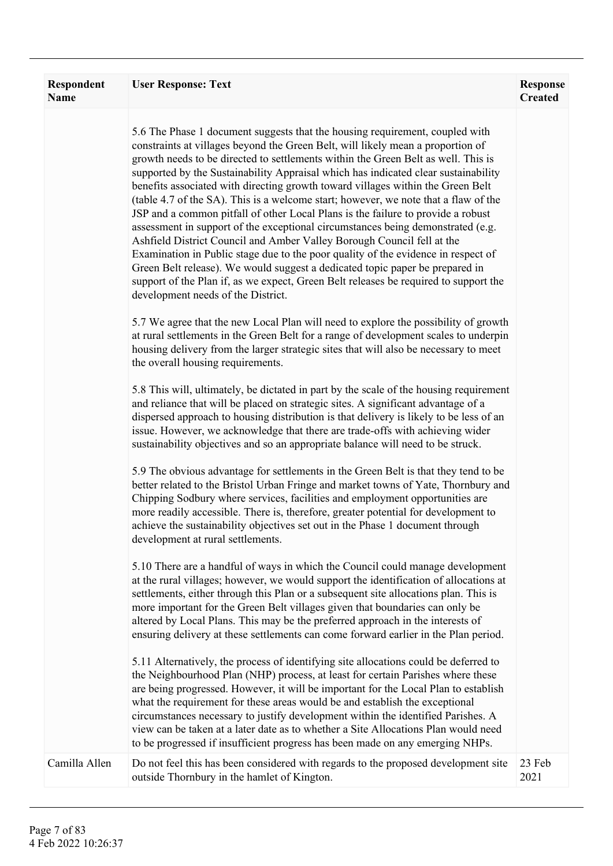| <b>Respondent</b><br>Name | <b>User Response: Text</b>                                                                                                                                                                                                                                                                                                                                                                                                                                                                                                                                                                                                                                                                                                                                                                                                                                                                                                                                                                                                                                               | <b>Response</b><br><b>Created</b> |
|---------------------------|--------------------------------------------------------------------------------------------------------------------------------------------------------------------------------------------------------------------------------------------------------------------------------------------------------------------------------------------------------------------------------------------------------------------------------------------------------------------------------------------------------------------------------------------------------------------------------------------------------------------------------------------------------------------------------------------------------------------------------------------------------------------------------------------------------------------------------------------------------------------------------------------------------------------------------------------------------------------------------------------------------------------------------------------------------------------------|-----------------------------------|
|                           | 5.6 The Phase 1 document suggests that the housing requirement, coupled with<br>constraints at villages beyond the Green Belt, will likely mean a proportion of<br>growth needs to be directed to settlements within the Green Belt as well. This is<br>supported by the Sustainability Appraisal which has indicated clear sustainability<br>benefits associated with directing growth toward villages within the Green Belt<br>(table 4.7 of the SA). This is a welcome start; however, we note that a flaw of the<br>JSP and a common pitfall of other Local Plans is the failure to provide a robust<br>assessment in support of the exceptional circumstances being demonstrated (e.g.<br>Ashfield District Council and Amber Valley Borough Council fell at the<br>Examination in Public stage due to the poor quality of the evidence in respect of<br>Green Belt release). We would suggest a dedicated topic paper be prepared in<br>support of the Plan if, as we expect, Green Belt releases be required to support the<br>development needs of the District. |                                   |
|                           | 5.7 We agree that the new Local Plan will need to explore the possibility of growth<br>at rural settlements in the Green Belt for a range of development scales to underpin<br>housing delivery from the larger strategic sites that will also be necessary to meet<br>the overall housing requirements.                                                                                                                                                                                                                                                                                                                                                                                                                                                                                                                                                                                                                                                                                                                                                                 |                                   |
|                           | 5.8 This will, ultimately, be dictated in part by the scale of the housing requirement<br>and reliance that will be placed on strategic sites. A significant advantage of a<br>dispersed approach to housing distribution is that delivery is likely to be less of an<br>issue. However, we acknowledge that there are trade-offs with achieving wider<br>sustainability objectives and so an appropriate balance will need to be struck.                                                                                                                                                                                                                                                                                                                                                                                                                                                                                                                                                                                                                                |                                   |
|                           | 5.9 The obvious advantage for settlements in the Green Belt is that they tend to be<br>better related to the Bristol Urban Fringe and market towns of Yate, Thornbury and<br>Chipping Sodbury where services, facilities and employment opportunities are<br>more readily accessible. There is, therefore, greater potential for development to<br>achieve the sustainability objectives set out in the Phase 1 document through<br>development at rural settlements.                                                                                                                                                                                                                                                                                                                                                                                                                                                                                                                                                                                                    |                                   |
|                           | 5.10 There are a handful of ways in which the Council could manage development<br>at the rural villages; however, we would support the identification of allocations at<br>settlements, either through this Plan or a subsequent site allocations plan. This is<br>more important for the Green Belt villages given that boundaries can only be<br>altered by Local Plans. This may be the preferred approach in the interests of<br>ensuring delivery at these settlements can come forward earlier in the Plan period.                                                                                                                                                                                                                                                                                                                                                                                                                                                                                                                                                 |                                   |
|                           | 5.11 Alternatively, the process of identifying site allocations could be deferred to<br>the Neighbourhood Plan (NHP) process, at least for certain Parishes where these<br>are being progressed. However, it will be important for the Local Plan to establish<br>what the requirement for these areas would be and establish the exceptional<br>circumstances necessary to justify development within the identified Parishes. A<br>view can be taken at a later date as to whether a Site Allocations Plan would need<br>to be progressed if insufficient progress has been made on any emerging NHPs.                                                                                                                                                                                                                                                                                                                                                                                                                                                                 |                                   |
| Camilla Allen             | Do not feel this has been considered with regards to the proposed development site<br>outside Thornbury in the hamlet of Kington.                                                                                                                                                                                                                                                                                                                                                                                                                                                                                                                                                                                                                                                                                                                                                                                                                                                                                                                                        | 23 Feb<br>2021                    |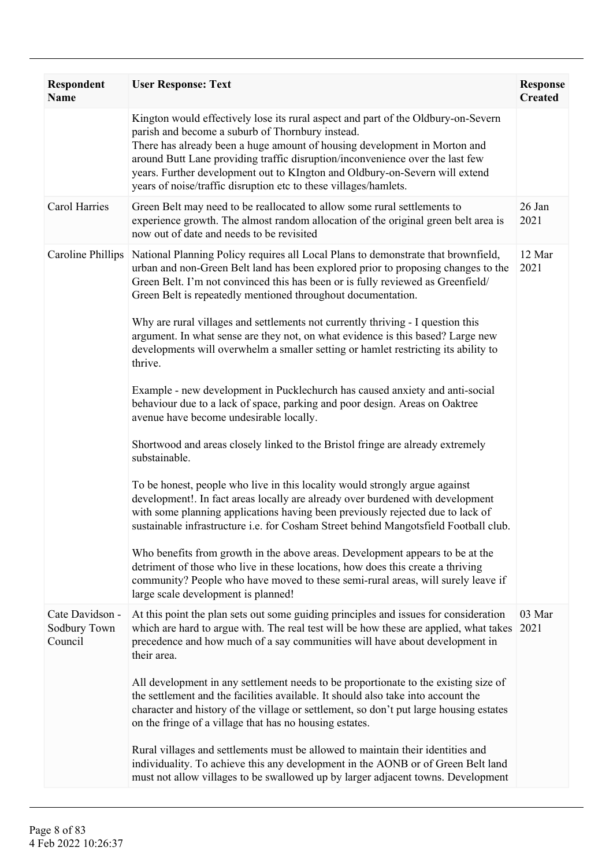| <b>Respondent</b><br><b>Name</b>           | <b>User Response: Text</b>                                                                                                                                                                                                                                                                                                                                                                                                                             | <b>Response</b><br><b>Created</b> |
|--------------------------------------------|--------------------------------------------------------------------------------------------------------------------------------------------------------------------------------------------------------------------------------------------------------------------------------------------------------------------------------------------------------------------------------------------------------------------------------------------------------|-----------------------------------|
|                                            | Kington would effectively lose its rural aspect and part of the Oldbury-on-Severn<br>parish and become a suburb of Thornbury instead.<br>There has already been a huge amount of housing development in Morton and<br>around Butt Lane providing traffic disruption/inconvenience over the last few<br>years. Further development out to KIngton and Oldbury-on-Severn will extend<br>years of noise/traffic disruption etc to these villages/hamlets. |                                   |
| <b>Carol Harries</b>                       | Green Belt may need to be reallocated to allow some rural settlements to<br>experience growth. The almost random allocation of the original green belt area is<br>now out of date and needs to be revisited                                                                                                                                                                                                                                            | 26 Jan<br>2021                    |
| <b>Caroline Phillips</b>                   | National Planning Policy requires all Local Plans to demonstrate that brownfield,<br>urban and non-Green Belt land has been explored prior to proposing changes to the<br>Green Belt. I'm not convinced this has been or is fully reviewed as Greenfield/<br>Green Belt is repeatedly mentioned throughout documentation.                                                                                                                              | 12 Mar<br>2021                    |
|                                            | Why are rural villages and settlements not currently thriving - I question this<br>argument. In what sense are they not, on what evidence is this based? Large new<br>developments will overwhelm a smaller setting or hamlet restricting its ability to<br>thrive.                                                                                                                                                                                    |                                   |
|                                            | Example - new development in Pucklechurch has caused anxiety and anti-social<br>behaviour due to a lack of space, parking and poor design. Areas on Oaktree<br>avenue have become undesirable locally.                                                                                                                                                                                                                                                 |                                   |
|                                            | Shortwood and areas closely linked to the Bristol fringe are already extremely<br>substainable.                                                                                                                                                                                                                                                                                                                                                        |                                   |
|                                            | To be honest, people who live in this locality would strongly argue against<br>development!. In fact areas locally are already over burdened with development<br>with some planning applications having been previously rejected due to lack of<br>sustainable infrastructure i.e. for Cosham Street behind Mangotsfield Football club.                                                                                                                |                                   |
|                                            | Who benefits from growth in the above areas. Development appears to be at the<br>detriment of those who live in these locations, how does this create a thriving<br>community? People who have moved to these semi-rural areas, will surely leave if<br>large scale development is planned!                                                                                                                                                            |                                   |
| Cate Davidson -<br>Sodbury Town<br>Council | At this point the plan sets out some guiding principles and issues for consideration<br>which are hard to argue with. The real test will be how these are applied, what takes<br>precedence and how much of a say communities will have about development in<br>their area.                                                                                                                                                                            | 03 Mar<br>2021                    |
|                                            | All development in any settlement needs to be proportionate to the existing size of<br>the settlement and the facilities available. It should also take into account the<br>character and history of the village or settlement, so don't put large housing estates<br>on the fringe of a village that has no housing estates.                                                                                                                          |                                   |
|                                            | Rural villages and settlements must be allowed to maintain their identities and<br>individuality. To achieve this any development in the AONB or of Green Belt land<br>must not allow villages to be swallowed up by larger adjacent towns. Development                                                                                                                                                                                                |                                   |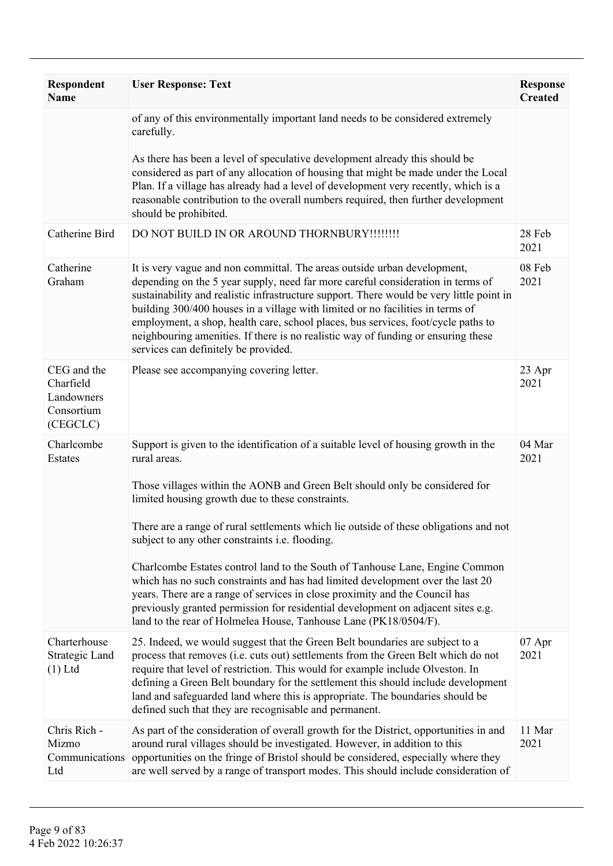| <b>Respondent</b><br><b>Name</b>                                 | <b>User Response: Text</b>                                                                                                                                                                                                                                                                                                                                                                                                                                                                                                                                                                                                                                                                                                                                                                  | <b>Response</b><br><b>Created</b> |
|------------------------------------------------------------------|---------------------------------------------------------------------------------------------------------------------------------------------------------------------------------------------------------------------------------------------------------------------------------------------------------------------------------------------------------------------------------------------------------------------------------------------------------------------------------------------------------------------------------------------------------------------------------------------------------------------------------------------------------------------------------------------------------------------------------------------------------------------------------------------|-----------------------------------|
|                                                                  | of any of this environmentally important land needs to be considered extremely<br>carefully.<br>As there has been a level of speculative development already this should be<br>considered as part of any allocation of housing that might be made under the Local<br>Plan. If a village has already had a level of development very recently, which is a                                                                                                                                                                                                                                                                                                                                                                                                                                    |                                   |
|                                                                  | reasonable contribution to the overall numbers required, then further development<br>should be prohibited.                                                                                                                                                                                                                                                                                                                                                                                                                                                                                                                                                                                                                                                                                  |                                   |
| Catherine Bird                                                   | DO NOT BUILD IN OR AROUND THORNBURY !!!!!!!!!                                                                                                                                                                                                                                                                                                                                                                                                                                                                                                                                                                                                                                                                                                                                               | 28 Feb<br>2021                    |
| Catherine<br>Graham                                              | It is very vague and non committal. The areas outside urban development,<br>depending on the 5 year supply, need far more careful consideration in terms of<br>sustainability and realistic infrastructure support. There would be very little point in<br>building 300/400 houses in a village with limited or no facilities in terms of<br>employment, a shop, health care, school places, bus services, foot/cycle paths to<br>neighbouring amenities. If there is no realistic way of funding or ensuring these<br>services can definitely be provided.                                                                                                                                                                                                                                 | 08 Feb<br>2021                    |
| CEG and the<br>Charfield<br>Landowners<br>Consortium<br>(CEGCLC) | Please see accompanying covering letter.                                                                                                                                                                                                                                                                                                                                                                                                                                                                                                                                                                                                                                                                                                                                                    | 23 Apr<br>2021                    |
| Charlcombe<br>Estates                                            | Support is given to the identification of a suitable level of housing growth in the<br>rural areas.<br>Those villages within the AONB and Green Belt should only be considered for<br>limited housing growth due to these constraints.<br>There are a range of rural settlements which lie outside of these obligations and not<br>subject to any other constraints i.e. flooding.<br>Charlcombe Estates control land to the South of Tanhouse Lane, Engine Common<br>which has no such constraints and has had limited development over the last 20<br>years. There are a range of services in close proximity and the Council has<br>previously granted permission for residential development on adjacent sites e.g.<br>land to the rear of Holmelea House, Tanhouse Lane (PK18/0504/F). | 04 Mar<br>2021                    |
| Charterhouse<br>Strategic Land<br>$(1)$ Ltd                      | 25. Indeed, we would suggest that the Green Belt boundaries are subject to a<br>process that removes (i.e. cuts out) settlements from the Green Belt which do not<br>require that level of restriction. This would for example include Olveston. In<br>defining a Green Belt boundary for the settlement this should include development<br>land and safeguarded land where this is appropriate. The boundaries should be<br>defined such that they are recognisable and permanent.                                                                                                                                                                                                                                                                                                         | $07$ Apr<br>2021                  |
| Chris Rich -<br>Mizmo<br>Communications<br>Ltd                   | As part of the consideration of overall growth for the District, opportunities in and<br>around rural villages should be investigated. However, in addition to this<br>opportunities on the fringe of Bristol should be considered, especially where they<br>are well served by a range of transport modes. This should include consideration of                                                                                                                                                                                                                                                                                                                                                                                                                                            | 11 Mar<br>2021                    |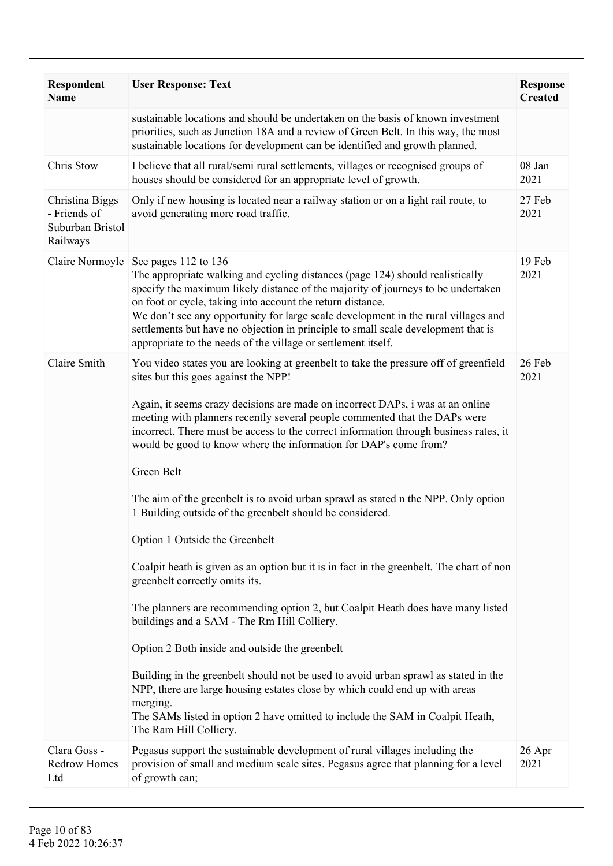| <b>Respondent</b><br><b>Name</b>                                | <b>User Response: Text</b>                                                                                                                                                                                                                                                                                                                                                                                                                                                                                                                                                                                                                                                                                                                                                                                                                                                                                                                                                                                                                                                                                                                                                                                                                                                  | <b>Response</b><br><b>Created</b> |
|-----------------------------------------------------------------|-----------------------------------------------------------------------------------------------------------------------------------------------------------------------------------------------------------------------------------------------------------------------------------------------------------------------------------------------------------------------------------------------------------------------------------------------------------------------------------------------------------------------------------------------------------------------------------------------------------------------------------------------------------------------------------------------------------------------------------------------------------------------------------------------------------------------------------------------------------------------------------------------------------------------------------------------------------------------------------------------------------------------------------------------------------------------------------------------------------------------------------------------------------------------------------------------------------------------------------------------------------------------------|-----------------------------------|
|                                                                 | sustainable locations and should be undertaken on the basis of known investment<br>priorities, such as Junction 18A and a review of Green Belt. In this way, the most<br>sustainable locations for development can be identified and growth planned.                                                                                                                                                                                                                                                                                                                                                                                                                                                                                                                                                                                                                                                                                                                                                                                                                                                                                                                                                                                                                        |                                   |
| Chris Stow                                                      | I believe that all rural/semi rural settlements, villages or recognised groups of<br>houses should be considered for an appropriate level of growth.                                                                                                                                                                                                                                                                                                                                                                                                                                                                                                                                                                                                                                                                                                                                                                                                                                                                                                                                                                                                                                                                                                                        | 08 Jan<br>2021                    |
| Christina Biggs<br>- Friends of<br>Suburban Bristol<br>Railways | Only if new housing is located near a railway station or on a light rail route, to<br>avoid generating more road traffic.                                                                                                                                                                                                                                                                                                                                                                                                                                                                                                                                                                                                                                                                                                                                                                                                                                                                                                                                                                                                                                                                                                                                                   | 27 Feb<br>2021                    |
| Claire Normoyle                                                 | See pages 112 to 136<br>The appropriate walking and cycling distances (page 124) should realistically<br>specify the maximum likely distance of the majority of journeys to be undertaken<br>on foot or cycle, taking into account the return distance.<br>We don't see any opportunity for large scale development in the rural villages and<br>settlements but have no objection in principle to small scale development that is<br>appropriate to the needs of the village or settlement itself.                                                                                                                                                                                                                                                                                                                                                                                                                                                                                                                                                                                                                                                                                                                                                                         | 19 Feb<br>2021                    |
| Claire Smith                                                    | You video states you are looking at greenbelt to take the pressure off of greenfield<br>sites but this goes against the NPP!<br>Again, it seems crazy decisions are made on incorrect DAPs, i was at an online<br>meeting with planners recently several people commented that the DAPs were<br>incorrect. There must be access to the correct information through business rates, it<br>would be good to know where the information for DAP's come from?<br>Green Belt<br>The aim of the greenbelt is to avoid urban sprawl as stated n the NPP. Only option<br>1 Building outside of the greenbelt should be considered.<br>Option 1 Outside the Greenbelt<br>Coalpit heath is given as an option but it is in fact in the greenbelt. The chart of non<br>greenbelt correctly omits its.<br>The planners are recommending option 2, but Coalpit Heath does have many listed<br>buildings and a SAM - The Rm Hill Colliery.<br>Option 2 Both inside and outside the greenbelt<br>Building in the greenbelt should not be used to avoid urban sprawl as stated in the<br>NPP, there are large housing estates close by which could end up with areas<br>merging.<br>The SAMs listed in option 2 have omitted to include the SAM in Coalpit Heath,<br>The Ram Hill Colliery. | 26 Feb<br>2021                    |
| Clara Goss -<br><b>Redrow Homes</b><br>Ltd                      | Pegasus support the sustainable development of rural villages including the<br>provision of small and medium scale sites. Pegasus agree that planning for a level<br>of growth can;                                                                                                                                                                                                                                                                                                                                                                                                                                                                                                                                                                                                                                                                                                                                                                                                                                                                                                                                                                                                                                                                                         | 26 Apr<br>2021                    |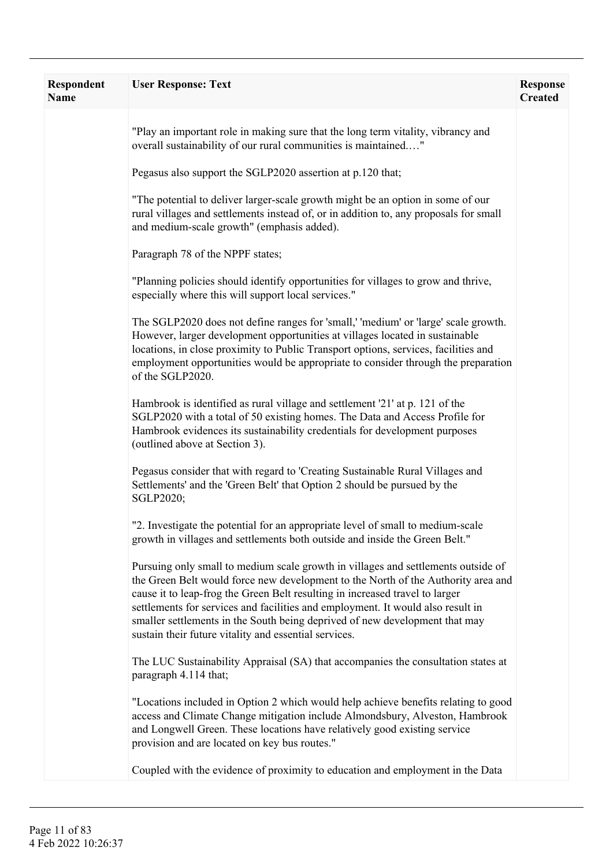| Respondent<br>Name | <b>User Response: Text</b>                                                                                                                                                                                                                                                                                                                                                                                                                                                        | <b>Response</b><br><b>Created</b> |
|--------------------|-----------------------------------------------------------------------------------------------------------------------------------------------------------------------------------------------------------------------------------------------------------------------------------------------------------------------------------------------------------------------------------------------------------------------------------------------------------------------------------|-----------------------------------|
|                    | "Play an important role in making sure that the long term vitality, vibrancy and<br>overall sustainability of our rural communities is maintained"                                                                                                                                                                                                                                                                                                                                |                                   |
|                    | Pegasus also support the SGLP2020 assertion at p.120 that;                                                                                                                                                                                                                                                                                                                                                                                                                        |                                   |
|                    | "The potential to deliver larger-scale growth might be an option in some of our<br>rural villages and settlements instead of, or in addition to, any proposals for small<br>and medium-scale growth" (emphasis added).                                                                                                                                                                                                                                                            |                                   |
|                    | Paragraph 78 of the NPPF states;                                                                                                                                                                                                                                                                                                                                                                                                                                                  |                                   |
|                    | "Planning policies should identify opportunities for villages to grow and thrive,<br>especially where this will support local services."                                                                                                                                                                                                                                                                                                                                          |                                   |
|                    | The SGLP2020 does not define ranges for 'small,' 'medium' or 'large' scale growth.<br>However, larger development opportunities at villages located in sustainable<br>locations, in close proximity to Public Transport options, services, facilities and<br>employment opportunities would be appropriate to consider through the preparation<br>of the SGLP2020.                                                                                                                |                                   |
|                    | Hambrook is identified as rural village and settlement '21' at p. 121 of the<br>SGLP2020 with a total of 50 existing homes. The Data and Access Profile for<br>Hambrook evidences its sustainability credentials for development purposes<br>(outlined above at Section 3).                                                                                                                                                                                                       |                                   |
|                    | Pegasus consider that with regard to 'Creating Sustainable Rural Villages and<br>Settlements' and the 'Green Belt' that Option 2 should be pursued by the<br>SGLP2020;                                                                                                                                                                                                                                                                                                            |                                   |
|                    | "2. Investigate the potential for an appropriate level of small to medium-scale<br>growth in villages and settlements both outside and inside the Green Belt."                                                                                                                                                                                                                                                                                                                    |                                   |
|                    | Pursuing only small to medium scale growth in villages and settlements outside of<br>the Green Belt would force new development to the North of the Authority area and<br>cause it to leap-frog the Green Belt resulting in increased travel to larger<br>settlements for services and facilities and employment. It would also result in<br>smaller settlements in the South being deprived of new development that may<br>sustain their future vitality and essential services. |                                   |
|                    | The LUC Sustainability Appraisal (SA) that accompanies the consultation states at<br>paragraph 4.114 that;                                                                                                                                                                                                                                                                                                                                                                        |                                   |
|                    | "Locations included in Option 2 which would help achieve benefits relating to good<br>access and Climate Change mitigation include Almondsbury, Alveston, Hambrook<br>and Longwell Green. These locations have relatively good existing service<br>provision and are located on key bus routes."                                                                                                                                                                                  |                                   |
|                    | Coupled with the evidence of proximity to education and employment in the Data                                                                                                                                                                                                                                                                                                                                                                                                    |                                   |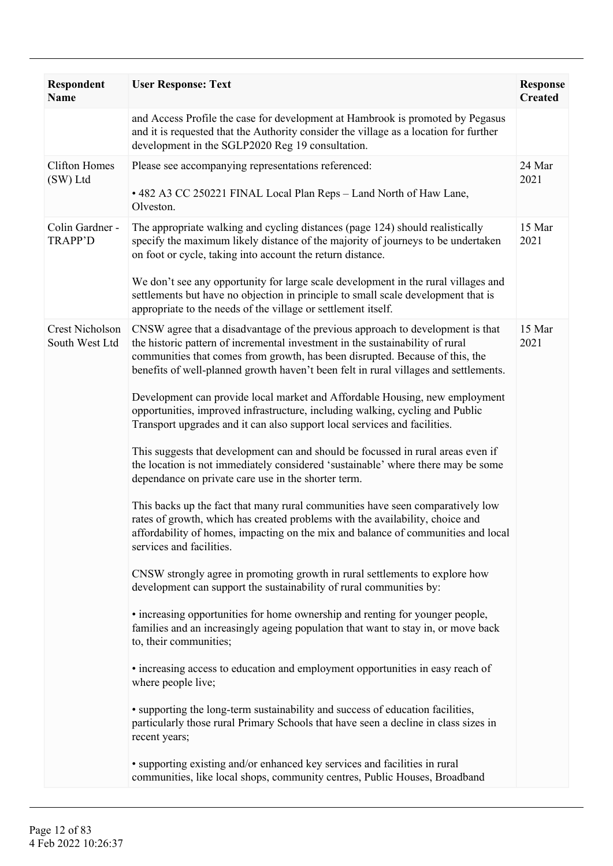| <b>Respondent</b><br><b>Name</b>         | <b>User Response: Text</b>                                                                                                                                                                                                                                                                                                                                                                                                                                                                                                                                                                                                                                                                                                                                                                                                                                                                                                                                                                                                                                                                                                                                                                                                                                                                                                                                                                                                                                                                                                                                                                                                                                                                                                                                                                                                                                                                                                  | <b>Response</b><br><b>Created</b> |
|------------------------------------------|-----------------------------------------------------------------------------------------------------------------------------------------------------------------------------------------------------------------------------------------------------------------------------------------------------------------------------------------------------------------------------------------------------------------------------------------------------------------------------------------------------------------------------------------------------------------------------------------------------------------------------------------------------------------------------------------------------------------------------------------------------------------------------------------------------------------------------------------------------------------------------------------------------------------------------------------------------------------------------------------------------------------------------------------------------------------------------------------------------------------------------------------------------------------------------------------------------------------------------------------------------------------------------------------------------------------------------------------------------------------------------------------------------------------------------------------------------------------------------------------------------------------------------------------------------------------------------------------------------------------------------------------------------------------------------------------------------------------------------------------------------------------------------------------------------------------------------------------------------------------------------------------------------------------------------|-----------------------------------|
|                                          | and Access Profile the case for development at Hambrook is promoted by Pegasus<br>and it is requested that the Authority consider the village as a location for further<br>development in the SGLP2020 Reg 19 consultation.                                                                                                                                                                                                                                                                                                                                                                                                                                                                                                                                                                                                                                                                                                                                                                                                                                                                                                                                                                                                                                                                                                                                                                                                                                                                                                                                                                                                                                                                                                                                                                                                                                                                                                 |                                   |
| <b>Clifton Homes</b><br>(SW) Ltd         | Please see accompanying representations referenced:<br>• 482 A3 CC 250221 FINAL Local Plan Reps - Land North of Haw Lane,<br>Olveston.                                                                                                                                                                                                                                                                                                                                                                                                                                                                                                                                                                                                                                                                                                                                                                                                                                                                                                                                                                                                                                                                                                                                                                                                                                                                                                                                                                                                                                                                                                                                                                                                                                                                                                                                                                                      | 24 Mar<br>2021                    |
| Colin Gardner -<br><b>TRAPP'D</b>        | The appropriate walking and cycling distances (page 124) should realistically<br>specify the maximum likely distance of the majority of journeys to be undertaken<br>on foot or cycle, taking into account the return distance.<br>We don't see any opportunity for large scale development in the rural villages and<br>settlements but have no objection in principle to small scale development that is<br>appropriate to the needs of the village or settlement itself.                                                                                                                                                                                                                                                                                                                                                                                                                                                                                                                                                                                                                                                                                                                                                                                                                                                                                                                                                                                                                                                                                                                                                                                                                                                                                                                                                                                                                                                 | 15 Mar<br>2021                    |
| <b>Crest Nicholson</b><br>South West Ltd | CNSW agree that a disadvantage of the previous approach to development is that<br>the historic pattern of incremental investment in the sustainability of rural<br>communities that comes from growth, has been disrupted. Because of this, the<br>benefits of well-planned growth haven't been felt in rural villages and settlements.<br>Development can provide local market and Affordable Housing, new employment<br>opportunities, improved infrastructure, including walking, cycling and Public<br>Transport upgrades and it can also support local services and facilities.<br>This suggests that development can and should be focussed in rural areas even if<br>the location is not immediately considered 'sustainable' where there may be some<br>dependance on private care use in the shorter term.<br>This backs up the fact that many rural communities have seen comparatively low<br>rates of growth, which has created problems with the availability, choice and<br>affordability of homes, impacting on the mix and balance of communities and local<br>services and facilities.<br>CNSW strongly agree in promoting growth in rural settlements to explore how<br>development can support the sustainability of rural communities by:<br>• increasing opportunities for home ownership and renting for younger people,<br>families and an increasingly ageing population that want to stay in, or move back<br>to, their communities;<br>• increasing access to education and employment opportunities in easy reach of<br>where people live;<br>• supporting the long-term sustainability and success of education facilities,<br>particularly those rural Primary Schools that have seen a decline in class sizes in<br>recent years;<br>· supporting existing and/or enhanced key services and facilities in rural<br>communities, like local shops, community centres, Public Houses, Broadband | 15 Mar<br>2021                    |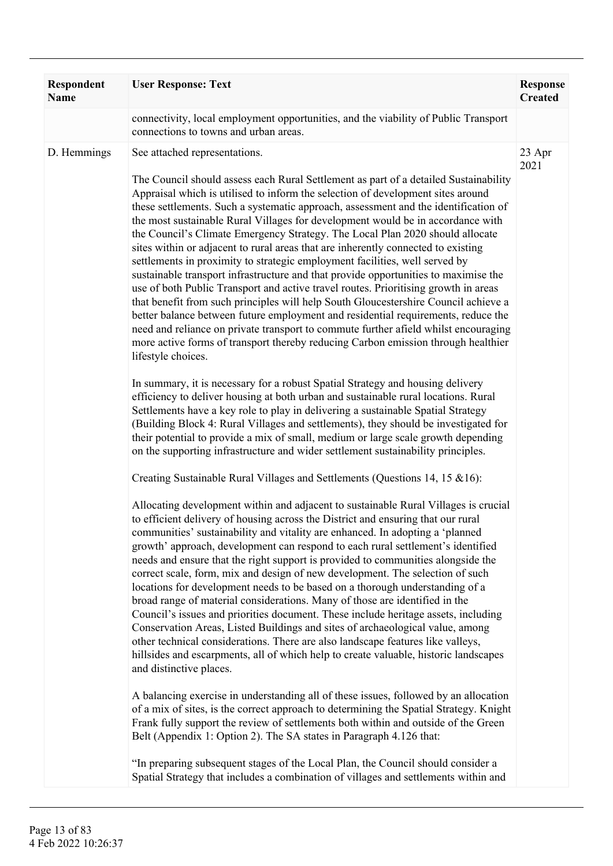| Respondent<br><b>Name</b> | <b>User Response: Text</b>                                                                                                                                                                                                                                                                                                                                                                                                                                                                                                                                                                                                                                                                                                                                                                                                                                                                                                                                                                                                                                                                                                                                                                                                                                                                                                                                                                                                                                                                                                                                                                                                                                                                                                                                                                                                                                                                                                                                                                                                                                                                                                                                                                                                                                                                                                                                                                                                                                                                                                                                                                                                                                                                                                                                                                                                                                                                                                                                                                                                                                                                                                                                                                                                     | <b>Response</b><br><b>Created</b> |
|---------------------------|--------------------------------------------------------------------------------------------------------------------------------------------------------------------------------------------------------------------------------------------------------------------------------------------------------------------------------------------------------------------------------------------------------------------------------------------------------------------------------------------------------------------------------------------------------------------------------------------------------------------------------------------------------------------------------------------------------------------------------------------------------------------------------------------------------------------------------------------------------------------------------------------------------------------------------------------------------------------------------------------------------------------------------------------------------------------------------------------------------------------------------------------------------------------------------------------------------------------------------------------------------------------------------------------------------------------------------------------------------------------------------------------------------------------------------------------------------------------------------------------------------------------------------------------------------------------------------------------------------------------------------------------------------------------------------------------------------------------------------------------------------------------------------------------------------------------------------------------------------------------------------------------------------------------------------------------------------------------------------------------------------------------------------------------------------------------------------------------------------------------------------------------------------------------------------------------------------------------------------------------------------------------------------------------------------------------------------------------------------------------------------------------------------------------------------------------------------------------------------------------------------------------------------------------------------------------------------------------------------------------------------------------------------------------------------------------------------------------------------------------------------------------------------------------------------------------------------------------------------------------------------------------------------------------------------------------------------------------------------------------------------------------------------------------------------------------------------------------------------------------------------------------------------------------------------------------------------------------------------|-----------------------------------|
|                           | connectivity, local employment opportunities, and the viability of Public Transport<br>connections to towns and urban areas.                                                                                                                                                                                                                                                                                                                                                                                                                                                                                                                                                                                                                                                                                                                                                                                                                                                                                                                                                                                                                                                                                                                                                                                                                                                                                                                                                                                                                                                                                                                                                                                                                                                                                                                                                                                                                                                                                                                                                                                                                                                                                                                                                                                                                                                                                                                                                                                                                                                                                                                                                                                                                                                                                                                                                                                                                                                                                                                                                                                                                                                                                                   |                                   |
| D. Hemmings               | See attached representations.<br>The Council should assess each Rural Settlement as part of a detailed Sustainability<br>Appraisal which is utilised to inform the selection of development sites around<br>these settlements. Such a systematic approach, assessment and the identification of<br>the most sustainable Rural Villages for development would be in accordance with<br>the Council's Climate Emergency Strategy. The Local Plan 2020 should allocate<br>sites within or adjacent to rural areas that are inherently connected to existing<br>settlements in proximity to strategic employment facilities, well served by<br>sustainable transport infrastructure and that provide opportunities to maximise the<br>use of both Public Transport and active travel routes. Prioritising growth in areas<br>that benefit from such principles will help South Gloucestershire Council achieve a<br>better balance between future employment and residential requirements, reduce the<br>need and reliance on private transport to commute further afield whilst encouraging<br>more active forms of transport thereby reducing Carbon emission through healthier<br>lifestyle choices.<br>In summary, it is necessary for a robust Spatial Strategy and housing delivery<br>efficiency to deliver housing at both urban and sustainable rural locations. Rural<br>Settlements have a key role to play in delivering a sustainable Spatial Strategy<br>(Building Block 4: Rural Villages and settlements), they should be investigated for<br>their potential to provide a mix of small, medium or large scale growth depending<br>on the supporting infrastructure and wider settlement sustainability principles.<br>Creating Sustainable Rural Villages and Settlements (Questions 14, 15 & 16):<br>Allocating development within and adjacent to sustainable Rural Villages is crucial<br>to efficient delivery of housing across the District and ensuring that our rural<br>communities' sustainability and vitality are enhanced. In adopting a 'planned<br>growth' approach, development can respond to each rural settlement's identified<br>needs and ensure that the right support is provided to communities alongside the<br>correct scale, form, mix and design of new development. The selection of such<br>locations for development needs to be based on a thorough understanding of a<br>broad range of material considerations. Many of those are identified in the<br>Council's issues and priorities document. These include heritage assets, including<br>Conservation Areas, Listed Buildings and sites of archaeological value, among<br>other technical considerations. There are also landscape features like valleys,<br>hillsides and escarpments, all of which help to create valuable, historic landscapes<br>and distinctive places.<br>A balancing exercise in understanding all of these issues, followed by an allocation<br>of a mix of sites, is the correct approach to determining the Spatial Strategy. Knight<br>Frank fully support the review of settlements both within and outside of the Green<br>Belt (Appendix 1: Option 2). The SA states in Paragraph 4.126 that: | 23 Apr<br>2021                    |
|                           | "In preparing subsequent stages of the Local Plan, the Council should consider a<br>Spatial Strategy that includes a combination of villages and settlements within and                                                                                                                                                                                                                                                                                                                                                                                                                                                                                                                                                                                                                                                                                                                                                                                                                                                                                                                                                                                                                                                                                                                                                                                                                                                                                                                                                                                                                                                                                                                                                                                                                                                                                                                                                                                                                                                                                                                                                                                                                                                                                                                                                                                                                                                                                                                                                                                                                                                                                                                                                                                                                                                                                                                                                                                                                                                                                                                                                                                                                                                        |                                   |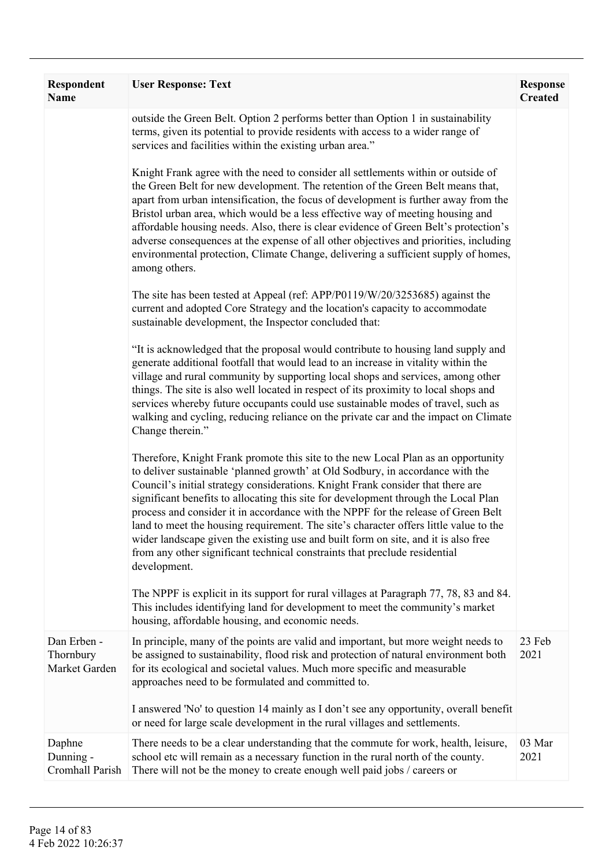| <b>Respondent</b><br><b>Name</b>          | <b>User Response: Text</b>                                                                                                                                                                                                                                                                                                                                                                                                                                                                                                                                                                                                                                                                                      | <b>Response</b><br><b>Created</b> |
|-------------------------------------------|-----------------------------------------------------------------------------------------------------------------------------------------------------------------------------------------------------------------------------------------------------------------------------------------------------------------------------------------------------------------------------------------------------------------------------------------------------------------------------------------------------------------------------------------------------------------------------------------------------------------------------------------------------------------------------------------------------------------|-----------------------------------|
|                                           | outside the Green Belt. Option 2 performs better than Option 1 in sustainability<br>terms, given its potential to provide residents with access to a wider range of<br>services and facilities within the existing urban area."                                                                                                                                                                                                                                                                                                                                                                                                                                                                                 |                                   |
|                                           | Knight Frank agree with the need to consider all settlements within or outside of<br>the Green Belt for new development. The retention of the Green Belt means that,<br>apart from urban intensification, the focus of development is further away from the<br>Bristol urban area, which would be a less effective way of meeting housing and<br>affordable housing needs. Also, there is clear evidence of Green Belt's protection's<br>adverse consequences at the expense of all other objectives and priorities, including<br>environmental protection, Climate Change, delivering a sufficient supply of homes,<br>among others.                                                                           |                                   |
|                                           | The site has been tested at Appeal (ref: APP/P0119/W/20/3253685) against the<br>current and adopted Core Strategy and the location's capacity to accommodate<br>sustainable development, the Inspector concluded that:                                                                                                                                                                                                                                                                                                                                                                                                                                                                                          |                                   |
|                                           | "It is acknowledged that the proposal would contribute to housing land supply and<br>generate additional footfall that would lead to an increase in vitality within the<br>village and rural community by supporting local shops and services, among other<br>things. The site is also well located in respect of its proximity to local shops and<br>services whereby future occupants could use sustainable modes of travel, such as<br>walking and cycling, reducing reliance on the private car and the impact on Climate<br>Change therein."                                                                                                                                                               |                                   |
|                                           | Therefore, Knight Frank promote this site to the new Local Plan as an opportunity<br>to deliver sustainable 'planned growth' at Old Sodbury, in accordance with the<br>Council's initial strategy considerations. Knight Frank consider that there are<br>significant benefits to allocating this site for development through the Local Plan<br>process and consider it in accordance with the NPPF for the release of Green Belt<br>land to meet the housing requirement. The site's character offers little value to the<br>wider landscape given the existing use and built form on site, and it is also free<br>from any other significant technical constraints that preclude residential<br>development. |                                   |
|                                           | The NPPF is explicit in its support for rural villages at Paragraph 77, 78, 83 and 84.<br>This includes identifying land for development to meet the community's market<br>housing, affordable housing, and economic needs.                                                                                                                                                                                                                                                                                                                                                                                                                                                                                     |                                   |
| Dan Erben -<br>Thornbury<br>Market Garden | In principle, many of the points are valid and important, but more weight needs to<br>be assigned to sustainability, flood risk and protection of natural environment both<br>for its ecological and societal values. Much more specific and measurable<br>approaches need to be formulated and committed to.                                                                                                                                                                                                                                                                                                                                                                                                   | 23 Feb<br>2021                    |
|                                           | I answered 'No' to question 14 mainly as I don't see any opportunity, overall benefit<br>or need for large scale development in the rural villages and settlements.                                                                                                                                                                                                                                                                                                                                                                                                                                                                                                                                             |                                   |
| Daphne<br>Dunning -<br>Cromhall Parish    | There needs to be a clear understanding that the commute for work, health, leisure,<br>school etc will remain as a necessary function in the rural north of the county.<br>There will not be the money to create enough well paid jobs / careers or                                                                                                                                                                                                                                                                                                                                                                                                                                                             | 03 Mar<br>2021                    |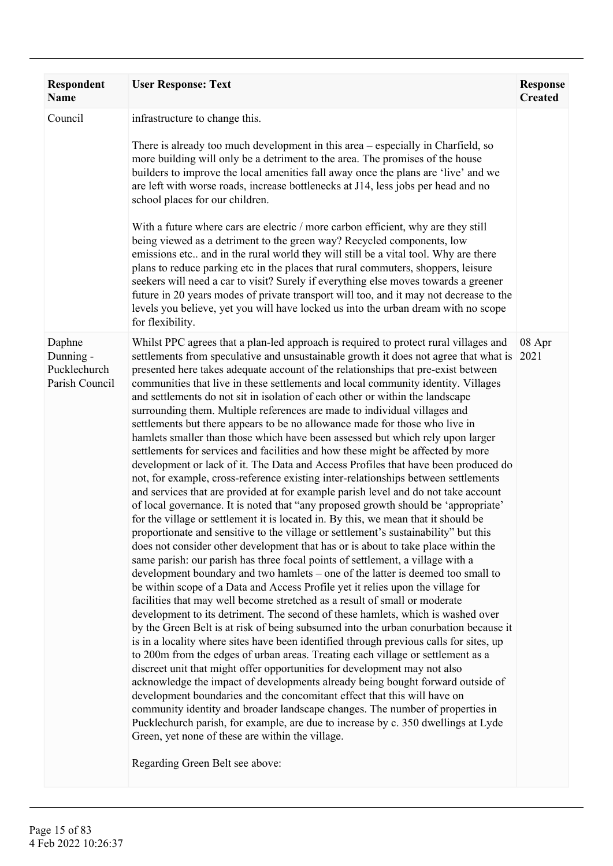| Respondent<br><b>Name</b>                             | <b>User Response: Text</b>                                                                                                                                                                                                                                                                                                                                                                                                                                                                                                                                                                                                                                                                                                                                                                                                                                                                                                                                                                                                                                                                                                                                                                                                                                                                                                                                                                                                                                                                                                                                                                                                                                                                                                                                                                                                                                                                                                                                                                                                                                                                                                                                                                                                                                                                                                                                                                                                                                                                                                                                                                               | <b>Response</b><br><b>Created</b> |
|-------------------------------------------------------|----------------------------------------------------------------------------------------------------------------------------------------------------------------------------------------------------------------------------------------------------------------------------------------------------------------------------------------------------------------------------------------------------------------------------------------------------------------------------------------------------------------------------------------------------------------------------------------------------------------------------------------------------------------------------------------------------------------------------------------------------------------------------------------------------------------------------------------------------------------------------------------------------------------------------------------------------------------------------------------------------------------------------------------------------------------------------------------------------------------------------------------------------------------------------------------------------------------------------------------------------------------------------------------------------------------------------------------------------------------------------------------------------------------------------------------------------------------------------------------------------------------------------------------------------------------------------------------------------------------------------------------------------------------------------------------------------------------------------------------------------------------------------------------------------------------------------------------------------------------------------------------------------------------------------------------------------------------------------------------------------------------------------------------------------------------------------------------------------------------------------------------------------------------------------------------------------------------------------------------------------------------------------------------------------------------------------------------------------------------------------------------------------------------------------------------------------------------------------------------------------------------------------------------------------------------------------------------------------------|-----------------------------------|
| Council                                               | infrastructure to change this.<br>There is already too much development in this area – especially in Charfield, so<br>more building will only be a detriment to the area. The promises of the house<br>builders to improve the local amenities fall away once the plans are 'live' and we<br>are left with worse roads, increase bottlenecks at J14, less jobs per head and no<br>school places for our children.<br>With a future where cars are electric / more carbon efficient, why are they still<br>being viewed as a detriment to the green way? Recycled components, low<br>emissions etc., and in the rural world they will still be a vital tool. Why are there<br>plans to reduce parking etc in the places that rural commuters, shoppers, leisure<br>seekers will need a car to visit? Surely if everything else moves towards a greener<br>future in 20 years modes of private transport will too, and it may not decrease to the<br>levels you believe, yet you will have locked us into the urban dream with no scope<br>for flexibility.                                                                                                                                                                                                                                                                                                                                                                                                                                                                                                                                                                                                                                                                                                                                                                                                                                                                                                                                                                                                                                                                                                                                                                                                                                                                                                                                                                                                                                                                                                                                                |                                   |
| Daphne<br>Dunning -<br>Pucklechurch<br>Parish Council | Whilst PPC agrees that a plan-led approach is required to protect rural villages and<br>settlements from speculative and unsustainable growth it does not agree that what is<br>presented here takes adequate account of the relationships that pre-exist between<br>communities that live in these settlements and local community identity. Villages<br>and settlements do not sit in isolation of each other or within the landscape<br>surrounding them. Multiple references are made to individual villages and<br>settlements but there appears to be no allowance made for those who live in<br>hamlets smaller than those which have been assessed but which rely upon larger<br>settlements for services and facilities and how these might be affected by more<br>development or lack of it. The Data and Access Profiles that have been produced do<br>not, for example, cross-reference existing inter-relationships between settlements<br>and services that are provided at for example parish level and do not take account<br>of local governance. It is noted that "any proposed growth should be 'appropriate'<br>for the village or settlement it is located in. By this, we mean that it should be<br>proportionate and sensitive to the village or settlement's sustainability" but this<br>does not consider other development that has or is about to take place within the<br>same parish: our parish has three focal points of settlement, a village with a<br>development boundary and two hamlets – one of the latter is deemed too small to<br>be within scope of a Data and Access Profile yet it relies upon the village for<br>facilities that may well become stretched as a result of small or moderate<br>development to its detriment. The second of these hamlets, which is washed over<br>by the Green Belt is at risk of being subsumed into the urban conurbation because it<br>is in a locality where sites have been identified through previous calls for sites, up<br>to 200m from the edges of urban areas. Treating each village or settlement as a<br>discreet unit that might offer opportunities for development may not also<br>acknowledge the impact of developments already being bought forward outside of<br>development boundaries and the concomitant effect that this will have on<br>community identity and broader landscape changes. The number of properties in<br>Pucklechurch parish, for example, are due to increase by c. 350 dwellings at Lyde<br>Green, yet none of these are within the village.<br>Regarding Green Belt see above: | 08 Apr<br>2021                    |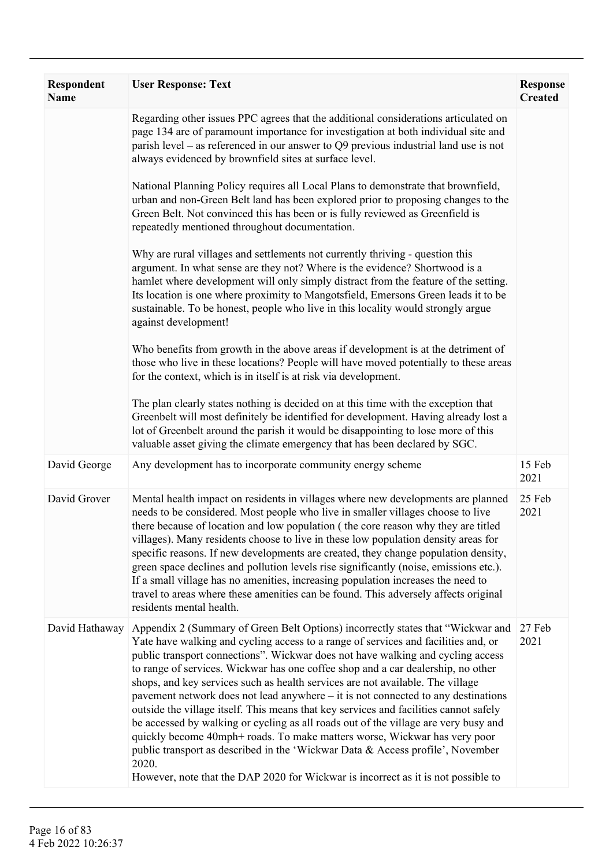| <b>Respondent</b><br><b>Name</b> | <b>User Response: Text</b>                                                                                                                                                                                                                                                                                                                                                                                                                                                                                                                                                                                                                                                                                                                                                                                                                                                                                                                                       | <b>Response</b><br><b>Created</b> |
|----------------------------------|------------------------------------------------------------------------------------------------------------------------------------------------------------------------------------------------------------------------------------------------------------------------------------------------------------------------------------------------------------------------------------------------------------------------------------------------------------------------------------------------------------------------------------------------------------------------------------------------------------------------------------------------------------------------------------------------------------------------------------------------------------------------------------------------------------------------------------------------------------------------------------------------------------------------------------------------------------------|-----------------------------------|
|                                  | Regarding other issues PPC agrees that the additional considerations articulated on<br>page 134 are of paramount importance for investigation at both individual site and<br>parish level – as referenced in our answer to $Q9$ previous industrial land use is not<br>always evidenced by brownfield sites at surface level.                                                                                                                                                                                                                                                                                                                                                                                                                                                                                                                                                                                                                                    |                                   |
|                                  | National Planning Policy requires all Local Plans to demonstrate that brownfield,<br>urban and non-Green Belt land has been explored prior to proposing changes to the<br>Green Belt. Not convinced this has been or is fully reviewed as Greenfield is<br>repeatedly mentioned throughout documentation.                                                                                                                                                                                                                                                                                                                                                                                                                                                                                                                                                                                                                                                        |                                   |
|                                  | Why are rural villages and settlements not currently thriving - question this<br>argument. In what sense are they not? Where is the evidence? Shortwood is a<br>hamlet where development will only simply distract from the feature of the setting.<br>Its location is one where proximity to Mangotsfield, Emersons Green leads it to be<br>sustainable. To be honest, people who live in this locality would strongly argue<br>against development!                                                                                                                                                                                                                                                                                                                                                                                                                                                                                                            |                                   |
|                                  | Who benefits from growth in the above areas if development is at the detriment of<br>those who live in these locations? People will have moved potentially to these areas<br>for the context, which is in itself is at risk via development.                                                                                                                                                                                                                                                                                                                                                                                                                                                                                                                                                                                                                                                                                                                     |                                   |
|                                  | The plan clearly states nothing is decided on at this time with the exception that<br>Greenbelt will most definitely be identified for development. Having already lost a<br>lot of Greenbelt around the parish it would be disappointing to lose more of this<br>valuable asset giving the climate emergency that has been declared by SGC.                                                                                                                                                                                                                                                                                                                                                                                                                                                                                                                                                                                                                     |                                   |
| David George                     | Any development has to incorporate community energy scheme                                                                                                                                                                                                                                                                                                                                                                                                                                                                                                                                                                                                                                                                                                                                                                                                                                                                                                       | 15 Feb<br>2021                    |
| David Grover                     | Mental health impact on residents in villages where new developments are planned<br>needs to be considered. Most people who live in smaller villages choose to live<br>there because of location and low population (the core reason why they are titled<br>villages). Many residents choose to live in these low population density areas for<br>specific reasons. If new developments are created, they change population density,<br>green space declines and pollution levels rise significantly (noise, emissions etc.).<br>If a small village has no amenities, increasing population increases the need to<br>travel to areas where these amenities can be found. This adversely affects original<br>residents mental health.                                                                                                                                                                                                                             | 25 Feb<br>2021                    |
| David Hathaway                   | Appendix 2 (Summary of Green Belt Options) incorrectly states that "Wickwar and<br>Yate have walking and cycling access to a range of services and facilities and, or<br>public transport connections". Wickwar does not have walking and cycling access<br>to range of services. Wickwar has one coffee shop and a car dealership, no other<br>shops, and key services such as health services are not available. The village<br>pavement network does not lead anywhere - it is not connected to any destinations<br>outside the village itself. This means that key services and facilities cannot safely<br>be accessed by walking or cycling as all roads out of the village are very busy and<br>quickly become 40mph+ roads. To make matters worse, Wickwar has very poor<br>public transport as described in the 'Wickwar Data & Access profile', November<br>2020.<br>However, note that the DAP 2020 for Wickwar is incorrect as it is not possible to | 27 Feb<br>2021                    |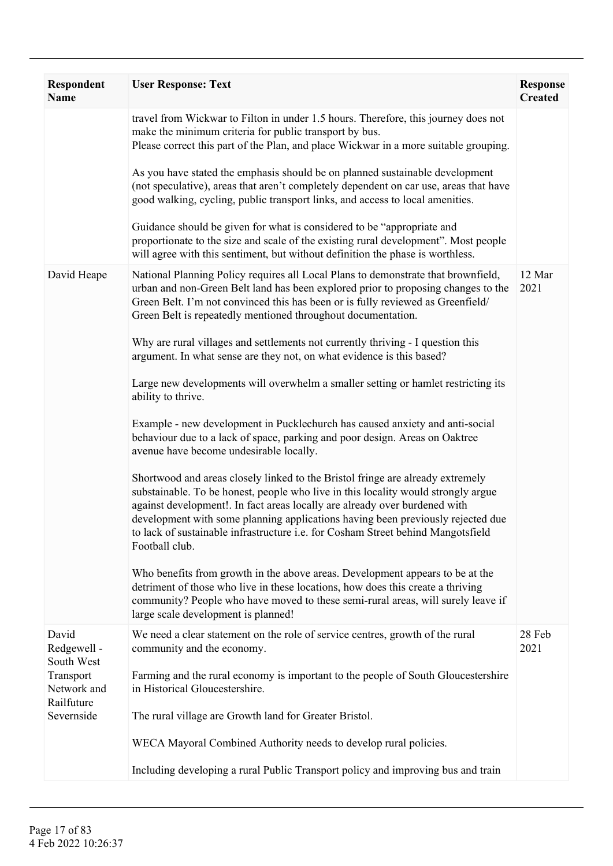| Respondent<br><b>Name</b>              | <b>User Response: Text</b>                                                                                                                                                                                                                                                                                                                                                                                                                 | <b>Response</b><br><b>Created</b> |
|----------------------------------------|--------------------------------------------------------------------------------------------------------------------------------------------------------------------------------------------------------------------------------------------------------------------------------------------------------------------------------------------------------------------------------------------------------------------------------------------|-----------------------------------|
|                                        | travel from Wickwar to Filton in under 1.5 hours. Therefore, this journey does not<br>make the minimum criteria for public transport by bus.<br>Please correct this part of the Plan, and place Wickwar in a more suitable grouping.                                                                                                                                                                                                       |                                   |
|                                        | As you have stated the emphasis should be on planned sustainable development<br>(not speculative), areas that aren't completely dependent on car use, areas that have<br>good walking, cycling, public transport links, and access to local amenities.                                                                                                                                                                                     |                                   |
|                                        | Guidance should be given for what is considered to be "appropriate and<br>proportionate to the size and scale of the existing rural development". Most people<br>will agree with this sentiment, but without definition the phase is worthless.                                                                                                                                                                                            |                                   |
| David Heape                            | National Planning Policy requires all Local Plans to demonstrate that brownfield,<br>urban and non-Green Belt land has been explored prior to proposing changes to the<br>Green Belt. I'm not convinced this has been or is fully reviewed as Greenfield/<br>Green Belt is repeatedly mentioned throughout documentation.                                                                                                                  | 12 Mar<br>2021                    |
|                                        | Why are rural villages and settlements not currently thriving - I question this<br>argument. In what sense are they not, on what evidence is this based?                                                                                                                                                                                                                                                                                   |                                   |
|                                        | Large new developments will overwhelm a smaller setting or hamlet restricting its<br>ability to thrive.                                                                                                                                                                                                                                                                                                                                    |                                   |
|                                        | Example - new development in Pucklechurch has caused anxiety and anti-social<br>behaviour due to a lack of space, parking and poor design. Areas on Oaktree<br>avenue have become undesirable locally.                                                                                                                                                                                                                                     |                                   |
|                                        | Shortwood and areas closely linked to the Bristol fringe are already extremely<br>substainable. To be honest, people who live in this locality would strongly argue<br>against development!. In fact areas locally are already over burdened with<br>development with some planning applications having been previously rejected due<br>to lack of sustainable infrastructure i.e. for Cosham Street behind Mangotsfield<br>Football club. |                                   |
|                                        | Who benefits from growth in the above areas. Development appears to be at the<br>detriment of those who live in these locations, how does this create a thriving<br>community? People who have moved to these semi-rural areas, will surely leave if<br>large scale development is planned!                                                                                                                                                |                                   |
| David<br>Redgewell -<br>South West     | We need a clear statement on the role of service centres, growth of the rural<br>community and the economy.                                                                                                                                                                                                                                                                                                                                | 28 Feb<br>2021                    |
| Transport<br>Network and<br>Railfuture | Farming and the rural economy is important to the people of South Gloucestershire<br>in Historical Gloucestershire.                                                                                                                                                                                                                                                                                                                        |                                   |
| Severnside                             | The rural village are Growth land for Greater Bristol.                                                                                                                                                                                                                                                                                                                                                                                     |                                   |
|                                        | WECA Mayoral Combined Authority needs to develop rural policies.                                                                                                                                                                                                                                                                                                                                                                           |                                   |
|                                        | Including developing a rural Public Transport policy and improving bus and train                                                                                                                                                                                                                                                                                                                                                           |                                   |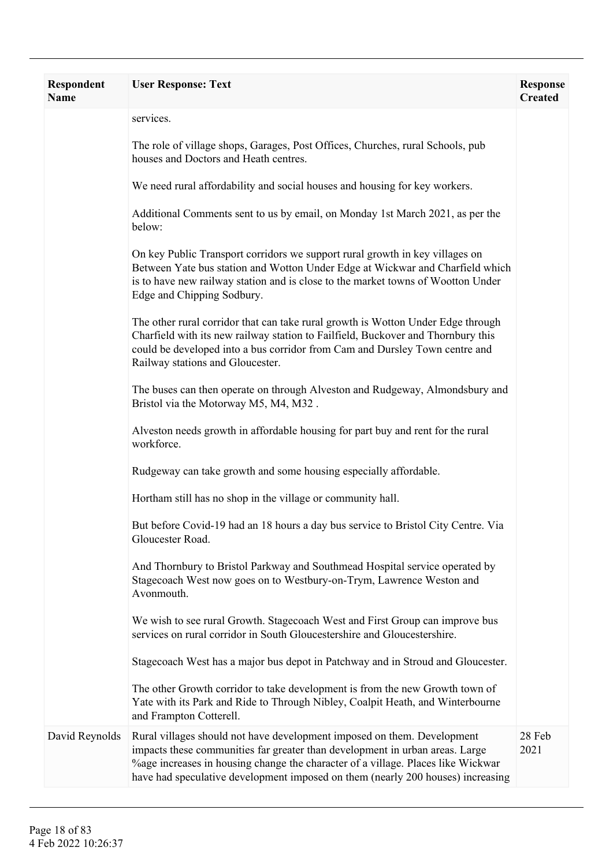| Respondent<br><b>Name</b> | <b>User Response: Text</b>                                                                                                                                                                                                                                                                                                     | <b>Response</b><br><b>Created</b> |
|---------------------------|--------------------------------------------------------------------------------------------------------------------------------------------------------------------------------------------------------------------------------------------------------------------------------------------------------------------------------|-----------------------------------|
|                           | services.                                                                                                                                                                                                                                                                                                                      |                                   |
|                           | The role of village shops, Garages, Post Offices, Churches, rural Schools, pub<br>houses and Doctors and Heath centres.                                                                                                                                                                                                        |                                   |
|                           | We need rural affordability and social houses and housing for key workers.                                                                                                                                                                                                                                                     |                                   |
|                           | Additional Comments sent to us by email, on Monday 1st March 2021, as per the<br>below:                                                                                                                                                                                                                                        |                                   |
|                           | On key Public Transport corridors we support rural growth in key villages on<br>Between Yate bus station and Wotton Under Edge at Wickwar and Charfield which<br>is to have new railway station and is close to the market towns of Wootton Under<br>Edge and Chipping Sodbury.                                                |                                   |
|                           | The other rural corridor that can take rural growth is Wotton Under Edge through<br>Charfield with its new railway station to Failfield, Buckover and Thornbury this<br>could be developed into a bus corridor from Cam and Dursley Town centre and<br>Railway stations and Gloucester.                                        |                                   |
|                           | The buses can then operate on through Alveston and Rudgeway, Almondsbury and<br>Bristol via the Motorway M5, M4, M32.                                                                                                                                                                                                          |                                   |
|                           | Alveston needs growth in affordable housing for part buy and rent for the rural<br>workforce.                                                                                                                                                                                                                                  |                                   |
|                           | Rudgeway can take growth and some housing especially affordable.                                                                                                                                                                                                                                                               |                                   |
|                           | Hortham still has no shop in the village or community hall.                                                                                                                                                                                                                                                                    |                                   |
|                           | But before Covid-19 had an 18 hours a day bus service to Bristol City Centre. Via<br>Gloucester Road.                                                                                                                                                                                                                          |                                   |
|                           | And Thornbury to Bristol Parkway and Southmead Hospital service operated by<br>Stagecoach West now goes on to Westbury-on-Trym, Lawrence Weston and<br>Avonmouth.                                                                                                                                                              |                                   |
|                           | We wish to see rural Growth. Stagecoach West and First Group can improve bus<br>services on rural corridor in South Gloucestershire and Gloucestershire.                                                                                                                                                                       |                                   |
|                           | Stagecoach West has a major bus depot in Patchway and in Stroud and Gloucester.                                                                                                                                                                                                                                                |                                   |
|                           | The other Growth corridor to take development is from the new Growth town of<br>Yate with its Park and Ride to Through Nibley, Coalpit Heath, and Winterbourne<br>and Frampton Cotterell.                                                                                                                                      |                                   |
| David Reynolds            | Rural villages should not have development imposed on them. Development<br>impacts these communities far greater than development in urban areas. Large<br>%age increases in housing change the character of a village. Places like Wickwar<br>have had speculative development imposed on them (nearly 200 houses) increasing | 28 Feb<br>2021                    |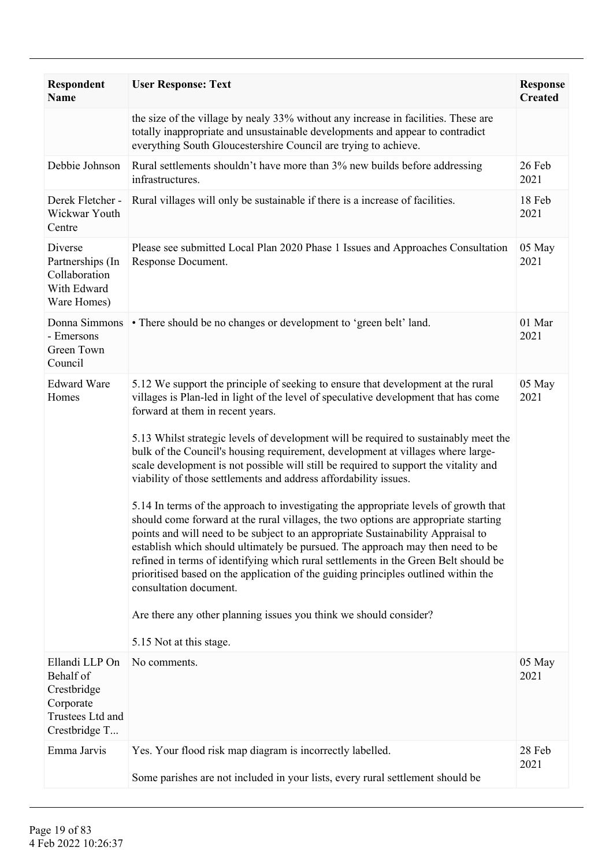| <b>Respondent</b><br><b>Name</b>                                                             | <b>User Response: Text</b>                                                                                                                                                                                                                                                                                                                                                                                                                                                                                                                                                                                                                                                                                                                                                                                                                                                                                                                                                                                                                                                                                                                                                                                     | <b>Response</b><br><b>Created</b> |
|----------------------------------------------------------------------------------------------|----------------------------------------------------------------------------------------------------------------------------------------------------------------------------------------------------------------------------------------------------------------------------------------------------------------------------------------------------------------------------------------------------------------------------------------------------------------------------------------------------------------------------------------------------------------------------------------------------------------------------------------------------------------------------------------------------------------------------------------------------------------------------------------------------------------------------------------------------------------------------------------------------------------------------------------------------------------------------------------------------------------------------------------------------------------------------------------------------------------------------------------------------------------------------------------------------------------|-----------------------------------|
|                                                                                              | the size of the village by nealy 33% without any increase in facilities. These are<br>totally inappropriate and unsustainable developments and appear to contradict<br>everything South Gloucestershire Council are trying to achieve.                                                                                                                                                                                                                                                                                                                                                                                                                                                                                                                                                                                                                                                                                                                                                                                                                                                                                                                                                                         |                                   |
| Debbie Johnson                                                                               | Rural settlements shouldn't have more than 3% new builds before addressing<br>infrastructures.                                                                                                                                                                                                                                                                                                                                                                                                                                                                                                                                                                                                                                                                                                                                                                                                                                                                                                                                                                                                                                                                                                                 | 26 Feb<br>2021                    |
| Derek Fletcher -<br>Wickwar Youth<br>Centre                                                  | Rural villages will only be sustainable if there is a increase of facilities.                                                                                                                                                                                                                                                                                                                                                                                                                                                                                                                                                                                                                                                                                                                                                                                                                                                                                                                                                                                                                                                                                                                                  | 18 Feb<br>2021                    |
| Diverse<br>Partnerships (In<br>Collaboration<br>With Edward<br>Ware Homes)                   | Please see submitted Local Plan 2020 Phase 1 Issues and Approaches Consultation<br>Response Document.                                                                                                                                                                                                                                                                                                                                                                                                                                                                                                                                                                                                                                                                                                                                                                                                                                                                                                                                                                                                                                                                                                          | 05 May<br>2021                    |
| Donna Simmons<br>- Emersons<br>Green Town<br>Council                                         | • There should be no changes or development to 'green belt' land.                                                                                                                                                                                                                                                                                                                                                                                                                                                                                                                                                                                                                                                                                                                                                                                                                                                                                                                                                                                                                                                                                                                                              | 01 Mar<br>2021                    |
| <b>Edward Ware</b><br>Homes                                                                  | 5.12 We support the principle of seeking to ensure that development at the rural<br>villages is Plan-led in light of the level of speculative development that has come<br>forward at them in recent years.<br>5.13 Whilst strategic levels of development will be required to sustainably meet the<br>bulk of the Council's housing requirement, development at villages where large-<br>scale development is not possible will still be required to support the vitality and<br>viability of those settlements and address affordability issues.<br>5.14 In terms of the approach to investigating the appropriate levels of growth that<br>should come forward at the rural villages, the two options are appropriate starting<br>points and will need to be subject to an appropriate Sustainability Appraisal to<br>establish which should ultimately be pursued. The approach may then need to be<br>refined in terms of identifying which rural settlements in the Green Belt should be<br>prioritised based on the application of the guiding principles outlined within the<br>consultation document.<br>Are there any other planning issues you think we should consider?<br>5.15 Not at this stage. | 05 May<br>2021                    |
| Ellandi LLP On<br>Behalf of<br>Crestbridge<br>Corporate<br>Trustees Ltd and<br>Crestbridge T | No comments.                                                                                                                                                                                                                                                                                                                                                                                                                                                                                                                                                                                                                                                                                                                                                                                                                                                                                                                                                                                                                                                                                                                                                                                                   | 05 May<br>2021                    |
| Emma Jarvis                                                                                  | Yes. Your flood risk map diagram is incorrectly labelled.<br>Some parishes are not included in your lists, every rural settlement should be                                                                                                                                                                                                                                                                                                                                                                                                                                                                                                                                                                                                                                                                                                                                                                                                                                                                                                                                                                                                                                                                    | 28 Feb<br>2021                    |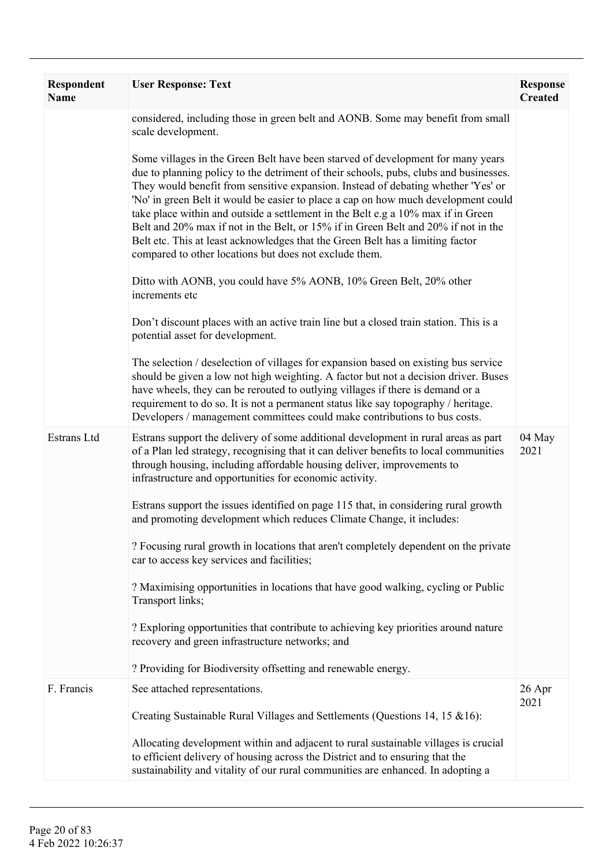| Respondent<br><b>Name</b> | <b>User Response: Text</b>                                                                                                                                                                                                                                                                                                                                                                                                                                                                                                                                                                                                                                                | <b>Response</b><br><b>Created</b> |
|---------------------------|---------------------------------------------------------------------------------------------------------------------------------------------------------------------------------------------------------------------------------------------------------------------------------------------------------------------------------------------------------------------------------------------------------------------------------------------------------------------------------------------------------------------------------------------------------------------------------------------------------------------------------------------------------------------------|-----------------------------------|
|                           | considered, including those in green belt and AONB. Some may benefit from small<br>scale development.                                                                                                                                                                                                                                                                                                                                                                                                                                                                                                                                                                     |                                   |
|                           | Some villages in the Green Belt have been starved of development for many years<br>due to planning policy to the detriment of their schools, pubs, clubs and businesses.<br>They would benefit from sensitive expansion. Instead of debating whether 'Yes' or<br>'No' in green Belt it would be easier to place a cap on how much development could<br>take place within and outside a settlement in the Belt e.g a 10% max if in Green<br>Belt and 20% max if not in the Belt, or 15% if in Green Belt and 20% if not in the<br>Belt etc. This at least acknowledges that the Green Belt has a limiting factor<br>compared to other locations but does not exclude them. |                                   |
|                           | Ditto with AONB, you could have 5% AONB, 10% Green Belt, 20% other<br>increments etc                                                                                                                                                                                                                                                                                                                                                                                                                                                                                                                                                                                      |                                   |
|                           | Don't discount places with an active train line but a closed train station. This is a<br>potential asset for development.                                                                                                                                                                                                                                                                                                                                                                                                                                                                                                                                                 |                                   |
|                           | The selection / deselection of villages for expansion based on existing bus service<br>should be given a low not high weighting. A factor but not a decision driver. Buses<br>have wheels, they can be rerouted to outlying villages if there is demand or a<br>requirement to do so. It is not a permanent status like say topography / heritage.<br>Developers / management committees could make contributions to bus costs.                                                                                                                                                                                                                                           |                                   |
| Estrans Ltd               | Estrans support the delivery of some additional development in rural areas as part<br>of a Plan led strategy, recognising that it can deliver benefits to local communities<br>through housing, including affordable housing deliver, improvements to<br>infrastructure and opportunities for economic activity.                                                                                                                                                                                                                                                                                                                                                          | 04 May<br>2021                    |
|                           | Estrans support the issues identified on page 115 that, in considering rural growth<br>and promoting development which reduces Climate Change, it includes:                                                                                                                                                                                                                                                                                                                                                                                                                                                                                                               |                                   |
|                           | ? Focusing rural growth in locations that aren't completely dependent on the private<br>car to access key services and facilities;                                                                                                                                                                                                                                                                                                                                                                                                                                                                                                                                        |                                   |
|                           | ? Maximising opportunities in locations that have good walking, cycling or Public<br>Transport links;                                                                                                                                                                                                                                                                                                                                                                                                                                                                                                                                                                     |                                   |
|                           | ? Exploring opportunities that contribute to achieving key priorities around nature<br>recovery and green infrastructure networks; and                                                                                                                                                                                                                                                                                                                                                                                                                                                                                                                                    |                                   |
|                           | ? Providing for Biodiversity offsetting and renewable energy.                                                                                                                                                                                                                                                                                                                                                                                                                                                                                                                                                                                                             |                                   |
| F. Francis                | See attached representations.                                                                                                                                                                                                                                                                                                                                                                                                                                                                                                                                                                                                                                             | 26 Apr<br>2021                    |
|                           | Creating Sustainable Rural Villages and Settlements (Questions 14, 15 & 16):                                                                                                                                                                                                                                                                                                                                                                                                                                                                                                                                                                                              |                                   |
|                           | Allocating development within and adjacent to rural sustainable villages is crucial<br>to efficient delivery of housing across the District and to ensuring that the<br>sustainability and vitality of our rural communities are enhanced. In adopting a                                                                                                                                                                                                                                                                                                                                                                                                                  |                                   |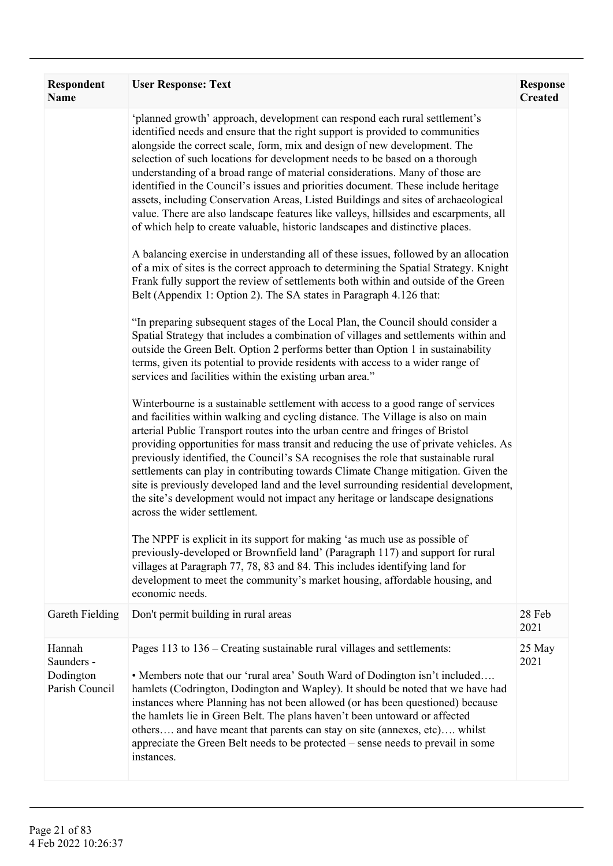| Respondent<br><b>Name</b>                           | <b>User Response: Text</b>                                                                                                                                                                                                                                                                                                                                                                                                                                                                                                                                                                                                                                                                                                                                                                                                                                                                                                                                                                                                                                                                                                                                                                                                                                                                                                                                                                                                                                                                                                                                                                                                                                                                                                                                                                                                                                                                                                                                                                                                                                                                                                                                                                                                                                                                                                                                                                                                                                                                                                                                                                                       | <b>Response</b><br><b>Created</b> |
|-----------------------------------------------------|------------------------------------------------------------------------------------------------------------------------------------------------------------------------------------------------------------------------------------------------------------------------------------------------------------------------------------------------------------------------------------------------------------------------------------------------------------------------------------------------------------------------------------------------------------------------------------------------------------------------------------------------------------------------------------------------------------------------------------------------------------------------------------------------------------------------------------------------------------------------------------------------------------------------------------------------------------------------------------------------------------------------------------------------------------------------------------------------------------------------------------------------------------------------------------------------------------------------------------------------------------------------------------------------------------------------------------------------------------------------------------------------------------------------------------------------------------------------------------------------------------------------------------------------------------------------------------------------------------------------------------------------------------------------------------------------------------------------------------------------------------------------------------------------------------------------------------------------------------------------------------------------------------------------------------------------------------------------------------------------------------------------------------------------------------------------------------------------------------------------------------------------------------------------------------------------------------------------------------------------------------------------------------------------------------------------------------------------------------------------------------------------------------------------------------------------------------------------------------------------------------------------------------------------------------------------------------------------------------------|-----------------------------------|
|                                                     | 'planned growth' approach, development can respond each rural settlement's<br>identified needs and ensure that the right support is provided to communities<br>alongside the correct scale, form, mix and design of new development. The<br>selection of such locations for development needs to be based on a thorough<br>understanding of a broad range of material considerations. Many of those are<br>identified in the Council's issues and priorities document. These include heritage<br>assets, including Conservation Areas, Listed Buildings and sites of archaeological<br>value. There are also landscape features like valleys, hillsides and escarpments, all<br>of which help to create valuable, historic landscapes and distinctive places.<br>A balancing exercise in understanding all of these issues, followed by an allocation<br>of a mix of sites is the correct approach to determining the Spatial Strategy. Knight<br>Frank fully support the review of settlements both within and outside of the Green<br>Belt (Appendix 1: Option 2). The SA states in Paragraph 4.126 that:<br>"In preparing subsequent stages of the Local Plan, the Council should consider a<br>Spatial Strategy that includes a combination of villages and settlements within and<br>outside the Green Belt. Option 2 performs better than Option 1 in sustainability<br>terms, given its potential to provide residents with access to a wider range of<br>services and facilities within the existing urban area."<br>Winterbourne is a sustainable settlement with access to a good range of services<br>and facilities within walking and cycling distance. The Village is also on main<br>arterial Public Transport routes into the urban centre and fringes of Bristol<br>providing opportunities for mass transit and reducing the use of private vehicles. As<br>previously identified, the Council's SA recognises the role that sustainable rural<br>settlements can play in contributing towards Climate Change mitigation. Given the<br>site is previously developed land and the level surrounding residential development,<br>the site's development would not impact any heritage or landscape designations<br>across the wider settlement.<br>The NPPF is explicit in its support for making 'as much use as possible of<br>previously-developed or Brownfield land' (Paragraph 117) and support for rural<br>villages at Paragraph 77, 78, 83 and 84. This includes identifying land for<br>development to meet the community's market housing, affordable housing, and<br>economic needs. |                                   |
| Gareth Fielding                                     | Don't permit building in rural areas                                                                                                                                                                                                                                                                                                                                                                                                                                                                                                                                                                                                                                                                                                                                                                                                                                                                                                                                                                                                                                                                                                                                                                                                                                                                                                                                                                                                                                                                                                                                                                                                                                                                                                                                                                                                                                                                                                                                                                                                                                                                                                                                                                                                                                                                                                                                                                                                                                                                                                                                                                             | 28 Feb<br>2021                    |
| Hannah<br>Saunders -<br>Dodington<br>Parish Council | Pages 113 to 136 – Creating sustainable rural villages and settlements:<br>• Members note that our 'rural area' South Ward of Dodington isn't included<br>hamlets (Codrington, Dodington and Wapley). It should be noted that we have had<br>instances where Planning has not been allowed (or has been questioned) because<br>the hamlets lie in Green Belt. The plans haven't been untoward or affected<br>others and have meant that parents can stay on site (annexes, etc) whilst<br>appreciate the Green Belt needs to be protected – sense needs to prevail in some<br>instances.                                                                                                                                                                                                                                                                                                                                                                                                                                                                                                                                                                                                                                                                                                                                                                                                                                                                                                                                                                                                                                                                                                                                                                                                                                                                                                                                                                                                                                                                                                                                                                                                                                                                                                                                                                                                                                                                                                                                                                                                                         | 25 May<br>2021                    |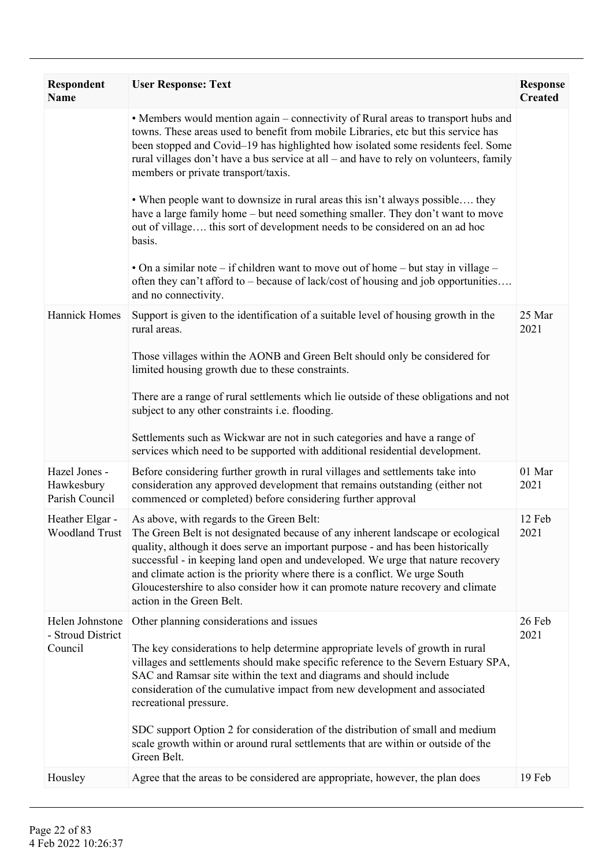| Respondent<br>Name                              | <b>User Response: Text</b>                                                                                                                                                                                                                                                                                                                                                                                                                                                                                                                                                            | <b>Response</b><br><b>Created</b> |
|-------------------------------------------------|---------------------------------------------------------------------------------------------------------------------------------------------------------------------------------------------------------------------------------------------------------------------------------------------------------------------------------------------------------------------------------------------------------------------------------------------------------------------------------------------------------------------------------------------------------------------------------------|-----------------------------------|
|                                                 | • Members would mention again - connectivity of Rural areas to transport hubs and<br>towns. These areas used to benefit from mobile Libraries, etc but this service has<br>been stopped and Covid-19 has highlighted how isolated some residents feel. Some<br>rural villages don't have a bus service at all - and have to rely on volunteers, family<br>members or private transport/taxis.                                                                                                                                                                                         |                                   |
|                                                 | • When people want to downsize in rural areas this isn't always possible they<br>have a large family home – but need something smaller. They don't want to move<br>out of village this sort of development needs to be considered on an ad hoc<br>basis.                                                                                                                                                                                                                                                                                                                              |                                   |
|                                                 | • On a similar note – if children want to move out of home – but stay in village –<br>often they can't afford to – because of lack/cost of housing and job opportunities<br>and no connectivity.                                                                                                                                                                                                                                                                                                                                                                                      |                                   |
| <b>Hannick Homes</b>                            | Support is given to the identification of a suitable level of housing growth in the<br>rural areas.                                                                                                                                                                                                                                                                                                                                                                                                                                                                                   | 25 Mar<br>2021                    |
|                                                 | Those villages within the AONB and Green Belt should only be considered for<br>limited housing growth due to these constraints.                                                                                                                                                                                                                                                                                                                                                                                                                                                       |                                   |
|                                                 | There are a range of rural settlements which lie outside of these obligations and not<br>subject to any other constraints <i>i.e.</i> flooding.                                                                                                                                                                                                                                                                                                                                                                                                                                       |                                   |
|                                                 | Settlements such as Wickwar are not in such categories and have a range of<br>services which need to be supported with additional residential development.                                                                                                                                                                                                                                                                                                                                                                                                                            |                                   |
| Hazel Jones -<br>Hawkesbury<br>Parish Council   | Before considering further growth in rural villages and settlements take into<br>consideration any approved development that remains outstanding (either not<br>commenced or completed) before considering further approval                                                                                                                                                                                                                                                                                                                                                           | 01 Mar<br>2021                    |
| Heather Elgar -<br><b>Woodland Trust</b>        | As above, with regards to the Green Belt:<br>The Green Belt is not designated because of any inherent landscape or ecological<br>quality, although it does serve an important purpose - and has been historically<br>successful - in keeping land open and undeveloped. We urge that nature recovery<br>and climate action is the priority where there is a conflict. We urge South<br>Gloucestershire to also consider how it can promote nature recovery and climate<br>action in the Green Belt.                                                                                   | 12 Feb<br>2021                    |
| Helen Johnstone<br>- Stroud District<br>Council | Other planning considerations and issues<br>The key considerations to help determine appropriate levels of growth in rural<br>villages and settlements should make specific reference to the Severn Estuary SPA,<br>SAC and Ramsar site within the text and diagrams and should include<br>consideration of the cumulative impact from new development and associated<br>recreational pressure.<br>SDC support Option 2 for consideration of the distribution of small and medium<br>scale growth within or around rural settlements that are within or outside of the<br>Green Belt. | 26 Feb<br>2021                    |
| Housley                                         | Agree that the areas to be considered are appropriate, however, the plan does                                                                                                                                                                                                                                                                                                                                                                                                                                                                                                         | 19 Feb                            |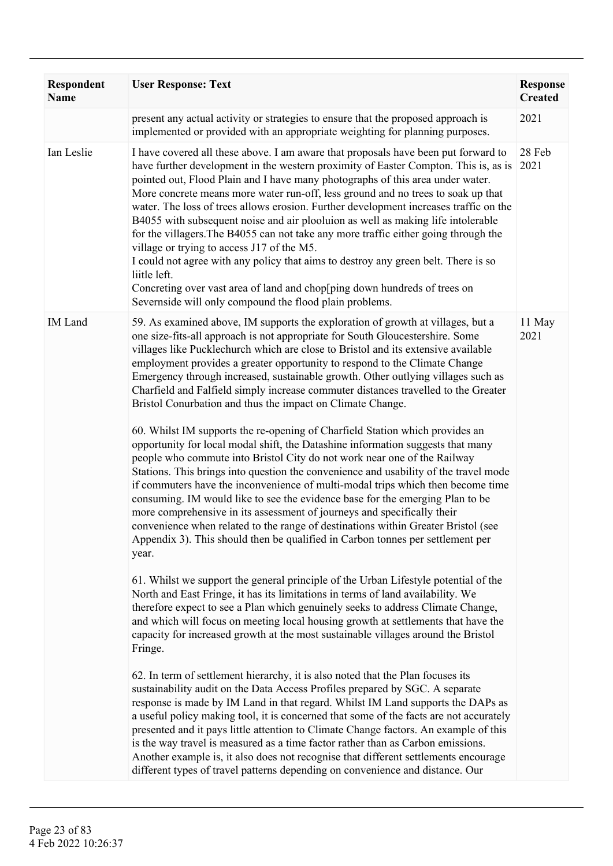| <b>Respondent</b><br><b>Name</b> | <b>User Response: Text</b>                                                                                                                                                                                                                                                                                                                                                                                                                                                                                                                                                                                                                                                                                                                                                                                                                                                                                                                                                                                                                                                                                                                                                                                                                                                                                                                                                                                                                                                                                                                                                                                                                                                                                                                                                                                                                                                                                                                                                                                                                                                                                                                                                                                                                                                                                                                                                                                                                                                                             | <b>Response</b><br><b>Created</b> |
|----------------------------------|--------------------------------------------------------------------------------------------------------------------------------------------------------------------------------------------------------------------------------------------------------------------------------------------------------------------------------------------------------------------------------------------------------------------------------------------------------------------------------------------------------------------------------------------------------------------------------------------------------------------------------------------------------------------------------------------------------------------------------------------------------------------------------------------------------------------------------------------------------------------------------------------------------------------------------------------------------------------------------------------------------------------------------------------------------------------------------------------------------------------------------------------------------------------------------------------------------------------------------------------------------------------------------------------------------------------------------------------------------------------------------------------------------------------------------------------------------------------------------------------------------------------------------------------------------------------------------------------------------------------------------------------------------------------------------------------------------------------------------------------------------------------------------------------------------------------------------------------------------------------------------------------------------------------------------------------------------------------------------------------------------------------------------------------------------------------------------------------------------------------------------------------------------------------------------------------------------------------------------------------------------------------------------------------------------------------------------------------------------------------------------------------------------------------------------------------------------------------------------------------------------|-----------------------------------|
|                                  | present any actual activity or strategies to ensure that the proposed approach is<br>implemented or provided with an appropriate weighting for planning purposes.                                                                                                                                                                                                                                                                                                                                                                                                                                                                                                                                                                                                                                                                                                                                                                                                                                                                                                                                                                                                                                                                                                                                                                                                                                                                                                                                                                                                                                                                                                                                                                                                                                                                                                                                                                                                                                                                                                                                                                                                                                                                                                                                                                                                                                                                                                                                      | 2021                              |
| Ian Leslie                       | I have covered all these above. I am aware that proposals have been put forward to<br>have further development in the western proximity of Easter Compton. This is, as is<br>pointed out, Flood Plain and I have many photographs of this area under water.<br>More concrete means more water run-off, less ground and no trees to soak up that<br>water. The loss of trees allows erosion. Further development increases traffic on the<br>B4055 with subsequent noise and air plooluion as well as making life intolerable<br>for the villagers. The B4055 can not take any more traffic either going through the<br>village or trying to access J17 of the M5.<br>I could not agree with any policy that aims to destroy any green belt. There is so<br>liitle left.<br>Concreting over vast area of land and chop[ping down hundreds of trees on<br>Severnside will only compound the flood plain problems.                                                                                                                                                                                                                                                                                                                                                                                                                                                                                                                                                                                                                                                                                                                                                                                                                                                                                                                                                                                                                                                                                                                                                                                                                                                                                                                                                                                                                                                                                                                                                                                        | 28 Feb<br>2021                    |
| <b>IM</b> Land                   | 59. As examined above, IM supports the exploration of growth at villages, but a<br>one size-fits-all approach is not appropriate for South Gloucestershire. Some<br>villages like Pucklechurch which are close to Bristol and its extensive available<br>employment provides a greater opportunity to respond to the Climate Change<br>Emergency through increased, sustainable growth. Other outlying villages such as<br>Charfield and Falfield simply increase commuter distances travelled to the Greater<br>Bristol Conurbation and thus the impact on Climate Change.<br>60. Whilst IM supports the re-opening of Charfield Station which provides an<br>opportunity for local modal shift, the Datashine information suggests that many<br>people who commute into Bristol City do not work near one of the Railway<br>Stations. This brings into question the convenience and usability of the travel mode<br>if commuters have the inconvenience of multi-modal trips which then become time<br>consuming. IM would like to see the evidence base for the emerging Plan to be<br>more comprehensive in its assessment of journeys and specifically their<br>convenience when related to the range of destinations within Greater Bristol (see<br>Appendix 3). This should then be qualified in Carbon tonnes per settlement per<br>year.<br>61. Whilst we support the general principle of the Urban Lifestyle potential of the<br>North and East Fringe, it has its limitations in terms of land availability. We<br>therefore expect to see a Plan which genuinely seeks to address Climate Change,<br>and which will focus on meeting local housing growth at settlements that have the<br>capacity for increased growth at the most sustainable villages around the Bristol<br>Fringe.<br>62. In term of settlement hierarchy, it is also noted that the Plan focuses its<br>sustainability audit on the Data Access Profiles prepared by SGC. A separate<br>response is made by IM Land in that regard. Whilst IM Land supports the DAPs as<br>a useful policy making tool, it is concerned that some of the facts are not accurately<br>presented and it pays little attention to Climate Change factors. An example of this<br>is the way travel is measured as a time factor rather than as Carbon emissions.<br>Another example is, it also does not recognise that different settlements encourage<br>different types of travel patterns depending on convenience and distance. Our | 11 May<br>2021                    |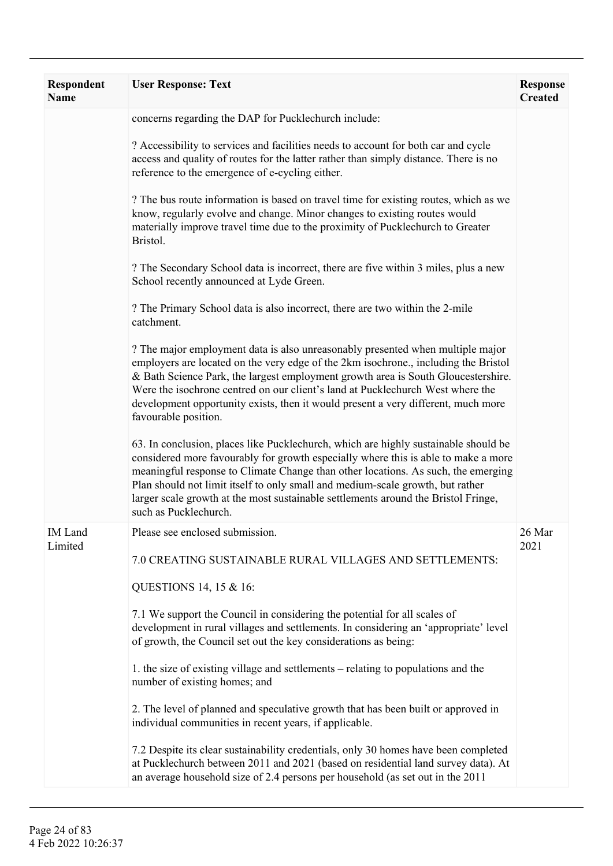| Respondent<br><b>Name</b> | <b>User Response: Text</b>                                                                                                                                                                                                                                                                                                                                                                                                                                      | <b>Response</b><br><b>Created</b> |
|---------------------------|-----------------------------------------------------------------------------------------------------------------------------------------------------------------------------------------------------------------------------------------------------------------------------------------------------------------------------------------------------------------------------------------------------------------------------------------------------------------|-----------------------------------|
|                           | concerns regarding the DAP for Pucklechurch include:                                                                                                                                                                                                                                                                                                                                                                                                            |                                   |
|                           | ? Accessibility to services and facilities needs to account for both car and cycle<br>access and quality of routes for the latter rather than simply distance. There is no<br>reference to the emergence of e-cycling either.                                                                                                                                                                                                                                   |                                   |
|                           | ? The bus route information is based on travel time for existing routes, which as we<br>know, regularly evolve and change. Minor changes to existing routes would<br>materially improve travel time due to the proximity of Pucklechurch to Greater<br>Bristol.                                                                                                                                                                                                 |                                   |
|                           | ? The Secondary School data is incorrect, there are five within 3 miles, plus a new<br>School recently announced at Lyde Green.                                                                                                                                                                                                                                                                                                                                 |                                   |
|                           | ? The Primary School data is also incorrect, there are two within the 2-mile<br>catchment.                                                                                                                                                                                                                                                                                                                                                                      |                                   |
|                           | ? The major employment data is also unreasonably presented when multiple major<br>employers are located on the very edge of the 2km isochrone., including the Bristol<br>& Bath Science Park, the largest employment growth area is South Gloucestershire.<br>Were the isochrone centred on our client's land at Pucklechurch West where the<br>development opportunity exists, then it would present a very different, much more<br>favourable position.       |                                   |
|                           | 63. In conclusion, places like Pucklechurch, which are highly sustainable should be<br>considered more favourably for growth especially where this is able to make a more<br>meaningful response to Climate Change than other locations. As such, the emerging<br>Plan should not limit itself to only small and medium-scale growth, but rather<br>larger scale growth at the most sustainable settlements around the Bristol Fringe,<br>such as Pucklechurch. |                                   |
| IM Land<br>Limited        | Please see enclosed submission                                                                                                                                                                                                                                                                                                                                                                                                                                  | 26 Mar<br>2021                    |
|                           | 7.0 CREATING SUSTAINABLE RURAL VILLAGES AND SETTLEMENTS:<br>QUESTIONS 14, 15 & 16:                                                                                                                                                                                                                                                                                                                                                                              |                                   |
|                           | 7.1 We support the Council in considering the potential for all scales of<br>development in rural villages and settlements. In considering an 'appropriate' level<br>of growth, the Council set out the key considerations as being:                                                                                                                                                                                                                            |                                   |
|                           | 1. the size of existing village and settlements – relating to populations and the<br>number of existing homes; and                                                                                                                                                                                                                                                                                                                                              |                                   |
|                           | 2. The level of planned and speculative growth that has been built or approved in<br>individual communities in recent years, if applicable.                                                                                                                                                                                                                                                                                                                     |                                   |
|                           | 7.2 Despite its clear sustainability credentials, only 30 homes have been completed<br>at Pucklechurch between 2011 and 2021 (based on residential land survey data). At<br>an average household size of 2.4 persons per household (as set out in the 2011                                                                                                                                                                                                      |                                   |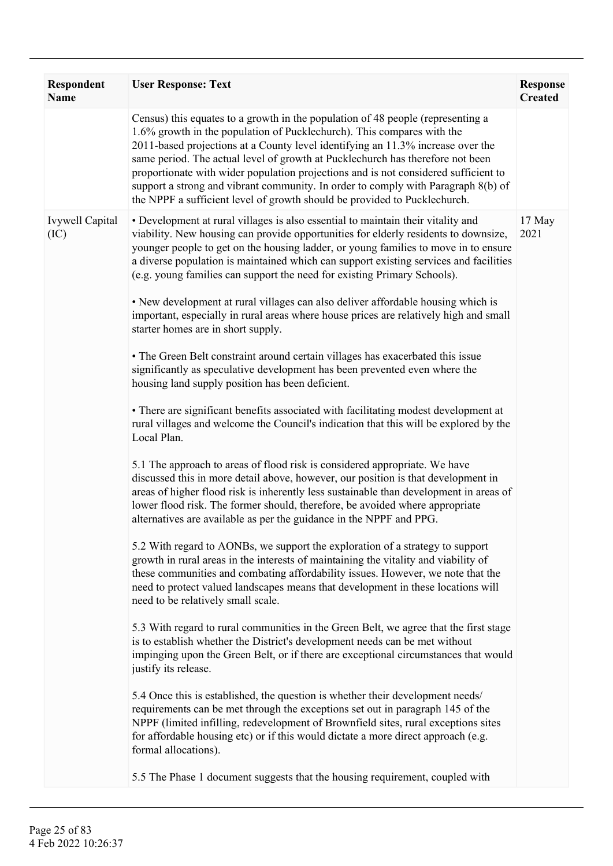| Census) this equates to a growth in the population of 48 people (representing a<br>1.6% growth in the population of Pucklechurch). This compares with the<br>2011-based projections at a County level identifying an 11.3% increase over the<br>same period. The actual level of growth at Pucklechurch has therefore not been<br>proportionate with wider population projections and is not considered sufficient to<br>support a strong and vibrant community. In order to comply with Paragraph 8(b) of<br>the NPPF a sufficient level of growth should be provided to Pucklechurch.<br>• Development at rural villages is also essential to maintain their vitality and<br><b>Ivywell Capital</b><br>17 May<br>viability. New housing can provide opportunities for elderly residents to downsize,<br>2021<br>(IC)<br>younger people to get on the housing ladder, or young families to move in to ensure<br>a diverse population is maintained which can support existing services and facilities<br>(e.g. young families can support the need for existing Primary Schools).<br>• New development at rural villages can also deliver affordable housing which is<br>important, especially in rural areas where house prices are relatively high and small<br>starter homes are in short supply.<br>• The Green Belt constraint around certain villages has exacerbated this issue<br>significantly as speculative development has been prevented even where the<br>housing land supply position has been deficient.<br>• There are significant benefits associated with facilitating modest development at<br>rural villages and welcome the Council's indication that this will be explored by the<br>Local Plan.<br>5.1 The approach to areas of flood risk is considered appropriate. We have<br>discussed this in more detail above, however, our position is that development in<br>areas of higher flood risk is inherently less sustainable than development in areas of<br>lower flood risk. The former should, therefore, be avoided where appropriate<br>alternatives are available as per the guidance in the NPPF and PPG.<br>5.2 With regard to AONBs, we support the exploration of a strategy to support<br>growth in rural areas in the interests of maintaining the vitality and viability of<br>these communities and combating affordability issues. However, we note that the<br>need to protect valued landscapes means that development in these locations will<br>need to be relatively small scale.<br>5.3 With regard to rural communities in the Green Belt, we agree that the first stage<br>is to establish whether the District's development needs can be met without<br>impinging upon the Green Belt, or if there are exceptional circumstances that would<br>justify its release.<br>5.4 Once this is established, the question is whether their development needs/<br>requirements can be met through the exceptions set out in paragraph 145 of the<br>NPPF (limited infilling, redevelopment of Brownfield sites, rural exceptions sites<br>for affordable housing etc) or if this would dictate a more direct approach (e.g.<br>formal allocations). | Respondent<br><b>Name</b> | <b>User Response: Text</b>                                                   | <b>Response</b><br><b>Created</b> |
|-------------------------------------------------------------------------------------------------------------------------------------------------------------------------------------------------------------------------------------------------------------------------------------------------------------------------------------------------------------------------------------------------------------------------------------------------------------------------------------------------------------------------------------------------------------------------------------------------------------------------------------------------------------------------------------------------------------------------------------------------------------------------------------------------------------------------------------------------------------------------------------------------------------------------------------------------------------------------------------------------------------------------------------------------------------------------------------------------------------------------------------------------------------------------------------------------------------------------------------------------------------------------------------------------------------------------------------------------------------------------------------------------------------------------------------------------------------------------------------------------------------------------------------------------------------------------------------------------------------------------------------------------------------------------------------------------------------------------------------------------------------------------------------------------------------------------------------------------------------------------------------------------------------------------------------------------------------------------------------------------------------------------------------------------------------------------------------------------------------------------------------------------------------------------------------------------------------------------------------------------------------------------------------------------------------------------------------------------------------------------------------------------------------------------------------------------------------------------------------------------------------------------------------------------------------------------------------------------------------------------------------------------------------------------------------------------------------------------------------------------------------------------------------------------------------------------------------------------------------------------------------------------------------------------------------------------------------------------------------------------------------------------------------------------------------------------------------------------------------------------------------------------------------------------------------------------|---------------------------|------------------------------------------------------------------------------|-----------------------------------|
|                                                                                                                                                                                                                                                                                                                                                                                                                                                                                                                                                                                                                                                                                                                                                                                                                                                                                                                                                                                                                                                                                                                                                                                                                                                                                                                                                                                                                                                                                                                                                                                                                                                                                                                                                                                                                                                                                                                                                                                                                                                                                                                                                                                                                                                                                                                                                                                                                                                                                                                                                                                                                                                                                                                                                                                                                                                                                                                                                                                                                                                                                                                                                                                                 |                           |                                                                              |                                   |
|                                                                                                                                                                                                                                                                                                                                                                                                                                                                                                                                                                                                                                                                                                                                                                                                                                                                                                                                                                                                                                                                                                                                                                                                                                                                                                                                                                                                                                                                                                                                                                                                                                                                                                                                                                                                                                                                                                                                                                                                                                                                                                                                                                                                                                                                                                                                                                                                                                                                                                                                                                                                                                                                                                                                                                                                                                                                                                                                                                                                                                                                                                                                                                                                 |                           | 5.5 The Phase 1 document suggests that the housing requirement, coupled with |                                   |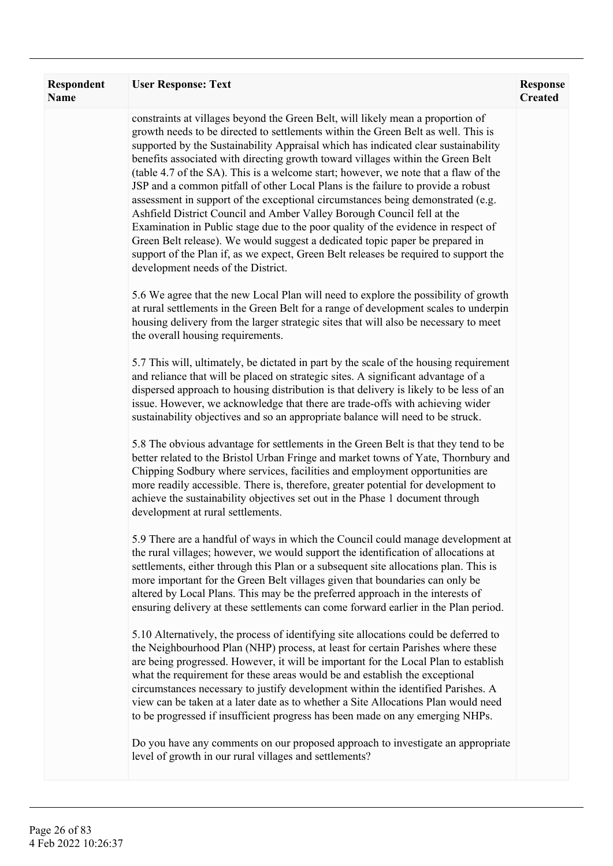| Respondent<br><b>Name</b> | <b>User Response: Text</b>                                                                                                                                                                                                                                                                                                                                                                                                                                                                                                                                                                                                                                                                                                                                                                                                                                                                                                                                                               | <b>Response</b><br><b>Created</b> |
|---------------------------|------------------------------------------------------------------------------------------------------------------------------------------------------------------------------------------------------------------------------------------------------------------------------------------------------------------------------------------------------------------------------------------------------------------------------------------------------------------------------------------------------------------------------------------------------------------------------------------------------------------------------------------------------------------------------------------------------------------------------------------------------------------------------------------------------------------------------------------------------------------------------------------------------------------------------------------------------------------------------------------|-----------------------------------|
|                           | constraints at villages beyond the Green Belt, will likely mean a proportion of<br>growth needs to be directed to settlements within the Green Belt as well. This is<br>supported by the Sustainability Appraisal which has indicated clear sustainability<br>benefits associated with directing growth toward villages within the Green Belt<br>(table 4.7 of the SA). This is a welcome start; however, we note that a flaw of the<br>JSP and a common pitfall of other Local Plans is the failure to provide a robust<br>assessment in support of the exceptional circumstances being demonstrated (e.g.<br>Ashfield District Council and Amber Valley Borough Council fell at the<br>Examination in Public stage due to the poor quality of the evidence in respect of<br>Green Belt release). We would suggest a dedicated topic paper be prepared in<br>support of the Plan if, as we expect, Green Belt releases be required to support the<br>development needs of the District. |                                   |
|                           | 5.6 We agree that the new Local Plan will need to explore the possibility of growth<br>at rural settlements in the Green Belt for a range of development scales to underpin<br>housing delivery from the larger strategic sites that will also be necessary to meet<br>the overall housing requirements.                                                                                                                                                                                                                                                                                                                                                                                                                                                                                                                                                                                                                                                                                 |                                   |
|                           | 5.7 This will, ultimately, be dictated in part by the scale of the housing requirement<br>and reliance that will be placed on strategic sites. A significant advantage of a<br>dispersed approach to housing distribution is that delivery is likely to be less of an<br>issue. However, we acknowledge that there are trade-offs with achieving wider<br>sustainability objectives and so an appropriate balance will need to be struck.                                                                                                                                                                                                                                                                                                                                                                                                                                                                                                                                                |                                   |
|                           | 5.8 The obvious advantage for settlements in the Green Belt is that they tend to be<br>better related to the Bristol Urban Fringe and market towns of Yate, Thornbury and<br>Chipping Sodbury where services, facilities and employment opportunities are<br>more readily accessible. There is, therefore, greater potential for development to<br>achieve the sustainability objectives set out in the Phase 1 document through<br>development at rural settlements.                                                                                                                                                                                                                                                                                                                                                                                                                                                                                                                    |                                   |
|                           | 5.9 There are a handful of ways in which the Council could manage development at<br>the rural villages; however, we would support the identification of allocations at<br>settlements, either through this Plan or a subsequent site allocations plan. This is<br>more important for the Green Belt villages given that boundaries can only be<br>altered by Local Plans. This may be the preferred approach in the interests of<br>ensuring delivery at these settlements can come forward earlier in the Plan period.                                                                                                                                                                                                                                                                                                                                                                                                                                                                  |                                   |
|                           | 5.10 Alternatively, the process of identifying site allocations could be deferred to<br>the Neighbourhood Plan (NHP) process, at least for certain Parishes where these<br>are being progressed. However, it will be important for the Local Plan to establish<br>what the requirement for these areas would be and establish the exceptional<br>circumstances necessary to justify development within the identified Parishes. A<br>view can be taken at a later date as to whether a Site Allocations Plan would need<br>to be progressed if insufficient progress has been made on any emerging NHPs.                                                                                                                                                                                                                                                                                                                                                                                 |                                   |
|                           | Do you have any comments on our proposed approach to investigate an appropriate<br>level of growth in our rural villages and settlements?                                                                                                                                                                                                                                                                                                                                                                                                                                                                                                                                                                                                                                                                                                                                                                                                                                                |                                   |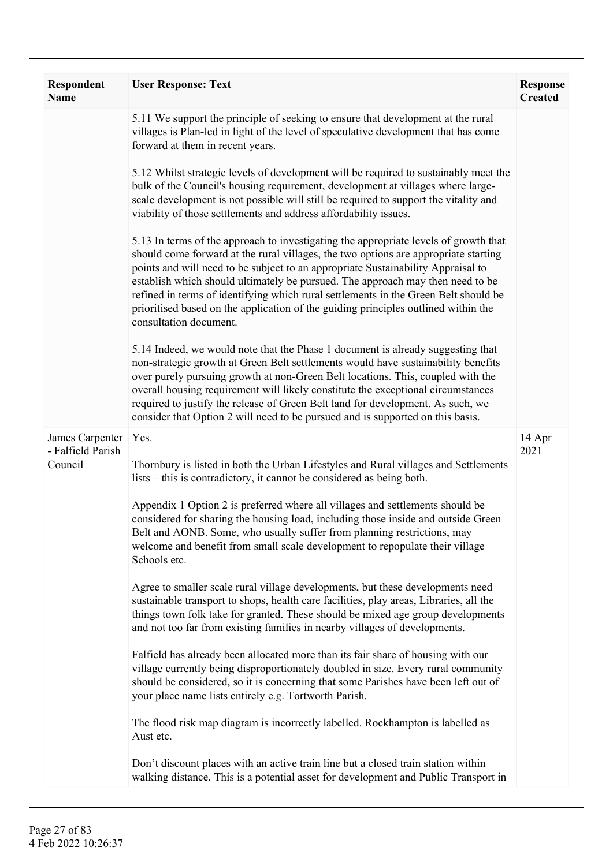| Respondent<br><b>Name</b>            | <b>User Response: Text</b>                                                                                                                                                                                                                                                                                                                                                                                                                                                                                                                               | <b>Response</b><br><b>Created</b> |
|--------------------------------------|----------------------------------------------------------------------------------------------------------------------------------------------------------------------------------------------------------------------------------------------------------------------------------------------------------------------------------------------------------------------------------------------------------------------------------------------------------------------------------------------------------------------------------------------------------|-----------------------------------|
|                                      | 5.11 We support the principle of seeking to ensure that development at the rural<br>villages is Plan-led in light of the level of speculative development that has come<br>forward at them in recent years.                                                                                                                                                                                                                                                                                                                                              |                                   |
|                                      | 5.12 Whilst strategic levels of development will be required to sustainably meet the<br>bulk of the Council's housing requirement, development at villages where large-<br>scale development is not possible will still be required to support the vitality and<br>viability of those settlements and address affordability issues.                                                                                                                                                                                                                      |                                   |
|                                      | 5.13 In terms of the approach to investigating the appropriate levels of growth that<br>should come forward at the rural villages, the two options are appropriate starting<br>points and will need to be subject to an appropriate Sustainability Appraisal to<br>establish which should ultimately be pursued. The approach may then need to be<br>refined in terms of identifying which rural settlements in the Green Belt should be<br>prioritised based on the application of the guiding principles outlined within the<br>consultation document. |                                   |
|                                      | 5.14 Indeed, we would note that the Phase 1 document is already suggesting that<br>non-strategic growth at Green Belt settlements would have sustainability benefits<br>over purely pursuing growth at non-Green Belt locations. This, coupled with the<br>overall housing requirement will likely constitute the exceptional circumstances<br>required to justify the release of Green Belt land for development. As such, we<br>consider that Option 2 will need to be pursued and is supported on this basis.                                         |                                   |
| James Carpenter<br>- Falfield Parish | Yes.                                                                                                                                                                                                                                                                                                                                                                                                                                                                                                                                                     | 14 Apr<br>2021                    |
| Council                              | Thornbury is listed in both the Urban Lifestyles and Rural villages and Settlements<br>lists - this is contradictory, it cannot be considered as being both.                                                                                                                                                                                                                                                                                                                                                                                             |                                   |
|                                      | Appendix 1 Option 2 is preferred where all villages and settlements should be<br>considered for sharing the housing load, including those inside and outside Green<br>Belt and AONB. Some, who usually suffer from planning restrictions, may<br>welcome and benefit from small scale development to repopulate their village<br>Schools etc.                                                                                                                                                                                                            |                                   |
|                                      | Agree to smaller scale rural village developments, but these developments need<br>sustainable transport to shops, health care facilities, play areas, Libraries, all the<br>things town folk take for granted. These should be mixed age group developments<br>and not too far from existing families in nearby villages of developments.                                                                                                                                                                                                                |                                   |
|                                      | Falfield has already been allocated more than its fair share of housing with our<br>village currently being disproportionately doubled in size. Every rural community<br>should be considered, so it is concerning that some Parishes have been left out of<br>your place name lists entirely e.g. Tortworth Parish.                                                                                                                                                                                                                                     |                                   |
|                                      | The flood risk map diagram is incorrectly labelled. Rockhampton is labelled as<br>Aust etc.                                                                                                                                                                                                                                                                                                                                                                                                                                                              |                                   |
|                                      | Don't discount places with an active train line but a closed train station within<br>walking distance. This is a potential asset for development and Public Transport in                                                                                                                                                                                                                                                                                                                                                                                 |                                   |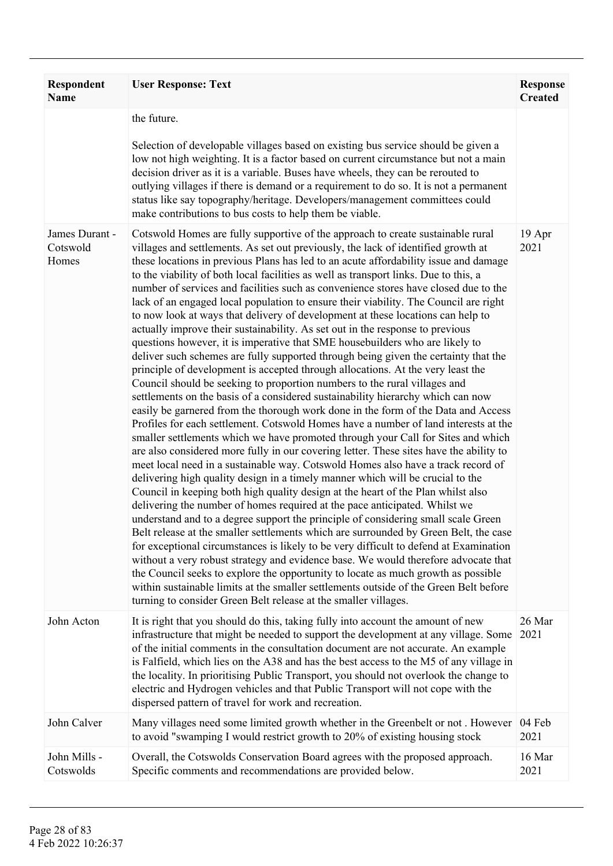| <b>Respondent</b><br><b>Name</b>    | <b>User Response: Text</b>                                                                                                                                                                                                                                                                                                                                                                                                                                                                                                                                                                                                                                                                                                                                                                                                                                                                                                                                                                                                                                                                                                                                                                                                                                                                                                                                                                                                                                                                                                                                                                                                                                                                                                                                                                                                                                                                                                                                                                                                                                                                                                                                                                                                                                                                                                                                                                                                                       | <b>Response</b><br><b>Created</b> |
|-------------------------------------|--------------------------------------------------------------------------------------------------------------------------------------------------------------------------------------------------------------------------------------------------------------------------------------------------------------------------------------------------------------------------------------------------------------------------------------------------------------------------------------------------------------------------------------------------------------------------------------------------------------------------------------------------------------------------------------------------------------------------------------------------------------------------------------------------------------------------------------------------------------------------------------------------------------------------------------------------------------------------------------------------------------------------------------------------------------------------------------------------------------------------------------------------------------------------------------------------------------------------------------------------------------------------------------------------------------------------------------------------------------------------------------------------------------------------------------------------------------------------------------------------------------------------------------------------------------------------------------------------------------------------------------------------------------------------------------------------------------------------------------------------------------------------------------------------------------------------------------------------------------------------------------------------------------------------------------------------------------------------------------------------------------------------------------------------------------------------------------------------------------------------------------------------------------------------------------------------------------------------------------------------------------------------------------------------------------------------------------------------------------------------------------------------------------------------------------------------|-----------------------------------|
|                                     | the future.                                                                                                                                                                                                                                                                                                                                                                                                                                                                                                                                                                                                                                                                                                                                                                                                                                                                                                                                                                                                                                                                                                                                                                                                                                                                                                                                                                                                                                                                                                                                                                                                                                                                                                                                                                                                                                                                                                                                                                                                                                                                                                                                                                                                                                                                                                                                                                                                                                      |                                   |
|                                     | Selection of developable villages based on existing bus service should be given a<br>low not high weighting. It is a factor based on current circumstance but not a main<br>decision driver as it is a variable. Buses have wheels, they can be rerouted to<br>outlying villages if there is demand or a requirement to do so. It is not a permanent<br>status like say topography/heritage. Developers/management committees could<br>make contributions to bus costs to help them be viable.                                                                                                                                                                                                                                                                                                                                                                                                                                                                                                                                                                                                                                                                                                                                                                                                                                                                                                                                                                                                                                                                                                                                                                                                                                                                                                                                                                                                                                                                                                                                                                                                                                                                                                                                                                                                                                                                                                                                                   |                                   |
| James Durant -<br>Cotswold<br>Homes | Cotswold Homes are fully supportive of the approach to create sustainable rural<br>villages and settlements. As set out previously, the lack of identified growth at<br>these locations in previous Plans has led to an acute affordability issue and damage<br>to the viability of both local facilities as well as transport links. Due to this, a<br>number of services and facilities such as convenience stores have closed due to the<br>lack of an engaged local population to ensure their viability. The Council are right<br>to now look at ways that delivery of development at these locations can help to<br>actually improve their sustainability. As set out in the response to previous<br>questions however, it is imperative that SME housebuilders who are likely to<br>deliver such schemes are fully supported through being given the certainty that the<br>principle of development is accepted through allocations. At the very least the<br>Council should be seeking to proportion numbers to the rural villages and<br>settlements on the basis of a considered sustainability hierarchy which can now<br>easily be garnered from the thorough work done in the form of the Data and Access<br>Profiles for each settlement. Cotswold Homes have a number of land interests at the<br>smaller settlements which we have promoted through your Call for Sites and which<br>are also considered more fully in our covering letter. These sites have the ability to<br>meet local need in a sustainable way. Cotswold Homes also have a track record of<br>delivering high quality design in a timely manner which will be crucial to the<br>Council in keeping both high quality design at the heart of the Plan whilst also<br>delivering the number of homes required at the pace anticipated. Whilst we<br>understand and to a degree support the principle of considering small scale Green<br>Belt release at the smaller settlements which are surrounded by Green Belt, the case<br>for exceptional circumstances is likely to be very difficult to defend at Examination<br>without a very robust strategy and evidence base. We would therefore advocate that<br>the Council seeks to explore the opportunity to locate as much growth as possible<br>within sustainable limits at the smaller settlements outside of the Green Belt before<br>turning to consider Green Belt release at the smaller villages. | 19 Apr<br>2021                    |
| John Acton                          | It is right that you should do this, taking fully into account the amount of new<br>infrastructure that might be needed to support the development at any village. Some<br>of the initial comments in the consultation document are not accurate. An example<br>is Falfield, which lies on the A38 and has the best access to the M5 of any village in<br>the locality. In prioritising Public Transport, you should not overlook the change to<br>electric and Hydrogen vehicles and that Public Transport will not cope with the<br>dispersed pattern of travel for work and recreation.                                                                                                                                                                                                                                                                                                                                                                                                                                                                                                                                                                                                                                                                                                                                                                                                                                                                                                                                                                                                                                                                                                                                                                                                                                                                                                                                                                                                                                                                                                                                                                                                                                                                                                                                                                                                                                                       | 26 Mar<br>2021                    |
| John Calver                         | Many villages need some limited growth whether in the Greenbelt or not. However<br>to avoid "swamping I would restrict growth to 20% of existing housing stock                                                                                                                                                                                                                                                                                                                                                                                                                                                                                                                                                                                                                                                                                                                                                                                                                                                                                                                                                                                                                                                                                                                                                                                                                                                                                                                                                                                                                                                                                                                                                                                                                                                                                                                                                                                                                                                                                                                                                                                                                                                                                                                                                                                                                                                                                   | 04 Feb<br>2021                    |
| John Mills -<br>Cotswolds           | Overall, the Cotswolds Conservation Board agrees with the proposed approach.<br>Specific comments and recommendations are provided below.                                                                                                                                                                                                                                                                                                                                                                                                                                                                                                                                                                                                                                                                                                                                                                                                                                                                                                                                                                                                                                                                                                                                                                                                                                                                                                                                                                                                                                                                                                                                                                                                                                                                                                                                                                                                                                                                                                                                                                                                                                                                                                                                                                                                                                                                                                        | 16 Mar<br>2021                    |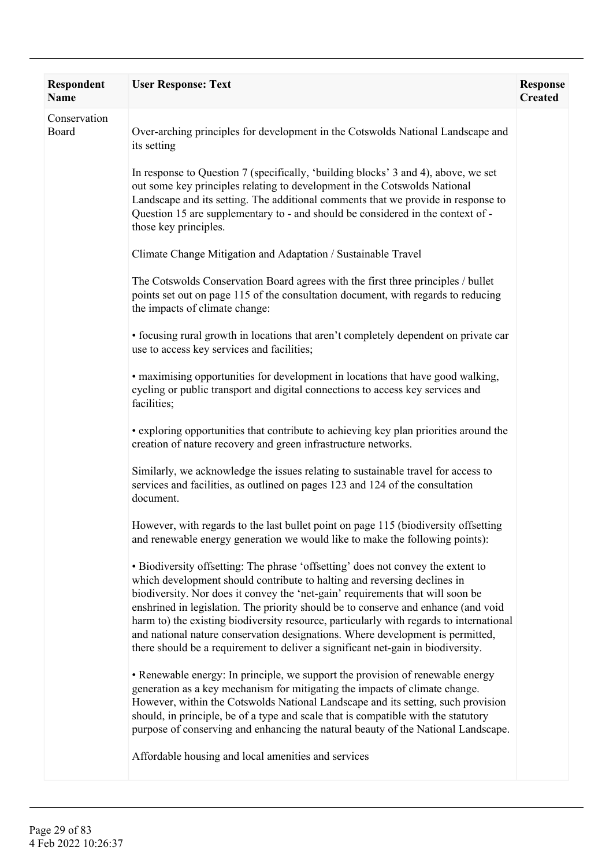| Respondent<br>Name    | <b>User Response: Text</b>                                                                                                                                                                                                                                                                                                                                                                                                                                                                                                                                                                            | <b>Response</b><br><b>Created</b> |
|-----------------------|-------------------------------------------------------------------------------------------------------------------------------------------------------------------------------------------------------------------------------------------------------------------------------------------------------------------------------------------------------------------------------------------------------------------------------------------------------------------------------------------------------------------------------------------------------------------------------------------------------|-----------------------------------|
| Conservation<br>Board | Over-arching principles for development in the Cotswolds National Landscape and<br>its setting                                                                                                                                                                                                                                                                                                                                                                                                                                                                                                        |                                   |
|                       | In response to Question 7 (specifically, 'building blocks' 3 and 4), above, we set<br>out some key principles relating to development in the Cotswolds National<br>Landscape and its setting. The additional comments that we provide in response to<br>Question 15 are supplementary to - and should be considered in the context of -<br>those key principles.                                                                                                                                                                                                                                      |                                   |
|                       | Climate Change Mitigation and Adaptation / Sustainable Travel                                                                                                                                                                                                                                                                                                                                                                                                                                                                                                                                         |                                   |
|                       | The Cotswolds Conservation Board agrees with the first three principles / bullet<br>points set out on page 115 of the consultation document, with regards to reducing<br>the impacts of climate change:                                                                                                                                                                                                                                                                                                                                                                                               |                                   |
|                       | • focusing rural growth in locations that aren't completely dependent on private car<br>use to access key services and facilities;                                                                                                                                                                                                                                                                                                                                                                                                                                                                    |                                   |
|                       | · maximising opportunities for development in locations that have good walking,<br>cycling or public transport and digital connections to access key services and<br>facilities;                                                                                                                                                                                                                                                                                                                                                                                                                      |                                   |
|                       | • exploring opportunities that contribute to achieving key plan priorities around the<br>creation of nature recovery and green infrastructure networks.                                                                                                                                                                                                                                                                                                                                                                                                                                               |                                   |
|                       | Similarly, we acknowledge the issues relating to sustainable travel for access to<br>services and facilities, as outlined on pages 123 and 124 of the consultation<br>document.                                                                                                                                                                                                                                                                                                                                                                                                                       |                                   |
|                       | However, with regards to the last bullet point on page 115 (biodiversity offsetting<br>and renewable energy generation we would like to make the following points):                                                                                                                                                                                                                                                                                                                                                                                                                                   |                                   |
|                       | • Biodiversity offsetting: The phrase 'offsetting' does not convey the extent to<br>which development should contribute to halting and reversing declines in<br>biodiversity. Nor does it convey the 'net-gain' requirements that will soon be<br>enshrined in legislation. The priority should be to conserve and enhance (and void<br>harm to) the existing biodiversity resource, particularly with regards to international<br>and national nature conservation designations. Where development is permitted,<br>there should be a requirement to deliver a significant net-gain in biodiversity. |                                   |
|                       | • Renewable energy: In principle, we support the provision of renewable energy<br>generation as a key mechanism for mitigating the impacts of climate change.<br>However, within the Cotswolds National Landscape and its setting, such provision<br>should, in principle, be of a type and scale that is compatible with the statutory<br>purpose of conserving and enhancing the natural beauty of the National Landscape.                                                                                                                                                                          |                                   |
|                       | Affordable housing and local amenities and services                                                                                                                                                                                                                                                                                                                                                                                                                                                                                                                                                   |                                   |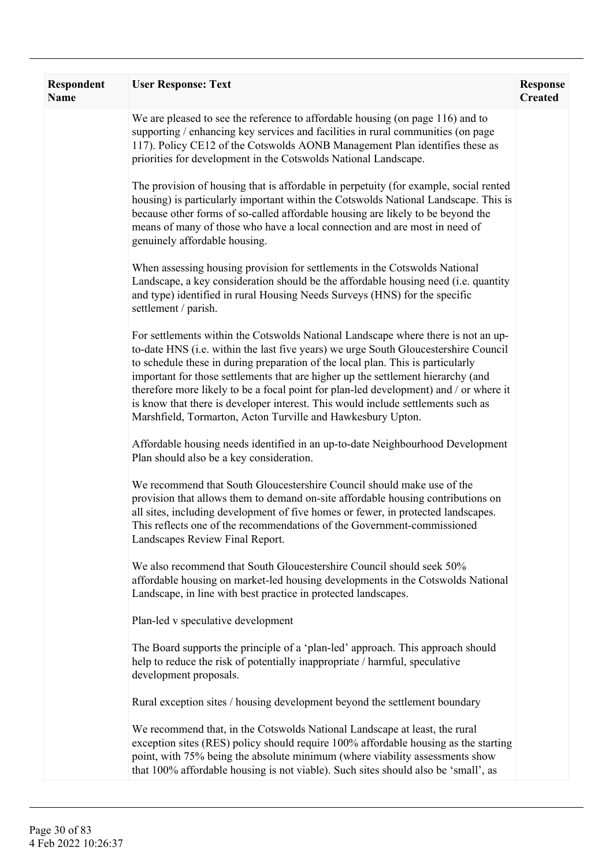| Respondent<br>Name | <b>User Response: Text</b>                                                                                                                                                                                                                                                                                                                                                                                                                                                                                                                                                                  | <b>Response</b><br><b>Created</b> |
|--------------------|---------------------------------------------------------------------------------------------------------------------------------------------------------------------------------------------------------------------------------------------------------------------------------------------------------------------------------------------------------------------------------------------------------------------------------------------------------------------------------------------------------------------------------------------------------------------------------------------|-----------------------------------|
|                    | We are pleased to see the reference to affordable housing (on page 116) and to<br>supporting / enhancing key services and facilities in rural communities (on page<br>117). Policy CE12 of the Cotswolds AONB Management Plan identifies these as<br>priorities for development in the Cotswolds National Landscape.                                                                                                                                                                                                                                                                        |                                   |
|                    | The provision of housing that is affordable in perpetuity (for example, social rented<br>housing) is particularly important within the Cotswolds National Landscape. This is<br>because other forms of so-called affordable housing are likely to be beyond the<br>means of many of those who have a local connection and are most in need of<br>genuinely affordable housing.                                                                                                                                                                                                              |                                   |
|                    | When assessing housing provision for settlements in the Cotswolds National<br>Landscape, a key consideration should be the affordable housing need (i.e. quantity<br>and type) identified in rural Housing Needs Surveys (HNS) for the specific<br>settlement / parish.                                                                                                                                                                                                                                                                                                                     |                                   |
|                    | For settlements within the Cotswolds National Landscape where there is not an up-<br>to-date HNS (i.e. within the last five years) we urge South Gloucestershire Council<br>to schedule these in during preparation of the local plan. This is particularly<br>important for those settlements that are higher up the settlement hierarchy (and<br>therefore more likely to be a focal point for plan-led development) and / or where it<br>is know that there is developer interest. This would include settlements such as<br>Marshfield, Tormarton, Acton Turville and Hawkesbury Upton. |                                   |
|                    | Affordable housing needs identified in an up-to-date Neighbourhood Development<br>Plan should also be a key consideration.                                                                                                                                                                                                                                                                                                                                                                                                                                                                  |                                   |
|                    | We recommend that South Gloucestershire Council should make use of the<br>provision that allows them to demand on-site affordable housing contributions on<br>all sites, including development of five homes or fewer, in protected landscapes.<br>This reflects one of the recommendations of the Government-commissioned<br>Landscapes Review Final Report.                                                                                                                                                                                                                               |                                   |
|                    | We also recommend that South Gloucestershire Council should seek 50%<br>affordable housing on market-led housing developments in the Cotswolds National<br>Landscape, in line with best practice in protected landscapes.                                                                                                                                                                                                                                                                                                                                                                   |                                   |
|                    | Plan-led v speculative development                                                                                                                                                                                                                                                                                                                                                                                                                                                                                                                                                          |                                   |
|                    | The Board supports the principle of a 'plan-led' approach. This approach should<br>help to reduce the risk of potentially inappropriate / harmful, speculative<br>development proposals.                                                                                                                                                                                                                                                                                                                                                                                                    |                                   |
|                    | Rural exception sites / housing development beyond the settlement boundary                                                                                                                                                                                                                                                                                                                                                                                                                                                                                                                  |                                   |
|                    | We recommend that, in the Cotswolds National Landscape at least, the rural<br>exception sites (RES) policy should require 100% affordable housing as the starting<br>point, with 75% being the absolute minimum (where viability assessments show<br>that 100% affordable housing is not viable). Such sites should also be 'small', as                                                                                                                                                                                                                                                     |                                   |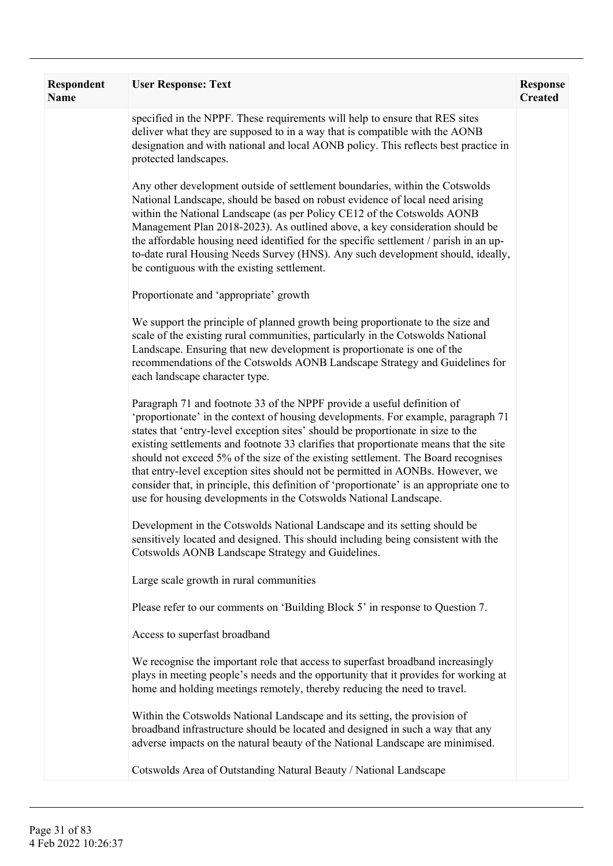| Respondent<br><b>Name</b> | <b>User Response: Text</b>                                                                                                                                                                                                                                                                                                                                                                                                                                                                                                                                                                                                                                                        | <b>Response</b><br><b>Created</b> |
|---------------------------|-----------------------------------------------------------------------------------------------------------------------------------------------------------------------------------------------------------------------------------------------------------------------------------------------------------------------------------------------------------------------------------------------------------------------------------------------------------------------------------------------------------------------------------------------------------------------------------------------------------------------------------------------------------------------------------|-----------------------------------|
|                           | specified in the NPPF. These requirements will help to ensure that RES sites<br>deliver what they are supposed to in a way that is compatible with the AONB<br>designation and with national and local AONB policy. This reflects best practice in<br>protected landscapes.                                                                                                                                                                                                                                                                                                                                                                                                       |                                   |
|                           | Any other development outside of settlement boundaries, within the Cotswolds<br>National Landscape, should be based on robust evidence of local need arising<br>within the National Landscape (as per Policy CE12 of the Cotswolds AONB<br>Management Plan 2018-2023). As outlined above, a key consideration should be<br>the affordable housing need identified for the specific settlement / parish in an up-<br>to-date rural Housing Needs Survey (HNS). Any such development should, ideally,<br>be contiguous with the existing settlement.                                                                                                                                |                                   |
|                           | Proportionate and 'appropriate' growth                                                                                                                                                                                                                                                                                                                                                                                                                                                                                                                                                                                                                                            |                                   |
|                           | We support the principle of planned growth being proportionate to the size and<br>scale of the existing rural communities, particularly in the Cotswolds National<br>Landscape. Ensuring that new development is proportionate is one of the<br>recommendations of the Cotswolds AONB Landscape Strategy and Guidelines for<br>each landscape character type.                                                                                                                                                                                                                                                                                                                     |                                   |
|                           | Paragraph 71 and footnote 33 of the NPPF provide a useful definition of<br>'proportionate' in the context of housing developments. For example, paragraph 71<br>states that 'entry-level exception sites' should be proportionate in size to the<br>existing settlements and footnote 33 clarifies that proportionate means that the site<br>should not exceed 5% of the size of the existing settlement. The Board recognises<br>that entry-level exception sites should not be permitted in AONBs. However, we<br>consider that, in principle, this definition of 'proportionate' is an appropriate one to<br>use for housing developments in the Cotswolds National Landscape. |                                   |
|                           | Development in the Cotswolds National Landscape and its setting should be<br>sensitively located and designed. This should including being consistent with the<br>Cotswolds AONB Landscape Strategy and Guidelines.                                                                                                                                                                                                                                                                                                                                                                                                                                                               |                                   |
|                           | Large scale growth in rural communities                                                                                                                                                                                                                                                                                                                                                                                                                                                                                                                                                                                                                                           |                                   |
|                           | Please refer to our comments on 'Building Block 5' in response to Question 7.                                                                                                                                                                                                                                                                                                                                                                                                                                                                                                                                                                                                     |                                   |
|                           | Access to superfast broadband                                                                                                                                                                                                                                                                                                                                                                                                                                                                                                                                                                                                                                                     |                                   |
|                           | We recognise the important role that access to superfast broadband increasingly<br>plays in meeting people's needs and the opportunity that it provides for working at<br>home and holding meetings remotely, thereby reducing the need to travel.                                                                                                                                                                                                                                                                                                                                                                                                                                |                                   |
|                           | Within the Cotswolds National Landscape and its setting, the provision of<br>broadband infrastructure should be located and designed in such a way that any<br>adverse impacts on the natural beauty of the National Landscape are minimised.                                                                                                                                                                                                                                                                                                                                                                                                                                     |                                   |
|                           | Cotswolds Area of Outstanding Natural Beauty / National Landscape                                                                                                                                                                                                                                                                                                                                                                                                                                                                                                                                                                                                                 |                                   |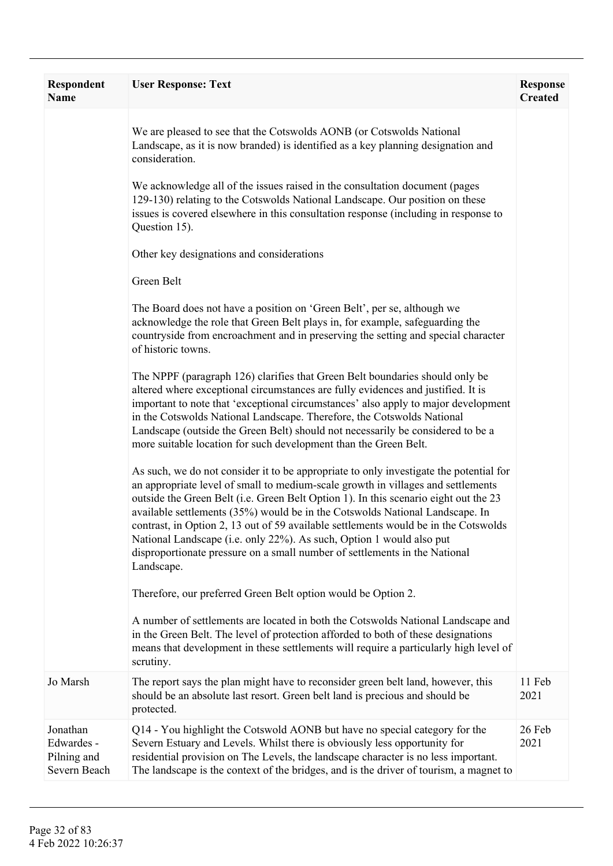| <b>Respondent</b><br>Name                             | <b>User Response: Text</b>                                                                                                                                                                                                                                                                                                                                                                                                                                                                                                                                                                                    | <b>Response</b><br><b>Created</b> |
|-------------------------------------------------------|---------------------------------------------------------------------------------------------------------------------------------------------------------------------------------------------------------------------------------------------------------------------------------------------------------------------------------------------------------------------------------------------------------------------------------------------------------------------------------------------------------------------------------------------------------------------------------------------------------------|-----------------------------------|
|                                                       | We are pleased to see that the Cotswolds AONB (or Cotswolds National<br>Landscape, as it is now branded) is identified as a key planning designation and<br>consideration.                                                                                                                                                                                                                                                                                                                                                                                                                                    |                                   |
|                                                       | We acknowledge all of the issues raised in the consultation document (pages<br>129-130) relating to the Cotswolds National Landscape. Our position on these<br>issues is covered elsewhere in this consultation response (including in response to<br>Question 15).                                                                                                                                                                                                                                                                                                                                           |                                   |
|                                                       | Other key designations and considerations                                                                                                                                                                                                                                                                                                                                                                                                                                                                                                                                                                     |                                   |
|                                                       | Green Belt                                                                                                                                                                                                                                                                                                                                                                                                                                                                                                                                                                                                    |                                   |
|                                                       | The Board does not have a position on 'Green Belt', per se, although we<br>acknowledge the role that Green Belt plays in, for example, safeguarding the<br>countryside from encroachment and in preserving the setting and special character<br>of historic towns.                                                                                                                                                                                                                                                                                                                                            |                                   |
|                                                       | The NPPF (paragraph 126) clarifies that Green Belt boundaries should only be<br>altered where exceptional circumstances are fully evidences and justified. It is<br>important to note that 'exceptional circumstances' also apply to major development<br>in the Cotswolds National Landscape. Therefore, the Cotswolds National<br>Landscape (outside the Green Belt) should not necessarily be considered to be a<br>more suitable location for such development than the Green Belt.                                                                                                                       |                                   |
|                                                       | As such, we do not consider it to be appropriate to only investigate the potential for<br>an appropriate level of small to medium-scale growth in villages and settlements<br>outside the Green Belt (i.e. Green Belt Option 1). In this scenario eight out the 23<br>available settlements (35%) would be in the Cotswolds National Landscape. In<br>contrast, in Option 2, 13 out of 59 available settlements would be in the Cotswolds<br>National Landscape (i.e. only 22%). As such, Option 1 would also put<br>disproportionate pressure on a small number of settlements in the National<br>Landscape. |                                   |
|                                                       | Therefore, our preferred Green Belt option would be Option 2.                                                                                                                                                                                                                                                                                                                                                                                                                                                                                                                                                 |                                   |
|                                                       | A number of settlements are located in both the Cotswolds National Landscape and<br>in the Green Belt. The level of protection afforded to both of these designations<br>means that development in these settlements will require a particularly high level of<br>scrutiny.                                                                                                                                                                                                                                                                                                                                   |                                   |
| Jo Marsh                                              | The report says the plan might have to reconsider green belt land, however, this<br>should be an absolute last resort. Green belt land is precious and should be<br>protected.                                                                                                                                                                                                                                                                                                                                                                                                                                | 11 Feb<br>2021                    |
| Jonathan<br>Edwardes -<br>Pilning and<br>Severn Beach | Q14 - You highlight the Cotswold AONB but have no special category for the<br>Severn Estuary and Levels. Whilst there is obviously less opportunity for<br>residential provision on The Levels, the landscape character is no less important.<br>The landscape is the context of the bridges, and is the driver of tourism, a magnet to                                                                                                                                                                                                                                                                       | 26 Feb<br>2021                    |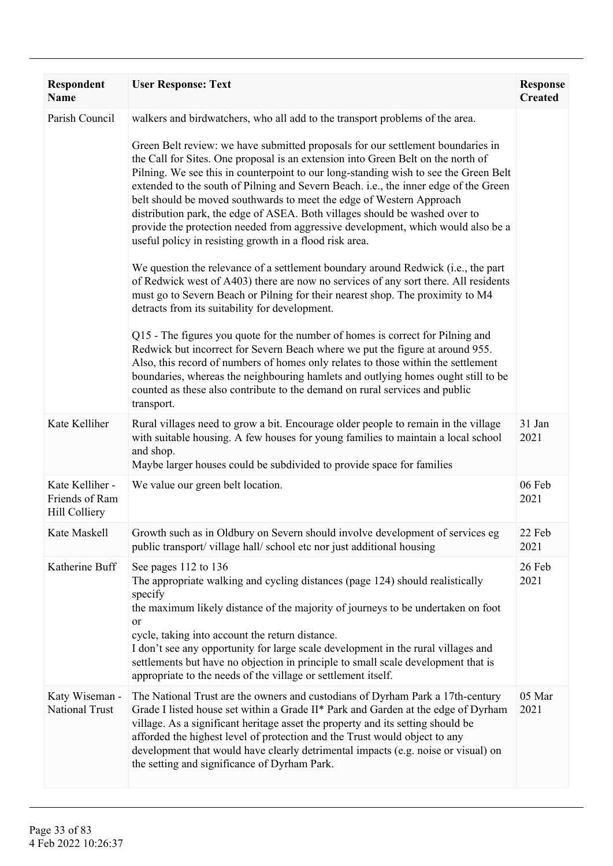| Respondent<br><b>Name</b>                                 | <b>User Response: Text</b>                                                                                                                                                                                                                                                                                                                                                                                                                                                                                                                                                                                                                                                                                                                                                                                                                                                                                                                                                                                                                                                                                                                                                                                                                                                                                                                                                                                                                                                                          | <b>Response</b><br><b>Created</b> |
|-----------------------------------------------------------|-----------------------------------------------------------------------------------------------------------------------------------------------------------------------------------------------------------------------------------------------------------------------------------------------------------------------------------------------------------------------------------------------------------------------------------------------------------------------------------------------------------------------------------------------------------------------------------------------------------------------------------------------------------------------------------------------------------------------------------------------------------------------------------------------------------------------------------------------------------------------------------------------------------------------------------------------------------------------------------------------------------------------------------------------------------------------------------------------------------------------------------------------------------------------------------------------------------------------------------------------------------------------------------------------------------------------------------------------------------------------------------------------------------------------------------------------------------------------------------------------------|-----------------------------------|
| Parish Council                                            | walkers and birdwatchers, who all add to the transport problems of the area.<br>Green Belt review: we have submitted proposals for our settlement boundaries in<br>the Call for Sites. One proposal is an extension into Green Belt on the north of<br>Pilning. We see this in counterpoint to our long-standing wish to see the Green Belt<br>extended to the south of Pilning and Severn Beach. i.e., the inner edge of the Green<br>belt should be moved southwards to meet the edge of Western Approach<br>distribution park, the edge of ASEA. Both villages should be washed over to<br>provide the protection needed from aggressive development, which would also be a<br>useful policy in resisting growth in a flood risk area.<br>We question the relevance of a settlement boundary around Redwick (i.e., the part<br>of Redwick west of A403) there are now no services of any sort there. All residents<br>must go to Severn Beach or Pilning for their nearest shop. The proximity to M4<br>detracts from its suitability for development.<br>Q15 - The figures you quote for the number of homes is correct for Pilning and<br>Redwick but incorrect for Severn Beach where we put the figure at around 955.<br>Also, this record of numbers of homes only relates to those within the settlement<br>boundaries, whereas the neighbouring hamlets and outlying homes ought still to be<br>counted as these also contribute to the demand on rural services and public<br>transport. |                                   |
| Kate Kelliher                                             | Rural villages need to grow a bit. Encourage older people to remain in the village<br>with suitable housing. A few houses for young families to maintain a local school<br>and shop.<br>Maybe larger houses could be subdivided to provide space for families                                                                                                                                                                                                                                                                                                                                                                                                                                                                                                                                                                                                                                                                                                                                                                                                                                                                                                                                                                                                                                                                                                                                                                                                                                       | 31 Jan<br>2021                    |
| Kate Kelliher -<br>Friends of Ram<br><b>Hill Colliery</b> | We value our green belt location.                                                                                                                                                                                                                                                                                                                                                                                                                                                                                                                                                                                                                                                                                                                                                                                                                                                                                                                                                                                                                                                                                                                                                                                                                                                                                                                                                                                                                                                                   | 06 Feb<br>2021                    |
|                                                           | Kate Maskell Growth such as in Oldbury on Severn should involve development of services eg<br>public transport/village hall/school etc nor just additional housing                                                                                                                                                                                                                                                                                                                                                                                                                                                                                                                                                                                                                                                                                                                                                                                                                                                                                                                                                                                                                                                                                                                                                                                                                                                                                                                                  | 22 Feb<br>2021                    |
| Katherine Buff                                            | See pages 112 to 136<br>The appropriate walking and cycling distances (page 124) should realistically<br>specify<br>the maximum likely distance of the majority of journeys to be undertaken on foot<br><sub>or</sub><br>cycle, taking into account the return distance.<br>I don't see any opportunity for large scale development in the rural villages and<br>settlements but have no objection in principle to small scale development that is<br>appropriate to the needs of the village or settlement itself.                                                                                                                                                                                                                                                                                                                                                                                                                                                                                                                                                                                                                                                                                                                                                                                                                                                                                                                                                                                 | 26 Feb<br>2021                    |
| Katy Wiseman -<br>National Trust                          | The National Trust are the owners and custodians of Dyrham Park a 17th-century<br>Grade I listed house set within a Grade II* Park and Garden at the edge of Dyrham<br>village. As a significant heritage asset the property and its setting should be<br>afforded the highest level of protection and the Trust would object to any<br>development that would have clearly detrimental impacts (e.g. noise or visual) on<br>the setting and significance of Dyrham Park.                                                                                                                                                                                                                                                                                                                                                                                                                                                                                                                                                                                                                                                                                                                                                                                                                                                                                                                                                                                                                           | 05 Mar<br>2021                    |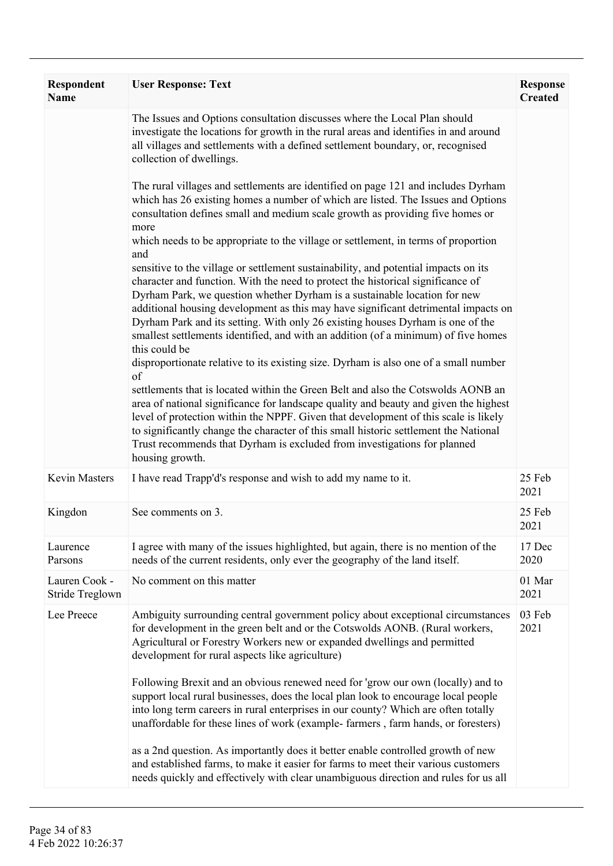| <b>Respondent</b><br><b>Name</b> | <b>User Response: Text</b>                                                                                                                                                                                                                                                                                                                                                                                                                                                                                                                                                                                                                                                                                                                                                                                                                                                                                                                                                                                                                                                                                                                                                                                                                                                                                                                                                                                                                                | <b>Response</b><br><b>Created</b> |
|----------------------------------|-----------------------------------------------------------------------------------------------------------------------------------------------------------------------------------------------------------------------------------------------------------------------------------------------------------------------------------------------------------------------------------------------------------------------------------------------------------------------------------------------------------------------------------------------------------------------------------------------------------------------------------------------------------------------------------------------------------------------------------------------------------------------------------------------------------------------------------------------------------------------------------------------------------------------------------------------------------------------------------------------------------------------------------------------------------------------------------------------------------------------------------------------------------------------------------------------------------------------------------------------------------------------------------------------------------------------------------------------------------------------------------------------------------------------------------------------------------|-----------------------------------|
|                                  | The Issues and Options consultation discusses where the Local Plan should<br>investigate the locations for growth in the rural areas and identifies in and around<br>all villages and settlements with a defined settlement boundary, or, recognised<br>collection of dwellings.                                                                                                                                                                                                                                                                                                                                                                                                                                                                                                                                                                                                                                                                                                                                                                                                                                                                                                                                                                                                                                                                                                                                                                          |                                   |
|                                  | The rural villages and settlements are identified on page 121 and includes Dyrham<br>which has 26 existing homes a number of which are listed. The Issues and Options<br>consultation defines small and medium scale growth as providing five homes or<br>more<br>which needs to be appropriate to the village or settlement, in terms of proportion<br>and<br>sensitive to the village or settlement sustainability, and potential impacts on its<br>character and function. With the need to protect the historical significance of<br>Dyrham Park, we question whether Dyrham is a sustainable location for new<br>additional housing development as this may have significant detrimental impacts on<br>Dyrham Park and its setting. With only 26 existing houses Dyrham is one of the<br>smallest settlements identified, and with an addition (of a minimum) of five homes<br>this could be<br>disproportionate relative to its existing size. Dyrham is also one of a small number<br>of<br>settlements that is located within the Green Belt and also the Cotswolds AONB an<br>area of national significance for landscape quality and beauty and given the highest<br>level of protection within the NPPF. Given that development of this scale is likely<br>to significantly change the character of this small historic settlement the National<br>Trust recommends that Dyrham is excluded from investigations for planned<br>housing growth. |                                   |
| <b>Kevin Masters</b>             | I have read Trapp'd's response and wish to add my name to it.                                                                                                                                                                                                                                                                                                                                                                                                                                                                                                                                                                                                                                                                                                                                                                                                                                                                                                                                                                                                                                                                                                                                                                                                                                                                                                                                                                                             | 25 Feb<br>2021                    |
| Kingdon                          | See comments on 3.                                                                                                                                                                                                                                                                                                                                                                                                                                                                                                                                                                                                                                                                                                                                                                                                                                                                                                                                                                                                                                                                                                                                                                                                                                                                                                                                                                                                                                        | 25 Feb<br>2021                    |
| Laurence<br>Parsons              | I agree with many of the issues highlighted, but again, there is no mention of the<br>needs of the current residents, only ever the geography of the land itself.                                                                                                                                                                                                                                                                                                                                                                                                                                                                                                                                                                                                                                                                                                                                                                                                                                                                                                                                                                                                                                                                                                                                                                                                                                                                                         | 17 Dec<br>2020                    |
| Lauren Cook -<br>Stride Treglown | No comment on this matter                                                                                                                                                                                                                                                                                                                                                                                                                                                                                                                                                                                                                                                                                                                                                                                                                                                                                                                                                                                                                                                                                                                                                                                                                                                                                                                                                                                                                                 | 01 Mar<br>2021                    |
| Lee Preece                       | Ambiguity surrounding central government policy about exceptional circumstances<br>for development in the green belt and or the Cotswolds AONB. (Rural workers,<br>Agricultural or Forestry Workers new or expanded dwellings and permitted<br>development for rural aspects like agriculture)<br>Following Brexit and an obvious renewed need for 'grow our own (locally) and to                                                                                                                                                                                                                                                                                                                                                                                                                                                                                                                                                                                                                                                                                                                                                                                                                                                                                                                                                                                                                                                                         | 03 Feb<br>2021                    |
|                                  | support local rural businesses, does the local plan look to encourage local people<br>into long term careers in rural enterprises in our county? Which are often totally<br>unaffordable for these lines of work (example-farmers, farm hands, or foresters)                                                                                                                                                                                                                                                                                                                                                                                                                                                                                                                                                                                                                                                                                                                                                                                                                                                                                                                                                                                                                                                                                                                                                                                              |                                   |
|                                  | as a 2nd question. As importantly does it better enable controlled growth of new<br>and established farms, to make it easier for farms to meet their various customers<br>needs quickly and effectively with clear unambiguous direction and rules for us all                                                                                                                                                                                                                                                                                                                                                                                                                                                                                                                                                                                                                                                                                                                                                                                                                                                                                                                                                                                                                                                                                                                                                                                             |                                   |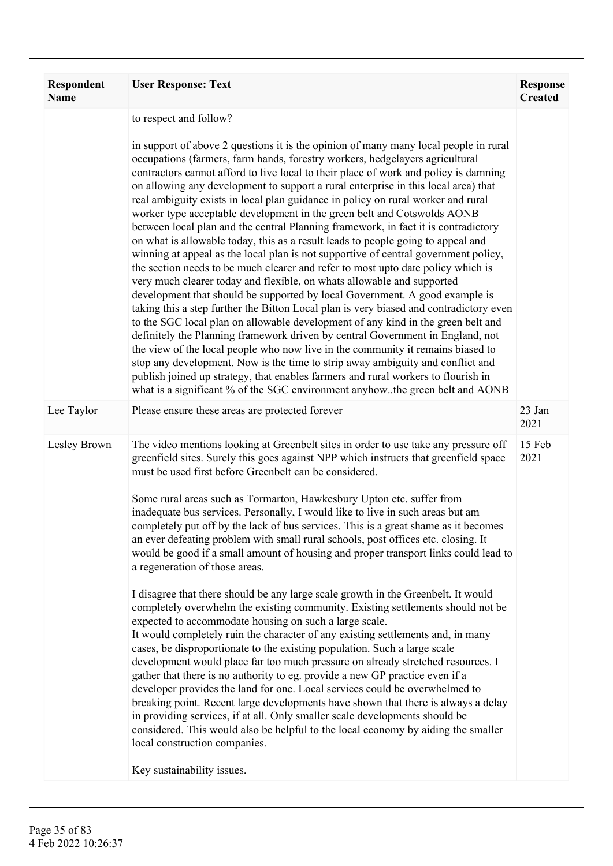| Respondent<br><b>Name</b> | <b>User Response: Text</b>                                                                                                                                                                                                                                                                                                                                                                                                                                                                                                                                                                                                                                                                                                                                                                                                                                                                                                                                                                                                                                                                                                                                                                                                                                                                                                                                                                                                                                                                                                                                                                                                                                                        | <b>Response</b><br><b>Created</b> |
|---------------------------|-----------------------------------------------------------------------------------------------------------------------------------------------------------------------------------------------------------------------------------------------------------------------------------------------------------------------------------------------------------------------------------------------------------------------------------------------------------------------------------------------------------------------------------------------------------------------------------------------------------------------------------------------------------------------------------------------------------------------------------------------------------------------------------------------------------------------------------------------------------------------------------------------------------------------------------------------------------------------------------------------------------------------------------------------------------------------------------------------------------------------------------------------------------------------------------------------------------------------------------------------------------------------------------------------------------------------------------------------------------------------------------------------------------------------------------------------------------------------------------------------------------------------------------------------------------------------------------------------------------------------------------------------------------------------------------|-----------------------------------|
|                           | to respect and follow?<br>in support of above 2 questions it is the opinion of many many local people in rural<br>occupations (farmers, farm hands, forestry workers, hedgelayers agricultural<br>contractors cannot afford to live local to their place of work and policy is damning<br>on allowing any development to support a rural enterprise in this local area) that<br>real ambiguity exists in local plan guidance in policy on rural worker and rural<br>worker type acceptable development in the green belt and Cotswolds AONB<br>between local plan and the central Planning framework, in fact it is contradictory<br>on what is allowable today, this as a result leads to people going to appeal and<br>winning at appeal as the local plan is not supportive of central government policy,<br>the section needs to be much clearer and refer to most upto date policy which is<br>very much clearer today and flexible, on whats allowable and supported<br>development that should be supported by local Government. A good example is<br>taking this a step further the Bitton Local plan is very biased and contradictory even<br>to the SGC local plan on allowable development of any kind in the green belt and<br>definitely the Planning framework driven by central Government in England, not<br>the view of the local people who now live in the community it remains biased to<br>stop any development. Now is the time to strip away ambiguity and conflict and<br>publish joined up strategy, that enables farmers and rural workers to flourish in<br>what is a significant % of the SGC environment anyhow. the green belt and AONB             |                                   |
| Lee Taylor                | Please ensure these areas are protected forever                                                                                                                                                                                                                                                                                                                                                                                                                                                                                                                                                                                                                                                                                                                                                                                                                                                                                                                                                                                                                                                                                                                                                                                                                                                                                                                                                                                                                                                                                                                                                                                                                                   | 23 Jan<br>2021                    |
| Lesley Brown              | The video mentions looking at Greenbelt sites in order to use take any pressure off<br>greenfield sites. Surely this goes against NPP which instructs that greenfield space<br>must be used first before Greenbelt can be considered.<br>Some rural areas such as Tormarton, Hawkesbury Upton etc. suffer from<br>inadequate bus services. Personally, I would like to live in such areas but am<br>completely put off by the lack of bus services. This is a great shame as it becomes<br>an ever defeating problem with small rural schools, post offices etc. closing. It<br>would be good if a small amount of housing and proper transport links could lead to<br>a regeneration of those areas.<br>I disagree that there should be any large scale growth in the Greenbelt. It would<br>completely overwhelm the existing community. Existing settlements should not be<br>expected to accommodate housing on such a large scale.<br>It would completely ruin the character of any existing settlements and, in many<br>cases, be disproportionate to the existing population. Such a large scale<br>development would place far too much pressure on already stretched resources. I<br>gather that there is no authority to eg. provide a new GP practice even if a<br>developer provides the land for one. Local services could be overwhelmed to<br>breaking point. Recent large developments have shown that there is always a delay<br>in providing services, if at all. Only smaller scale developments should be<br>considered. This would also be helpful to the local economy by aiding the smaller<br>local construction companies.<br>Key sustainability issues. | 15 Feb<br>2021                    |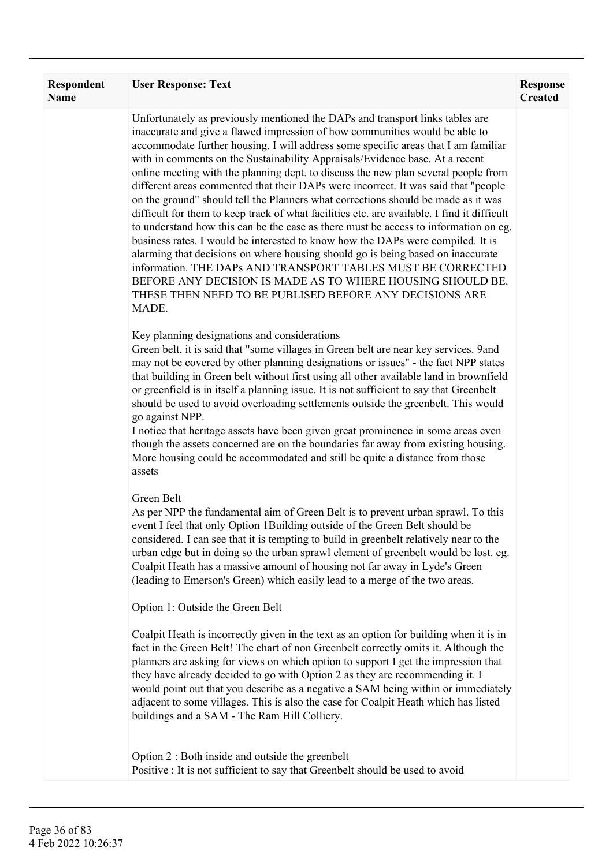| <b>Respondent</b><br><b>Name</b> | <b>User Response: Text</b>                                                                                                                                                                                                                                                                                                                                                                                                                                                                                                                                                                                                                                                                                                                                                                                                                                                                                                                                                                                                                                                                                                                                         | <b>Response</b><br><b>Created</b> |
|----------------------------------|--------------------------------------------------------------------------------------------------------------------------------------------------------------------------------------------------------------------------------------------------------------------------------------------------------------------------------------------------------------------------------------------------------------------------------------------------------------------------------------------------------------------------------------------------------------------------------------------------------------------------------------------------------------------------------------------------------------------------------------------------------------------------------------------------------------------------------------------------------------------------------------------------------------------------------------------------------------------------------------------------------------------------------------------------------------------------------------------------------------------------------------------------------------------|-----------------------------------|
|                                  | Unfortunately as previously mentioned the DAPs and transport links tables are<br>inaccurate and give a flawed impression of how communities would be able to<br>accommodate further housing. I will address some specific areas that I am familiar<br>with in comments on the Sustainability Appraisals/Evidence base. At a recent<br>online meeting with the planning dept. to discuss the new plan several people from<br>different areas commented that their DAPs were incorrect. It was said that "people<br>on the ground" should tell the Planners what corrections should be made as it was<br>difficult for them to keep track of what facilities etc. are available. I find it difficult<br>to understand how this can be the case as there must be access to information on eg.<br>business rates. I would be interested to know how the DAPs were compiled. It is<br>alarming that decisions on where housing should go is being based on inaccurate<br>information. THE DAPs AND TRANSPORT TABLES MUST BE CORRECTED<br>BEFORE ANY DECISION IS MADE AS TO WHERE HOUSING SHOULD BE.<br>THESE THEN NEED TO BE PUBLISED BEFORE ANY DECISIONS ARE<br>MADE. |                                   |
|                                  | Key planning designations and considerations<br>Green belt. it is said that "some villages in Green belt are near key services. 9and<br>may not be covered by other planning designations or issues" - the fact NPP states<br>that building in Green belt without first using all other available land in brownfield<br>or greenfield is in itself a planning issue. It is not sufficient to say that Greenbelt<br>should be used to avoid overloading settlements outside the greenbelt. This would<br>go against NPP.<br>I notice that heritage assets have been given great prominence in some areas even<br>though the assets concerned are on the boundaries far away from existing housing.<br>More housing could be accommodated and still be quite a distance from those<br>assets                                                                                                                                                                                                                                                                                                                                                                         |                                   |
|                                  | Green Belt<br>As per NPP the fundamental aim of Green Belt is to prevent urban sprawl. To this<br>event I feel that only Option 1Building outside of the Green Belt should be<br>considered. I can see that it is tempting to build in greenbelt relatively near to the<br>urban edge but in doing so the urban sprawl element of greenbelt would be lost. eg.<br>Coalpit Heath has a massive amount of housing not far away in Lyde's Green<br>(leading to Emerson's Green) which easily lead to a merge of the two areas.                                                                                                                                                                                                                                                                                                                                                                                                                                                                                                                                                                                                                                        |                                   |
|                                  | Option 1: Outside the Green Belt<br>Coalpit Heath is incorrectly given in the text as an option for building when it is in<br>fact in the Green Belt! The chart of non Greenbelt correctly omits it. Although the<br>planners are asking for views on which option to support I get the impression that<br>they have already decided to go with Option 2 as they are recommending it. I<br>would point out that you describe as a negative a SAM being within or immediately<br>adjacent to some villages. This is also the case for Coalpit Heath which has listed<br>buildings and a SAM - The Ram Hill Colliery.                                                                                                                                                                                                                                                                                                                                                                                                                                                                                                                                                |                                   |
|                                  | Option 2 : Both inside and outside the greenbelt<br>Positive : It is not sufficient to say that Greenbelt should be used to avoid                                                                                                                                                                                                                                                                                                                                                                                                                                                                                                                                                                                                                                                                                                                                                                                                                                                                                                                                                                                                                                  |                                   |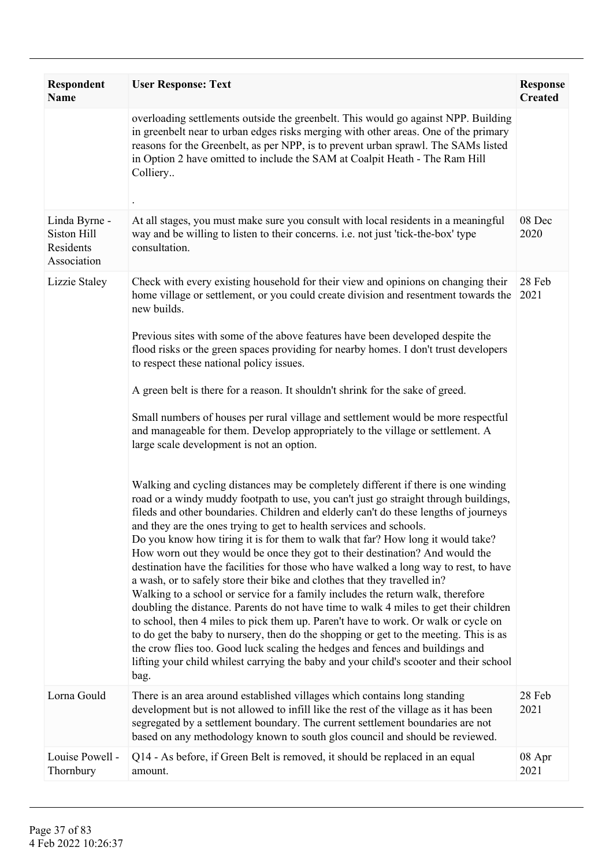| <b>Respondent</b><br><b>Name</b>                         | <b>User Response: Text</b>                                                                                                                                                                                                                                                                                                                                                                                                                                                                                                                                                                                                                                                                                                                                                                                                                                                                                                                                                                                                                                                                                                                                                                                                                                                                                                                                                                                                                                                                  | <b>Response</b><br><b>Created</b> |
|----------------------------------------------------------|---------------------------------------------------------------------------------------------------------------------------------------------------------------------------------------------------------------------------------------------------------------------------------------------------------------------------------------------------------------------------------------------------------------------------------------------------------------------------------------------------------------------------------------------------------------------------------------------------------------------------------------------------------------------------------------------------------------------------------------------------------------------------------------------------------------------------------------------------------------------------------------------------------------------------------------------------------------------------------------------------------------------------------------------------------------------------------------------------------------------------------------------------------------------------------------------------------------------------------------------------------------------------------------------------------------------------------------------------------------------------------------------------------------------------------------------------------------------------------------------|-----------------------------------|
|                                                          | overloading settlements outside the greenbelt. This would go against NPP. Building<br>in greenbelt near to urban edges risks merging with other areas. One of the primary<br>reasons for the Greenbelt, as per NPP, is to prevent urban sprawl. The SAMs listed<br>in Option 2 have omitted to include the SAM at Coalpit Heath - The Ram Hill<br>Colliery                                                                                                                                                                                                                                                                                                                                                                                                                                                                                                                                                                                                                                                                                                                                                                                                                                                                                                                                                                                                                                                                                                                                  |                                   |
| Linda Byrne -<br>Siston Hill<br>Residents<br>Association | At all stages, you must make sure you consult with local residents in a meaningful<br>way and be willing to listen to their concerns. i.e. not just 'tick-the-box' type<br>consultation.                                                                                                                                                                                                                                                                                                                                                                                                                                                                                                                                                                                                                                                                                                                                                                                                                                                                                                                                                                                                                                                                                                                                                                                                                                                                                                    | 08 Dec<br>2020                    |
| Lizzie Staley                                            | Check with every existing household for their view and opinions on changing their<br>home village or settlement, or you could create division and resentment towards the<br>new builds.<br>Previous sites with some of the above features have been developed despite the<br>flood risks or the green spaces providing for nearby homes. I don't trust developers<br>to respect these national policy issues.<br>A green belt is there for a reason. It shouldn't shrink for the sake of greed.<br>Small numbers of houses per rural village and settlement would be more respectful<br>and manageable for them. Develop appropriately to the village or settlement. A<br>large scale development is not an option.<br>Walking and cycling distances may be completely different if there is one winding<br>road or a windy muddy footpath to use, you can't just go straight through buildings,<br>fileds and other boundaries. Children and elderly can't do these lengths of journeys<br>and they are the ones trying to get to health services and schools.<br>Do you know how tiring it is for them to walk that far? How long it would take?<br>How worn out they would be once they got to their destination? And would the<br>destination have the facilities for those who have walked a long way to rest, to have<br>a wash, or to safely store their bike and clothes that they travelled in?<br>Walking to a school or service for a family includes the return walk, therefore | 28 Feb<br>2021                    |
|                                                          | doubling the distance. Parents do not have time to walk 4 miles to get their children<br>to school, then 4 miles to pick them up. Paren't have to work. Or walk or cycle on<br>to do get the baby to nursery, then do the shopping or get to the meeting. This is as<br>the crow flies too. Good luck scaling the hedges and fences and buildings and<br>lifting your child whilest carrying the baby and your child's scooter and their school<br>bag.                                                                                                                                                                                                                                                                                                                                                                                                                                                                                                                                                                                                                                                                                                                                                                                                                                                                                                                                                                                                                                     |                                   |
| Lorna Gould                                              | There is an area around established villages which contains long standing<br>development but is not allowed to infill like the rest of the village as it has been<br>segregated by a settlement boundary. The current settlement boundaries are not<br>based on any methodology known to south glos council and should be reviewed.                                                                                                                                                                                                                                                                                                                                                                                                                                                                                                                                                                                                                                                                                                                                                                                                                                                                                                                                                                                                                                                                                                                                                         | 28 Feb<br>2021                    |
| Louise Powell -<br>Thornbury                             | Q14 - As before, if Green Belt is removed, it should be replaced in an equal<br>amount.                                                                                                                                                                                                                                                                                                                                                                                                                                                                                                                                                                                                                                                                                                                                                                                                                                                                                                                                                                                                                                                                                                                                                                                                                                                                                                                                                                                                     | 08 Apr<br>2021                    |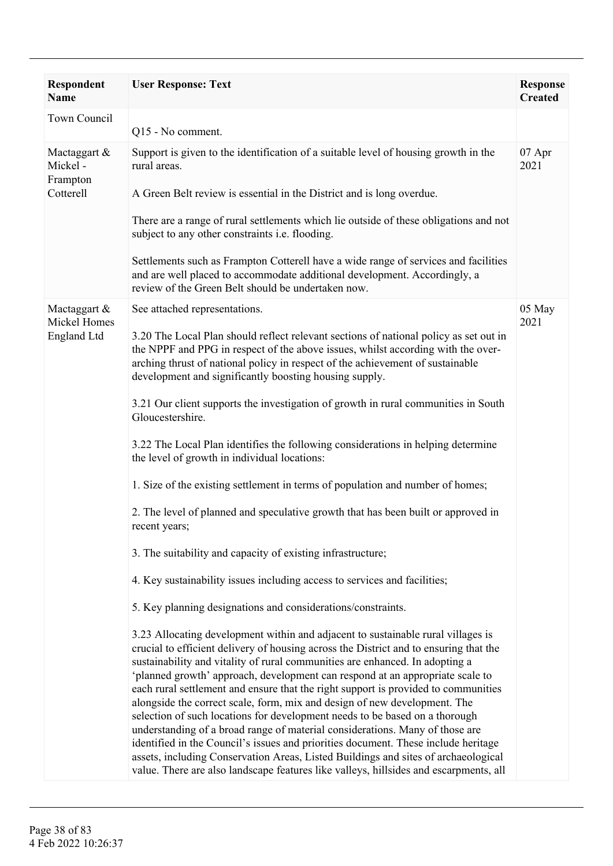| <b>Respondent</b><br><b>Name</b>                 | <b>User Response: Text</b>                                                                                                                                                                                                                                                                                                                                                                                                                                                                                                                                                                                                                                                                                                                                                                                                                                                                                                                                                                                                                                                                                                                                                                                                                                                                                                                                                                                                                                                                                                                                                                                                                                                               | <b>Response</b><br><b>Created</b> |
|--------------------------------------------------|------------------------------------------------------------------------------------------------------------------------------------------------------------------------------------------------------------------------------------------------------------------------------------------------------------------------------------------------------------------------------------------------------------------------------------------------------------------------------------------------------------------------------------------------------------------------------------------------------------------------------------------------------------------------------------------------------------------------------------------------------------------------------------------------------------------------------------------------------------------------------------------------------------------------------------------------------------------------------------------------------------------------------------------------------------------------------------------------------------------------------------------------------------------------------------------------------------------------------------------------------------------------------------------------------------------------------------------------------------------------------------------------------------------------------------------------------------------------------------------------------------------------------------------------------------------------------------------------------------------------------------------------------------------------------------------|-----------------------------------|
| Town Council                                     | Q15 - No comment.                                                                                                                                                                                                                                                                                                                                                                                                                                                                                                                                                                                                                                                                                                                                                                                                                                                                                                                                                                                                                                                                                                                                                                                                                                                                                                                                                                                                                                                                                                                                                                                                                                                                        |                                   |
| Mactaggart &<br>Mickel-<br>Frampton<br>Cotterell | Support is given to the identification of a suitable level of housing growth in the<br>rural areas.<br>A Green Belt review is essential in the District and is long overdue.<br>There are a range of rural settlements which lie outside of these obligations and not<br>subject to any other constraints i.e. flooding.                                                                                                                                                                                                                                                                                                                                                                                                                                                                                                                                                                                                                                                                                                                                                                                                                                                                                                                                                                                                                                                                                                                                                                                                                                                                                                                                                                 | 07 Apr<br>2021                    |
|                                                  | Settlements such as Frampton Cotterell have a wide range of services and facilities<br>and are well placed to accommodate additional development. Accordingly, a<br>review of the Green Belt should be undertaken now.                                                                                                                                                                                                                                                                                                                                                                                                                                                                                                                                                                                                                                                                                                                                                                                                                                                                                                                                                                                                                                                                                                                                                                                                                                                                                                                                                                                                                                                                   |                                   |
| Mactaggart &<br>Mickel Homes<br>England Ltd      | See attached representations.<br>3.20 The Local Plan should reflect relevant sections of national policy as set out in<br>the NPPF and PPG in respect of the above issues, whilst according with the over-<br>arching thrust of national policy in respect of the achievement of sustainable<br>development and significantly boosting housing supply.<br>3.21 Our client supports the investigation of growth in rural communities in South<br>Gloucestershire.<br>3.22 The Local Plan identifies the following considerations in helping determine<br>the level of growth in individual locations:<br>1. Size of the existing settlement in terms of population and number of homes;<br>2. The level of planned and speculative growth that has been built or approved in<br>recent years;<br>3. The suitability and capacity of existing infrastructure;<br>4. Key sustainability issues including access to services and facilities;<br>5. Key planning designations and considerations/constraints.<br>3.23 Allocating development within and adjacent to sustainable rural villages is<br>crucial to efficient delivery of housing across the District and to ensuring that the<br>sustainability and vitality of rural communities are enhanced. In adopting a<br>'planned growth' approach, development can respond at an appropriate scale to<br>each rural settlement and ensure that the right support is provided to communities<br>alongside the correct scale, form, mix and design of new development. The<br>selection of such locations for development needs to be based on a thorough<br>understanding of a broad range of material considerations. Many of those are | 05 May<br>2021                    |
|                                                  | identified in the Council's issues and priorities document. These include heritage<br>assets, including Conservation Areas, Listed Buildings and sites of archaeological<br>value. There are also landscape features like valleys, hillsides and escarpments, all                                                                                                                                                                                                                                                                                                                                                                                                                                                                                                                                                                                                                                                                                                                                                                                                                                                                                                                                                                                                                                                                                                                                                                                                                                                                                                                                                                                                                        |                                   |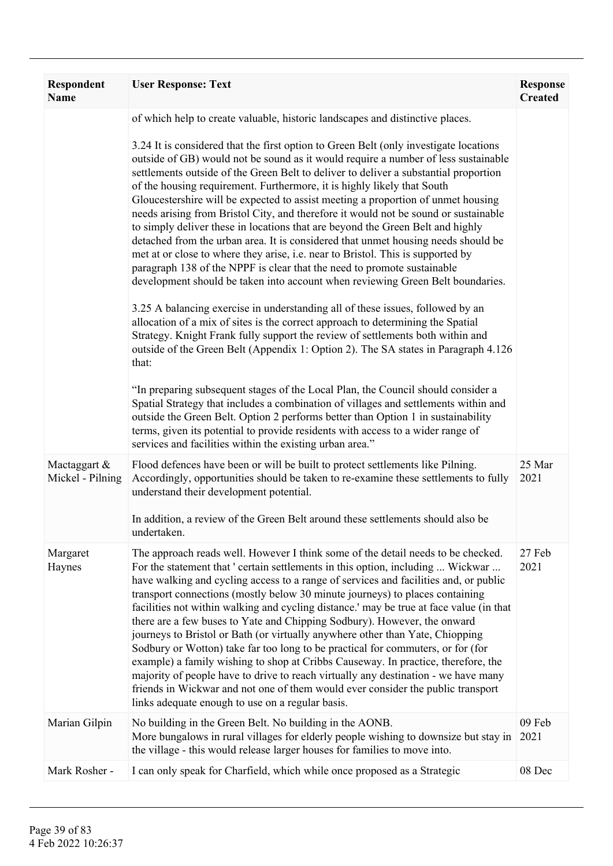| Respondent<br><b>Name</b>        | <b>User Response: Text</b>                                                                                                                                                                                                                                                                                                                                                                                                                                                                                                                                                                                                                                                                                                                                                                                                                                                                                                                                                                                                                                                                                                                                                                                                                                                                                                                                                                                                                                                                                                                                                                                                                                                                                                                                                                            | <b>Response</b><br><b>Created</b> |
|----------------------------------|-------------------------------------------------------------------------------------------------------------------------------------------------------------------------------------------------------------------------------------------------------------------------------------------------------------------------------------------------------------------------------------------------------------------------------------------------------------------------------------------------------------------------------------------------------------------------------------------------------------------------------------------------------------------------------------------------------------------------------------------------------------------------------------------------------------------------------------------------------------------------------------------------------------------------------------------------------------------------------------------------------------------------------------------------------------------------------------------------------------------------------------------------------------------------------------------------------------------------------------------------------------------------------------------------------------------------------------------------------------------------------------------------------------------------------------------------------------------------------------------------------------------------------------------------------------------------------------------------------------------------------------------------------------------------------------------------------------------------------------------------------------------------------------------------------|-----------------------------------|
|                                  | of which help to create valuable, historic landscapes and distinctive places.<br>3.24 It is considered that the first option to Green Belt (only investigate locations<br>outside of GB) would not be sound as it would require a number of less sustainable<br>settlements outside of the Green Belt to deliver to deliver a substantial proportion<br>of the housing requirement. Furthermore, it is highly likely that South<br>Gloucestershire will be expected to assist meeting a proportion of unmet housing<br>needs arising from Bristol City, and therefore it would not be sound or sustainable<br>to simply deliver these in locations that are beyond the Green Belt and highly<br>detached from the urban area. It is considered that unmet housing needs should be<br>met at or close to where they arise, i.e. near to Bristol. This is supported by<br>paragraph 138 of the NPPF is clear that the need to promote sustainable<br>development should be taken into account when reviewing Green Belt boundaries.<br>3.25 A balancing exercise in understanding all of these issues, followed by an<br>allocation of a mix of sites is the correct approach to determining the Spatial<br>Strategy. Knight Frank fully support the review of settlements both within and<br>outside of the Green Belt (Appendix 1: Option 2). The SA states in Paragraph 4.126<br>that:<br>"In preparing subsequent stages of the Local Plan, the Council should consider a<br>Spatial Strategy that includes a combination of villages and settlements within and<br>outside the Green Belt. Option 2 performs better than Option 1 in sustainability<br>terms, given its potential to provide residents with access to a wider range of<br>services and facilities within the existing urban area." |                                   |
| Mactaggart &<br>Mickel - Pilning | Flood defences have been or will be built to protect settlements like Pilning.<br>Accordingly, opportunities should be taken to re-examine these settlements to fully<br>understand their development potential.<br>In addition, a review of the Green Belt around these settlements should also be<br>undertaken.                                                                                                                                                                                                                                                                                                                                                                                                                                                                                                                                                                                                                                                                                                                                                                                                                                                                                                                                                                                                                                                                                                                                                                                                                                                                                                                                                                                                                                                                                    | 25 Mar<br>2021                    |
| Margaret<br>Haynes               | The approach reads well. However I think some of the detail needs to be checked.<br>For the statement that ' certain settlements in this option, including  Wickwar<br>have walking and cycling access to a range of services and facilities and, or public<br>transport connections (mostly below 30 minute journeys) to places containing<br>facilities not within walking and cycling distance.' may be true at face value (in that<br>there are a few buses to Yate and Chipping Sodbury). However, the onward<br>journeys to Bristol or Bath (or virtually anywhere other than Yate, Chiopping<br>Sodbury or Wotton) take far too long to be practical for commuters, or for (for<br>example) a family wishing to shop at Cribbs Causeway. In practice, therefore, the<br>majority of people have to drive to reach virtually any destination - we have many<br>friends in Wickwar and not one of them would ever consider the public transport<br>links adequate enough to use on a regular basis.                                                                                                                                                                                                                                                                                                                                                                                                                                                                                                                                                                                                                                                                                                                                                                                              | 27 Feb<br>2021                    |
| Marian Gilpin                    | No building in the Green Belt. No building in the AONB.<br>More bungalows in rural villages for elderly people wishing to downsize but stay in<br>the village - this would release larger houses for families to move into.                                                                                                                                                                                                                                                                                                                                                                                                                                                                                                                                                                                                                                                                                                                                                                                                                                                                                                                                                                                                                                                                                                                                                                                                                                                                                                                                                                                                                                                                                                                                                                           | 09 Feb<br>2021                    |
| Mark Rosher -                    | I can only speak for Charfield, which while once proposed as a Strategic                                                                                                                                                                                                                                                                                                                                                                                                                                                                                                                                                                                                                                                                                                                                                                                                                                                                                                                                                                                                                                                                                                                                                                                                                                                                                                                                                                                                                                                                                                                                                                                                                                                                                                                              | 08 Dec                            |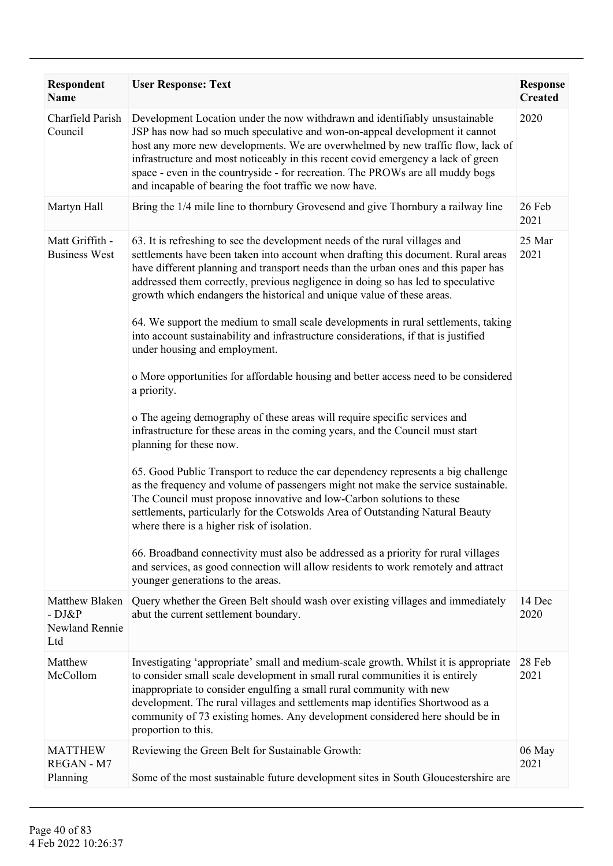| Respondent<br><b>Name</b>                           | <b>User Response: Text</b>                                                                                                                                                                                                                                                                                                                                                                                                                                                                                                                                                                                                                                                                                                                                                                                                                                                                                                                                                                                                                                                                                                                                                                                                                                                                                                                                                                                                                                                                        | <b>Response</b><br><b>Created</b> |
|-----------------------------------------------------|---------------------------------------------------------------------------------------------------------------------------------------------------------------------------------------------------------------------------------------------------------------------------------------------------------------------------------------------------------------------------------------------------------------------------------------------------------------------------------------------------------------------------------------------------------------------------------------------------------------------------------------------------------------------------------------------------------------------------------------------------------------------------------------------------------------------------------------------------------------------------------------------------------------------------------------------------------------------------------------------------------------------------------------------------------------------------------------------------------------------------------------------------------------------------------------------------------------------------------------------------------------------------------------------------------------------------------------------------------------------------------------------------------------------------------------------------------------------------------------------------|-----------------------------------|
| Charfield Parish<br>Council                         | Development Location under the now withdrawn and identifiably unsustainable<br>JSP has now had so much speculative and won-on-appeal development it cannot<br>host any more new developments. We are overwhelmed by new traffic flow, lack of<br>infrastructure and most noticeably in this recent covid emergency a lack of green<br>space - even in the countryside - for recreation. The PROWs are all muddy bogs<br>and incapable of bearing the foot traffic we now have.                                                                                                                                                                                                                                                                                                                                                                                                                                                                                                                                                                                                                                                                                                                                                                                                                                                                                                                                                                                                                    | 2020                              |
| Martyn Hall                                         | Bring the 1/4 mile line to thornbury Grovesend and give Thornbury a railway line                                                                                                                                                                                                                                                                                                                                                                                                                                                                                                                                                                                                                                                                                                                                                                                                                                                                                                                                                                                                                                                                                                                                                                                                                                                                                                                                                                                                                  | 26 Feb<br>2021                    |
| Matt Griffith -<br><b>Business West</b>             | 63. It is refreshing to see the development needs of the rural villages and<br>settlements have been taken into account when drafting this document. Rural areas<br>have different planning and transport needs than the urban ones and this paper has<br>addressed them correctly, previous negligence in doing so has led to speculative<br>growth which endangers the historical and unique value of these areas.<br>64. We support the medium to small scale developments in rural settlements, taking<br>into account sustainability and infrastructure considerations, if that is justified<br>under housing and employment.<br>o More opportunities for affordable housing and better access need to be considered<br>a priority.<br>o The ageing demography of these areas will require specific services and<br>infrastructure for these areas in the coming years, and the Council must start<br>planning for these now.<br>65. Good Public Transport to reduce the car dependency represents a big challenge<br>as the frequency and volume of passengers might not make the service sustainable.<br>The Council must propose innovative and low-Carbon solutions to these<br>settlements, particularly for the Cotswolds Area of Outstanding Natural Beauty<br>where there is a higher risk of isolation.<br>66. Broadband connectivity must also be addressed as a priority for rural villages<br>and services, as good connection will allow residents to work remotely and attract | 25 Mar<br>2021                    |
| Matthew Blaken<br>$-DJ\&P$<br>Newland Rennie<br>Ltd | younger generations to the areas.<br>Query whether the Green Belt should wash over existing villages and immediately<br>abut the current settlement boundary.                                                                                                                                                                                                                                                                                                                                                                                                                                                                                                                                                                                                                                                                                                                                                                                                                                                                                                                                                                                                                                                                                                                                                                                                                                                                                                                                     | 14 Dec<br>2020                    |
| Matthew<br>McCollom                                 | Investigating 'appropriate' small and medium-scale growth. Whilst it is appropriate<br>to consider small scale development in small rural communities it is entirely<br>inappropriate to consider engulfing a small rural community with new<br>development. The rural villages and settlements map identifies Shortwood as a<br>community of 73 existing homes. Any development considered here should be in<br>proportion to this.                                                                                                                                                                                                                                                                                                                                                                                                                                                                                                                                                                                                                                                                                                                                                                                                                                                                                                                                                                                                                                                              | 28 Feb<br>2021                    |
| <b>MATTHEW</b><br>REGAN - M7<br>Planning            | Reviewing the Green Belt for Sustainable Growth:<br>Some of the most sustainable future development sites in South Gloucestershire are                                                                                                                                                                                                                                                                                                                                                                                                                                                                                                                                                                                                                                                                                                                                                                                                                                                                                                                                                                                                                                                                                                                                                                                                                                                                                                                                                            | 06 May<br>2021                    |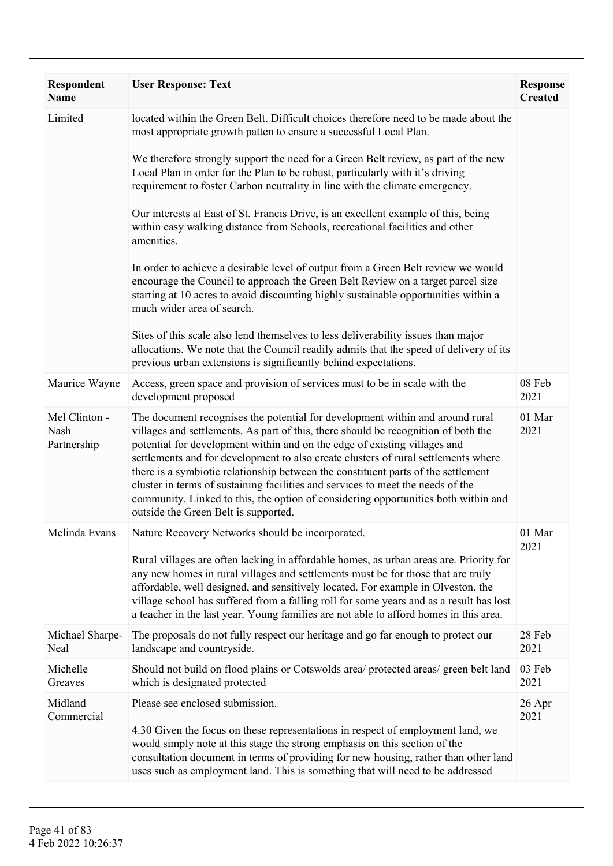| Respondent<br><b>Name</b>            | <b>User Response: Text</b>                                                                                                                                                                                                                                                                                                                                                                                                                                                                                                                                                                                                                   | <b>Response</b><br><b>Created</b> |
|--------------------------------------|----------------------------------------------------------------------------------------------------------------------------------------------------------------------------------------------------------------------------------------------------------------------------------------------------------------------------------------------------------------------------------------------------------------------------------------------------------------------------------------------------------------------------------------------------------------------------------------------------------------------------------------------|-----------------------------------|
| Limited                              | located within the Green Belt. Difficult choices therefore need to be made about the<br>most appropriate growth patten to ensure a successful Local Plan.                                                                                                                                                                                                                                                                                                                                                                                                                                                                                    |                                   |
|                                      | We therefore strongly support the need for a Green Belt review, as part of the new<br>Local Plan in order for the Plan to be robust, particularly with it's driving<br>requirement to foster Carbon neutrality in line with the climate emergency.                                                                                                                                                                                                                                                                                                                                                                                           |                                   |
|                                      | Our interests at East of St. Francis Drive, is an excellent example of this, being<br>within easy walking distance from Schools, recreational facilities and other<br>amenities.                                                                                                                                                                                                                                                                                                                                                                                                                                                             |                                   |
|                                      | In order to achieve a desirable level of output from a Green Belt review we would<br>encourage the Council to approach the Green Belt Review on a target parcel size<br>starting at 10 acres to avoid discounting highly sustainable opportunities within a<br>much wider area of search.                                                                                                                                                                                                                                                                                                                                                    |                                   |
|                                      | Sites of this scale also lend themselves to less deliverability issues than major<br>allocations. We note that the Council readily admits that the speed of delivery of its<br>previous urban extensions is significantly behind expectations.                                                                                                                                                                                                                                                                                                                                                                                               |                                   |
| Maurice Wayne                        | Access, green space and provision of services must to be in scale with the<br>development proposed                                                                                                                                                                                                                                                                                                                                                                                                                                                                                                                                           | 08 Feb<br>2021                    |
| Mel Clinton -<br>Nash<br>Partnership | The document recognises the potential for development within and around rural<br>villages and settlements. As part of this, there should be recognition of both the<br>potential for development within and on the edge of existing villages and<br>settlements and for development to also create clusters of rural settlements where<br>there is a symbiotic relationship between the constituent parts of the settlement<br>cluster in terms of sustaining facilities and services to meet the needs of the<br>community. Linked to this, the option of considering opportunities both within and<br>outside the Green Belt is supported. | 01 Mar<br>2021                    |
| Melinda Evans                        | Nature Recovery Networks should be incorporated.                                                                                                                                                                                                                                                                                                                                                                                                                                                                                                                                                                                             | 01 Mar<br>2021                    |
|                                      | Rural villages are often lacking in affordable homes, as urban areas are. Priority for<br>any new homes in rural villages and settlements must be for those that are truly<br>affordable, well designed, and sensitively located. For example in Olveston, the<br>village school has suffered from a falling roll for some years and as a result has lost<br>a teacher in the last year. Young families are not able to afford homes in this area.                                                                                                                                                                                           |                                   |
| Michael Sharpe-<br>Neal              | The proposals do not fully respect our heritage and go far enough to protect our<br>landscape and countryside.                                                                                                                                                                                                                                                                                                                                                                                                                                                                                                                               | 28 Feb<br>2021                    |
| Michelle<br>Greaves                  | Should not build on flood plains or Cotswolds area/ protected areas/ green belt land<br>which is designated protected                                                                                                                                                                                                                                                                                                                                                                                                                                                                                                                        | 03 Feb<br>2021                    |
| Midland<br>Commercial                | Please see enclosed submission.                                                                                                                                                                                                                                                                                                                                                                                                                                                                                                                                                                                                              | 26 Apr<br>2021                    |
|                                      | 4.30 Given the focus on these representations in respect of employment land, we<br>would simply note at this stage the strong emphasis on this section of the<br>consultation document in terms of providing for new housing, rather than other land<br>uses such as employment land. This is something that will need to be addressed                                                                                                                                                                                                                                                                                                       |                                   |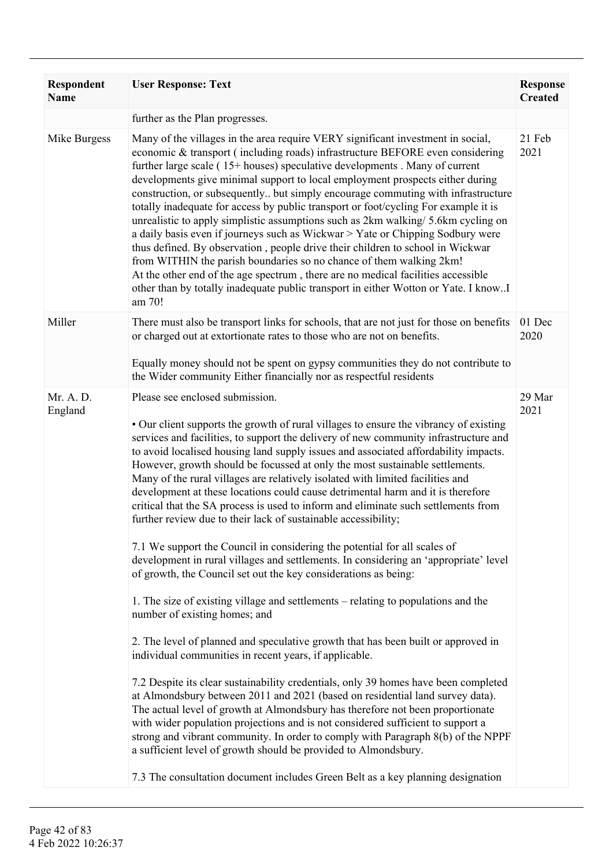| <b>Respondent</b><br><b>Name</b> | <b>User Response: Text</b>                                                                                                                                                                                                                                                                                                                                                                                                                                                                                                                                                                                                                                                                                                                                                                                                                                                                                                                                                                                                                                                                                                                                                                                                                                                                                                                                                                                                                                                                                                                                                                                                                                                                                                                                                                                               | <b>Response</b><br><b>Created</b> |
|----------------------------------|--------------------------------------------------------------------------------------------------------------------------------------------------------------------------------------------------------------------------------------------------------------------------------------------------------------------------------------------------------------------------------------------------------------------------------------------------------------------------------------------------------------------------------------------------------------------------------------------------------------------------------------------------------------------------------------------------------------------------------------------------------------------------------------------------------------------------------------------------------------------------------------------------------------------------------------------------------------------------------------------------------------------------------------------------------------------------------------------------------------------------------------------------------------------------------------------------------------------------------------------------------------------------------------------------------------------------------------------------------------------------------------------------------------------------------------------------------------------------------------------------------------------------------------------------------------------------------------------------------------------------------------------------------------------------------------------------------------------------------------------------------------------------------------------------------------------------|-----------------------------------|
|                                  | further as the Plan progresses.                                                                                                                                                                                                                                                                                                                                                                                                                                                                                                                                                                                                                                                                                                                                                                                                                                                                                                                                                                                                                                                                                                                                                                                                                                                                                                                                                                                                                                                                                                                                                                                                                                                                                                                                                                                          |                                   |
| Mike Burgess                     | Many of the villages in the area require VERY significant investment in social,<br>economic & transport (including roads) infrastructure BEFORE even considering<br>further large scale (15+ houses) speculative developments . Many of current<br>developments give minimal support to local employment prospects either during<br>construction, or subsequently but simply encourage commuting with infrastructure<br>totally inadequate for access by public transport or foot/cycling For example it is<br>unrealistic to apply simplistic assumptions such as 2km walking/ 5.6km cycling on<br>a daily basis even if journeys such as Wickwar > Yate or Chipping Sodbury were<br>thus defined. By observation, people drive their children to school in Wickwar<br>from WITHIN the parish boundaries so no chance of them walking 2km!<br>At the other end of the age spectrum, there are no medical facilities accessible<br>other than by totally inadequate public transport in either Wotton or Yate. I knowI<br>am 70!                                                                                                                                                                                                                                                                                                                                                                                                                                                                                                                                                                                                                                                                                                                                                                                         | 21 Feb<br>2021                    |
| Miller                           | There must also be transport links for schools, that are not just for those on benefits<br>or charged out at extortionate rates to those who are not on benefits.<br>Equally money should not be spent on gypsy communities they do not contribute to                                                                                                                                                                                                                                                                                                                                                                                                                                                                                                                                                                                                                                                                                                                                                                                                                                                                                                                                                                                                                                                                                                                                                                                                                                                                                                                                                                                                                                                                                                                                                                    | 01 Dec<br>2020                    |
|                                  | the Wider community Either financially nor as respectful residents                                                                                                                                                                                                                                                                                                                                                                                                                                                                                                                                                                                                                                                                                                                                                                                                                                                                                                                                                                                                                                                                                                                                                                                                                                                                                                                                                                                                                                                                                                                                                                                                                                                                                                                                                       |                                   |
| Mr. A. D.<br>England             | Please see enclosed submission.<br>• Our client supports the growth of rural villages to ensure the vibrancy of existing<br>services and facilities, to support the delivery of new community infrastructure and<br>to avoid localised housing land supply issues and associated affordability impacts.<br>However, growth should be focussed at only the most sustainable settlements.<br>Many of the rural villages are relatively isolated with limited facilities and<br>development at these locations could cause detrimental harm and it is therefore<br>critical that the SA process is used to inform and eliminate such settlements from<br>further review due to their lack of sustainable accessibility;<br>7.1 We support the Council in considering the potential for all scales of<br>development in rural villages and settlements. In considering an 'appropriate' level<br>of growth, the Council set out the key considerations as being:<br>1. The size of existing village and settlements – relating to populations and the<br>number of existing homes; and<br>2. The level of planned and speculative growth that has been built or approved in<br>individual communities in recent years, if applicable.<br>7.2 Despite its clear sustainability credentials, only 39 homes have been completed<br>at Almondsbury between 2011 and 2021 (based on residential land survey data).<br>The actual level of growth at Almondsbury has therefore not been proportionate<br>with wider population projections and is not considered sufficient to support a<br>strong and vibrant community. In order to comply with Paragraph 8(b) of the NPPF<br>a sufficient level of growth should be provided to Almondsbury.<br>7.3 The consultation document includes Green Belt as a key planning designation | 29 Mar<br>2021                    |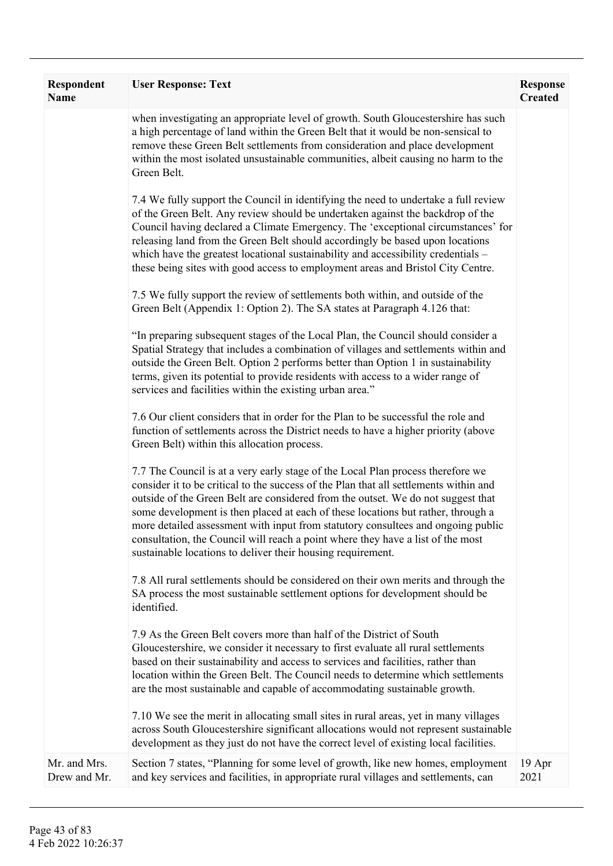| Respondent<br><b>Name</b>    | <b>User Response: Text</b>                                                                                                                                                                                                                                                                                                                                                                                                                                                                                                                                                             | <b>Response</b><br><b>Created</b> |
|------------------------------|----------------------------------------------------------------------------------------------------------------------------------------------------------------------------------------------------------------------------------------------------------------------------------------------------------------------------------------------------------------------------------------------------------------------------------------------------------------------------------------------------------------------------------------------------------------------------------------|-----------------------------------|
|                              | when investigating an appropriate level of growth. South Gloucestershire has such<br>a high percentage of land within the Green Belt that it would be non-sensical to<br>remove these Green Belt settlements from consideration and place development<br>within the most isolated unsustainable communities, albeit causing no harm to the<br>Green Belt.                                                                                                                                                                                                                              |                                   |
|                              | 7.4 We fully support the Council in identifying the need to undertake a full review<br>of the Green Belt. Any review should be undertaken against the backdrop of the<br>Council having declared a Climate Emergency. The 'exceptional circumstances' for<br>releasing land from the Green Belt should accordingly be based upon locations<br>which have the greatest locational sustainability and accessibility credentials –<br>these being sites with good access to employment areas and Bristol City Centre.                                                                     |                                   |
|                              | 7.5 We fully support the review of settlements both within, and outside of the<br>Green Belt (Appendix 1: Option 2). The SA states at Paragraph 4.126 that:                                                                                                                                                                                                                                                                                                                                                                                                                            |                                   |
|                              | "In preparing subsequent stages of the Local Plan, the Council should consider a<br>Spatial Strategy that includes a combination of villages and settlements within and<br>outside the Green Belt. Option 2 performs better than Option 1 in sustainability<br>terms, given its potential to provide residents with access to a wider range of<br>services and facilities within the existing urban area."                                                                                                                                                                             |                                   |
|                              | 7.6 Our client considers that in order for the Plan to be successful the role and<br>function of settlements across the District needs to have a higher priority (above<br>Green Belt) within this allocation process.                                                                                                                                                                                                                                                                                                                                                                 |                                   |
|                              | 7.7 The Council is at a very early stage of the Local Plan process therefore we<br>consider it to be critical to the success of the Plan that all settlements within and<br>outside of the Green Belt are considered from the outset. We do not suggest that<br>some development is then placed at each of these locations but rather, through a<br>more detailed assessment with input from statutory consultees and ongoing public<br>consultation, the Council will reach a point where they have a list of the most<br>sustainable locations to deliver their housing requirement. |                                   |
|                              | 7.8 All rural settlements should be considered on their own merits and through the<br>SA process the most sustainable settlement options for development should be<br>identified.                                                                                                                                                                                                                                                                                                                                                                                                      |                                   |
|                              | 7.9 As the Green Belt covers more than half of the District of South<br>Gloucestershire, we consider it necessary to first evaluate all rural settlements<br>based on their sustainability and access to services and facilities, rather than<br>location within the Green Belt. The Council needs to determine which settlements<br>are the most sustainable and capable of accommodating sustainable growth.                                                                                                                                                                         |                                   |
|                              | 7.10 We see the merit in allocating small sites in rural areas, yet in many villages<br>across South Gloucestershire significant allocations would not represent sustainable<br>development as they just do not have the correct level of existing local facilities.                                                                                                                                                                                                                                                                                                                   |                                   |
| Mr. and Mrs.<br>Drew and Mr. | Section 7 states, "Planning for some level of growth, like new homes, employment<br>and key services and facilities, in appropriate rural villages and settlements, can                                                                                                                                                                                                                                                                                                                                                                                                                | 19 Apr<br>2021                    |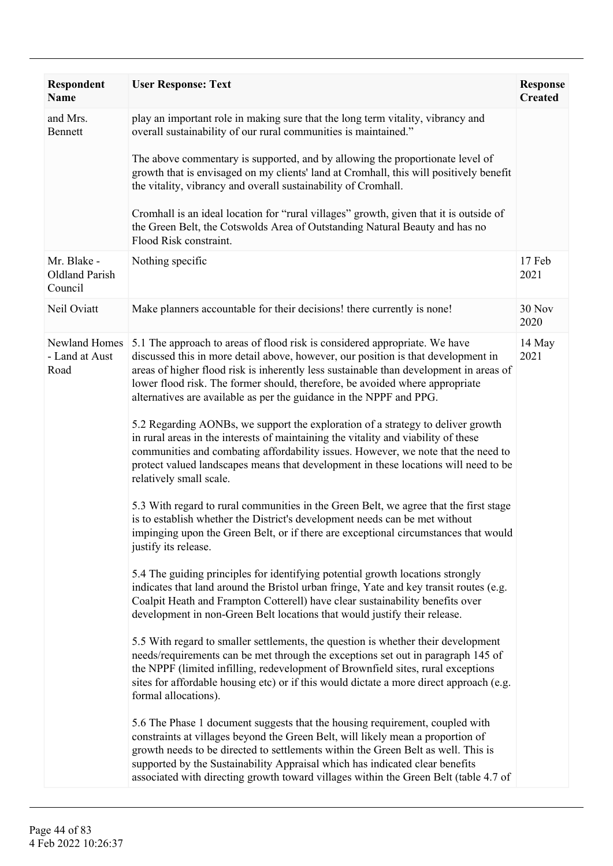| <b>Respondent</b><br><b>Name</b>         | <b>User Response: Text</b>                                                                                                                                                                                                                                                                                                                                                                                                   | <b>Response</b><br><b>Created</b> |
|------------------------------------------|------------------------------------------------------------------------------------------------------------------------------------------------------------------------------------------------------------------------------------------------------------------------------------------------------------------------------------------------------------------------------------------------------------------------------|-----------------------------------|
| and Mrs.<br>Bennett                      | play an important role in making sure that the long term vitality, vibrancy and<br>overall sustainability of our rural communities is maintained."                                                                                                                                                                                                                                                                           |                                   |
|                                          | The above commentary is supported, and by allowing the proportionate level of<br>growth that is envisaged on my clients' land at Cromhall, this will positively benefit<br>the vitality, vibrancy and overall sustainability of Cromhall.                                                                                                                                                                                    |                                   |
|                                          | Cromhall is an ideal location for "rural villages" growth, given that it is outside of<br>the Green Belt, the Cotswolds Area of Outstanding Natural Beauty and has no<br>Flood Risk constraint.                                                                                                                                                                                                                              |                                   |
| Mr. Blake -<br>Oldland Parish<br>Council | Nothing specific                                                                                                                                                                                                                                                                                                                                                                                                             | 17 Feb<br>2021                    |
| Neil Oviatt                              | Make planners accountable for their decisions! there currently is none!                                                                                                                                                                                                                                                                                                                                                      | <b>30 Nov</b><br>2020             |
| Newland Homes<br>- Land at Aust<br>Road  | 5.1 The approach to areas of flood risk is considered appropriate. We have<br>discussed this in more detail above, however, our position is that development in<br>areas of higher flood risk is inherently less sustainable than development in areas of<br>lower flood risk. The former should, therefore, be avoided where appropriate<br>alternatives are available as per the guidance in the NPPF and PPG.             | 14 May<br>2021                    |
|                                          | 5.2 Regarding AONBs, we support the exploration of a strategy to deliver growth<br>in rural areas in the interests of maintaining the vitality and viability of these<br>communities and combating affordability issues. However, we note that the need to<br>protect valued landscapes means that development in these locations will need to be<br>relatively small scale.                                                 |                                   |
|                                          | 5.3 With regard to rural communities in the Green Belt, we agree that the first stage<br>is to establish whether the District's development needs can be met without<br>impinging upon the Green Belt, or if there are exceptional circumstances that would<br>justify its release.                                                                                                                                          |                                   |
|                                          | 5.4 The guiding principles for identifying potential growth locations strongly<br>indicates that land around the Bristol urban fringe, Yate and key transit routes (e.g.<br>Coalpit Heath and Frampton Cotterell) have clear sustainability benefits over<br>development in non-Green Belt locations that would justify their release.                                                                                       |                                   |
|                                          | 5.5 With regard to smaller settlements, the question is whether their development<br>needs/requirements can be met through the exceptions set out in paragraph 145 of<br>the NPPF (limited infilling, redevelopment of Brownfield sites, rural exceptions<br>sites for affordable housing etc) or if this would dictate a more direct approach (e.g.<br>formal allocations).                                                 |                                   |
|                                          | 5.6 The Phase 1 document suggests that the housing requirement, coupled with<br>constraints at villages beyond the Green Belt, will likely mean a proportion of<br>growth needs to be directed to settlements within the Green Belt as well. This is<br>supported by the Sustainability Appraisal which has indicated clear benefits<br>associated with directing growth toward villages within the Green Belt (table 4.7 of |                                   |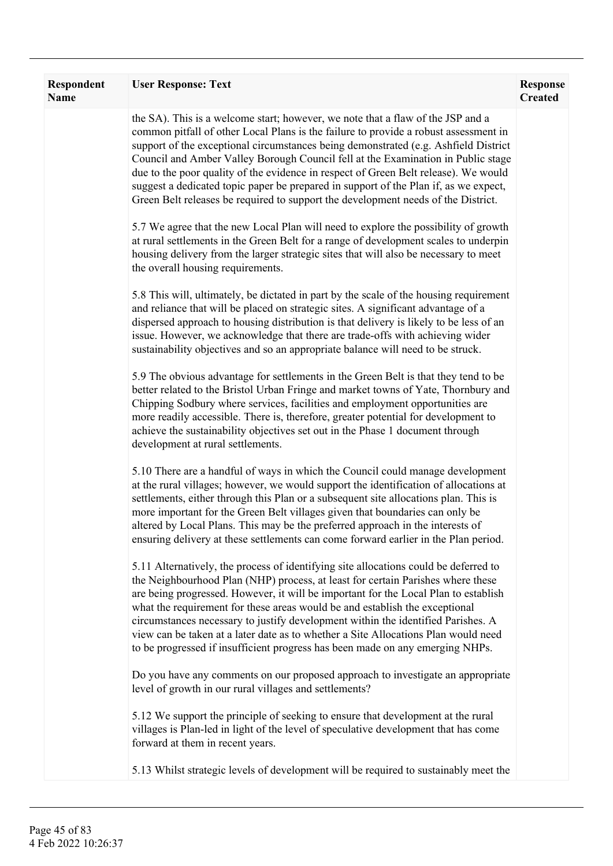| Respondent<br><b>Name</b> | <b>User Response: Text</b>                                                                                                                                                                                                                                                                                                                                                                                                                                                                                                                                                                                             | <b>Response</b><br><b>Created</b> |
|---------------------------|------------------------------------------------------------------------------------------------------------------------------------------------------------------------------------------------------------------------------------------------------------------------------------------------------------------------------------------------------------------------------------------------------------------------------------------------------------------------------------------------------------------------------------------------------------------------------------------------------------------------|-----------------------------------|
|                           | the SA). This is a welcome start; however, we note that a flaw of the JSP and a<br>common pitfall of other Local Plans is the failure to provide a robust assessment in<br>support of the exceptional circumstances being demonstrated (e.g. Ashfield District<br>Council and Amber Valley Borough Council fell at the Examination in Public stage<br>due to the poor quality of the evidence in respect of Green Belt release). We would<br>suggest a dedicated topic paper be prepared in support of the Plan if, as we expect,<br>Green Belt releases be required to support the development needs of the District. |                                   |
|                           | 5.7 We agree that the new Local Plan will need to explore the possibility of growth<br>at rural settlements in the Green Belt for a range of development scales to underpin<br>housing delivery from the larger strategic sites that will also be necessary to meet<br>the overall housing requirements.                                                                                                                                                                                                                                                                                                               |                                   |
|                           | 5.8 This will, ultimately, be dictated in part by the scale of the housing requirement<br>and reliance that will be placed on strategic sites. A significant advantage of a<br>dispersed approach to housing distribution is that delivery is likely to be less of an<br>issue. However, we acknowledge that there are trade-offs with achieving wider<br>sustainability objectives and so an appropriate balance will need to be struck.                                                                                                                                                                              |                                   |
|                           | 5.9 The obvious advantage for settlements in the Green Belt is that they tend to be<br>better related to the Bristol Urban Fringe and market towns of Yate, Thornbury and<br>Chipping Sodbury where services, facilities and employment opportunities are<br>more readily accessible. There is, therefore, greater potential for development to<br>achieve the sustainability objectives set out in the Phase 1 document through<br>development at rural settlements.                                                                                                                                                  |                                   |
|                           | 5.10 There are a handful of ways in which the Council could manage development<br>at the rural villages; however, we would support the identification of allocations at<br>settlements, either through this Plan or a subsequent site allocations plan. This is<br>more important for the Green Belt villages given that boundaries can only be<br>altered by Local Plans. This may be the preferred approach in the interests of<br>ensuring delivery at these settlements can come forward earlier in the Plan period.                                                                                               |                                   |
|                           | 5.11 Alternatively, the process of identifying site allocations could be deferred to<br>the Neighbourhood Plan (NHP) process, at least for certain Parishes where these<br>are being progressed. However, it will be important for the Local Plan to establish<br>what the requirement for these areas would be and establish the exceptional<br>circumstances necessary to justify development within the identified Parishes. A<br>view can be taken at a later date as to whether a Site Allocations Plan would need<br>to be progressed if insufficient progress has been made on any emerging NHPs.               |                                   |
|                           | Do you have any comments on our proposed approach to investigate an appropriate<br>level of growth in our rural villages and settlements?                                                                                                                                                                                                                                                                                                                                                                                                                                                                              |                                   |
|                           | 5.12 We support the principle of seeking to ensure that development at the rural<br>villages is Plan-led in light of the level of speculative development that has come<br>forward at them in recent years.                                                                                                                                                                                                                                                                                                                                                                                                            |                                   |
|                           | 5.13 Whilst strategic levels of development will be required to sustainably meet the                                                                                                                                                                                                                                                                                                                                                                                                                                                                                                                                   |                                   |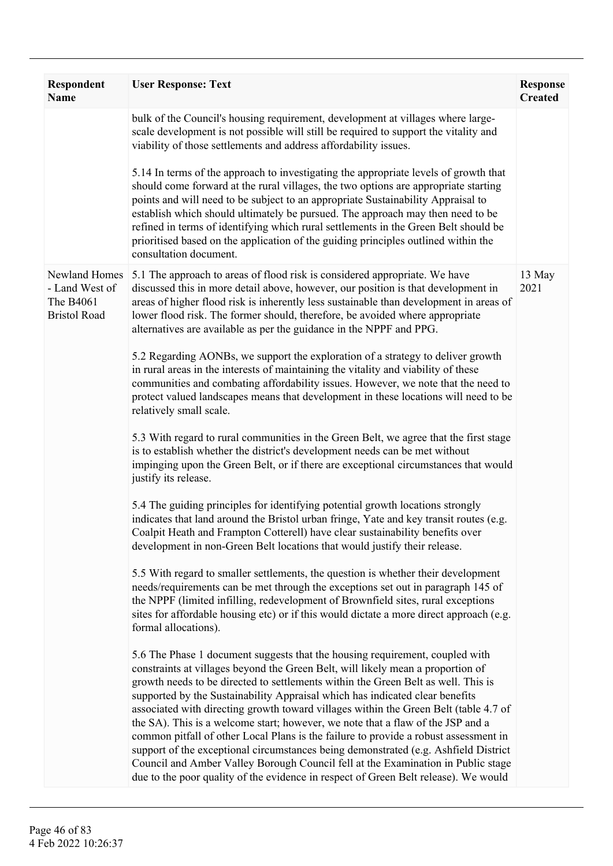| Respondent<br><b>Name</b>                                           | <b>User Response: Text</b>                                                                                                                                                                                                                                                                                                                                                                                                                                                                                                                                                                                                                                                                                                                                                                                                                                                | <b>Response</b><br><b>Created</b> |
|---------------------------------------------------------------------|---------------------------------------------------------------------------------------------------------------------------------------------------------------------------------------------------------------------------------------------------------------------------------------------------------------------------------------------------------------------------------------------------------------------------------------------------------------------------------------------------------------------------------------------------------------------------------------------------------------------------------------------------------------------------------------------------------------------------------------------------------------------------------------------------------------------------------------------------------------------------|-----------------------------------|
|                                                                     | bulk of the Council's housing requirement, development at villages where large-<br>scale development is not possible will still be required to support the vitality and<br>viability of those settlements and address affordability issues.                                                                                                                                                                                                                                                                                                                                                                                                                                                                                                                                                                                                                               |                                   |
|                                                                     | 5.14 In terms of the approach to investigating the appropriate levels of growth that<br>should come forward at the rural villages, the two options are appropriate starting<br>points and will need to be subject to an appropriate Sustainability Appraisal to<br>establish which should ultimately be pursued. The approach may then need to be<br>refined in terms of identifying which rural settlements in the Green Belt should be<br>prioritised based on the application of the guiding principles outlined within the<br>consultation document.                                                                                                                                                                                                                                                                                                                  |                                   |
| Newland Homes<br>- Land West of<br>The B4061<br><b>Bristol Road</b> | 5.1 The approach to areas of flood risk is considered appropriate. We have<br>discussed this in more detail above, however, our position is that development in<br>areas of higher flood risk is inherently less sustainable than development in areas of<br>lower flood risk. The former should, therefore, be avoided where appropriate<br>alternatives are available as per the guidance in the NPPF and PPG.                                                                                                                                                                                                                                                                                                                                                                                                                                                          | 13 May<br>2021                    |
|                                                                     | 5.2 Regarding AONBs, we support the exploration of a strategy to deliver growth<br>in rural areas in the interests of maintaining the vitality and viability of these<br>communities and combating affordability issues. However, we note that the need to<br>protect valued landscapes means that development in these locations will need to be<br>relatively small scale.                                                                                                                                                                                                                                                                                                                                                                                                                                                                                              |                                   |
|                                                                     | 5.3 With regard to rural communities in the Green Belt, we agree that the first stage<br>is to establish whether the district's development needs can be met without<br>impinging upon the Green Belt, or if there are exceptional circumstances that would<br>justify its release.                                                                                                                                                                                                                                                                                                                                                                                                                                                                                                                                                                                       |                                   |
|                                                                     | 5.4 The guiding principles for identifying potential growth locations strongly<br>indicates that land around the Bristol urban fringe, Yate and key transit routes (e.g.<br>Coalpit Heath and Frampton Cotterell) have clear sustainability benefits over<br>development in non-Green Belt locations that would justify their release.                                                                                                                                                                                                                                                                                                                                                                                                                                                                                                                                    |                                   |
|                                                                     | 5.5 With regard to smaller settlements, the question is whether their development<br>needs/requirements can be met through the exceptions set out in paragraph 145 of<br>the NPPF (limited infilling, redevelopment of Brownfield sites, rural exceptions<br>sites for affordable housing etc) or if this would dictate a more direct approach (e.g.<br>formal allocations).                                                                                                                                                                                                                                                                                                                                                                                                                                                                                              |                                   |
|                                                                     | 5.6 The Phase 1 document suggests that the housing requirement, coupled with<br>constraints at villages beyond the Green Belt, will likely mean a proportion of<br>growth needs to be directed to settlements within the Green Belt as well. This is<br>supported by the Sustainability Appraisal which has indicated clear benefits<br>associated with directing growth toward villages within the Green Belt (table 4.7 of<br>the SA). This is a welcome start; however, we note that a flaw of the JSP and a<br>common pitfall of other Local Plans is the failure to provide a robust assessment in<br>support of the exceptional circumstances being demonstrated (e.g. Ashfield District<br>Council and Amber Valley Borough Council fell at the Examination in Public stage<br>due to the poor quality of the evidence in respect of Green Belt release). We would |                                   |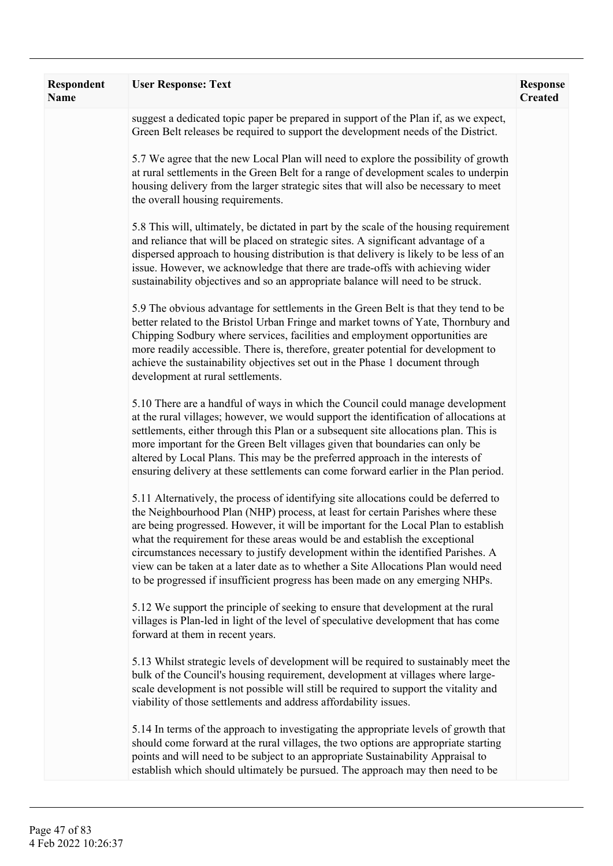| suggest a dedicated topic paper be prepared in support of the Plan if, as we expect,<br>Green Belt releases be required to support the development needs of the District.<br>5.7 We agree that the new Local Plan will need to explore the possibility of growth                                                                                                                                                                                                                                                                                                                                         |  |
|----------------------------------------------------------------------------------------------------------------------------------------------------------------------------------------------------------------------------------------------------------------------------------------------------------------------------------------------------------------------------------------------------------------------------------------------------------------------------------------------------------------------------------------------------------------------------------------------------------|--|
|                                                                                                                                                                                                                                                                                                                                                                                                                                                                                                                                                                                                          |  |
| at rural settlements in the Green Belt for a range of development scales to underpin<br>housing delivery from the larger strategic sites that will also be necessary to meet<br>the overall housing requirements.                                                                                                                                                                                                                                                                                                                                                                                        |  |
| 5.8 This will, ultimately, be dictated in part by the scale of the housing requirement<br>and reliance that will be placed on strategic sites. A significant advantage of a<br>dispersed approach to housing distribution is that delivery is likely to be less of an<br>issue. However, we acknowledge that there are trade-offs with achieving wider<br>sustainability objectives and so an appropriate balance will need to be struck.                                                                                                                                                                |  |
| 5.9 The obvious advantage for settlements in the Green Belt is that they tend to be<br>better related to the Bristol Urban Fringe and market towns of Yate, Thornbury and<br>Chipping Sodbury where services, facilities and employment opportunities are<br>more readily accessible. There is, therefore, greater potential for development to<br>achieve the sustainability objectives set out in the Phase 1 document through<br>development at rural settlements.                                                                                                                                    |  |
| 5.10 There are a handful of ways in which the Council could manage development<br>at the rural villages; however, we would support the identification of allocations at<br>settlements, either through this Plan or a subsequent site allocations plan. This is<br>more important for the Green Belt villages given that boundaries can only be<br>altered by Local Plans. This may be the preferred approach in the interests of<br>ensuring delivery at these settlements can come forward earlier in the Plan period.                                                                                 |  |
| 5.11 Alternatively, the process of identifying site allocations could be deferred to<br>the Neighbourhood Plan (NHP) process, at least for certain Parishes where these<br>are being progressed. However, it will be important for the Local Plan to establish<br>what the requirement for these areas would be and establish the exceptional<br>circumstances necessary to justify development within the identified Parishes. A<br>view can be taken at a later date as to whether a Site Allocations Plan would need<br>to be progressed if insufficient progress has been made on any emerging NHPs. |  |
| 5.12 We support the principle of seeking to ensure that development at the rural<br>villages is Plan-led in light of the level of speculative development that has come<br>forward at them in recent years.                                                                                                                                                                                                                                                                                                                                                                                              |  |
| 5.13 Whilst strategic levels of development will be required to sustainably meet the<br>bulk of the Council's housing requirement, development at villages where large-<br>scale development is not possible will still be required to support the vitality and<br>viability of those settlements and address affordability issues.                                                                                                                                                                                                                                                                      |  |
| 5.14 In terms of the approach to investigating the appropriate levels of growth that<br>should come forward at the rural villages, the two options are appropriate starting<br>points and will need to be subject to an appropriate Sustainability Appraisal to<br>establish which should ultimately be pursued. The approach may then need to be                                                                                                                                                                                                                                                        |  |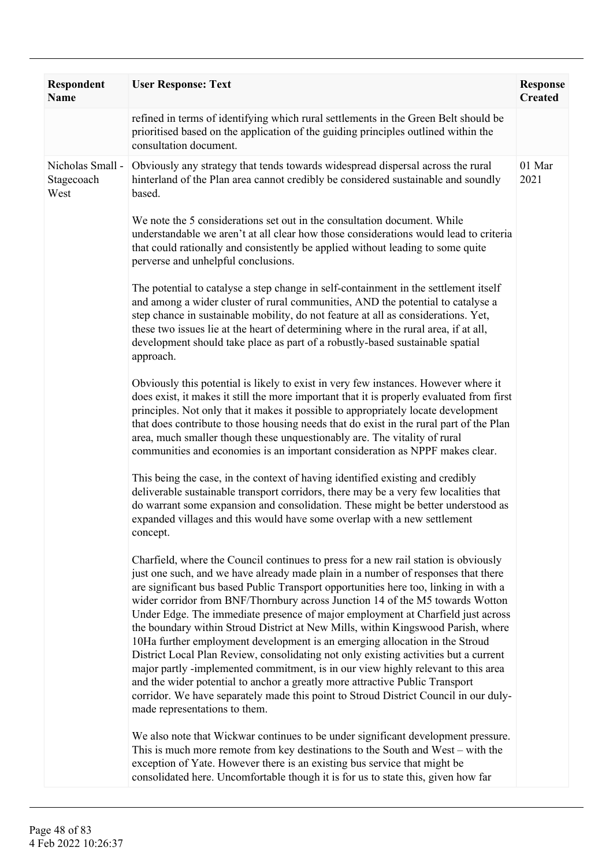| Respondent<br><b>Name</b>              | <b>User Response: Text</b>                                                                                                                                                                                                                                                                                                                                                                                                                                                                                                                                                                                                                                                                                                                                                                                                                                                                                                                                                                    | <b>Response</b><br><b>Created</b> |
|----------------------------------------|-----------------------------------------------------------------------------------------------------------------------------------------------------------------------------------------------------------------------------------------------------------------------------------------------------------------------------------------------------------------------------------------------------------------------------------------------------------------------------------------------------------------------------------------------------------------------------------------------------------------------------------------------------------------------------------------------------------------------------------------------------------------------------------------------------------------------------------------------------------------------------------------------------------------------------------------------------------------------------------------------|-----------------------------------|
|                                        | refined in terms of identifying which rural settlements in the Green Belt should be<br>prioritised based on the application of the guiding principles outlined within the<br>consultation document.                                                                                                                                                                                                                                                                                                                                                                                                                                                                                                                                                                                                                                                                                                                                                                                           |                                   |
| Nicholas Small -<br>Stagecoach<br>West | Obviously any strategy that tends towards widespread dispersal across the rural<br>hinterland of the Plan area cannot credibly be considered sustainable and soundly<br>based.                                                                                                                                                                                                                                                                                                                                                                                                                                                                                                                                                                                                                                                                                                                                                                                                                | 01 Mar<br>2021                    |
|                                        | We note the 5 considerations set out in the consultation document. While<br>understandable we aren't at all clear how those considerations would lead to criteria<br>that could rationally and consistently be applied without leading to some quite<br>perverse and unhelpful conclusions.                                                                                                                                                                                                                                                                                                                                                                                                                                                                                                                                                                                                                                                                                                   |                                   |
|                                        | The potential to catalyse a step change in self-containment in the settlement itself<br>and among a wider cluster of rural communities, AND the potential to catalyse a<br>step chance in sustainable mobility, do not feature at all as considerations. Yet,<br>these two issues lie at the heart of determining where in the rural area, if at all,<br>development should take place as part of a robustly-based sustainable spatial<br>approach.                                                                                                                                                                                                                                                                                                                                                                                                                                                                                                                                           |                                   |
|                                        | Obviously this potential is likely to exist in very few instances. However where it<br>does exist, it makes it still the more important that it is properly evaluated from first<br>principles. Not only that it makes it possible to appropriately locate development<br>that does contribute to those housing needs that do exist in the rural part of the Plan<br>area, much smaller though these unquestionably are. The vitality of rural<br>communities and economies is an important consideration as NPPF makes clear.                                                                                                                                                                                                                                                                                                                                                                                                                                                                |                                   |
|                                        | This being the case, in the context of having identified existing and credibly<br>deliverable sustainable transport corridors, there may be a very few localities that<br>do warrant some expansion and consolidation. These might be better understood as<br>expanded villages and this would have some overlap with a new settlement<br>concept.                                                                                                                                                                                                                                                                                                                                                                                                                                                                                                                                                                                                                                            |                                   |
|                                        | Charfield, where the Council continues to press for a new rail station is obviously<br>just one such, and we have already made plain in a number of responses that there<br>are significant bus based Public Transport opportunities here too, linking in with a<br>wider corridor from BNF/Thornbury across Junction 14 of the M5 towards Wotton<br>Under Edge. The immediate presence of major employment at Charfield just across<br>the boundary within Stroud District at New Mills, within Kingswood Parish, where<br>10Ha further employment development is an emerging allocation in the Stroud<br>District Local Plan Review, consolidating not only existing activities but a current<br>major partly -implemented commitment, is in our view highly relevant to this area<br>and the wider potential to anchor a greatly more attractive Public Transport<br>corridor. We have separately made this point to Stroud District Council in our duly-<br>made representations to them. |                                   |
|                                        | We also note that Wickwar continues to be under significant development pressure.<br>This is much more remote from key destinations to the South and West – with the<br>exception of Yate. However there is an existing bus service that might be<br>consolidated here. Uncomfortable though it is for us to state this, given how far                                                                                                                                                                                                                                                                                                                                                                                                                                                                                                                                                                                                                                                        |                                   |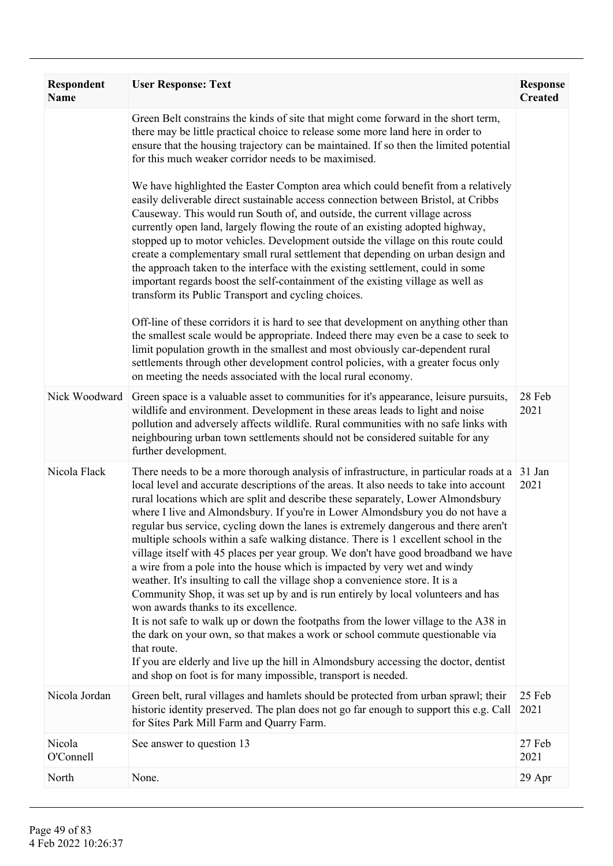| Respondent<br>Name  | <b>User Response: Text</b>                                                                                                                                                                                                                                                                                                                                                                                                                                                                                                                                                                                                                                                                                                                                                                                                                                                                                                                                                                                                                                                                                                                                                                                                                                                   | <b>Response</b><br><b>Created</b> |
|---------------------|------------------------------------------------------------------------------------------------------------------------------------------------------------------------------------------------------------------------------------------------------------------------------------------------------------------------------------------------------------------------------------------------------------------------------------------------------------------------------------------------------------------------------------------------------------------------------------------------------------------------------------------------------------------------------------------------------------------------------------------------------------------------------------------------------------------------------------------------------------------------------------------------------------------------------------------------------------------------------------------------------------------------------------------------------------------------------------------------------------------------------------------------------------------------------------------------------------------------------------------------------------------------------|-----------------------------------|
|                     | Green Belt constrains the kinds of site that might come forward in the short term,<br>there may be little practical choice to release some more land here in order to<br>ensure that the housing trajectory can be maintained. If so then the limited potential<br>for this much weaker corridor needs to be maximised.                                                                                                                                                                                                                                                                                                                                                                                                                                                                                                                                                                                                                                                                                                                                                                                                                                                                                                                                                      |                                   |
|                     | We have highlighted the Easter Compton area which could benefit from a relatively<br>easily deliverable direct sustainable access connection between Bristol, at Cribbs<br>Causeway. This would run South of, and outside, the current village across<br>currently open land, largely flowing the route of an existing adopted highway,<br>stopped up to motor vehicles. Development outside the village on this route could<br>create a complementary small rural settlement that depending on urban design and<br>the approach taken to the interface with the existing settlement, could in some<br>important regards boost the self-containment of the existing village as well as<br>transform its Public Transport and cycling choices.                                                                                                                                                                                                                                                                                                                                                                                                                                                                                                                                |                                   |
|                     | Off-line of these corridors it is hard to see that development on anything other than<br>the smallest scale would be appropriate. Indeed there may even be a case to seek to<br>limit population growth in the smallest and most obviously car-dependent rural<br>settlements through other development control policies, with a greater focus only<br>on meeting the needs associated with the local rural economy.                                                                                                                                                                                                                                                                                                                                                                                                                                                                                                                                                                                                                                                                                                                                                                                                                                                         |                                   |
| Nick Woodward       | Green space is a valuable asset to communities for it's appearance, leisure pursuits,<br>wildlife and environment. Development in these areas leads to light and noise<br>pollution and adversely affects wildlife. Rural communities with no safe links with<br>neighbouring urban town settlements should not be considered suitable for any<br>further development.                                                                                                                                                                                                                                                                                                                                                                                                                                                                                                                                                                                                                                                                                                                                                                                                                                                                                                       | 28 Feb<br>2021                    |
| Nicola Flack        | There needs to be a more thorough analysis of infrastructure, in particular roads at a 31 Jan<br>local level and accurate descriptions of the areas. It also needs to take into account<br>rural locations which are split and describe these separately, Lower Almondsbury<br>where I live and Almondsbury. If you're in Lower Almondsbury you do not have a<br>regular bus service, cycling down the lanes is extremely dangerous and there aren't<br>multiple schools within a safe walking distance. There is 1 excellent school in the<br>village itself with 45 places per year group. We don't have good broadband we have<br>a wire from a pole into the house which is impacted by very wet and windy<br>weather. It's insulting to call the village shop a convenience store. It is a<br>Community Shop, it was set up by and is run entirely by local volunteers and has<br>won awards thanks to its excellence.<br>It is not safe to walk up or down the footpaths from the lower village to the A38 in<br>the dark on your own, so that makes a work or school commute questionable via<br>that route.<br>If you are elderly and live up the hill in Almondsbury accessing the doctor, dentist<br>and shop on foot is for many impossible, transport is needed. | 2021                              |
| Nicola Jordan       | Green belt, rural villages and hamlets should be protected from urban sprawl; their<br>historic identity preserved. The plan does not go far enough to support this e.g. Call<br>for Sites Park Mill Farm and Quarry Farm.                                                                                                                                                                                                                                                                                                                                                                                                                                                                                                                                                                                                                                                                                                                                                                                                                                                                                                                                                                                                                                                   | 25 Feb<br>2021                    |
| Nicola<br>O'Connell | See answer to question 13                                                                                                                                                                                                                                                                                                                                                                                                                                                                                                                                                                                                                                                                                                                                                                                                                                                                                                                                                                                                                                                                                                                                                                                                                                                    | 27 Feb<br>2021                    |
| North               | None.                                                                                                                                                                                                                                                                                                                                                                                                                                                                                                                                                                                                                                                                                                                                                                                                                                                                                                                                                                                                                                                                                                                                                                                                                                                                        | 29 Apr                            |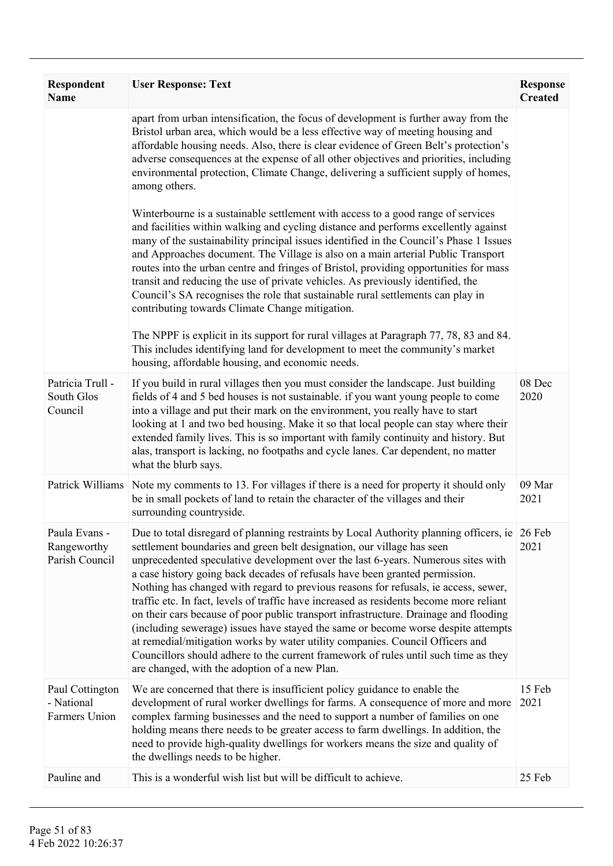| <b>Respondent</b><br><b>Name</b>               | <b>User Response: Text</b>                                                                                                                                                                                                                                                                                                                                                                                                                                                                                                                                                                                                                                                                                                                                                                                                                                                                                                                                                                                                                                                                                                               | <b>Response</b><br><b>Created</b> |
|------------------------------------------------|------------------------------------------------------------------------------------------------------------------------------------------------------------------------------------------------------------------------------------------------------------------------------------------------------------------------------------------------------------------------------------------------------------------------------------------------------------------------------------------------------------------------------------------------------------------------------------------------------------------------------------------------------------------------------------------------------------------------------------------------------------------------------------------------------------------------------------------------------------------------------------------------------------------------------------------------------------------------------------------------------------------------------------------------------------------------------------------------------------------------------------------|-----------------------------------|
|                                                | apart from urban intensification, the focus of development is further away from the<br>Bristol urban area, which would be a less effective way of meeting housing and<br>affordable housing needs. Also, there is clear evidence of Green Belt's protection's<br>adverse consequences at the expense of all other objectives and priorities, including<br>environmental protection, Climate Change, delivering a sufficient supply of homes,<br>among others.<br>Winterbourne is a sustainable settlement with access to a good range of services<br>and facilities within walking and cycling distance and performs excellently against<br>many of the sustainability principal issues identified in the Council's Phase 1 Issues<br>and Approaches document. The Village is also on a main arterial Public Transport<br>routes into the urban centre and fringes of Bristol, providing opportunities for mass<br>transit and reducing the use of private vehicles. As previously identified, the<br>Council's SA recognises the role that sustainable rural settlements can play in<br>contributing towards Climate Change mitigation. |                                   |
|                                                | The NPPF is explicit in its support for rural villages at Paragraph 77, 78, 83 and 84.<br>This includes identifying land for development to meet the community's market<br>housing, affordable housing, and economic needs.                                                                                                                                                                                                                                                                                                                                                                                                                                                                                                                                                                                                                                                                                                                                                                                                                                                                                                              |                                   |
| Patricia Trull -<br>South Glos<br>Council      | If you build in rural villages then you must consider the landscape. Just building<br>fields of 4 and 5 bed houses is not sustainable. if you want young people to come<br>into a village and put their mark on the environment, you really have to start<br>looking at 1 and two bed housing. Make it so that local people can stay where their<br>extended family lives. This is so important with family continuity and history. But<br>alas, transport is lacking, no footpaths and cycle lanes. Car dependent, no matter<br>what the blurb says.                                                                                                                                                                                                                                                                                                                                                                                                                                                                                                                                                                                    | 08 Dec<br>2020                    |
| Patrick Williams                               | Note my comments to 13. For villages if there is a need for property it should only<br>be in small pockets of land to retain the character of the villages and their<br>surrounding countryside.                                                                                                                                                                                                                                                                                                                                                                                                                                                                                                                                                                                                                                                                                                                                                                                                                                                                                                                                         | 09 Mar<br>2021                    |
| Paula Evans -<br>Rangeworthy<br>Parish Council | Due to total disregard of planning restraints by Local Authority planning officers, ie 26 Feb<br>settlement boundaries and green belt designation, our village has seen<br>unprecedented speculative development over the last 6-years. Numerous sites with<br>a case history going back decades of refusals have been granted permission.<br>Nothing has changed with regard to previous reasons for refusals, ie access, sewer,<br>traffic etc. In fact, levels of traffic have increased as residents become more reliant<br>on their cars because of poor public transport infrastructure. Drainage and flooding<br>(including sewerage) issues have stayed the same or become worse despite attempts<br>at remedial/mitigation works by water utility companies. Council Officers and<br>Councillors should adhere to the current framework of rules until such time as they<br>are changed, with the adoption of a new Plan.                                                                                                                                                                                                       | 2021                              |
| Paul Cottington<br>- National<br>Farmers Union | We are concerned that there is insufficient policy guidance to enable the<br>development of rural worker dwellings for farms. A consequence of more and more<br>complex farming businesses and the need to support a number of families on one<br>holding means there needs to be greater access to farm dwellings. In addition, the<br>need to provide high-quality dwellings for workers means the size and quality of<br>the dwellings needs to be higher.                                                                                                                                                                                                                                                                                                                                                                                                                                                                                                                                                                                                                                                                            | 15 Feb<br>2021                    |
| Pauline and                                    | This is a wonderful wish list but will be difficult to achieve.                                                                                                                                                                                                                                                                                                                                                                                                                                                                                                                                                                                                                                                                                                                                                                                                                                                                                                                                                                                                                                                                          | 25 Feb                            |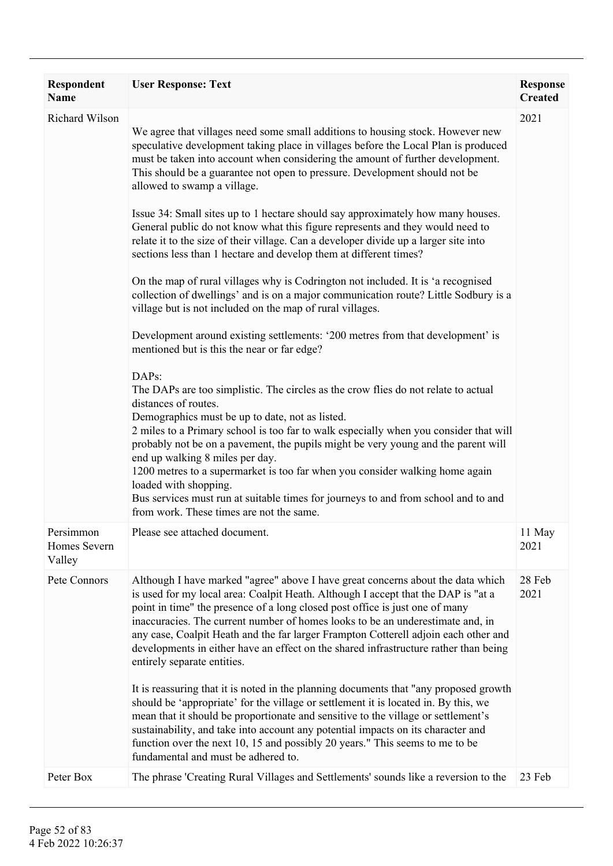| Respondent<br>Name                  | <b>User Response: Text</b>                                                                                                                                                                                                                                                                                                                                                                                                                                                                                                                                                                                                                                                                                                                                                                                                                                                                                                                                                                                                                                                                                                                                                                                                                                                                                                                                                                                                                                                                                                                                                                                                                                                                                          | <b>Response</b><br><b>Created</b> |
|-------------------------------------|---------------------------------------------------------------------------------------------------------------------------------------------------------------------------------------------------------------------------------------------------------------------------------------------------------------------------------------------------------------------------------------------------------------------------------------------------------------------------------------------------------------------------------------------------------------------------------------------------------------------------------------------------------------------------------------------------------------------------------------------------------------------------------------------------------------------------------------------------------------------------------------------------------------------------------------------------------------------------------------------------------------------------------------------------------------------------------------------------------------------------------------------------------------------------------------------------------------------------------------------------------------------------------------------------------------------------------------------------------------------------------------------------------------------------------------------------------------------------------------------------------------------------------------------------------------------------------------------------------------------------------------------------------------------------------------------------------------------|-----------------------------------|
| Richard Wilson                      | We agree that villages need some small additions to housing stock. However new<br>speculative development taking place in villages before the Local Plan is produced<br>must be taken into account when considering the amount of further development.<br>This should be a guarantee not open to pressure. Development should not be<br>allowed to swamp a village.<br>Issue 34: Small sites up to 1 hectare should say approximately how many houses.<br>General public do not know what this figure represents and they would need to<br>relate it to the size of their village. Can a developer divide up a larger site into<br>sections less than 1 hectare and develop them at different times?<br>On the map of rural villages why is Codrington not included. It is 'a recognised<br>collection of dwellings' and is on a major communication route? Little Sodbury is a<br>village but is not included on the map of rural villages.<br>Development around existing settlements: '200 metres from that development' is<br>mentioned but is this the near or far edge?<br>DAPs:<br>The DAPs are too simplistic. The circles as the crow flies do not relate to actual<br>distances of routes.<br>Demographics must be up to date, not as listed.<br>2 miles to a Primary school is too far to walk especially when you consider that will<br>probably not be on a pavement, the pupils might be very young and the parent will<br>end up walking 8 miles per day.<br>1200 metres to a supermarket is too far when you consider walking home again<br>loaded with shopping.<br>Bus services must run at suitable times for journeys to and from school and to and<br>from work. These times are not the same. | 2021                              |
| Persimmon<br>Homes Severn<br>Valley | Please see attached document.                                                                                                                                                                                                                                                                                                                                                                                                                                                                                                                                                                                                                                                                                                                                                                                                                                                                                                                                                                                                                                                                                                                                                                                                                                                                                                                                                                                                                                                                                                                                                                                                                                                                                       | 11 May<br>2021                    |
| Pete Connors                        | Although I have marked "agree" above I have great concerns about the data which<br>is used for my local area: Coalpit Heath. Although I accept that the DAP is "at a<br>point in time" the presence of a long closed post office is just one of many<br>inaccuracies. The current number of homes looks to be an underestimate and, in<br>any case, Coalpit Heath and the far larger Frampton Cotterell adjoin each other and<br>developments in either have an effect on the shared infrastructure rather than being<br>entirely separate entities.<br>It is reassuring that it is noted in the planning documents that "any proposed growth"<br>should be 'appropriate' for the village or settlement it is located in. By this, we<br>mean that it should be proportionate and sensitive to the village or settlement's<br>sustainability, and take into account any potential impacts on its character and<br>function over the next 10, 15 and possibly 20 years." This seems to me to be<br>fundamental and must be adhered to.                                                                                                                                                                                                                                                                                                                                                                                                                                                                                                                                                                                                                                                                               | 28 Feb<br>2021                    |
| Peter Box                           | The phrase 'Creating Rural Villages and Settlements' sounds like a reversion to the                                                                                                                                                                                                                                                                                                                                                                                                                                                                                                                                                                                                                                                                                                                                                                                                                                                                                                                                                                                                                                                                                                                                                                                                                                                                                                                                                                                                                                                                                                                                                                                                                                 | 23 Feb                            |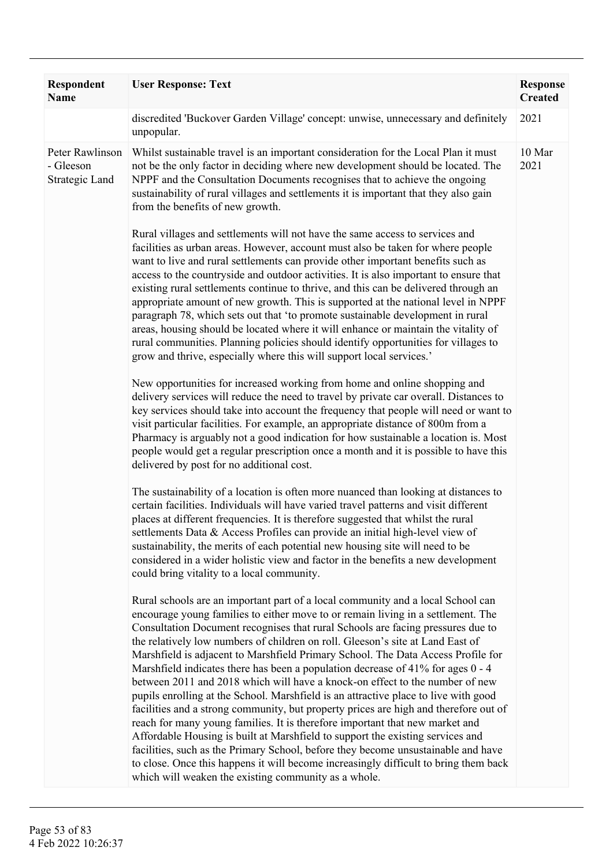| Respondent<br><b>Name</b>                      | <b>User Response: Text</b>                                                                                                                                                                                                                                                                                                                                                                                                                                                                                                                                                                                                                                                                                                                                                                                                                                                                                                                                                                                                                                                                                                                                                            | <b>Response</b><br><b>Created</b> |
|------------------------------------------------|---------------------------------------------------------------------------------------------------------------------------------------------------------------------------------------------------------------------------------------------------------------------------------------------------------------------------------------------------------------------------------------------------------------------------------------------------------------------------------------------------------------------------------------------------------------------------------------------------------------------------------------------------------------------------------------------------------------------------------------------------------------------------------------------------------------------------------------------------------------------------------------------------------------------------------------------------------------------------------------------------------------------------------------------------------------------------------------------------------------------------------------------------------------------------------------|-----------------------------------|
|                                                | discredited 'Buckover Garden Village' concept: unwise, unnecessary and definitely<br>unpopular.                                                                                                                                                                                                                                                                                                                                                                                                                                                                                                                                                                                                                                                                                                                                                                                                                                                                                                                                                                                                                                                                                       | 2021                              |
| Peter Rawlinson<br>- Gleeson<br>Strategic Land | Whilst sustainable travel is an important consideration for the Local Plan it must<br>not be the only factor in deciding where new development should be located. The<br>NPPF and the Consultation Documents recognises that to achieve the ongoing<br>sustainability of rural villages and settlements it is important that they also gain<br>from the benefits of new growth.                                                                                                                                                                                                                                                                                                                                                                                                                                                                                                                                                                                                                                                                                                                                                                                                       | 10 Mar<br>2021                    |
|                                                | Rural villages and settlements will not have the same access to services and<br>facilities as urban areas. However, account must also be taken for where people<br>want to live and rural settlements can provide other important benefits such as<br>access to the countryside and outdoor activities. It is also important to ensure that<br>existing rural settlements continue to thrive, and this can be delivered through an<br>appropriate amount of new growth. This is supported at the national level in NPPF<br>paragraph 78, which sets out that 'to promote sustainable development in rural<br>areas, housing should be located where it will enhance or maintain the vitality of<br>rural communities. Planning policies should identify opportunities for villages to<br>grow and thrive, especially where this will support local services.'                                                                                                                                                                                                                                                                                                                         |                                   |
|                                                | New opportunities for increased working from home and online shopping and<br>delivery services will reduce the need to travel by private car overall. Distances to<br>key services should take into account the frequency that people will need or want to<br>visit particular facilities. For example, an appropriate distance of 800m from a<br>Pharmacy is arguably not a good indication for how sustainable a location is. Most<br>people would get a regular prescription once a month and it is possible to have this<br>delivered by post for no additional cost.                                                                                                                                                                                                                                                                                                                                                                                                                                                                                                                                                                                                             |                                   |
|                                                | The sustainability of a location is often more nuanced than looking at distances to<br>certain facilities. Individuals will have varied travel patterns and visit different<br>places at different frequencies. It is therefore suggested that whilst the rural<br>settlements Data & Access Profiles can provide an initial high-level view of<br>sustainability, the merits of each potential new housing site will need to be<br>considered in a wider holistic view and factor in the benefits a new development<br>could bring vitality to a local community.                                                                                                                                                                                                                                                                                                                                                                                                                                                                                                                                                                                                                    |                                   |
|                                                | Rural schools are an important part of a local community and a local School can<br>encourage young families to either move to or remain living in a settlement. The<br>Consultation Document recognises that rural Schools are facing pressures due to<br>the relatively low numbers of children on roll. Gleeson's site at Land East of<br>Marshfield is adjacent to Marshfield Primary School. The Data Access Profile for<br>Marshfield indicates there has been a population decrease of 41% for ages 0 - 4<br>between 2011 and 2018 which will have a knock-on effect to the number of new<br>pupils enrolling at the School. Marshfield is an attractive place to live with good<br>facilities and a strong community, but property prices are high and therefore out of<br>reach for many young families. It is therefore important that new market and<br>Affordable Housing is built at Marshfield to support the existing services and<br>facilities, such as the Primary School, before they become unsustainable and have<br>to close. Once this happens it will become increasingly difficult to bring them back<br>which will weaken the existing community as a whole. |                                   |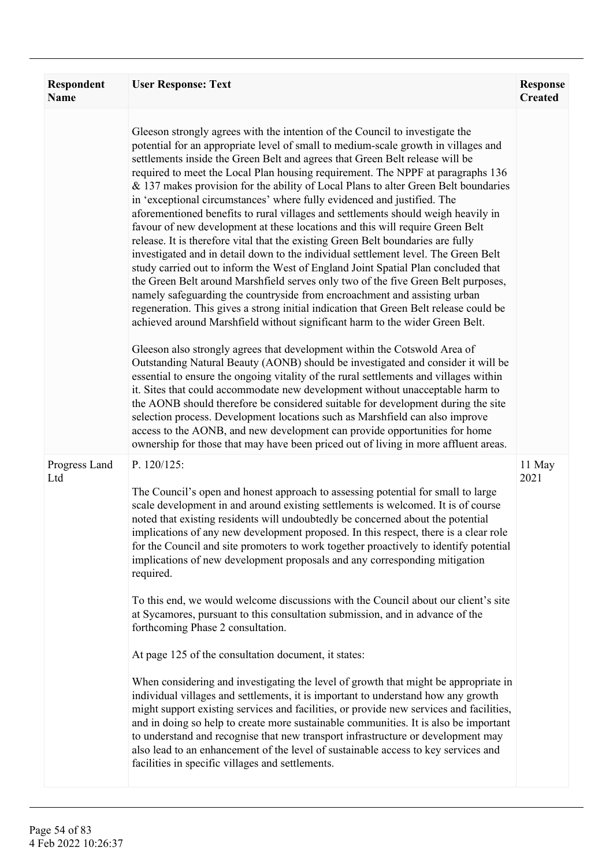| <b>Respondent</b><br><b>Name</b> | <b>User Response: Text</b>                                                                                                                                                                                                                                                                                                                                                                                                                                                                                                                                                                                                                                                                                                                                                                                                                                                                                                                                                                                                                                                                                                                                                                                                                                                                                                                                                                                                                                                                                                                                                                                                                                                                                                                                                                                                                                                                                                                                                  | <b>Response</b><br><b>Created</b> |
|----------------------------------|-----------------------------------------------------------------------------------------------------------------------------------------------------------------------------------------------------------------------------------------------------------------------------------------------------------------------------------------------------------------------------------------------------------------------------------------------------------------------------------------------------------------------------------------------------------------------------------------------------------------------------------------------------------------------------------------------------------------------------------------------------------------------------------------------------------------------------------------------------------------------------------------------------------------------------------------------------------------------------------------------------------------------------------------------------------------------------------------------------------------------------------------------------------------------------------------------------------------------------------------------------------------------------------------------------------------------------------------------------------------------------------------------------------------------------------------------------------------------------------------------------------------------------------------------------------------------------------------------------------------------------------------------------------------------------------------------------------------------------------------------------------------------------------------------------------------------------------------------------------------------------------------------------------------------------------------------------------------------------|-----------------------------------|
|                                  | Gleeson strongly agrees with the intention of the Council to investigate the<br>potential for an appropriate level of small to medium-scale growth in villages and<br>settlements inside the Green Belt and agrees that Green Belt release will be<br>required to meet the Local Plan housing requirement. The NPPF at paragraphs 136<br>& 137 makes provision for the ability of Local Plans to alter Green Belt boundaries<br>in 'exceptional circumstances' where fully evidenced and justified. The<br>aforementioned benefits to rural villages and settlements should weigh heavily in<br>favour of new development at these locations and this will require Green Belt<br>release. It is therefore vital that the existing Green Belt boundaries are fully<br>investigated and in detail down to the individual settlement level. The Green Belt<br>study carried out to inform the West of England Joint Spatial Plan concluded that<br>the Green Belt around Marshfield serves only two of the five Green Belt purposes,<br>namely safeguarding the countryside from encroachment and assisting urban<br>regeneration. This gives a strong initial indication that Green Belt release could be<br>achieved around Marshfield without significant harm to the wider Green Belt.<br>Gleeson also strongly agrees that development within the Cotswold Area of<br>Outstanding Natural Beauty (AONB) should be investigated and consider it will be<br>essential to ensure the ongoing vitality of the rural settlements and villages within<br>it. Sites that could accommodate new development without unacceptable harm to<br>the AONB should therefore be considered suitable for development during the site<br>selection process. Development locations such as Marshfield can also improve<br>access to the AONB, and new development can provide opportunities for home<br>ownership for those that may have been priced out of living in more affluent areas. |                                   |
| Progress Land<br>Ltd             | P. 120/125:<br>The Council's open and honest approach to assessing potential for small to large<br>scale development in and around existing settlements is welcomed. It is of course<br>noted that existing residents will undoubtedly be concerned about the potential<br>implications of any new development proposed. In this respect, there is a clear role<br>for the Council and site promoters to work together proactively to identify potential<br>implications of new development proposals and any corresponding mitigation<br>required.<br>To this end, we would welcome discussions with the Council about our client's site<br>at Sycamores, pursuant to this consultation submission, and in advance of the<br>forthcoming Phase 2 consultation.<br>At page 125 of the consultation document, it states:<br>When considering and investigating the level of growth that might be appropriate in<br>individual villages and settlements, it is important to understand how any growth<br>might support existing services and facilities, or provide new services and facilities,<br>and in doing so help to create more sustainable communities. It is also be important<br>to understand and recognise that new transport infrastructure or development may<br>also lead to an enhancement of the level of sustainable access to key services and<br>facilities in specific villages and settlements.                                                                                                                                                                                                                                                                                                                                                                                                                                                                                                                                                        | 11 May<br>2021                    |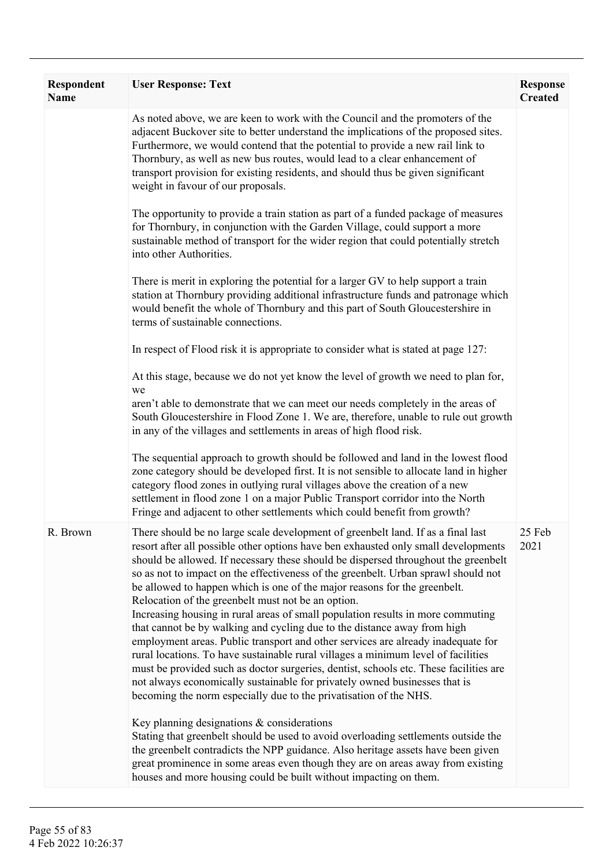| <b>Respondent</b><br><b>Name</b> | <b>User Response: Text</b>                                                                                                                                                                                                                                                                                                                                                                                                                                                                                                                                                                                                                                                                                                                                                                                                                                                                                                                                                                                                                                                | <b>Response</b><br><b>Created</b> |
|----------------------------------|---------------------------------------------------------------------------------------------------------------------------------------------------------------------------------------------------------------------------------------------------------------------------------------------------------------------------------------------------------------------------------------------------------------------------------------------------------------------------------------------------------------------------------------------------------------------------------------------------------------------------------------------------------------------------------------------------------------------------------------------------------------------------------------------------------------------------------------------------------------------------------------------------------------------------------------------------------------------------------------------------------------------------------------------------------------------------|-----------------------------------|
|                                  | As noted above, we are keen to work with the Council and the promoters of the<br>adjacent Buckover site to better understand the implications of the proposed sites.<br>Furthermore, we would contend that the potential to provide a new rail link to<br>Thornbury, as well as new bus routes, would lead to a clear enhancement of<br>transport provision for existing residents, and should thus be given significant<br>weight in favour of our proposals.                                                                                                                                                                                                                                                                                                                                                                                                                                                                                                                                                                                                            |                                   |
|                                  | The opportunity to provide a train station as part of a funded package of measures<br>for Thornbury, in conjunction with the Garden Village, could support a more<br>sustainable method of transport for the wider region that could potentially stretch<br>into other Authorities.                                                                                                                                                                                                                                                                                                                                                                                                                                                                                                                                                                                                                                                                                                                                                                                       |                                   |
|                                  | There is merit in exploring the potential for a larger GV to help support a train<br>station at Thornbury providing additional infrastructure funds and patronage which<br>would benefit the whole of Thornbury and this part of South Gloucestershire in<br>terms of sustainable connections.                                                                                                                                                                                                                                                                                                                                                                                                                                                                                                                                                                                                                                                                                                                                                                            |                                   |
|                                  | In respect of Flood risk it is appropriate to consider what is stated at page 127:                                                                                                                                                                                                                                                                                                                                                                                                                                                                                                                                                                                                                                                                                                                                                                                                                                                                                                                                                                                        |                                   |
|                                  | At this stage, because we do not yet know the level of growth we need to plan for,<br>we<br>aren't able to demonstrate that we can meet our needs completely in the areas of<br>South Gloucestershire in Flood Zone 1. We are, therefore, unable to rule out growth<br>in any of the villages and settlements in areas of high flood risk.                                                                                                                                                                                                                                                                                                                                                                                                                                                                                                                                                                                                                                                                                                                                |                                   |
|                                  | The sequential approach to growth should be followed and land in the lowest flood<br>zone category should be developed first. It is not sensible to allocate land in higher<br>category flood zones in outlying rural villages above the creation of a new<br>settlement in flood zone 1 on a major Public Transport corridor into the North<br>Fringe and adjacent to other settlements which could benefit from growth?                                                                                                                                                                                                                                                                                                                                                                                                                                                                                                                                                                                                                                                 |                                   |
| R. Brown                         | There should be no large scale development of greenbelt land. If as a final last<br>resort after all possible other options have ben exhausted only small developments<br>should be allowed. If necessary these should be dispersed throughout the greenbelt<br>so as not to impact on the effectiveness of the greenbelt. Urban sprawl should not<br>be allowed to happen which is one of the major reasons for the greenbelt.<br>Relocation of the greenbelt must not be an option.<br>Increasing housing in rural areas of small population results in more commuting<br>that cannot be by walking and cycling due to the distance away from high<br>employment areas. Public transport and other services are already inadequate for<br>rural locations. To have sustainable rural villages a minimum level of facilities<br>must be provided such as doctor surgeries, dentist, schools etc. These facilities are<br>not always economically sustainable for privately owned businesses that is<br>becoming the norm especially due to the privatisation of the NHS. | 25 Feb<br>2021                    |
|                                  | Key planning designations $\&$ considerations<br>Stating that greenbelt should be used to avoid overloading settlements outside the<br>the greenbelt contradicts the NPP guidance. Also heritage assets have been given<br>great prominence in some areas even though they are on areas away from existing<br>houses and more housing could be built without impacting on them.                                                                                                                                                                                                                                                                                                                                                                                                                                                                                                                                                                                                                                                                                           |                                   |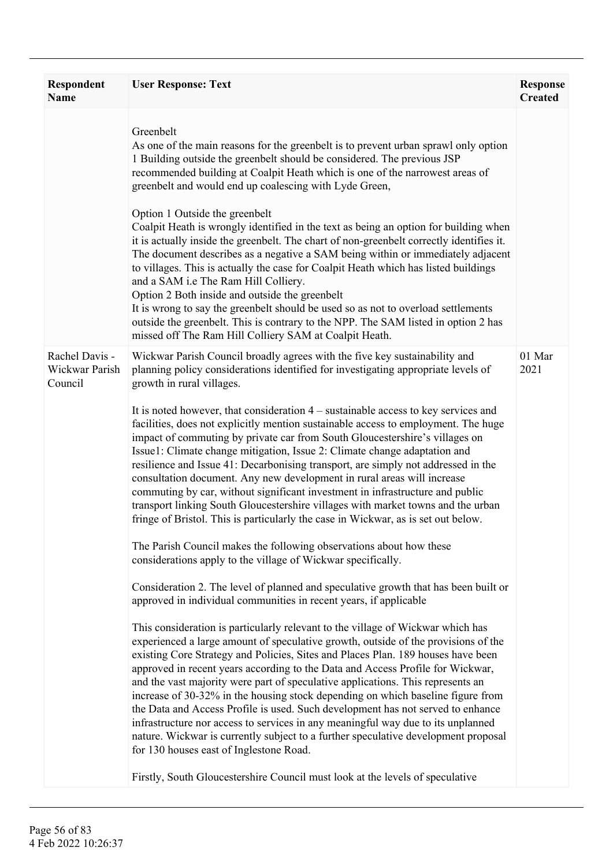| <b>Respondent</b><br><b>Name</b>            | <b>User Response: Text</b>                                                                                                                                                                                                                                                                                                                                                                                                                                                                                                                                                                                                                                                                                                                                                                                                                                                                                                                                                                                                                                                                                                                                                                                                                                                                                                                                                                                                                                                                                                                                                                                                                                                                                                                                                                                                                                                                                                                                                                                                                                                                                                                                                        | <b>Response</b><br><b>Created</b> |
|---------------------------------------------|-----------------------------------------------------------------------------------------------------------------------------------------------------------------------------------------------------------------------------------------------------------------------------------------------------------------------------------------------------------------------------------------------------------------------------------------------------------------------------------------------------------------------------------------------------------------------------------------------------------------------------------------------------------------------------------------------------------------------------------------------------------------------------------------------------------------------------------------------------------------------------------------------------------------------------------------------------------------------------------------------------------------------------------------------------------------------------------------------------------------------------------------------------------------------------------------------------------------------------------------------------------------------------------------------------------------------------------------------------------------------------------------------------------------------------------------------------------------------------------------------------------------------------------------------------------------------------------------------------------------------------------------------------------------------------------------------------------------------------------------------------------------------------------------------------------------------------------------------------------------------------------------------------------------------------------------------------------------------------------------------------------------------------------------------------------------------------------------------------------------------------------------------------------------------------------|-----------------------------------|
|                                             | Greenbelt<br>As one of the main reasons for the greenbelt is to prevent urban sprawl only option<br>1 Building outside the greenbelt should be considered. The previous JSP<br>recommended building at Coalpit Heath which is one of the narrowest areas of<br>greenbelt and would end up coalescing with Lyde Green,<br>Option 1 Outside the greenbelt<br>Coalpit Heath is wrongly identified in the text as being an option for building when<br>it is actually inside the greenbelt. The chart of non-greenbelt correctly identifies it.<br>The document describes as a negative a SAM being within or immediately adjacent<br>to villages. This is actually the case for Coalpit Heath which has listed buildings<br>and a SAM i.e The Ram Hill Colliery.<br>Option 2 Both inside and outside the greenbelt<br>It is wrong to say the greenbelt should be used so as not to overload settlements<br>outside the greenbelt. This is contrary to the NPP. The SAM listed in option 2 has<br>missed off The Ram Hill Colliery SAM at Coalpit Heath.                                                                                                                                                                                                                                                                                                                                                                                                                                                                                                                                                                                                                                                                                                                                                                                                                                                                                                                                                                                                                                                                                                                              |                                   |
| Rachel Davis -<br>Wickwar Parish<br>Council | Wickwar Parish Council broadly agrees with the five key sustainability and<br>planning policy considerations identified for investigating appropriate levels of<br>growth in rural villages.<br>It is noted however, that consideration $4$ – sustainable access to key services and<br>facilities, does not explicitly mention sustainable access to employment. The huge<br>impact of commuting by private car from South Gloucestershire's villages on<br>Issue1: Climate change mitigation, Issue 2: Climate change adaptation and<br>resilience and Issue 41: Decarbonising transport, are simply not addressed in the<br>consultation document. Any new development in rural areas will increase<br>commuting by car, without significant investment in infrastructure and public<br>transport linking South Gloucestershire villages with market towns and the urban<br>fringe of Bristol. This is particularly the case in Wickwar, as is set out below.<br>The Parish Council makes the following observations about how these<br>considerations apply to the village of Wickwar specifically.<br>Consideration 2. The level of planned and speculative growth that has been built or<br>approved in individual communities in recent years, if applicable<br>This consideration is particularly relevant to the village of Wickwar which has<br>experienced a large amount of speculative growth, outside of the provisions of the<br>existing Core Strategy and Policies, Sites and Places Plan. 189 houses have been<br>approved in recent years according to the Data and Access Profile for Wickwar,<br>and the vast majority were part of speculative applications. This represents an<br>increase of 30-32% in the housing stock depending on which baseline figure from<br>the Data and Access Profile is used. Such development has not served to enhance<br>infrastructure nor access to services in any meaningful way due to its unplanned<br>nature. Wickwar is currently subject to a further speculative development proposal<br>for 130 houses east of Inglestone Road.<br>Firstly, South Gloucestershire Council must look at the levels of speculative | 01 Mar<br>2021                    |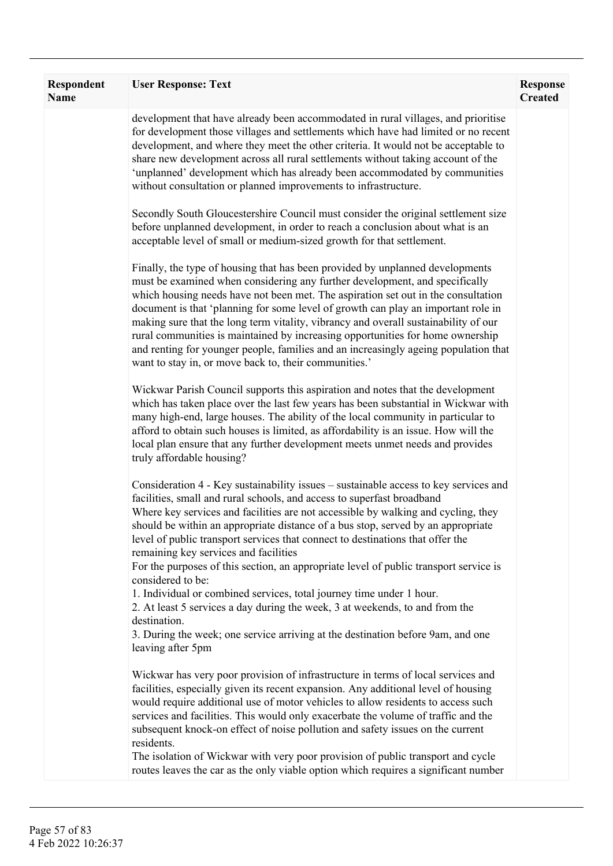| <b>Respondent</b><br><b>Name</b> | <b>User Response: Text</b>                                                                                                                                                                                                                                                                                                                                                                                                                                                                                                                                                                                                                                      | <b>Response</b><br><b>Created</b> |
|----------------------------------|-----------------------------------------------------------------------------------------------------------------------------------------------------------------------------------------------------------------------------------------------------------------------------------------------------------------------------------------------------------------------------------------------------------------------------------------------------------------------------------------------------------------------------------------------------------------------------------------------------------------------------------------------------------------|-----------------------------------|
|                                  | development that have already been accommodated in rural villages, and prioritise<br>for development those villages and settlements which have had limited or no recent<br>development, and where they meet the other criteria. It would not be acceptable to<br>share new development across all rural settlements without taking account of the<br>'unplanned' development which has already been accommodated by communities<br>without consultation or planned improvements to infrastructure.                                                                                                                                                              |                                   |
|                                  | Secondly South Gloucestershire Council must consider the original settlement size<br>before unplanned development, in order to reach a conclusion about what is an<br>acceptable level of small or medium-sized growth for that settlement.                                                                                                                                                                                                                                                                                                                                                                                                                     |                                   |
|                                  | Finally, the type of housing that has been provided by unplanned developments<br>must be examined when considering any further development, and specifically<br>which housing needs have not been met. The aspiration set out in the consultation<br>document is that 'planning for some level of growth can play an important role in<br>making sure that the long term vitality, vibrancy and overall sustainability of our<br>rural communities is maintained by increasing opportunities for home ownership<br>and renting for younger people, families and an increasingly ageing population that<br>want to stay in, or move back to, their communities.' |                                   |
|                                  | Wickwar Parish Council supports this aspiration and notes that the development<br>which has taken place over the last few years has been substantial in Wickwar with<br>many high-end, large houses. The ability of the local community in particular to<br>afford to obtain such houses is limited, as affordability is an issue. How will the<br>local plan ensure that any further development meets unmet needs and provides<br>truly affordable housing?                                                                                                                                                                                                   |                                   |
|                                  | Consideration 4 - Key sustainability issues – sustainable access to key services and<br>facilities, small and rural schools, and access to superfast broadband<br>Where key services and facilities are not accessible by walking and cycling, they<br>should be within an appropriate distance of a bus stop, served by an appropriate<br>level of public transport services that connect to destinations that offer the<br>remaining key services and facilities<br>For the purposes of this section, an appropriate level of public transport service is                                                                                                     |                                   |
|                                  | considered to be:<br>1. Individual or combined services, total journey time under 1 hour.<br>2. At least 5 services a day during the week, 3 at weekends, to and from the<br>destination.<br>3. During the week; one service arriving at the destination before 9am, and one<br>leaving after 5pm                                                                                                                                                                                                                                                                                                                                                               |                                   |
|                                  | Wickwar has very poor provision of infrastructure in terms of local services and<br>facilities, especially given its recent expansion. Any additional level of housing<br>would require additional use of motor vehicles to allow residents to access such<br>services and facilities. This would only exacerbate the volume of traffic and the<br>subsequent knock-on effect of noise pollution and safety issues on the current<br>residents.                                                                                                                                                                                                                 |                                   |
|                                  | The isolation of Wickwar with very poor provision of public transport and cycle<br>routes leaves the car as the only viable option which requires a significant number                                                                                                                                                                                                                                                                                                                                                                                                                                                                                          |                                   |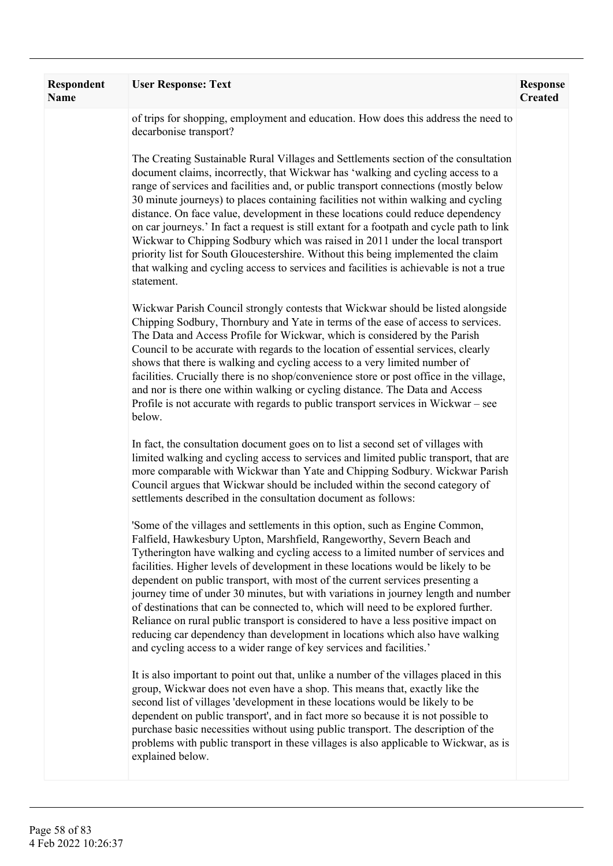| Respondent<br><b>Name</b> | <b>User Response: Text</b>                                                                                                                                                                                                                                                                                                                                                                                                                                                                                                                                                                                                                                                                                                                                                                                                                | <b>Response</b><br><b>Created</b> |
|---------------------------|-------------------------------------------------------------------------------------------------------------------------------------------------------------------------------------------------------------------------------------------------------------------------------------------------------------------------------------------------------------------------------------------------------------------------------------------------------------------------------------------------------------------------------------------------------------------------------------------------------------------------------------------------------------------------------------------------------------------------------------------------------------------------------------------------------------------------------------------|-----------------------------------|
|                           | of trips for shopping, employment and education. How does this address the need to<br>decarbonise transport?                                                                                                                                                                                                                                                                                                                                                                                                                                                                                                                                                                                                                                                                                                                              |                                   |
|                           | The Creating Sustainable Rural Villages and Settlements section of the consultation<br>document claims, incorrectly, that Wickwar has 'walking and cycling access to a<br>range of services and facilities and, or public transport connections (mostly below<br>30 minute journeys) to places containing facilities not within walking and cycling<br>distance. On face value, development in these locations could reduce dependency<br>on car journeys.' In fact a request is still extant for a footpath and cycle path to link<br>Wickwar to Chipping Sodbury which was raised in 2011 under the local transport<br>priority list for South Gloucestershire. Without this being implemented the claim<br>that walking and cycling access to services and facilities is achievable is not a true<br>statement.                        |                                   |
|                           | Wickwar Parish Council strongly contests that Wickwar should be listed alongside<br>Chipping Sodbury, Thornbury and Yate in terms of the ease of access to services.<br>The Data and Access Profile for Wickwar, which is considered by the Parish<br>Council to be accurate with regards to the location of essential services, clearly<br>shows that there is walking and cycling access to a very limited number of<br>facilities. Crucially there is no shop/convenience store or post office in the village,<br>and nor is there one within walking or cycling distance. The Data and Access<br>Profile is not accurate with regards to public transport services in Wickwar – see<br>below.                                                                                                                                         |                                   |
|                           | In fact, the consultation document goes on to list a second set of villages with<br>limited walking and cycling access to services and limited public transport, that are<br>more comparable with Wickwar than Yate and Chipping Sodbury. Wickwar Parish<br>Council argues that Wickwar should be included within the second category of<br>settlements described in the consultation document as follows:                                                                                                                                                                                                                                                                                                                                                                                                                                |                                   |
|                           | 'Some of the villages and settlements in this option, such as Engine Common,<br>Falfield, Hawkesbury Upton, Marshfield, Rangeworthy, Severn Beach and<br>Tytherington have walking and cycling access to a limited number of services and<br>facilities. Higher levels of development in these locations would be likely to be<br>dependent on public transport, with most of the current services presenting a<br>journey time of under 30 minutes, but with variations in journey length and number<br>of destinations that can be connected to, which will need to be explored further.<br>Reliance on rural public transport is considered to have a less positive impact on<br>reducing car dependency than development in locations which also have walking<br>and cycling access to a wider range of key services and facilities.' |                                   |
|                           | It is also important to point out that, unlike a number of the villages placed in this<br>group, Wickwar does not even have a shop. This means that, exactly like the<br>second list of villages 'development in these locations would be likely to be<br>dependent on public transport', and in fact more so because it is not possible to<br>purchase basic necessities without using public transport. The description of the<br>problems with public transport in these villages is also applicable to Wickwar, as is<br>explained below.                                                                                                                                                                                                                                                                                             |                                   |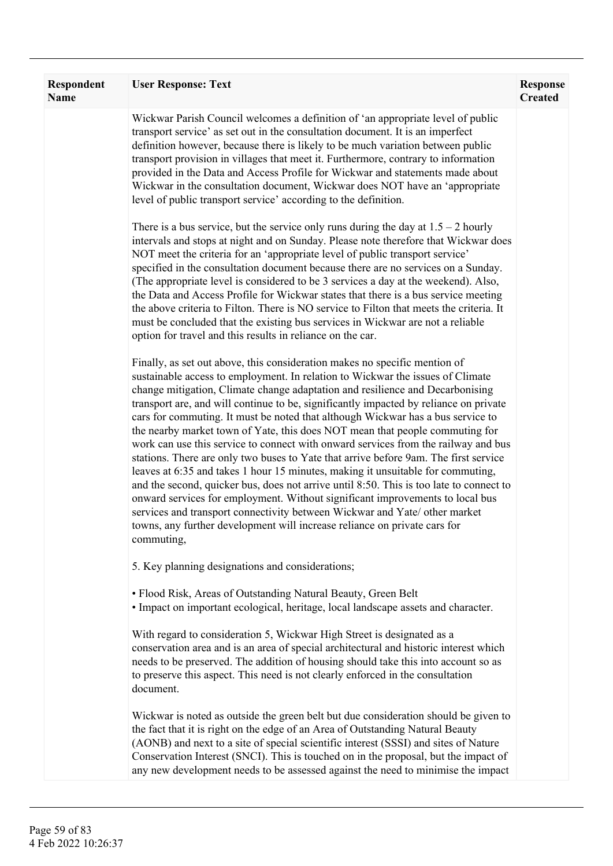| Respondent<br>Name | <b>User Response: Text</b>                                                                                                                                                                                                                                                                                                                                                                                                                                                                                                                                                                                                                                                                                                                                                                                                                                                                                                                                                                                                                                                                                                      | <b>Response</b><br><b>Created</b> |
|--------------------|---------------------------------------------------------------------------------------------------------------------------------------------------------------------------------------------------------------------------------------------------------------------------------------------------------------------------------------------------------------------------------------------------------------------------------------------------------------------------------------------------------------------------------------------------------------------------------------------------------------------------------------------------------------------------------------------------------------------------------------------------------------------------------------------------------------------------------------------------------------------------------------------------------------------------------------------------------------------------------------------------------------------------------------------------------------------------------------------------------------------------------|-----------------------------------|
|                    | Wickwar Parish Council welcomes a definition of 'an appropriate level of public<br>transport service' as set out in the consultation document. It is an imperfect<br>definition however, because there is likely to be much variation between public<br>transport provision in villages that meet it. Furthermore, contrary to information<br>provided in the Data and Access Profile for Wickwar and statements made about<br>Wickwar in the consultation document, Wickwar does NOT have an 'appropriate<br>level of public transport service' according to the definition.                                                                                                                                                                                                                                                                                                                                                                                                                                                                                                                                                   |                                   |
|                    | There is a bus service, but the service only runs during the day at $1.5 - 2$ hourly<br>intervals and stops at night and on Sunday. Please note therefore that Wickwar does<br>NOT meet the criteria for an 'appropriate level of public transport service'<br>specified in the consultation document because there are no services on a Sunday.<br>(The appropriate level is considered to be 3 services a day at the weekend). Also,<br>the Data and Access Profile for Wickwar states that there is a bus service meeting<br>the above criteria to Filton. There is NO service to Filton that meets the criteria. It<br>must be concluded that the existing bus services in Wickwar are not a reliable<br>option for travel and this results in reliance on the car.                                                                                                                                                                                                                                                                                                                                                         |                                   |
|                    | Finally, as set out above, this consideration makes no specific mention of<br>sustainable access to employment. In relation to Wickwar the issues of Climate<br>change mitigation, Climate change adaptation and resilience and Decarbonising<br>transport are, and will continue to be, significantly impacted by reliance on private<br>cars for commuting. It must be noted that although Wickwar has a bus service to<br>the nearby market town of Yate, this does NOT mean that people commuting for<br>work can use this service to connect with onward services from the railway and bus<br>stations. There are only two buses to Yate that arrive before 9am. The first service<br>leaves at 6:35 and takes 1 hour 15 minutes, making it unsuitable for commuting,<br>and the second, quicker bus, does not arrive until 8:50. This is too late to connect to<br>onward services for employment. Without significant improvements to local bus<br>services and transport connectivity between Wickwar and Yate/ other market<br>towns, any further development will increase reliance on private cars for<br>commuting, |                                   |
|                    | 5. Key planning designations and considerations;                                                                                                                                                                                                                                                                                                                                                                                                                                                                                                                                                                                                                                                                                                                                                                                                                                                                                                                                                                                                                                                                                |                                   |
|                    | • Flood Risk, Areas of Outstanding Natural Beauty, Green Belt<br>· Impact on important ecological, heritage, local landscape assets and character.                                                                                                                                                                                                                                                                                                                                                                                                                                                                                                                                                                                                                                                                                                                                                                                                                                                                                                                                                                              |                                   |
|                    | With regard to consideration 5, Wickwar High Street is designated as a<br>conservation area and is an area of special architectural and historic interest which<br>needs to be preserved. The addition of housing should take this into account so as<br>to preserve this aspect. This need is not clearly enforced in the consultation<br>document.                                                                                                                                                                                                                                                                                                                                                                                                                                                                                                                                                                                                                                                                                                                                                                            |                                   |
|                    | Wickwar is noted as outside the green belt but due consideration should be given to<br>the fact that it is right on the edge of an Area of Outstanding Natural Beauty<br>(AONB) and next to a site of special scientific interest (SSSI) and sites of Nature<br>Conservation Interest (SNCI). This is touched on in the proposal, but the impact of<br>any new development needs to be assessed against the need to minimise the impact                                                                                                                                                                                                                                                                                                                                                                                                                                                                                                                                                                                                                                                                                         |                                   |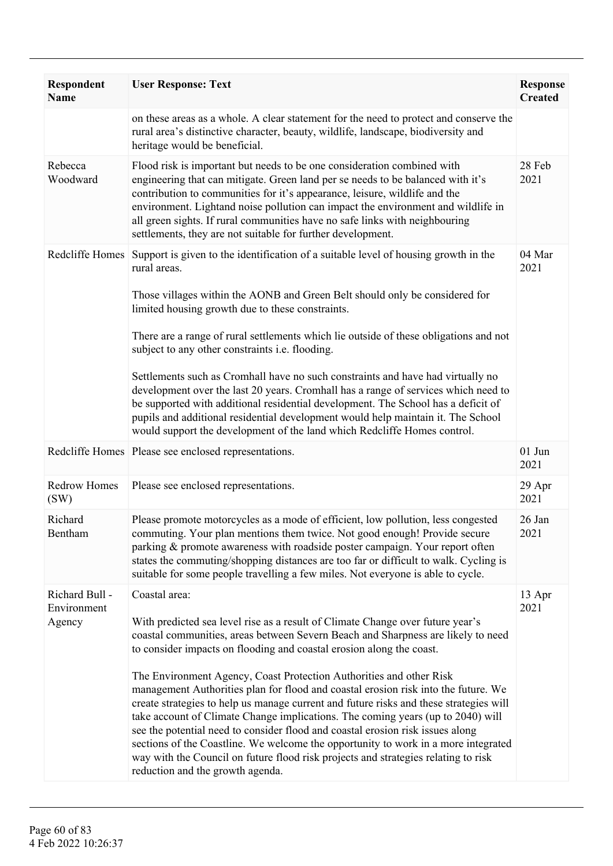| Respondent<br><b>Name</b>     | <b>User Response: Text</b>                                                                                                                                                                                                                                                                                                                                                                                                                                                                                                                                                                                                               | <b>Response</b><br><b>Created</b> |
|-------------------------------|------------------------------------------------------------------------------------------------------------------------------------------------------------------------------------------------------------------------------------------------------------------------------------------------------------------------------------------------------------------------------------------------------------------------------------------------------------------------------------------------------------------------------------------------------------------------------------------------------------------------------------------|-----------------------------------|
|                               | on these areas as a whole. A clear statement for the need to protect and conserve the<br>rural area's distinctive character, beauty, wildlife, landscape, biodiversity and<br>heritage would be beneficial.                                                                                                                                                                                                                                                                                                                                                                                                                              |                                   |
| Rebecca<br>Woodward           | Flood risk is important but needs to be one consideration combined with<br>engineering that can mitigate. Green land per se needs to be balanced with it's<br>contribution to communities for it's appearance, leisure, wildlife and the<br>environment. Lightand noise pollution can impact the environment and wildlife in<br>all green sights. If rural communities have no safe links with neighbouring<br>settlements, they are not suitable for further development.                                                                                                                                                               | 28 Feb<br>2021                    |
| Redcliffe Homes               | Support is given to the identification of a suitable level of housing growth in the<br>rural areas.<br>Those villages within the AONB and Green Belt should only be considered for                                                                                                                                                                                                                                                                                                                                                                                                                                                       | 04 Mar<br>2021                    |
|                               | limited housing growth due to these constraints.                                                                                                                                                                                                                                                                                                                                                                                                                                                                                                                                                                                         |                                   |
|                               | There are a range of rural settlements which lie outside of these obligations and not<br>subject to any other constraints i.e. flooding.                                                                                                                                                                                                                                                                                                                                                                                                                                                                                                 |                                   |
|                               | Settlements such as Cromhall have no such constraints and have had virtually no<br>development over the last 20 years. Cromhall has a range of services which need to<br>be supported with additional residential development. The School has a deficit of<br>pupils and additional residential development would help maintain it. The School<br>would support the development of the land which Redcliffe Homes control.                                                                                                                                                                                                               |                                   |
|                               | Redcliffe Homes Please see enclosed representations.                                                                                                                                                                                                                                                                                                                                                                                                                                                                                                                                                                                     | $01$ Jun<br>2021                  |
| <b>Redrow Homes</b><br>(SW)   | Please see enclosed representations.                                                                                                                                                                                                                                                                                                                                                                                                                                                                                                                                                                                                     | 29 Apr<br>2021                    |
| Richard<br>Bentham            | Please promote motorcycles as a mode of efficient, low pollution, less congested<br>commuting. Your plan mentions them twice. Not good enough! Provide secure<br>parking & promote awareness with roadside poster campaign. Your report often<br>states the commuting/shopping distances are too far or difficult to walk. Cycling is<br>suitable for some people travelling a few miles. Not everyone is able to cycle.                                                                                                                                                                                                                 | 26 Jan<br>2021                    |
| Richard Bull -<br>Environment | Coastal area:                                                                                                                                                                                                                                                                                                                                                                                                                                                                                                                                                                                                                            | 13 Apr<br>2021                    |
| Agency                        | With predicted sea level rise as a result of Climate Change over future year's<br>coastal communities, areas between Severn Beach and Sharpness are likely to need<br>to consider impacts on flooding and coastal erosion along the coast.                                                                                                                                                                                                                                                                                                                                                                                               |                                   |
|                               | The Environment Agency, Coast Protection Authorities and other Risk<br>management Authorities plan for flood and coastal erosion risk into the future. We<br>create strategies to help us manage current and future risks and these strategies will<br>take account of Climate Change implications. The coming years (up to 2040) will<br>see the potential need to consider flood and coastal erosion risk issues along<br>sections of the Coastline. We welcome the opportunity to work in a more integrated<br>way with the Council on future flood risk projects and strategies relating to risk<br>reduction and the growth agenda. |                                   |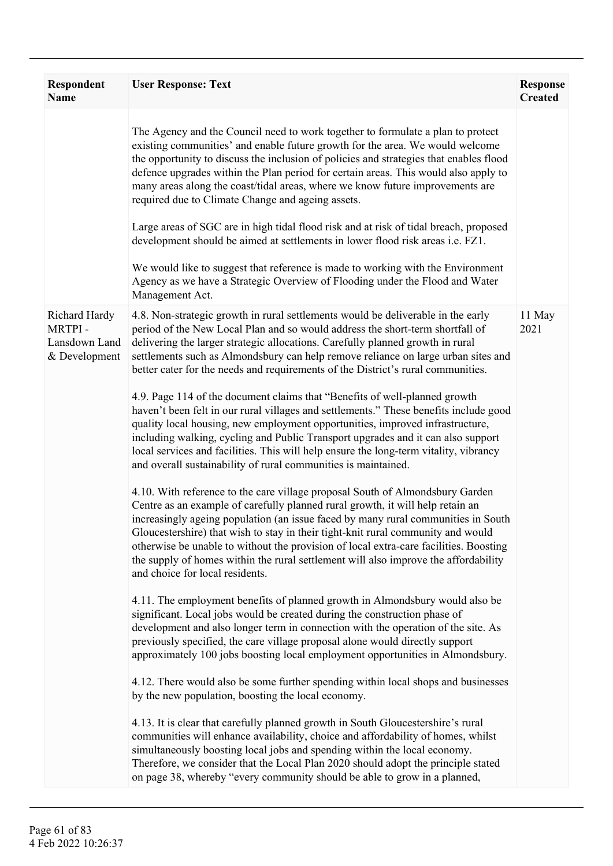| <b>Respondent</b><br><b>Name</b>                          | <b>User Response: Text</b>                                                                                                                                                                                                                                                                                                                                                                                                                                                                                                                                                                                                                                                                                                                                                                                                                                                                                                                                                                                                                                                                                                                                                                                                                                                                                                                                                                                                                                                                                                                                                                                                                                                                                                                                                                                                                                                                                                                                                                                                                                                                                                                                                                                                                                                                                                                                                                                                                                                               | <b>Response</b><br><b>Created</b> |
|-----------------------------------------------------------|------------------------------------------------------------------------------------------------------------------------------------------------------------------------------------------------------------------------------------------------------------------------------------------------------------------------------------------------------------------------------------------------------------------------------------------------------------------------------------------------------------------------------------------------------------------------------------------------------------------------------------------------------------------------------------------------------------------------------------------------------------------------------------------------------------------------------------------------------------------------------------------------------------------------------------------------------------------------------------------------------------------------------------------------------------------------------------------------------------------------------------------------------------------------------------------------------------------------------------------------------------------------------------------------------------------------------------------------------------------------------------------------------------------------------------------------------------------------------------------------------------------------------------------------------------------------------------------------------------------------------------------------------------------------------------------------------------------------------------------------------------------------------------------------------------------------------------------------------------------------------------------------------------------------------------------------------------------------------------------------------------------------------------------------------------------------------------------------------------------------------------------------------------------------------------------------------------------------------------------------------------------------------------------------------------------------------------------------------------------------------------------------------------------------------------------------------------------------------------------|-----------------------------------|
|                                                           | The Agency and the Council need to work together to formulate a plan to protect<br>existing communities' and enable future growth for the area. We would welcome<br>the opportunity to discuss the inclusion of policies and strategies that enables flood<br>defence upgrades within the Plan period for certain areas. This would also apply to<br>many areas along the coast/tidal areas, where we know future improvements are<br>required due to Climate Change and ageing assets.<br>Large areas of SGC are in high tidal flood risk and at risk of tidal breach, proposed<br>development should be aimed at settlements in lower flood risk areas i.e. FZ1.<br>We would like to suggest that reference is made to working with the Environment<br>Agency as we have a Strategic Overview of Flooding under the Flood and Water<br>Management Act.                                                                                                                                                                                                                                                                                                                                                                                                                                                                                                                                                                                                                                                                                                                                                                                                                                                                                                                                                                                                                                                                                                                                                                                                                                                                                                                                                                                                                                                                                                                                                                                                                                 |                                   |
| Richard Hardy<br>MRTPI-<br>Lansdown Land<br>& Development | 4.8. Non-strategic growth in rural settlements would be deliverable in the early<br>period of the New Local Plan and so would address the short-term shortfall of<br>delivering the larger strategic allocations. Carefully planned growth in rural<br>settlements such as Almondsbury can help remove reliance on large urban sites and<br>better cater for the needs and requirements of the District's rural communities.<br>4.9. Page 114 of the document claims that "Benefits of well-planned growth<br>haven't been felt in our rural villages and settlements." These benefits include good<br>quality local housing, new employment opportunities, improved infrastructure,<br>including walking, cycling and Public Transport upgrades and it can also support<br>local services and facilities. This will help ensure the long-term vitality, vibrancy<br>and overall sustainability of rural communities is maintained.<br>4.10. With reference to the care village proposal South of Almondsbury Garden<br>Centre as an example of carefully planned rural growth, it will help retain an<br>increasingly ageing population (an issue faced by many rural communities in South<br>Gloucestershire) that wish to stay in their tight-knit rural community and would<br>otherwise be unable to without the provision of local extra-care facilities. Boosting<br>the supply of homes within the rural settlement will also improve the affordability<br>and choice for local residents.<br>4.11. The employment benefits of planned growth in Almondsbury would also be<br>significant. Local jobs would be created during the construction phase of<br>development and also longer term in connection with the operation of the site. As<br>previously specified, the care village proposal alone would directly support<br>approximately 100 jobs boosting local employment opportunities in Almondsbury.<br>4.12. There would also be some further spending within local shops and businesses<br>by the new population, boosting the local economy.<br>4.13. It is clear that carefully planned growth in South Gloucestershire's rural<br>communities will enhance availability, choice and affordability of homes, whilst<br>simultaneously boosting local jobs and spending within the local economy.<br>Therefore, we consider that the Local Plan 2020 should adopt the principle stated<br>on page 38, whereby "every community should be able to grow in a planned, | 11 May<br>2021                    |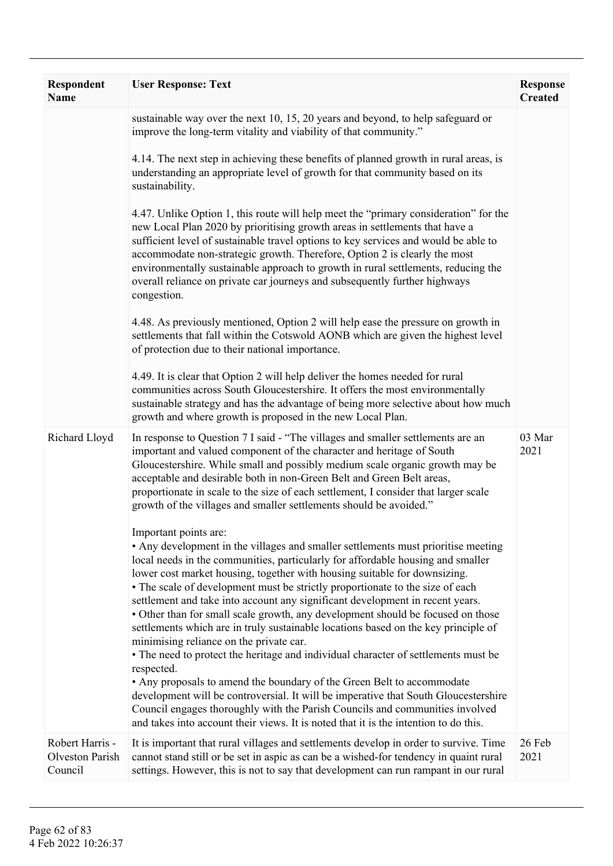| Respondent<br><b>Name</b>                     | <b>User Response: Text</b>                                                                                                                                                                                                                                                                                                                                                                                                                                                                                                                                                                                                                                                                                                                                                                                                                                                                                                                                                                                                                                                                                    | <b>Response</b><br><b>Created</b> |
|-----------------------------------------------|---------------------------------------------------------------------------------------------------------------------------------------------------------------------------------------------------------------------------------------------------------------------------------------------------------------------------------------------------------------------------------------------------------------------------------------------------------------------------------------------------------------------------------------------------------------------------------------------------------------------------------------------------------------------------------------------------------------------------------------------------------------------------------------------------------------------------------------------------------------------------------------------------------------------------------------------------------------------------------------------------------------------------------------------------------------------------------------------------------------|-----------------------------------|
|                                               | sustainable way over the next 10, 15, 20 years and beyond, to help safeguard or<br>improve the long-term vitality and viability of that community."                                                                                                                                                                                                                                                                                                                                                                                                                                                                                                                                                                                                                                                                                                                                                                                                                                                                                                                                                           |                                   |
|                                               | 4.14. The next step in achieving these benefits of planned growth in rural areas, is<br>understanding an appropriate level of growth for that community based on its<br>sustainability.                                                                                                                                                                                                                                                                                                                                                                                                                                                                                                                                                                                                                                                                                                                                                                                                                                                                                                                       |                                   |
|                                               | 4.47. Unlike Option 1, this route will help meet the "primary consideration" for the<br>new Local Plan 2020 by prioritising growth areas in settlements that have a<br>sufficient level of sustainable travel options to key services and would be able to<br>accommodate non-strategic growth. Therefore, Option 2 is clearly the most<br>environmentally sustainable approach to growth in rural settlements, reducing the<br>overall reliance on private car journeys and subsequently further highways<br>congestion.                                                                                                                                                                                                                                                                                                                                                                                                                                                                                                                                                                                     |                                   |
|                                               | 4.48. As previously mentioned, Option 2 will help ease the pressure on growth in<br>settlements that fall within the Cotswold AONB which are given the highest level<br>of protection due to their national importance.                                                                                                                                                                                                                                                                                                                                                                                                                                                                                                                                                                                                                                                                                                                                                                                                                                                                                       |                                   |
|                                               | 4.49. It is clear that Option 2 will help deliver the homes needed for rural<br>communities across South Gloucestershire. It offers the most environmentally<br>sustainable strategy and has the advantage of being more selective about how much<br>growth and where growth is proposed in the new Local Plan.                                                                                                                                                                                                                                                                                                                                                                                                                                                                                                                                                                                                                                                                                                                                                                                               |                                   |
| Richard Lloyd                                 | In response to Question 7 I said - "The villages and smaller settlements are an<br>important and valued component of the character and heritage of South<br>Gloucestershire. While small and possibly medium scale organic growth may be<br>acceptable and desirable both in non-Green Belt and Green Belt areas,<br>proportionate in scale to the size of each settlement, I consider that larger scale<br>growth of the villages and smaller settlements should be avoided."                                                                                                                                                                                                                                                                                                                                                                                                                                                                                                                                                                                                                                | 03 Mar<br>2021                    |
|                                               | Important points are:<br>• Any development in the villages and smaller settlements must prioritise meeting<br>local needs in the communities, particularly for affordable housing and smaller<br>lower cost market housing, together with housing suitable for downsizing.<br>• The scale of development must be strictly proportionate to the size of each<br>settlement and take into account any significant development in recent years.<br>• Other than for small scale growth, any development should be focused on those<br>settlements which are in truly sustainable locations based on the key principle of<br>minimising reliance on the private car.<br>• The need to protect the heritage and individual character of settlements must be<br>respected.<br>• Any proposals to amend the boundary of the Green Belt to accommodate<br>development will be controversial. It will be imperative that South Gloucestershire<br>Council engages thoroughly with the Parish Councils and communities involved<br>and takes into account their views. It is noted that it is the intention to do this. |                                   |
| Robert Harris -<br>Olveston Parish<br>Council | It is important that rural villages and settlements develop in order to survive. Time<br>cannot stand still or be set in aspic as can be a wished-for tendency in quaint rural<br>settings. However, this is not to say that development can run rampant in our rural                                                                                                                                                                                                                                                                                                                                                                                                                                                                                                                                                                                                                                                                                                                                                                                                                                         | 26 Feb<br>2021                    |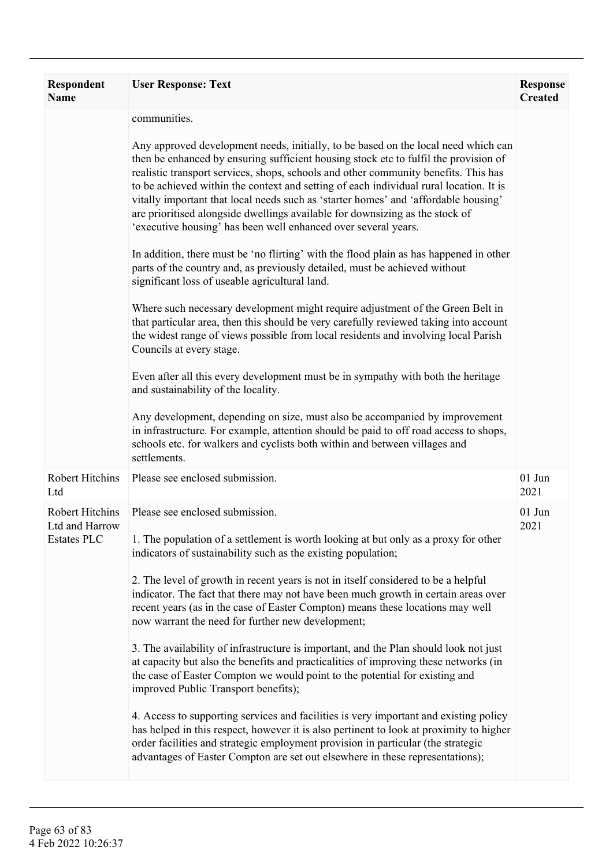| <b>Respondent</b><br><b>Name</b>                               | <b>User Response: Text</b>                                                                                                                                                                                                                                                                                                                                                                                                                                                                                                                                                                                                                                                                                                                                                                                                                                                                                                                                                                                                                                                                                                                                                                                                                                                                                                                                                                                                                                                                                                                   | <b>Response</b><br><b>Created</b> |
|----------------------------------------------------------------|----------------------------------------------------------------------------------------------------------------------------------------------------------------------------------------------------------------------------------------------------------------------------------------------------------------------------------------------------------------------------------------------------------------------------------------------------------------------------------------------------------------------------------------------------------------------------------------------------------------------------------------------------------------------------------------------------------------------------------------------------------------------------------------------------------------------------------------------------------------------------------------------------------------------------------------------------------------------------------------------------------------------------------------------------------------------------------------------------------------------------------------------------------------------------------------------------------------------------------------------------------------------------------------------------------------------------------------------------------------------------------------------------------------------------------------------------------------------------------------------------------------------------------------------|-----------------------------------|
|                                                                | communities.<br>Any approved development needs, initially, to be based on the local need which can<br>then be enhanced by ensuring sufficient housing stock etc to fulfil the provision of<br>realistic transport services, shops, schools and other community benefits. This has<br>to be achieved within the context and setting of each individual rural location. It is<br>vitally important that local needs such as 'starter homes' and 'affordable housing'<br>are prioritised alongside dwellings available for downsizing as the stock of<br>'executive housing' has been well enhanced over several years.<br>In addition, there must be 'no flirting' with the flood plain as has happened in other<br>parts of the country and, as previously detailed, must be achieved without<br>significant loss of useable agricultural land.<br>Where such necessary development might require adjustment of the Green Belt in<br>that particular area, then this should be very carefully reviewed taking into account<br>the widest range of views possible from local residents and involving local Parish<br>Councils at every stage.<br>Even after all this every development must be in sympathy with both the heritage<br>and sustainability of the locality.<br>Any development, depending on size, must also be accompanied by improvement<br>in infrastructure. For example, attention should be paid to off road access to shops,<br>schools etc. for walkers and cyclists both within and between villages and<br>settlements. |                                   |
| <b>Robert Hitchins</b><br>Ltd                                  | Please see enclosed submission.                                                                                                                                                                                                                                                                                                                                                                                                                                                                                                                                                                                                                                                                                                                                                                                                                                                                                                                                                                                                                                                                                                                                                                                                                                                                                                                                                                                                                                                                                                              | $01$ Jun<br>2021                  |
| <b>Robert Hitchins</b><br>Ltd and Harrow<br><b>Estates PLC</b> | Please see enclosed submission.<br>1. The population of a settlement is worth looking at but only as a proxy for other<br>indicators of sustainability such as the existing population;<br>2. The level of growth in recent years is not in itself considered to be a helpful<br>indicator. The fact that there may not have been much growth in certain areas over<br>recent years (as in the case of Easter Compton) means these locations may well<br>now warrant the need for further new development;<br>3. The availability of infrastructure is important, and the Plan should look not just<br>at capacity but also the benefits and practicalities of improving these networks (in<br>the case of Easter Compton we would point to the potential for existing and<br>improved Public Transport benefits);<br>4. Access to supporting services and facilities is very important and existing policy<br>has helped in this respect, however it is also pertinent to look at proximity to higher<br>order facilities and strategic employment provision in particular (the strategic<br>advantages of Easter Compton are set out elsewhere in these representations);                                                                                                                                                                                                                                                                                                                                                                  | $01$ Jun<br>2021                  |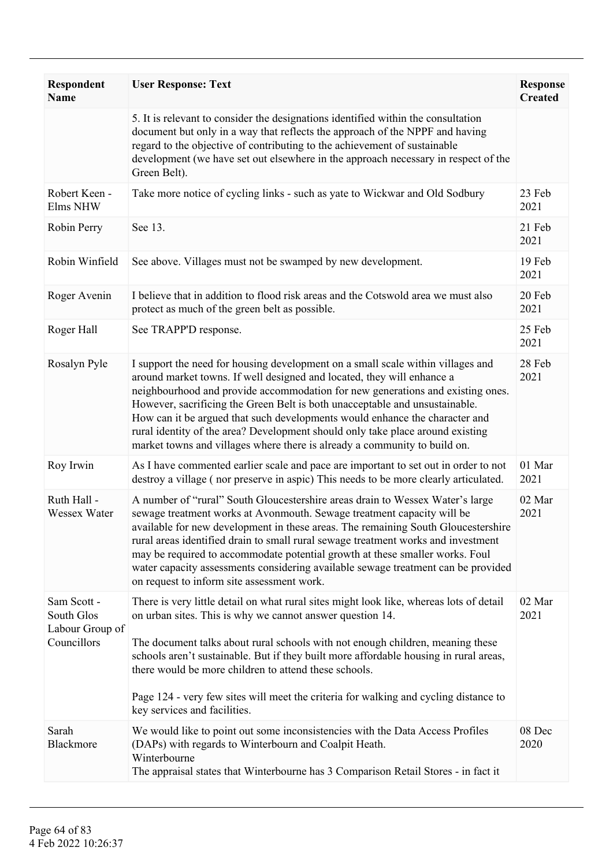| <b>Respondent</b><br><b>Name</b>                            | <b>User Response: Text</b>                                                                                                                                                                                                                                                                                                                                                                                                                                                                                                                                               | <b>Response</b><br><b>Created</b> |
|-------------------------------------------------------------|--------------------------------------------------------------------------------------------------------------------------------------------------------------------------------------------------------------------------------------------------------------------------------------------------------------------------------------------------------------------------------------------------------------------------------------------------------------------------------------------------------------------------------------------------------------------------|-----------------------------------|
|                                                             | 5. It is relevant to consider the designations identified within the consultation<br>document but only in a way that reflects the approach of the NPPF and having<br>regard to the objective of contributing to the achievement of sustainable<br>development (we have set out elsewhere in the approach necessary in respect of the<br>Green Belt).                                                                                                                                                                                                                     |                                   |
| Robert Keen -<br>Elms NHW                                   | Take more notice of cycling links - such as yate to Wickwar and Old Sodbury                                                                                                                                                                                                                                                                                                                                                                                                                                                                                              | 23 Feb<br>2021                    |
| Robin Perry                                                 | See 13.                                                                                                                                                                                                                                                                                                                                                                                                                                                                                                                                                                  | 21 Feb<br>2021                    |
| Robin Winfield                                              | See above. Villages must not be swamped by new development.                                                                                                                                                                                                                                                                                                                                                                                                                                                                                                              | 19 Feb<br>2021                    |
| Roger Avenin                                                | I believe that in addition to flood risk areas and the Cotswold area we must also<br>protect as much of the green belt as possible.                                                                                                                                                                                                                                                                                                                                                                                                                                      | 20 Feb<br>2021                    |
| Roger Hall                                                  | See TRAPP'D response.                                                                                                                                                                                                                                                                                                                                                                                                                                                                                                                                                    | 25 Feb<br>2021                    |
| Rosalyn Pyle                                                | I support the need for housing development on a small scale within villages and<br>around market towns. If well designed and located, they will enhance a<br>neighbourhood and provide accommodation for new generations and existing ones.<br>However, sacrificing the Green Belt is both unacceptable and unsustainable.<br>How can it be argued that such developments would enhance the character and<br>rural identity of the area? Development should only take place around existing<br>market towns and villages where there is already a community to build on. | 28 Feb<br>2021                    |
| Roy Irwin                                                   | As I have commented earlier scale and pace are important to set out in order to not<br>destroy a village (nor preserve in aspic) This needs to be more clearly articulated.                                                                                                                                                                                                                                                                                                                                                                                              | 01 Mar<br>2021                    |
| Ruth Hall -<br>Wessex Water                                 | A number of "rural" South Gloucestershire areas drain to Wessex Water's large<br>sewage treatment works at Avonmouth. Sewage treatment capacity will be<br>available for new development in these areas. The remaining South Gloucestershire<br>rural areas identified drain to small rural sewage treatment works and investment<br>may be required to accommodate potential growth at these smaller works. Foul<br>water capacity assessments considering available sewage treatment can be provided<br>on request to inform site assessment work.                     | 02 Mar<br>2021                    |
| Sam Scott -<br>South Glos<br>Labour Group of<br>Councillors | There is very little detail on what rural sites might look like, whereas lots of detail<br>on urban sites. This is why we cannot answer question 14.<br>The document talks about rural schools with not enough children, meaning these<br>schools aren't sustainable. But if they built more affordable housing in rural areas,<br>there would be more children to attend these schools.<br>Page 124 - very few sites will meet the criteria for walking and cycling distance to<br>key services and facilities.                                                         | 02 Mar<br>2021                    |
| Sarah<br>Blackmore                                          | We would like to point out some inconsistencies with the Data Access Profiles<br>(DAPs) with regards to Winterbourn and Coalpit Heath.<br>Winterbourne<br>The appraisal states that Winterbourne has 3 Comparison Retail Stores - in fact it                                                                                                                                                                                                                                                                                                                             | 08 Dec<br>2020                    |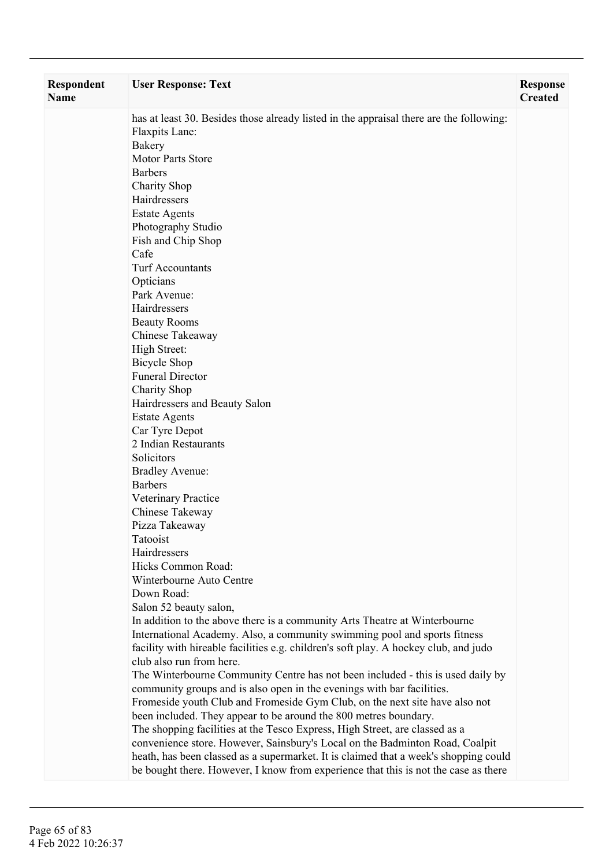| <b>Respondent</b><br><b>Name</b> | <b>User Response: Text</b>                                                                                                                                                  | <b>Response</b><br><b>Created</b> |
|----------------------------------|-----------------------------------------------------------------------------------------------------------------------------------------------------------------------------|-----------------------------------|
|                                  | has at least 30. Besides those already listed in the appraisal there are the following:<br>Flaxpits Lane:<br>Bakery<br><b>Motor Parts Store</b><br><b>Barbers</b>           |                                   |
|                                  | <b>Charity Shop</b>                                                                                                                                                         |                                   |
|                                  | Hairdressers                                                                                                                                                                |                                   |
|                                  | <b>Estate Agents</b><br>Photography Studio                                                                                                                                  |                                   |
|                                  | Fish and Chip Shop                                                                                                                                                          |                                   |
|                                  | Cafe                                                                                                                                                                        |                                   |
|                                  | <b>Turf Accountants</b>                                                                                                                                                     |                                   |
|                                  | Opticians                                                                                                                                                                   |                                   |
|                                  | Park Avenue:                                                                                                                                                                |                                   |
|                                  | Hairdressers                                                                                                                                                                |                                   |
|                                  | <b>Beauty Rooms</b><br>Chinese Takeaway                                                                                                                                     |                                   |
|                                  | High Street:                                                                                                                                                                |                                   |
|                                  | <b>Bicycle Shop</b>                                                                                                                                                         |                                   |
|                                  | <b>Funeral Director</b>                                                                                                                                                     |                                   |
|                                  | Charity Shop                                                                                                                                                                |                                   |
|                                  | Hairdressers and Beauty Salon                                                                                                                                               |                                   |
|                                  | <b>Estate Agents</b>                                                                                                                                                        |                                   |
|                                  | Car Tyre Depot<br>2 Indian Restaurants                                                                                                                                      |                                   |
|                                  | Solicitors                                                                                                                                                                  |                                   |
|                                  | <b>Bradley Avenue:</b>                                                                                                                                                      |                                   |
|                                  | <b>Barbers</b>                                                                                                                                                              |                                   |
|                                  | Veterinary Practice                                                                                                                                                         |                                   |
|                                  | Chinese Takeway                                                                                                                                                             |                                   |
|                                  | Pizza Takeaway                                                                                                                                                              |                                   |
|                                  | Tatooist                                                                                                                                                                    |                                   |
|                                  | Hairdressers<br>Hicks Common Road:                                                                                                                                          |                                   |
|                                  | Winterbourne Auto Centre                                                                                                                                                    |                                   |
|                                  | Down Road:                                                                                                                                                                  |                                   |
|                                  | Salon 52 beauty salon,                                                                                                                                                      |                                   |
|                                  | In addition to the above there is a community Arts Theatre at Winterbourne                                                                                                  |                                   |
|                                  | International Academy. Also, a community swimming pool and sports fitness                                                                                                   |                                   |
|                                  | facility with hireable facilities e.g. children's soft play. A hockey club, and judo                                                                                        |                                   |
|                                  | club also run from here.<br>The Winterbourne Community Centre has not been included - this is used daily by                                                                 |                                   |
|                                  | community groups and is also open in the evenings with bar facilities.                                                                                                      |                                   |
|                                  | Fromeside youth Club and Fromeside Gym Club, on the next site have also not                                                                                                 |                                   |
|                                  | been included. They appear to be around the 800 metres boundary.                                                                                                            |                                   |
|                                  | The shopping facilities at the Tesco Express, High Street, are classed as a                                                                                                 |                                   |
|                                  | convenience store. However, Sainsbury's Local on the Badminton Road, Coalpit                                                                                                |                                   |
|                                  | heath, has been classed as a supermarket. It is claimed that a week's shopping could<br>be bought there. However, I know from experience that this is not the case as there |                                   |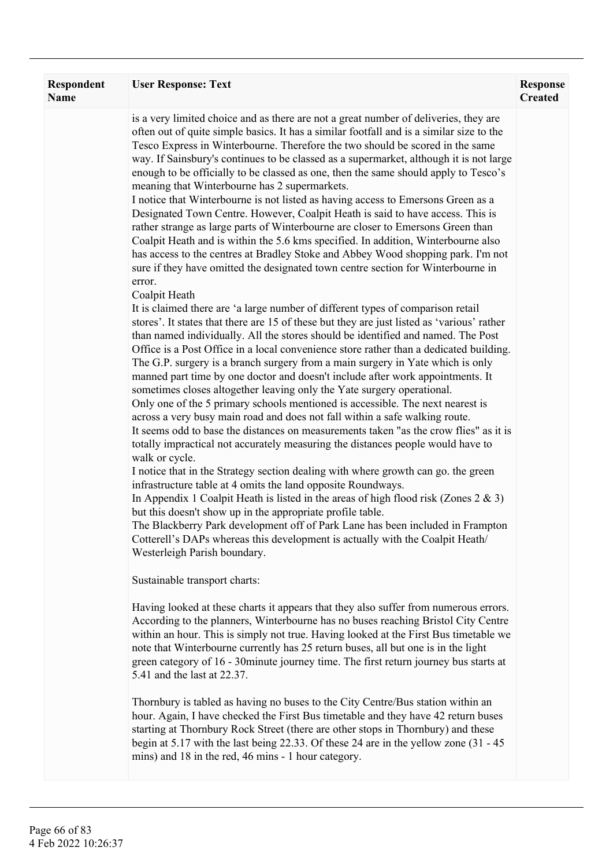| <b>Respondent</b><br><b>Name</b> | <b>User Response: Text</b>                                                                                                                                                                                                                                                                                                                                                                                                                                                                                                                                                                                                                                                                                                                                                                                                                                                                                                                                                                                                                                                                                                                                                                                                                                                                                                                                                                                                                                                                                                                                                                                                                                                                                                                                                                                                                                                                                                                                                                                                                                                                                                                                                                                                                                                                                                                                                                                                                                                                                                                                                                                                                                                                                                                                                                                                                                                                                                                                                                                                                                           | <b>Response</b><br><b>Created</b> |
|----------------------------------|----------------------------------------------------------------------------------------------------------------------------------------------------------------------------------------------------------------------------------------------------------------------------------------------------------------------------------------------------------------------------------------------------------------------------------------------------------------------------------------------------------------------------------------------------------------------------------------------------------------------------------------------------------------------------------------------------------------------------------------------------------------------------------------------------------------------------------------------------------------------------------------------------------------------------------------------------------------------------------------------------------------------------------------------------------------------------------------------------------------------------------------------------------------------------------------------------------------------------------------------------------------------------------------------------------------------------------------------------------------------------------------------------------------------------------------------------------------------------------------------------------------------------------------------------------------------------------------------------------------------------------------------------------------------------------------------------------------------------------------------------------------------------------------------------------------------------------------------------------------------------------------------------------------------------------------------------------------------------------------------------------------------------------------------------------------------------------------------------------------------------------------------------------------------------------------------------------------------------------------------------------------------------------------------------------------------------------------------------------------------------------------------------------------------------------------------------------------------------------------------------------------------------------------------------------------------------------------------------------------------------------------------------------------------------------------------------------------------------------------------------------------------------------------------------------------------------------------------------------------------------------------------------------------------------------------------------------------------------------------------------------------------------------------------------------------------|-----------------------------------|
|                                  | is a very limited choice and as there are not a great number of deliveries, they are<br>often out of quite simple basics. It has a similar footfall and is a similar size to the<br>Tesco Express in Winterbourne. Therefore the two should be scored in the same<br>way. If Sainsbury's continues to be classed as a supermarket, although it is not large<br>enough to be officially to be classed as one, then the same should apply to Tesco's<br>meaning that Winterbourne has 2 supermarkets.<br>I notice that Winterbourne is not listed as having access to Emersons Green as a<br>Designated Town Centre. However, Coalpit Heath is said to have access. This is<br>rather strange as large parts of Winterbourne are closer to Emersons Green than<br>Coalpit Heath and is within the 5.6 kms specified. In addition, Winterbourne also<br>has access to the centres at Bradley Stoke and Abbey Wood shopping park. I'm not<br>sure if they have omitted the designated town centre section for Winterbourne in<br>error.<br>Coalpit Heath<br>It is claimed there are 'a large number of different types of comparison retail<br>stores'. It states that there are 15 of these but they are just listed as 'various' rather<br>than named individually. All the stores should be identified and named. The Post<br>Office is a Post Office in a local convenience store rather than a dedicated building.<br>The G.P. surgery is a branch surgery from a main surgery in Yate which is only<br>manned part time by one doctor and doesn't include after work appointments. It<br>sometimes closes altogether leaving only the Yate surgery operational.<br>Only one of the 5 primary schools mentioned is accessible. The next nearest is<br>across a very busy main road and does not fall within a safe walking route.<br>It seems odd to base the distances on measurements taken "as the crow flies" as it is<br>totally impractical not accurately measuring the distances people would have to<br>walk or cycle.<br>I notice that in the Strategy section dealing with where growth can go. the green<br>infrastructure table at 4 omits the land opposite Roundways.<br>In Appendix 1 Coalpit Heath is listed in the areas of high flood risk (Zones $2 \& 3$ )<br>but this doesn't show up in the appropriate profile table.<br>The Blackberry Park development off of Park Lane has been included in Frampton<br>Cotterell's DAPs whereas this development is actually with the Coalpit Heath/<br>Westerleigh Parish boundary.<br>Sustainable transport charts:<br>Having looked at these charts it appears that they also suffer from numerous errors.<br>According to the planners, Winterbourne has no buses reaching Bristol City Centre<br>within an hour. This is simply not true. Having looked at the First Bus timetable we<br>note that Winterbourne currently has 25 return buses, all but one is in the light<br>green category of 16 - 30 minute journey time. The first return journey bus starts at<br>5.41 and the last at 22.37. |                                   |
|                                  | Thornbury is tabled as having no buses to the City Centre/Bus station within an<br>hour. Again, I have checked the First Bus timetable and they have 42 return buses<br>starting at Thornbury Rock Street (there are other stops in Thornbury) and these<br>begin at 5.17 with the last being 22.33. Of these 24 are in the yellow zone (31 - 45)<br>mins) and 18 in the red, 46 mins - 1 hour category.                                                                                                                                                                                                                                                                                                                                                                                                                                                                                                                                                                                                                                                                                                                                                                                                                                                                                                                                                                                                                                                                                                                                                                                                                                                                                                                                                                                                                                                                                                                                                                                                                                                                                                                                                                                                                                                                                                                                                                                                                                                                                                                                                                                                                                                                                                                                                                                                                                                                                                                                                                                                                                                             |                                   |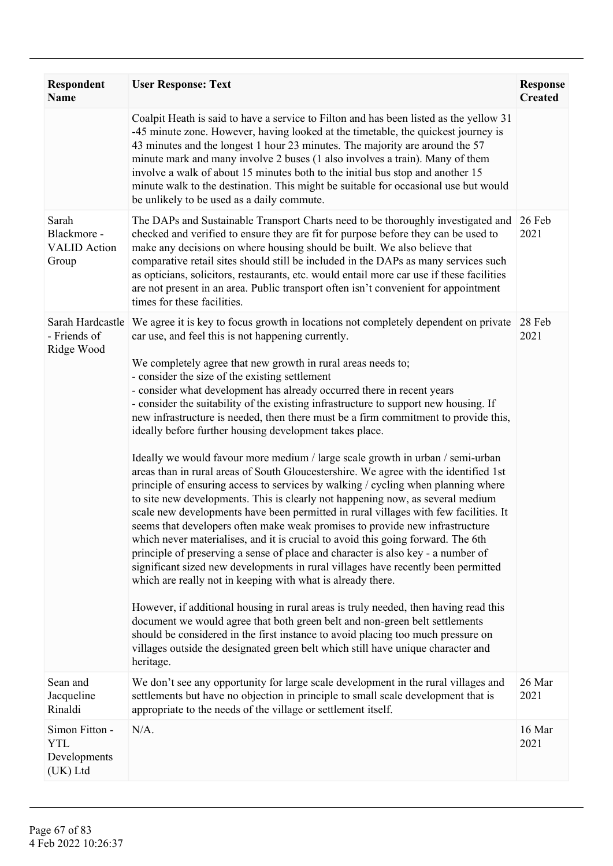| <b>Respondent</b><br><b>Name</b>                           | <b>User Response: Text</b>                                                                                                                                                                                                                                                                                                                                                                                                                                                                                                                                                                                                                                                                                                                                                                                                                                                                                                                                                                                                                                                                                                                                                                                                                                                                                                                                                                                                                                                                                                                                                                                                                                                                                                                                                                       | <b>Response</b><br><b>Created</b> |
|------------------------------------------------------------|--------------------------------------------------------------------------------------------------------------------------------------------------------------------------------------------------------------------------------------------------------------------------------------------------------------------------------------------------------------------------------------------------------------------------------------------------------------------------------------------------------------------------------------------------------------------------------------------------------------------------------------------------------------------------------------------------------------------------------------------------------------------------------------------------------------------------------------------------------------------------------------------------------------------------------------------------------------------------------------------------------------------------------------------------------------------------------------------------------------------------------------------------------------------------------------------------------------------------------------------------------------------------------------------------------------------------------------------------------------------------------------------------------------------------------------------------------------------------------------------------------------------------------------------------------------------------------------------------------------------------------------------------------------------------------------------------------------------------------------------------------------------------------------------------|-----------------------------------|
|                                                            | Coalpit Heath is said to have a service to Filton and has been listed as the yellow 31<br>-45 minute zone. However, having looked at the timetable, the quickest journey is<br>43 minutes and the longest 1 hour 23 minutes. The majority are around the 57<br>minute mark and many involve 2 buses (1 also involves a train). Many of them<br>involve a walk of about 15 minutes both to the initial bus stop and another 15<br>minute walk to the destination. This might be suitable for occasional use but would<br>be unlikely to be used as a daily commute.                                                                                                                                                                                                                                                                                                                                                                                                                                                                                                                                                                                                                                                                                                                                                                                                                                                                                                                                                                                                                                                                                                                                                                                                                               |                                   |
| Sarah<br>Blackmore -<br><b>VALID</b> Action<br>Group       | The DAPs and Sustainable Transport Charts need to be thoroughly investigated and<br>checked and verified to ensure they are fit for purpose before they can be used to<br>make any decisions on where housing should be built. We also believe that<br>comparative retail sites should still be included in the DAPs as many services such<br>as opticians, solicitors, restaurants, etc. would entail more car use if these facilities<br>are not present in an area. Public transport often isn't convenient for appointment<br>times for these facilities.                                                                                                                                                                                                                                                                                                                                                                                                                                                                                                                                                                                                                                                                                                                                                                                                                                                                                                                                                                                                                                                                                                                                                                                                                                    | 26 Feb<br>2021                    |
| Sarah Hardcastle<br>- Friends of<br>Ridge Wood             | We agree it is key to focus growth in locations not completely dependent on private<br>car use, and feel this is not happening currently.<br>We completely agree that new growth in rural areas needs to;<br>- consider the size of the existing settlement<br>- consider what development has already occurred there in recent years<br>- consider the suitability of the existing infrastructure to support new housing. If<br>new infrastructure is needed, then there must be a firm commitment to provide this,<br>ideally before further housing development takes place.<br>Ideally we would favour more medium / large scale growth in urban / semi-urban<br>areas than in rural areas of South Gloucestershire. We agree with the identified 1st<br>principle of ensuring access to services by walking / cycling when planning where<br>to site new developments. This is clearly not happening now, as several medium<br>scale new developments have been permitted in rural villages with few facilities. It<br>seems that developers often make weak promises to provide new infrastructure<br>which never materialises, and it is crucial to avoid this going forward. The 6th<br>principle of preserving a sense of place and character is also key - a number of<br>significant sized new developments in rural villages have recently been permitted<br>which are really not in keeping with what is already there.<br>However, if additional housing in rural areas is truly needed, then having read this<br>document we would agree that both green belt and non-green belt settlements<br>should be considered in the first instance to avoid placing too much pressure on<br>villages outside the designated green belt which still have unique character and<br>heritage. | 28 Feb<br>2021                    |
| Sean and<br>Jacqueline<br>Rinaldi                          | We don't see any opportunity for large scale development in the rural villages and<br>settlements but have no objection in principle to small scale development that is<br>appropriate to the needs of the village or settlement itself.                                                                                                                                                                                                                                                                                                                                                                                                                                                                                                                                                                                                                                                                                                                                                                                                                                                                                                                                                                                                                                                                                                                                                                                                                                                                                                                                                                                                                                                                                                                                                         | 26 Mar<br>2021                    |
| Simon Fitton -<br><b>YTL</b><br>Developments<br>$(UK)$ Ltd | $N/A$ .                                                                                                                                                                                                                                                                                                                                                                                                                                                                                                                                                                                                                                                                                                                                                                                                                                                                                                                                                                                                                                                                                                                                                                                                                                                                                                                                                                                                                                                                                                                                                                                                                                                                                                                                                                                          | 16 Mar<br>2021                    |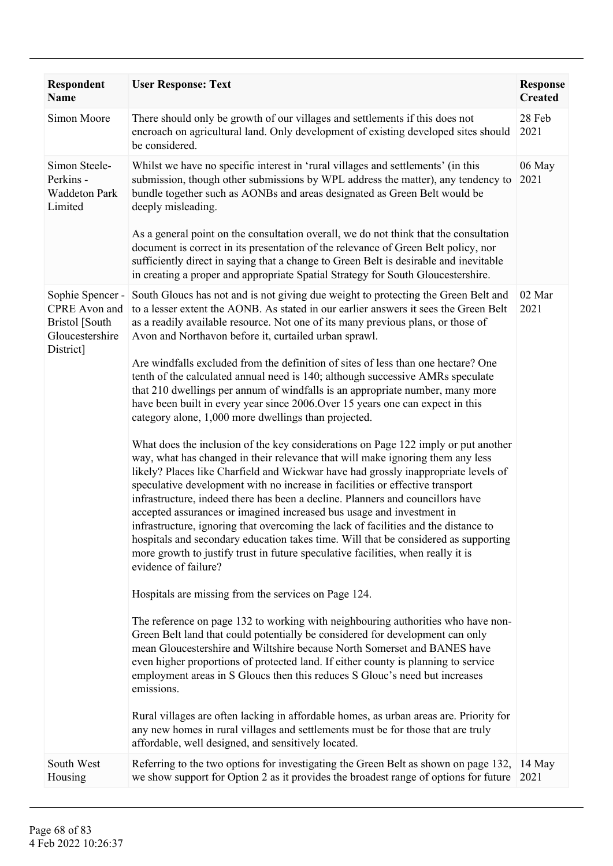| Respondent<br>Name                                                                  | <b>User Response: Text</b>                                                                                                                                                                                                                                                                                                                                                                                                                                                                                                                                                                                                                                                                                                                                                                                                                                                                                                                                                                                                                                                                                                                                                                                                                                                                                                                                                                                                                                                                                                                                                                                                                                                                                                                                                                                                                                                                                                                                                                                                                                                                                                                                                                                                                                     | <b>Response</b><br><b>Created</b> |
|-------------------------------------------------------------------------------------|----------------------------------------------------------------------------------------------------------------------------------------------------------------------------------------------------------------------------------------------------------------------------------------------------------------------------------------------------------------------------------------------------------------------------------------------------------------------------------------------------------------------------------------------------------------------------------------------------------------------------------------------------------------------------------------------------------------------------------------------------------------------------------------------------------------------------------------------------------------------------------------------------------------------------------------------------------------------------------------------------------------------------------------------------------------------------------------------------------------------------------------------------------------------------------------------------------------------------------------------------------------------------------------------------------------------------------------------------------------------------------------------------------------------------------------------------------------------------------------------------------------------------------------------------------------------------------------------------------------------------------------------------------------------------------------------------------------------------------------------------------------------------------------------------------------------------------------------------------------------------------------------------------------------------------------------------------------------------------------------------------------------------------------------------------------------------------------------------------------------------------------------------------------------------------------------------------------------------------------------------------------|-----------------------------------|
| Simon Moore                                                                         | There should only be growth of our villages and settlements if this does not<br>encroach on agricultural land. Only development of existing developed sites should<br>be considered.                                                                                                                                                                                                                                                                                                                                                                                                                                                                                                                                                                                                                                                                                                                                                                                                                                                                                                                                                                                                                                                                                                                                                                                                                                                                                                                                                                                                                                                                                                                                                                                                                                                                                                                                                                                                                                                                                                                                                                                                                                                                           | 28 Feb<br>2021                    |
| Simon Steele-<br>Perkins -<br><b>Waddeton Park</b><br>Limited                       | Whilst we have no specific interest in 'rural villages and settlements' (in this<br>submission, though other submissions by WPL address the matter), any tendency to<br>bundle together such as AONBs and areas designated as Green Belt would be<br>deeply misleading.<br>As a general point on the consultation overall, we do not think that the consultation<br>document is correct in its presentation of the relevance of Green Belt policy, nor<br>sufficiently direct in saying that a change to Green Belt is desirable and inevitable<br>in creating a proper and appropriate Spatial Strategy for South Gloucestershire.                                                                                                                                                                                                                                                                                                                                                                                                                                                                                                                                                                                                                                                                                                                                                                                                                                                                                                                                                                                                                                                                                                                                                                                                                                                                                                                                                                                                                                                                                                                                                                                                                            | 06 May<br>2021                    |
| Sophie Spencer -<br>CPRE Avon and<br>Bristol [South<br>Gloucestershire<br>District] | South Gloucs has not and is not giving due weight to protecting the Green Belt and<br>to a lesser extent the AONB. As stated in our earlier answers it sees the Green Belt<br>as a readily available resource. Not one of its many previous plans, or those of<br>Avon and Northavon before it, curtailed urban sprawl.<br>Are windfalls excluded from the definition of sites of less than one hectare? One<br>tenth of the calculated annual need is 140; although successive AMRs speculate<br>that 210 dwellings per annum of windfalls is an appropriate number, many more<br>have been built in every year since 2006. Over 15 years one can expect in this<br>category alone, 1,000 more dwellings than projected.<br>What does the inclusion of the key considerations on Page 122 imply or put another<br>way, what has changed in their relevance that will make ignoring them any less<br>likely? Places like Charfield and Wickwar have had grossly inappropriate levels of<br>speculative development with no increase in facilities or effective transport<br>infrastructure, indeed there has been a decline. Planners and councillors have<br>accepted assurances or imagined increased bus usage and investment in<br>infrastructure, ignoring that overcoming the lack of facilities and the distance to<br>hospitals and secondary education takes time. Will that be considered as supporting<br>more growth to justify trust in future speculative facilities, when really it is<br>evidence of failure?<br>Hospitals are missing from the services on Page 124.<br>The reference on page 132 to working with neighbouring authorities who have non-<br>Green Belt land that could potentially be considered for development can only<br>mean Gloucestershire and Wiltshire because North Somerset and BANES have<br>even higher proportions of protected land. If either county is planning to service<br>employment areas in S Gloucs then this reduces S Glouc's need but increases<br>emissions.<br>Rural villages are often lacking in affordable homes, as urban areas are. Priority for<br>any new homes in rural villages and settlements must be for those that are truly<br>affordable, well designed, and sensitively located. | 02 Mar<br>2021                    |
| South West<br>Housing                                                               | Referring to the two options for investigating the Green Belt as shown on page 132,<br>we show support for Option 2 as it provides the broadest range of options for future                                                                                                                                                                                                                                                                                                                                                                                                                                                                                                                                                                                                                                                                                                                                                                                                                                                                                                                                                                                                                                                                                                                                                                                                                                                                                                                                                                                                                                                                                                                                                                                                                                                                                                                                                                                                                                                                                                                                                                                                                                                                                    | 14 May<br>2021                    |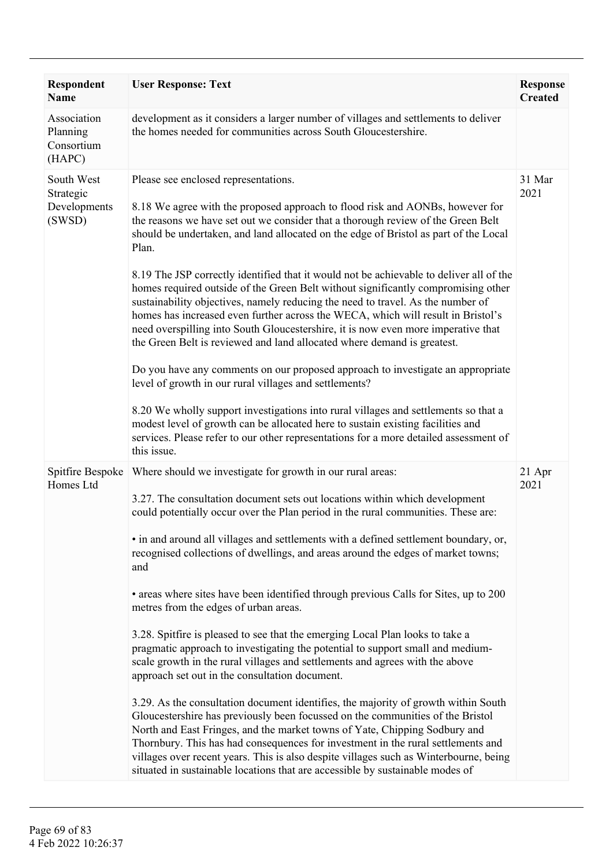| <b>Respondent</b><br><b>Name</b>                  | <b>User Response: Text</b>                                                                                                                                                                                                                                                                                                                                                                                                                                                                                                                                                                                                                                                                                                                                                                                                                                                                                                                                                                                                                                                                                                                                                                                                                                                                                                                                                  | <b>Response</b><br><b>Created</b> |
|---------------------------------------------------|-----------------------------------------------------------------------------------------------------------------------------------------------------------------------------------------------------------------------------------------------------------------------------------------------------------------------------------------------------------------------------------------------------------------------------------------------------------------------------------------------------------------------------------------------------------------------------------------------------------------------------------------------------------------------------------------------------------------------------------------------------------------------------------------------------------------------------------------------------------------------------------------------------------------------------------------------------------------------------------------------------------------------------------------------------------------------------------------------------------------------------------------------------------------------------------------------------------------------------------------------------------------------------------------------------------------------------------------------------------------------------|-----------------------------------|
| Association<br>Planning<br>Consortium<br>(HAPC)   | development as it considers a larger number of villages and settlements to deliver<br>the homes needed for communities across South Gloucestershire.                                                                                                                                                                                                                                                                                                                                                                                                                                                                                                                                                                                                                                                                                                                                                                                                                                                                                                                                                                                                                                                                                                                                                                                                                        |                                   |
| South West<br>Strategic<br>Developments<br>(SWSD) | Please see enclosed representations.<br>8.18 We agree with the proposed approach to flood risk and AONBs, however for<br>the reasons we have set out we consider that a thorough review of the Green Belt<br>should be undertaken, and land allocated on the edge of Bristol as part of the Local<br>Plan.<br>8.19 The JSP correctly identified that it would not be achievable to deliver all of the<br>homes required outside of the Green Belt without significantly compromising other<br>sustainability objectives, namely reducing the need to travel. As the number of<br>homes has increased even further across the WECA, which will result in Bristol's<br>need overspilling into South Gloucestershire, it is now even more imperative that<br>the Green Belt is reviewed and land allocated where demand is greatest.<br>Do you have any comments on our proposed approach to investigate an appropriate<br>level of growth in our rural villages and settlements?<br>8.20 We wholly support investigations into rural villages and settlements so that a<br>modest level of growth can be allocated here to sustain existing facilities and<br>services. Please refer to our other representations for a more detailed assessment of<br>this issue.                                                                                                            | 31 Mar<br>2021                    |
| Spitfire Bespoke<br>Homes Ltd                     | Where should we investigate for growth in our rural areas:<br>3.27. The consultation document sets out locations within which development<br>could potentially occur over the Plan period in the rural communities. These are:<br>• in and around all villages and settlements with a defined settlement boundary, or,<br>recognised collections of dwellings, and areas around the edges of market towns;<br>and<br>• areas where sites have been identified through previous Calls for Sites, up to 200<br>metres from the edges of urban areas.<br>3.28. Spitfire is pleased to see that the emerging Local Plan looks to take a<br>pragmatic approach to investigating the potential to support small and medium-<br>scale growth in the rural villages and settlements and agrees with the above<br>approach set out in the consultation document.<br>3.29. As the consultation document identifies, the majority of growth within South<br>Gloucestershire has previously been focussed on the communities of the Bristol<br>North and East Fringes, and the market towns of Yate, Chipping Sodbury and<br>Thornbury. This has had consequences for investment in the rural settlements and<br>villages over recent years. This is also despite villages such as Winterbourne, being<br>situated in sustainable locations that are accessible by sustainable modes of | 21 Apr<br>2021                    |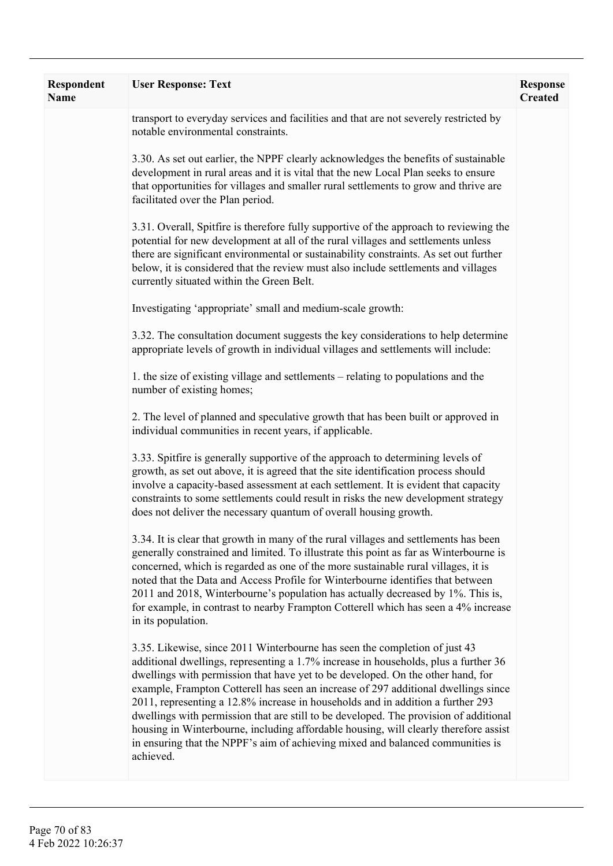| Respondent<br><b>Name</b> | <b>User Response: Text</b>                                                                                                                                                                                                                                                                                                                                                                                                                                                                                                                                                                                                                                                                                    | <b>Response</b><br><b>Created</b> |
|---------------------------|---------------------------------------------------------------------------------------------------------------------------------------------------------------------------------------------------------------------------------------------------------------------------------------------------------------------------------------------------------------------------------------------------------------------------------------------------------------------------------------------------------------------------------------------------------------------------------------------------------------------------------------------------------------------------------------------------------------|-----------------------------------|
|                           | transport to everyday services and facilities and that are not severely restricted by<br>notable environmental constraints.                                                                                                                                                                                                                                                                                                                                                                                                                                                                                                                                                                                   |                                   |
|                           | 3.30. As set out earlier, the NPPF clearly acknowledges the benefits of sustainable<br>development in rural areas and it is vital that the new Local Plan seeks to ensure<br>that opportunities for villages and smaller rural settlements to grow and thrive are<br>facilitated over the Plan period.                                                                                                                                                                                                                                                                                                                                                                                                        |                                   |
|                           | 3.31. Overall, Spitfire is therefore fully supportive of the approach to reviewing the<br>potential for new development at all of the rural villages and settlements unless<br>there are significant environmental or sustainability constraints. As set out further<br>below, it is considered that the review must also include settlements and villages<br>currently situated within the Green Belt.                                                                                                                                                                                                                                                                                                       |                                   |
|                           | Investigating 'appropriate' small and medium-scale growth:                                                                                                                                                                                                                                                                                                                                                                                                                                                                                                                                                                                                                                                    |                                   |
|                           | 3.32. The consultation document suggests the key considerations to help determine<br>appropriate levels of growth in individual villages and settlements will include:                                                                                                                                                                                                                                                                                                                                                                                                                                                                                                                                        |                                   |
|                           | 1. the size of existing village and settlements – relating to populations and the<br>number of existing homes;                                                                                                                                                                                                                                                                                                                                                                                                                                                                                                                                                                                                |                                   |
|                           | 2. The level of planned and speculative growth that has been built or approved in<br>individual communities in recent years, if applicable.                                                                                                                                                                                                                                                                                                                                                                                                                                                                                                                                                                   |                                   |
|                           | 3.33. Spitfire is generally supportive of the approach to determining levels of<br>growth, as set out above, it is agreed that the site identification process should<br>involve a capacity-based assessment at each settlement. It is evident that capacity<br>constraints to some settlements could result in risks the new development strategy<br>does not deliver the necessary quantum of overall housing growth.                                                                                                                                                                                                                                                                                       |                                   |
|                           | 3.34. It is clear that growth in many of the rural villages and settlements has been<br>generally constrained and limited. To illustrate this point as far as Winterbourne is<br>concerned, which is regarded as one of the more sustainable rural villages, it is<br>noted that the Data and Access Profile for Winterbourne identifies that between<br>2011 and 2018, Winterbourne's population has actually decreased by 1%. This is,<br>for example, in contrast to nearby Frampton Cotterell which has seen a 4% increase<br>in its population.                                                                                                                                                          |                                   |
|                           | 3.35. Likewise, since 2011 Winterbourne has seen the completion of just 43<br>additional dwellings, representing a 1.7% increase in households, plus a further 36<br>dwellings with permission that have yet to be developed. On the other hand, for<br>example, Frampton Cotterell has seen an increase of 297 additional dwellings since<br>2011, representing a 12.8% increase in households and in addition a further 293<br>dwellings with permission that are still to be developed. The provision of additional<br>housing in Winterbourne, including affordable housing, will clearly therefore assist<br>in ensuring that the NPPF's aim of achieving mixed and balanced communities is<br>achieved. |                                   |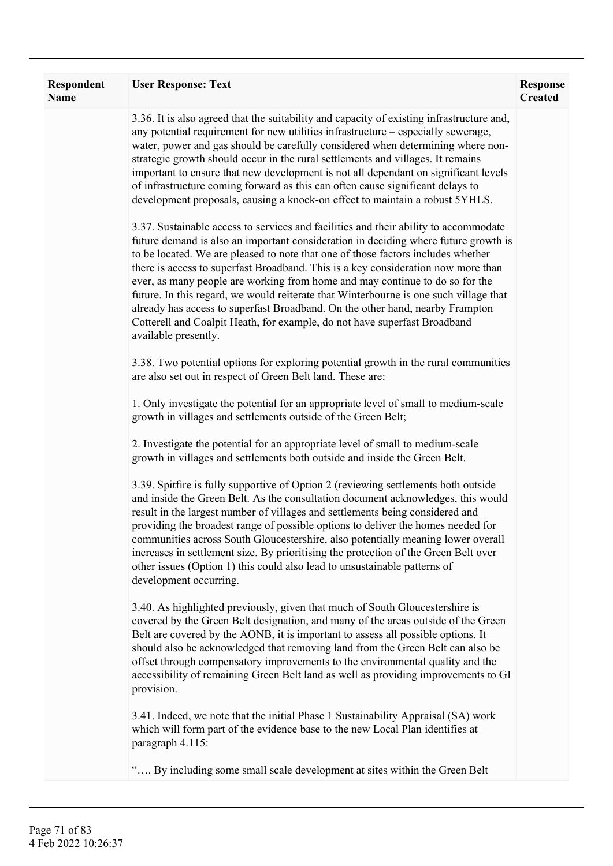| Respondent<br><b>Name</b> | <b>User Response: Text</b>                                                                                                                                                                                                                                                                                                                                                                                                                                                                                                                                                                                                                                                                                          | <b>Response</b><br><b>Created</b> |
|---------------------------|---------------------------------------------------------------------------------------------------------------------------------------------------------------------------------------------------------------------------------------------------------------------------------------------------------------------------------------------------------------------------------------------------------------------------------------------------------------------------------------------------------------------------------------------------------------------------------------------------------------------------------------------------------------------------------------------------------------------|-----------------------------------|
|                           | 3.36. It is also agreed that the suitability and capacity of existing infrastructure and,<br>any potential requirement for new utilities infrastructure – especially sewerage,<br>water, power and gas should be carefully considered when determining where non-<br>strategic growth should occur in the rural settlements and villages. It remains<br>important to ensure that new development is not all dependant on significant levels<br>of infrastructure coming forward as this can often cause significant delays to<br>development proposals, causing a knock-on effect to maintain a robust 5YHLS.                                                                                                       |                                   |
|                           | 3.37. Sustainable access to services and facilities and their ability to accommodate<br>future demand is also an important consideration in deciding where future growth is<br>to be located. We are pleased to note that one of those factors includes whether<br>there is access to superfast Broadband. This is a key consideration now more than<br>ever, as many people are working from home and may continue to do so for the<br>future. In this regard, we would reiterate that Winterbourne is one such village that<br>already has access to superfast Broadband. On the other hand, nearby Frampton<br>Cotterell and Coalpit Heath, for example, do not have superfast Broadband<br>available presently. |                                   |
|                           | 3.38. Two potential options for exploring potential growth in the rural communities<br>are also set out in respect of Green Belt land. These are:                                                                                                                                                                                                                                                                                                                                                                                                                                                                                                                                                                   |                                   |
|                           | 1. Only investigate the potential for an appropriate level of small to medium-scale<br>growth in villages and settlements outside of the Green Belt;                                                                                                                                                                                                                                                                                                                                                                                                                                                                                                                                                                |                                   |
|                           | 2. Investigate the potential for an appropriate level of small to medium-scale<br>growth in villages and settlements both outside and inside the Green Belt.                                                                                                                                                                                                                                                                                                                                                                                                                                                                                                                                                        |                                   |
|                           | 3.39. Spitfire is fully supportive of Option 2 (reviewing settlements both outside<br>and inside the Green Belt. As the consultation document acknowledges, this would<br>result in the largest number of villages and settlements being considered and<br>providing the broadest range of possible options to deliver the homes needed for<br>communities across South Gloucestershire, also potentially meaning lower overall<br>increases in settlement size. By prioritising the protection of the Green Belt over<br>other issues (Option 1) this could also lead to unsustainable patterns of<br>development occurring.                                                                                       |                                   |
|                           | 3.40. As highlighted previously, given that much of South Gloucestershire is<br>covered by the Green Belt designation, and many of the areas outside of the Green<br>Belt are covered by the AONB, it is important to assess all possible options. It<br>should also be acknowledged that removing land from the Green Belt can also be<br>offset through compensatory improvements to the environmental quality and the<br>accessibility of remaining Green Belt land as well as providing improvements to GI<br>provision.                                                                                                                                                                                        |                                   |
|                           | 3.41. Indeed, we note that the initial Phase 1 Sustainability Appraisal (SA) work<br>which will form part of the evidence base to the new Local Plan identifies at<br>paragraph 4.115:                                                                                                                                                                                                                                                                                                                                                                                                                                                                                                                              |                                   |
|                           | By including some small scale development at sites within the Green Belt                                                                                                                                                                                                                                                                                                                                                                                                                                                                                                                                                                                                                                            |                                   |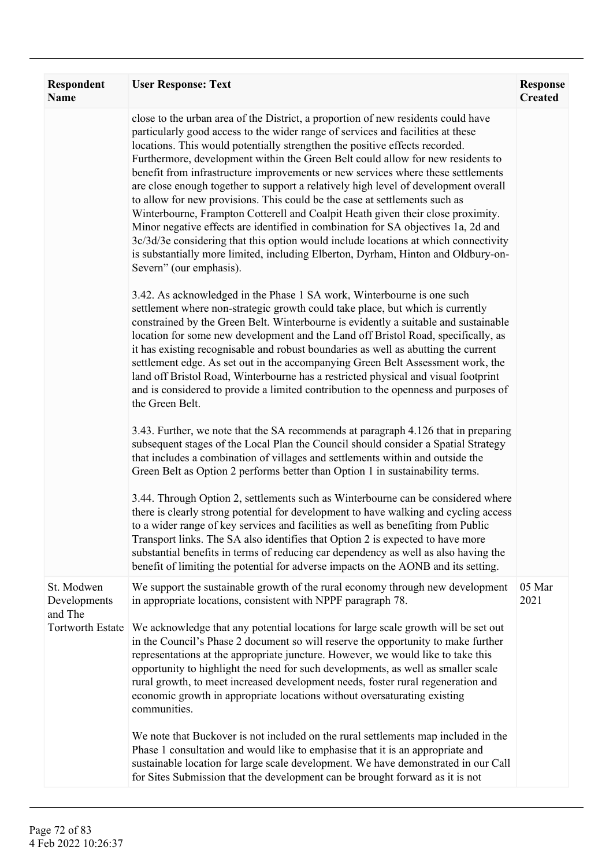| Respondent<br>Name                 | <b>User Response: Text</b>                                                                                                                                                                                                                                                                                                                                                                                                                                                                                                                                                                                                                                                                                                                                                                                                                                                                                                                                                     | <b>Response</b><br><b>Created</b> |
|------------------------------------|--------------------------------------------------------------------------------------------------------------------------------------------------------------------------------------------------------------------------------------------------------------------------------------------------------------------------------------------------------------------------------------------------------------------------------------------------------------------------------------------------------------------------------------------------------------------------------------------------------------------------------------------------------------------------------------------------------------------------------------------------------------------------------------------------------------------------------------------------------------------------------------------------------------------------------------------------------------------------------|-----------------------------------|
|                                    | close to the urban area of the District, a proportion of new residents could have<br>particularly good access to the wider range of services and facilities at these<br>locations. This would potentially strengthen the positive effects recorded.<br>Furthermore, development within the Green Belt could allow for new residents to<br>benefit from infrastructure improvements or new services where these settlements<br>are close enough together to support a relatively high level of development overall<br>to allow for new provisions. This could be the case at settlements such as<br>Winterbourne, Frampton Cotterell and Coalpit Heath given their close proximity.<br>Minor negative effects are identified in combination for SA objectives 1a, 2d and<br>3c/3d/3e considering that this option would include locations at which connectivity<br>is substantially more limited, including Elberton, Dyrham, Hinton and Oldbury-on-<br>Severn" (our emphasis). |                                   |
|                                    | 3.42. As acknowledged in the Phase 1 SA work, Winterbourne is one such<br>settlement where non-strategic growth could take place, but which is currently<br>constrained by the Green Belt. Winterbourne is evidently a suitable and sustainable<br>location for some new development and the Land off Bristol Road, specifically, as<br>it has existing recognisable and robust boundaries as well as abutting the current<br>settlement edge. As set out in the accompanying Green Belt Assessment work, the<br>land off Bristol Road, Winterbourne has a restricted physical and visual footprint<br>and is considered to provide a limited contribution to the openness and purposes of<br>the Green Belt.                                                                                                                                                                                                                                                                  |                                   |
|                                    | 3.43. Further, we note that the SA recommends at paragraph 4.126 that in preparing<br>subsequent stages of the Local Plan the Council should consider a Spatial Strategy<br>that includes a combination of villages and settlements within and outside the<br>Green Belt as Option 2 performs better than Option 1 in sustainability terms.                                                                                                                                                                                                                                                                                                                                                                                                                                                                                                                                                                                                                                    |                                   |
|                                    | 3.44. Through Option 2, settlements such as Winterbourne can be considered where<br>there is clearly strong potential for development to have walking and cycling access<br>to a wider range of key services and facilities as well as benefiting from Public<br>Transport links. The SA also identifies that Option 2 is expected to have more<br>substantial benefits in terms of reducing car dependency as well as also having the<br>benefit of limiting the potential for adverse impacts on the AONB and its setting.                                                                                                                                                                                                                                                                                                                                                                                                                                                   |                                   |
| St. Modwen<br>Developments         | We support the sustainable growth of the rural economy through new development<br>in appropriate locations, consistent with NPPF paragraph 78.                                                                                                                                                                                                                                                                                                                                                                                                                                                                                                                                                                                                                                                                                                                                                                                                                                 | 05 Mar<br>2021                    |
| and The<br><b>Tortworth Estate</b> | We acknowledge that any potential locations for large scale growth will be set out<br>in the Council's Phase 2 document so will reserve the opportunity to make further<br>representations at the appropriate juncture. However, we would like to take this<br>opportunity to highlight the need for such developments, as well as smaller scale<br>rural growth, to meet increased development needs, foster rural regeneration and<br>economic growth in appropriate locations without oversaturating existing<br>communities.                                                                                                                                                                                                                                                                                                                                                                                                                                               |                                   |
|                                    | We note that Buckover is not included on the rural settlements map included in the<br>Phase 1 consultation and would like to emphasise that it is an appropriate and<br>sustainable location for large scale development. We have demonstrated in our Call<br>for Sites Submission that the development can be brought forward as it is not                                                                                                                                                                                                                                                                                                                                                                                                                                                                                                                                                                                                                                    |                                   |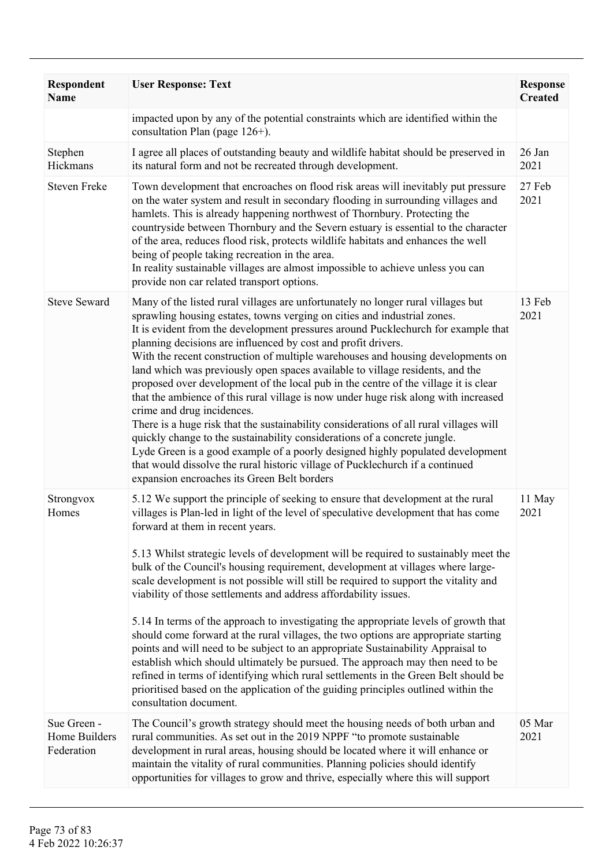| <b>Respondent</b><br><b>Name</b>           | <b>User Response: Text</b>                                                                                                                                                                                                                                                                                                                                                                                                                                                                                                                                                                                                                                                                                                                                                                                                                                                                                                                                                                                                                                                                                     | <b>Response</b><br><b>Created</b> |
|--------------------------------------------|----------------------------------------------------------------------------------------------------------------------------------------------------------------------------------------------------------------------------------------------------------------------------------------------------------------------------------------------------------------------------------------------------------------------------------------------------------------------------------------------------------------------------------------------------------------------------------------------------------------------------------------------------------------------------------------------------------------------------------------------------------------------------------------------------------------------------------------------------------------------------------------------------------------------------------------------------------------------------------------------------------------------------------------------------------------------------------------------------------------|-----------------------------------|
|                                            | impacted upon by any of the potential constraints which are identified within the<br>consultation Plan (page $126+$ ).                                                                                                                                                                                                                                                                                                                                                                                                                                                                                                                                                                                                                                                                                                                                                                                                                                                                                                                                                                                         |                                   |
| Stephen<br>Hickmans                        | I agree all places of outstanding beauty and wildlife habitat should be preserved in<br>its natural form and not be recreated through development.                                                                                                                                                                                                                                                                                                                                                                                                                                                                                                                                                                                                                                                                                                                                                                                                                                                                                                                                                             | 26 Jan<br>2021                    |
| <b>Steven Freke</b>                        | Town development that encroaches on flood risk areas will inevitably put pressure<br>on the water system and result in secondary flooding in surrounding villages and<br>hamlets. This is already happening northwest of Thornbury. Protecting the<br>countryside between Thornbury and the Severn estuary is essential to the character<br>of the area, reduces flood risk, protects wildlife habitats and enhances the well<br>being of people taking recreation in the area.<br>In reality sustainable villages are almost impossible to achieve unless you can<br>provide non car related transport options.                                                                                                                                                                                                                                                                                                                                                                                                                                                                                               | 27 Feb<br>2021                    |
| <b>Steve Seward</b>                        | Many of the listed rural villages are unfortunately no longer rural villages but<br>sprawling housing estates, towns verging on cities and industrial zones.<br>It is evident from the development pressures around Pucklechurch for example that<br>planning decisions are influenced by cost and profit drivers.<br>With the recent construction of multiple warehouses and housing developments on<br>land which was previously open spaces available to village residents, and the<br>proposed over development of the local pub in the centre of the village it is clear<br>that the ambience of this rural village is now under huge risk along with increased<br>crime and drug incidences.<br>There is a huge risk that the sustainability considerations of all rural villages will<br>quickly change to the sustainability considerations of a concrete jungle.<br>Lyde Green is a good example of a poorly designed highly populated development<br>that would dissolve the rural historic village of Pucklechurch if a continued<br>expansion encroaches its Green Belt borders                    | 13 Feb<br>2021                    |
| Strongvox<br>Homes                         | 5.12 We support the principle of seeking to ensure that development at the rural<br>villages is Plan-led in light of the level of speculative development that has come<br>forward at them in recent years.<br>5.13 Whilst strategic levels of development will be required to sustainably meet the<br>bulk of the Council's housing requirement, development at villages where large-<br>scale development is not possible will still be required to support the vitality and<br>viability of those settlements and address affordability issues.<br>5.14 In terms of the approach to investigating the appropriate levels of growth that<br>should come forward at the rural villages, the two options are appropriate starting<br>points and will need to be subject to an appropriate Sustainability Appraisal to<br>establish which should ultimately be pursued. The approach may then need to be<br>refined in terms of identifying which rural settlements in the Green Belt should be<br>prioritised based on the application of the guiding principles outlined within the<br>consultation document. | 11 May<br>2021                    |
| Sue Green -<br>Home Builders<br>Federation | The Council's growth strategy should meet the housing needs of both urban and<br>rural communities. As set out in the 2019 NPPF "to promote sustainable<br>development in rural areas, housing should be located where it will enhance or<br>maintain the vitality of rural communities. Planning policies should identify<br>opportunities for villages to grow and thrive, especially where this will support                                                                                                                                                                                                                                                                                                                                                                                                                                                                                                                                                                                                                                                                                                | 05 Mar<br>2021                    |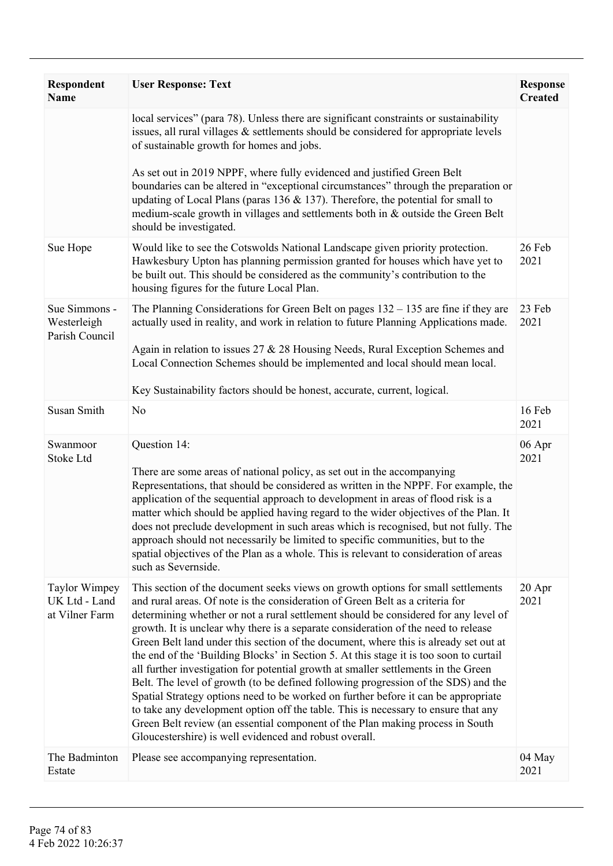| <b>Respondent</b><br><b>Name</b>                        | <b>User Response: Text</b>                                                                                                                                                                                                                                                                                                                                                                                                                                                                                                                                                                                                                                                                                                                                                                                                                                                                                                                                                                                                          | <b>Response</b><br><b>Created</b> |
|---------------------------------------------------------|-------------------------------------------------------------------------------------------------------------------------------------------------------------------------------------------------------------------------------------------------------------------------------------------------------------------------------------------------------------------------------------------------------------------------------------------------------------------------------------------------------------------------------------------------------------------------------------------------------------------------------------------------------------------------------------------------------------------------------------------------------------------------------------------------------------------------------------------------------------------------------------------------------------------------------------------------------------------------------------------------------------------------------------|-----------------------------------|
|                                                         | local services" (para 78). Unless there are significant constraints or sustainability<br>issues, all rural villages & settlements should be considered for appropriate levels<br>of sustainable growth for homes and jobs.                                                                                                                                                                                                                                                                                                                                                                                                                                                                                                                                                                                                                                                                                                                                                                                                          |                                   |
|                                                         | As set out in 2019 NPPF, where fully evidenced and justified Green Belt<br>boundaries can be altered in "exceptional circumstances" through the preparation or<br>updating of Local Plans (paras 136 $&$ 137). Therefore, the potential for small to<br>medium-scale growth in villages and settlements both in & outside the Green Belt<br>should be investigated.                                                                                                                                                                                                                                                                                                                                                                                                                                                                                                                                                                                                                                                                 |                                   |
| Sue Hope                                                | Would like to see the Cotswolds National Landscape given priority protection.<br>Hawkesbury Upton has planning permission granted for houses which have yet to<br>be built out. This should be considered as the community's contribution to the<br>housing figures for the future Local Plan.                                                                                                                                                                                                                                                                                                                                                                                                                                                                                                                                                                                                                                                                                                                                      | 26 Feb<br>2021                    |
| Sue Simmons -<br>Westerleigh<br>Parish Council          | The Planning Considerations for Green Belt on pages $132 - 135$ are fine if they are<br>actually used in reality, and work in relation to future Planning Applications made.<br>Again in relation to issues 27 & 28 Housing Needs, Rural Exception Schemes and<br>Local Connection Schemes should be implemented and local should mean local.                                                                                                                                                                                                                                                                                                                                                                                                                                                                                                                                                                                                                                                                                       | 23 Feb<br>2021                    |
|                                                         | Key Sustainability factors should be honest, accurate, current, logical.                                                                                                                                                                                                                                                                                                                                                                                                                                                                                                                                                                                                                                                                                                                                                                                                                                                                                                                                                            |                                   |
| Susan Smith                                             | N <sub>0</sub>                                                                                                                                                                                                                                                                                                                                                                                                                                                                                                                                                                                                                                                                                                                                                                                                                                                                                                                                                                                                                      | 16 Feb<br>2021                    |
| Swanmoor<br>Stoke Ltd                                   | Question 14:<br>There are some areas of national policy, as set out in the accompanying<br>Representations, that should be considered as written in the NPPF. For example, the<br>application of the sequential approach to development in areas of flood risk is a<br>matter which should be applied having regard to the wider objectives of the Plan. It<br>does not preclude development in such areas which is recognised, but not fully. The<br>approach should not necessarily be limited to specific communities, but to the<br>spatial objectives of the Plan as a whole. This is relevant to consideration of areas<br>such as Severnside.                                                                                                                                                                                                                                                                                                                                                                                | 06 Apr<br>2021                    |
| <b>Taylor Wimpey</b><br>UK Ltd - Land<br>at Vilner Farm | This section of the document seeks views on growth options for small settlements<br>and rural areas. Of note is the consideration of Green Belt as a criteria for<br>determining whether or not a rural settlement should be considered for any level of<br>growth. It is unclear why there is a separate consideration of the need to release<br>Green Belt land under this section of the document, where this is already set out at<br>the end of the 'Building Blocks' in Section 5. At this stage it is too soon to curtail<br>all further investigation for potential growth at smaller settlements in the Green<br>Belt. The level of growth (to be defined following progression of the SDS) and the<br>Spatial Strategy options need to be worked on further before it can be appropriate<br>to take any development option off the table. This is necessary to ensure that any<br>Green Belt review (an essential component of the Plan making process in South<br>Gloucestershire) is well evidenced and robust overall. | 20 Apr<br>2021                    |
| The Badminton<br>Estate                                 | Please see accompanying representation.                                                                                                                                                                                                                                                                                                                                                                                                                                                                                                                                                                                                                                                                                                                                                                                                                                                                                                                                                                                             | 04 May<br>2021                    |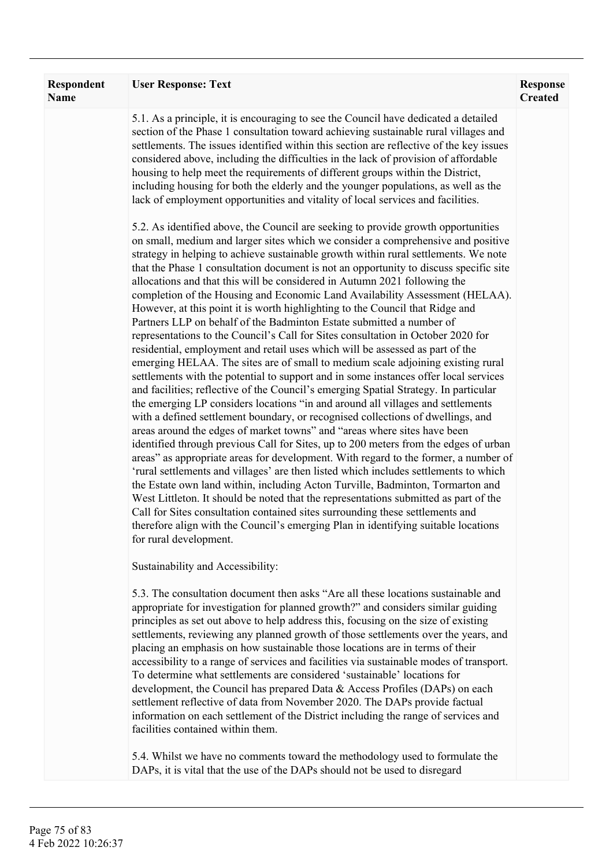| <b>Respondent</b><br><b>Name</b> | <b>User Response: Text</b>                                                                                                                                                                                                                                                                                                                                                                                                                                                                                                                                                                                                                                                                                                                                                                                                                                                                                                                                                                                                                                                                                                                                                                                                                                                                                                                                                                                                                                                                                                                                                                                                                                                                                                                                                                                                                                                                                                                                                                                              | <b>Response</b><br><b>Created</b> |
|----------------------------------|-------------------------------------------------------------------------------------------------------------------------------------------------------------------------------------------------------------------------------------------------------------------------------------------------------------------------------------------------------------------------------------------------------------------------------------------------------------------------------------------------------------------------------------------------------------------------------------------------------------------------------------------------------------------------------------------------------------------------------------------------------------------------------------------------------------------------------------------------------------------------------------------------------------------------------------------------------------------------------------------------------------------------------------------------------------------------------------------------------------------------------------------------------------------------------------------------------------------------------------------------------------------------------------------------------------------------------------------------------------------------------------------------------------------------------------------------------------------------------------------------------------------------------------------------------------------------------------------------------------------------------------------------------------------------------------------------------------------------------------------------------------------------------------------------------------------------------------------------------------------------------------------------------------------------------------------------------------------------------------------------------------------------|-----------------------------------|
|                                  | 5.1. As a principle, it is encouraging to see the Council have dedicated a detailed<br>section of the Phase 1 consultation toward achieving sustainable rural villages and<br>settlements. The issues identified within this section are reflective of the key issues<br>considered above, including the difficulties in the lack of provision of affordable<br>housing to help meet the requirements of different groups within the District,<br>including housing for both the elderly and the younger populations, as well as the<br>lack of employment opportunities and vitality of local services and facilities.                                                                                                                                                                                                                                                                                                                                                                                                                                                                                                                                                                                                                                                                                                                                                                                                                                                                                                                                                                                                                                                                                                                                                                                                                                                                                                                                                                                                 |                                   |
|                                  | 5.2. As identified above, the Council are seeking to provide growth opportunities<br>on small, medium and larger sites which we consider a comprehensive and positive<br>strategy in helping to achieve sustainable growth within rural settlements. We note<br>that the Phase 1 consultation document is not an opportunity to discuss specific site<br>allocations and that this will be considered in Autumn 2021 following the<br>completion of the Housing and Economic Land Availability Assessment (HELAA).<br>However, at this point it is worth highlighting to the Council that Ridge and<br>Partners LLP on behalf of the Badminton Estate submitted a number of<br>representations to the Council's Call for Sites consultation in October 2020 for<br>residential, employment and retail uses which will be assessed as part of the<br>emerging HELAA. The sites are of small to medium scale adjoining existing rural<br>settlements with the potential to support and in some instances offer local services<br>and facilities; reflective of the Council's emerging Spatial Strategy. In particular<br>the emerging LP considers locations "in and around all villages and settlements<br>with a defined settlement boundary, or recognised collections of dwellings, and<br>areas around the edges of market towns" and "areas where sites have been<br>identified through previous Call for Sites, up to 200 meters from the edges of urban<br>areas" as appropriate areas for development. With regard to the former, a number of<br>'rural settlements and villages' are then listed which includes settlements to which<br>the Estate own land within, including Acton Turville, Badminton, Tormarton and<br>West Littleton. It should be noted that the representations submitted as part of the<br>Call for Sites consultation contained sites surrounding these settlements and<br>therefore align with the Council's emerging Plan in identifying suitable locations<br>for rural development. |                                   |
|                                  | Sustainability and Accessibility:                                                                                                                                                                                                                                                                                                                                                                                                                                                                                                                                                                                                                                                                                                                                                                                                                                                                                                                                                                                                                                                                                                                                                                                                                                                                                                                                                                                                                                                                                                                                                                                                                                                                                                                                                                                                                                                                                                                                                                                       |                                   |
|                                  | 5.3. The consultation document then asks "Are all these locations sustainable and<br>appropriate for investigation for planned growth?" and considers similar guiding<br>principles as set out above to help address this, focusing on the size of existing<br>settlements, reviewing any planned growth of those settlements over the years, and<br>placing an emphasis on how sustainable those locations are in terms of their<br>accessibility to a range of services and facilities via sustainable modes of transport.<br>To determine what settlements are considered 'sustainable' locations for<br>development, the Council has prepared Data & Access Profiles (DAPs) on each<br>settlement reflective of data from November 2020. The DAPs provide factual<br>information on each settlement of the District including the range of services and<br>facilities contained within them.                                                                                                                                                                                                                                                                                                                                                                                                                                                                                                                                                                                                                                                                                                                                                                                                                                                                                                                                                                                                                                                                                                                        |                                   |
|                                  | 5.4. Whilst we have no comments toward the methodology used to formulate the<br>DAPs, it is vital that the use of the DAPs should not be used to disregard                                                                                                                                                                                                                                                                                                                                                                                                                                                                                                                                                                                                                                                                                                                                                                                                                                                                                                                                                                                                                                                                                                                                                                                                                                                                                                                                                                                                                                                                                                                                                                                                                                                                                                                                                                                                                                                              |                                   |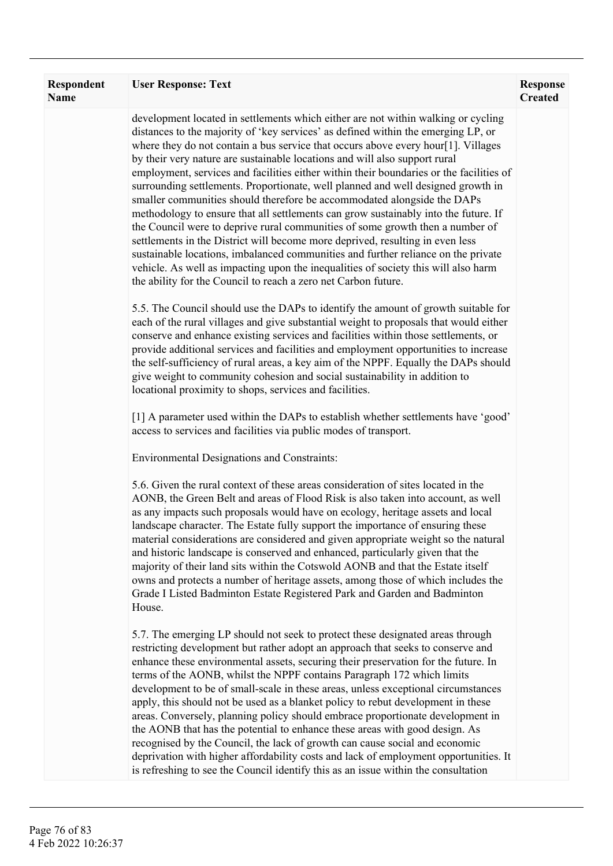| Respondent<br>Name | <b>User Response: Text</b>                                                                                                                                                                                                                                                                                                                                                                                                                                                                                                                                                                                                                                                                                                                                                                                                                                                                                                                                                                                                                                                                                | <b>Response</b><br><b>Created</b> |
|--------------------|-----------------------------------------------------------------------------------------------------------------------------------------------------------------------------------------------------------------------------------------------------------------------------------------------------------------------------------------------------------------------------------------------------------------------------------------------------------------------------------------------------------------------------------------------------------------------------------------------------------------------------------------------------------------------------------------------------------------------------------------------------------------------------------------------------------------------------------------------------------------------------------------------------------------------------------------------------------------------------------------------------------------------------------------------------------------------------------------------------------|-----------------------------------|
|                    | development located in settlements which either are not within walking or cycling<br>distances to the majority of 'key services' as defined within the emerging LP, or<br>where they do not contain a bus service that occurs above every hour[1]. Villages<br>by their very nature are sustainable locations and will also support rural<br>employment, services and facilities either within their boundaries or the facilities of<br>surrounding settlements. Proportionate, well planned and well designed growth in<br>smaller communities should therefore be accommodated alongside the DAPs<br>methodology to ensure that all settlements can grow sustainably into the future. If<br>the Council were to deprive rural communities of some growth then a number of<br>settlements in the District will become more deprived, resulting in even less<br>sustainable locations, imbalanced communities and further reliance on the private<br>vehicle. As well as impacting upon the inequalities of society this will also harm<br>the ability for the Council to reach a zero net Carbon future. |                                   |
|                    | 5.5. The Council should use the DAPs to identify the amount of growth suitable for<br>each of the rural villages and give substantial weight to proposals that would either<br>conserve and enhance existing services and facilities within those settlements, or<br>provide additional services and facilities and employment opportunities to increase<br>the self-sufficiency of rural areas, a key aim of the NPPF. Equally the DAPs should<br>give weight to community cohesion and social sustainability in addition to<br>locational proximity to shops, services and facilities.                                                                                                                                                                                                                                                                                                                                                                                                                                                                                                                  |                                   |
|                    | [1] A parameter used within the DAPs to establish whether settlements have 'good'<br>access to services and facilities via public modes of transport.                                                                                                                                                                                                                                                                                                                                                                                                                                                                                                                                                                                                                                                                                                                                                                                                                                                                                                                                                     |                                   |
|                    | <b>Environmental Designations and Constraints:</b>                                                                                                                                                                                                                                                                                                                                                                                                                                                                                                                                                                                                                                                                                                                                                                                                                                                                                                                                                                                                                                                        |                                   |
|                    | 5.6. Given the rural context of these areas consideration of sites located in the<br>AONB, the Green Belt and areas of Flood Risk is also taken into account, as well<br>as any impacts such proposals would have on ecology, heritage assets and local<br>landscape character. The Estate fully support the importance of ensuring these<br>material considerations are considered and given appropriate weight so the natural<br>and historic landscape is conserved and enhanced, particularly given that the<br>majority of their land sits within the Cotswold AONB and that the Estate itself<br>owns and protects a number of heritage assets, among those of which includes the<br>Grade I Listed Badminton Estate Registered Park and Garden and Badminton<br>House.                                                                                                                                                                                                                                                                                                                             |                                   |
|                    | 5.7. The emerging LP should not seek to protect these designated areas through<br>restricting development but rather adopt an approach that seeks to conserve and<br>enhance these environmental assets, securing their preservation for the future. In<br>terms of the AONB, whilst the NPPF contains Paragraph 172 which limits<br>development to be of small-scale in these areas, unless exceptional circumstances<br>apply, this should not be used as a blanket policy to rebut development in these<br>areas. Conversely, planning policy should embrace proportionate development in<br>the AONB that has the potential to enhance these areas with good design. As<br>recognised by the Council, the lack of growth can cause social and economic<br>deprivation with higher affordability costs and lack of employment opportunities. It<br>is refreshing to see the Council identify this as an issue within the consultation                                                                                                                                                                  |                                   |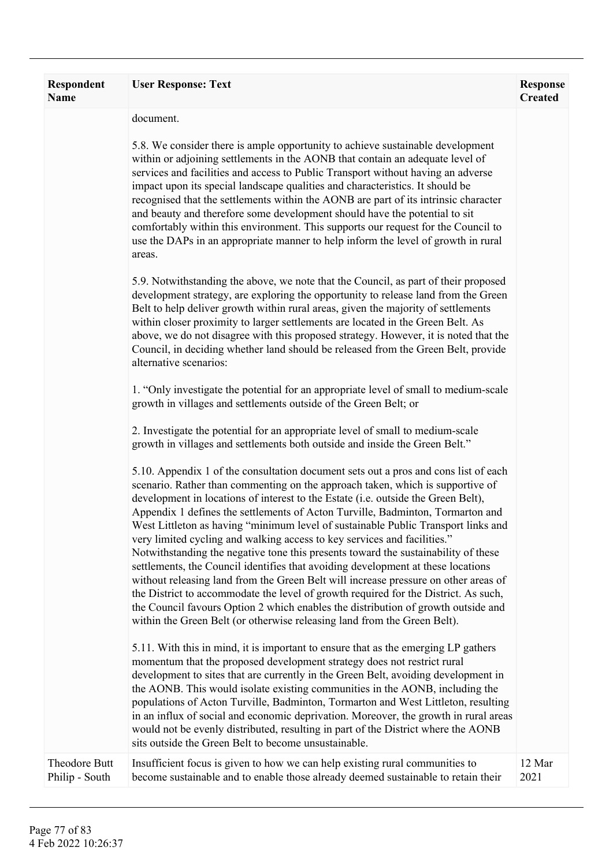| <b>Respondent</b><br>Name       | <b>User Response: Text</b>                                                                                                                                                                                                                                                                                                                                                                                                                                                                                                                                                                                                                                                                                                                                                                                                                                                                                                                                                                                                             | <b>Response</b><br><b>Created</b> |
|---------------------------------|----------------------------------------------------------------------------------------------------------------------------------------------------------------------------------------------------------------------------------------------------------------------------------------------------------------------------------------------------------------------------------------------------------------------------------------------------------------------------------------------------------------------------------------------------------------------------------------------------------------------------------------------------------------------------------------------------------------------------------------------------------------------------------------------------------------------------------------------------------------------------------------------------------------------------------------------------------------------------------------------------------------------------------------|-----------------------------------|
|                                 | document.                                                                                                                                                                                                                                                                                                                                                                                                                                                                                                                                                                                                                                                                                                                                                                                                                                                                                                                                                                                                                              |                                   |
|                                 | 5.8. We consider there is ample opportunity to achieve sustainable development<br>within or adjoining settlements in the AONB that contain an adequate level of<br>services and facilities and access to Public Transport without having an adverse<br>impact upon its special landscape qualities and characteristics. It should be<br>recognised that the settlements within the AONB are part of its intrinsic character<br>and beauty and therefore some development should have the potential to sit<br>comfortably within this environment. This supports our request for the Council to<br>use the DAPs in an appropriate manner to help inform the level of growth in rural<br>areas.                                                                                                                                                                                                                                                                                                                                          |                                   |
|                                 | 5.9. Notwithstanding the above, we note that the Council, as part of their proposed<br>development strategy, are exploring the opportunity to release land from the Green<br>Belt to help deliver growth within rural areas, given the majority of settlements<br>within closer proximity to larger settlements are located in the Green Belt. As<br>above, we do not disagree with this proposed strategy. However, it is noted that the<br>Council, in deciding whether land should be released from the Green Belt, provide<br>alternative scenarios:                                                                                                                                                                                                                                                                                                                                                                                                                                                                               |                                   |
|                                 | 1. "Only investigate the potential for an appropriate level of small to medium-scale<br>growth in villages and settlements outside of the Green Belt; or                                                                                                                                                                                                                                                                                                                                                                                                                                                                                                                                                                                                                                                                                                                                                                                                                                                                               |                                   |
|                                 | 2. Investigate the potential for an appropriate level of small to medium-scale<br>growth in villages and settlements both outside and inside the Green Belt."                                                                                                                                                                                                                                                                                                                                                                                                                                                                                                                                                                                                                                                                                                                                                                                                                                                                          |                                   |
|                                 | 5.10. Appendix 1 of the consultation document sets out a pros and cons list of each<br>scenario. Rather than commenting on the approach taken, which is supportive of<br>development in locations of interest to the Estate (i.e. outside the Green Belt),<br>Appendix 1 defines the settlements of Acton Turville, Badminton, Tormarton and<br>West Littleton as having "minimum level of sustainable Public Transport links and<br>very limited cycling and walking access to key services and facilities."<br>Notwithstanding the negative tone this presents toward the sustainability of these<br>settlements, the Council identifies that avoiding development at these locations<br>without releasing land from the Green Belt will increase pressure on other areas of<br>the District to accommodate the level of growth required for the District. As such,<br>the Council favours Option 2 which enables the distribution of growth outside and<br>within the Green Belt (or otherwise releasing land from the Green Belt). |                                   |
|                                 | 5.11. With this in mind, it is important to ensure that as the emerging LP gathers<br>momentum that the proposed development strategy does not restrict rural<br>development to sites that are currently in the Green Belt, avoiding development in<br>the AONB. This would isolate existing communities in the AONB, including the<br>populations of Acton Turville, Badminton, Tormarton and West Littleton, resulting<br>in an influx of social and economic deprivation. Moreover, the growth in rural areas<br>would not be evenly distributed, resulting in part of the District where the AONB<br>sits outside the Green Belt to become unsustainable.                                                                                                                                                                                                                                                                                                                                                                          |                                   |
| Theodore Butt<br>Philip - South | Insufficient focus is given to how we can help existing rural communities to<br>become sustainable and to enable those already deemed sustainable to retain their                                                                                                                                                                                                                                                                                                                                                                                                                                                                                                                                                                                                                                                                                                                                                                                                                                                                      | 12 Mar<br>2021                    |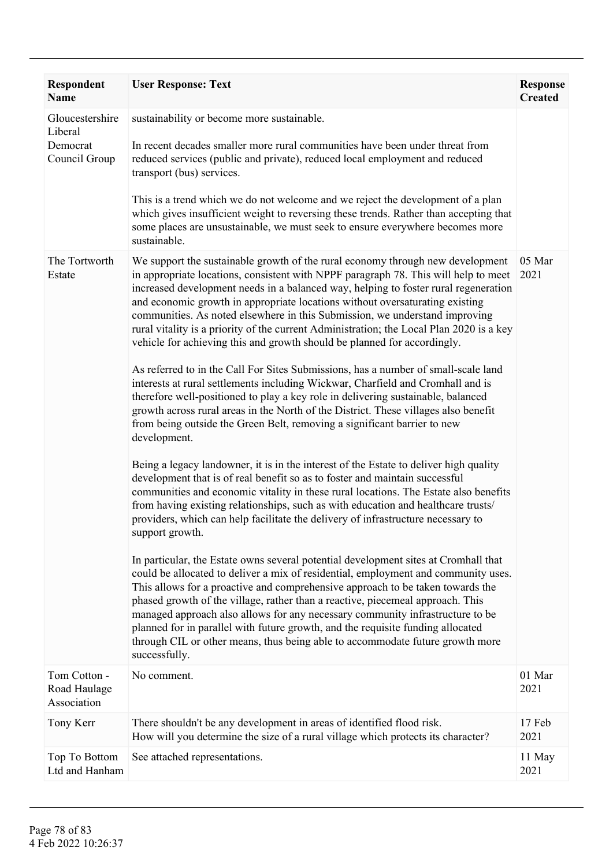| Respondent<br><b>Name</b>                               | <b>User Response: Text</b>                                                                                                                                                                                                                                                                                                                                                                                                                                                                                                                                                                                                                                                                                                                                                                                                                                                                                                                                                                                                                                                                                                                                                                                                                                                                                                                                                                                                                                                                                                                                                                                                                                                                                                                                                                                                                                                                                                                                                                                                                                                                                                             | <b>Response</b><br><b>Created</b> |
|---------------------------------------------------------|----------------------------------------------------------------------------------------------------------------------------------------------------------------------------------------------------------------------------------------------------------------------------------------------------------------------------------------------------------------------------------------------------------------------------------------------------------------------------------------------------------------------------------------------------------------------------------------------------------------------------------------------------------------------------------------------------------------------------------------------------------------------------------------------------------------------------------------------------------------------------------------------------------------------------------------------------------------------------------------------------------------------------------------------------------------------------------------------------------------------------------------------------------------------------------------------------------------------------------------------------------------------------------------------------------------------------------------------------------------------------------------------------------------------------------------------------------------------------------------------------------------------------------------------------------------------------------------------------------------------------------------------------------------------------------------------------------------------------------------------------------------------------------------------------------------------------------------------------------------------------------------------------------------------------------------------------------------------------------------------------------------------------------------------------------------------------------------------------------------------------------------|-----------------------------------|
| Gloucestershire<br>Liberal<br>Democrat<br>Council Group | sustainability or become more sustainable.<br>In recent decades smaller more rural communities have been under threat from<br>reduced services (public and private), reduced local employment and reduced<br>transport (bus) services.<br>This is a trend which we do not welcome and we reject the development of a plan<br>which gives insufficient weight to reversing these trends. Rather than accepting that<br>some places are unsustainable, we must seek to ensure everywhere becomes more<br>sustainable.                                                                                                                                                                                                                                                                                                                                                                                                                                                                                                                                                                                                                                                                                                                                                                                                                                                                                                                                                                                                                                                                                                                                                                                                                                                                                                                                                                                                                                                                                                                                                                                                                    |                                   |
| The Tortworth<br>Estate                                 | We support the sustainable growth of the rural economy through new development<br>in appropriate locations, consistent with NPPF paragraph 78. This will help to meet<br>increased development needs in a balanced way, helping to foster rural regeneration<br>and economic growth in appropriate locations without oversaturating existing<br>communities. As noted elsewhere in this Submission, we understand improving<br>rural vitality is a priority of the current Administration; the Local Plan 2020 is a key<br>vehicle for achieving this and growth should be planned for accordingly.<br>As referred to in the Call For Sites Submissions, has a number of small-scale land<br>interests at rural settlements including Wickwar, Charfield and Cromhall and is<br>therefore well-positioned to play a key role in delivering sustainable, balanced<br>growth across rural areas in the North of the District. These villages also benefit<br>from being outside the Green Belt, removing a significant barrier to new<br>development.<br>Being a legacy landowner, it is in the interest of the Estate to deliver high quality<br>development that is of real benefit so as to foster and maintain successful<br>communities and economic vitality in these rural locations. The Estate also benefits<br>from having existing relationships, such as with education and healthcare trusts/<br>providers, which can help facilitate the delivery of infrastructure necessary to<br>support growth.<br>In particular, the Estate owns several potential development sites at Cromhall that<br>could be allocated to deliver a mix of residential, employment and community uses.<br>This allows for a proactive and comprehensive approach to be taken towards the<br>phased growth of the village, rather than a reactive, piecemeal approach. This<br>managed approach also allows for any necessary community infrastructure to be<br>planned for in parallel with future growth, and the requisite funding allocated<br>through CIL or other means, thus being able to accommodate future growth more<br>successfully. | 05 Mar<br>2021                    |
| Tom Cotton -<br>Road Haulage<br>Association             | No comment.                                                                                                                                                                                                                                                                                                                                                                                                                                                                                                                                                                                                                                                                                                                                                                                                                                                                                                                                                                                                                                                                                                                                                                                                                                                                                                                                                                                                                                                                                                                                                                                                                                                                                                                                                                                                                                                                                                                                                                                                                                                                                                                            | 01 Mar<br>2021                    |
| Tony Kerr                                               | There shouldn't be any development in areas of identified flood risk.<br>How will you determine the size of a rural village which protects its character?                                                                                                                                                                                                                                                                                                                                                                                                                                                                                                                                                                                                                                                                                                                                                                                                                                                                                                                                                                                                                                                                                                                                                                                                                                                                                                                                                                                                                                                                                                                                                                                                                                                                                                                                                                                                                                                                                                                                                                              | 17 Feb<br>2021                    |
| Top To Bottom<br>Ltd and Hanham                         | See attached representations.                                                                                                                                                                                                                                                                                                                                                                                                                                                                                                                                                                                                                                                                                                                                                                                                                                                                                                                                                                                                                                                                                                                                                                                                                                                                                                                                                                                                                                                                                                                                                                                                                                                                                                                                                                                                                                                                                                                                                                                                                                                                                                          | 11 May<br>2021                    |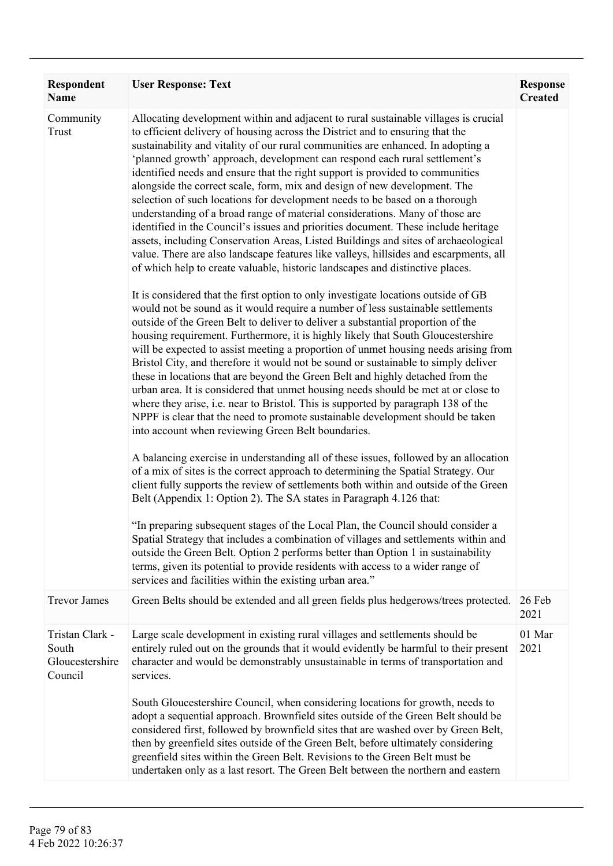| Respondent<br>Name                                     | <b>User Response: Text</b>                                                                                                                                                                                                                                                                                                                                                                                                                                                                                                                                                                                                                                                                                                                                                                                                                                                                                                                                                                                                                                                                                                                                                                                                                                                                                                                                                                                                                                                                                                                                                                                                                                                                                                                                                                                                                                                                                                                                                                                                                                                                                                                                                                                                                                                                                                                                                                                                                                                                                                                                                                                                                                 | <b>Response</b><br><b>Created</b> |
|--------------------------------------------------------|------------------------------------------------------------------------------------------------------------------------------------------------------------------------------------------------------------------------------------------------------------------------------------------------------------------------------------------------------------------------------------------------------------------------------------------------------------------------------------------------------------------------------------------------------------------------------------------------------------------------------------------------------------------------------------------------------------------------------------------------------------------------------------------------------------------------------------------------------------------------------------------------------------------------------------------------------------------------------------------------------------------------------------------------------------------------------------------------------------------------------------------------------------------------------------------------------------------------------------------------------------------------------------------------------------------------------------------------------------------------------------------------------------------------------------------------------------------------------------------------------------------------------------------------------------------------------------------------------------------------------------------------------------------------------------------------------------------------------------------------------------------------------------------------------------------------------------------------------------------------------------------------------------------------------------------------------------------------------------------------------------------------------------------------------------------------------------------------------------------------------------------------------------------------------------------------------------------------------------------------------------------------------------------------------------------------------------------------------------------------------------------------------------------------------------------------------------------------------------------------------------------------------------------------------------------------------------------------------------------------------------------------------------|-----------------------------------|
| Community<br>Trust                                     | Allocating development within and adjacent to rural sustainable villages is crucial<br>to efficient delivery of housing across the District and to ensuring that the<br>sustainability and vitality of our rural communities are enhanced. In adopting a<br>'planned growth' approach, development can respond each rural settlement's<br>identified needs and ensure that the right support is provided to communities<br>alongside the correct scale, form, mix and design of new development. The<br>selection of such locations for development needs to be based on a thorough<br>understanding of a broad range of material considerations. Many of those are<br>identified in the Council's issues and priorities document. These include heritage<br>assets, including Conservation Areas, Listed Buildings and sites of archaeological<br>value. There are also landscape features like valleys, hillsides and escarpments, all<br>of which help to create valuable, historic landscapes and distinctive places.<br>It is considered that the first option to only investigate locations outside of GB<br>would not be sound as it would require a number of less sustainable settlements<br>outside of the Green Belt to deliver to deliver a substantial proportion of the<br>housing requirement. Furthermore, it is highly likely that South Gloucestershire<br>will be expected to assist meeting a proportion of unmet housing needs arising from<br>Bristol City, and therefore it would not be sound or sustainable to simply deliver<br>these in locations that are beyond the Green Belt and highly detached from the<br>urban area. It is considered that unmet housing needs should be met at or close to<br>where they arise, i.e. near to Bristol. This is supported by paragraph 138 of the<br>NPPF is clear that the need to promote sustainable development should be taken<br>into account when reviewing Green Belt boundaries.<br>A balancing exercise in understanding all of these issues, followed by an allocation<br>of a mix of sites is the correct approach to determining the Spatial Strategy. Our<br>client fully supports the review of settlements both within and outside of the Green<br>Belt (Appendix 1: Option 2). The SA states in Paragraph 4.126 that:<br>"In preparing subsequent stages of the Local Plan, the Council should consider a<br>Spatial Strategy that includes a combination of villages and settlements within and<br>outside the Green Belt. Option 2 performs better than Option 1 in sustainability<br>terms, given its potential to provide residents with access to a wider range of |                                   |
| <b>Trevor James</b>                                    | services and facilities within the existing urban area."<br>Green Belts should be extended and all green fields plus hedgerows/trees protected.                                                                                                                                                                                                                                                                                                                                                                                                                                                                                                                                                                                                                                                                                                                                                                                                                                                                                                                                                                                                                                                                                                                                                                                                                                                                                                                                                                                                                                                                                                                                                                                                                                                                                                                                                                                                                                                                                                                                                                                                                                                                                                                                                                                                                                                                                                                                                                                                                                                                                                            | 26 Feb<br>2021                    |
| Tristan Clark -<br>South<br>Gloucestershire<br>Council | Large scale development in existing rural villages and settlements should be<br>entirely ruled out on the grounds that it would evidently be harmful to their present<br>character and would be demonstrably unsustainable in terms of transportation and<br>services.<br>South Gloucestershire Council, when considering locations for growth, needs to<br>adopt a sequential approach. Brownfield sites outside of the Green Belt should be<br>considered first, followed by brownfield sites that are washed over by Green Belt,<br>then by greenfield sites outside of the Green Belt, before ultimately considering                                                                                                                                                                                                                                                                                                                                                                                                                                                                                                                                                                                                                                                                                                                                                                                                                                                                                                                                                                                                                                                                                                                                                                                                                                                                                                                                                                                                                                                                                                                                                                                                                                                                                                                                                                                                                                                                                                                                                                                                                                   | 01 Mar<br>2021                    |
|                                                        | greenfield sites within the Green Belt. Revisions to the Green Belt must be<br>undertaken only as a last resort. The Green Belt between the northern and eastern                                                                                                                                                                                                                                                                                                                                                                                                                                                                                                                                                                                                                                                                                                                                                                                                                                                                                                                                                                                                                                                                                                                                                                                                                                                                                                                                                                                                                                                                                                                                                                                                                                                                                                                                                                                                                                                                                                                                                                                                                                                                                                                                                                                                                                                                                                                                                                                                                                                                                           |                                   |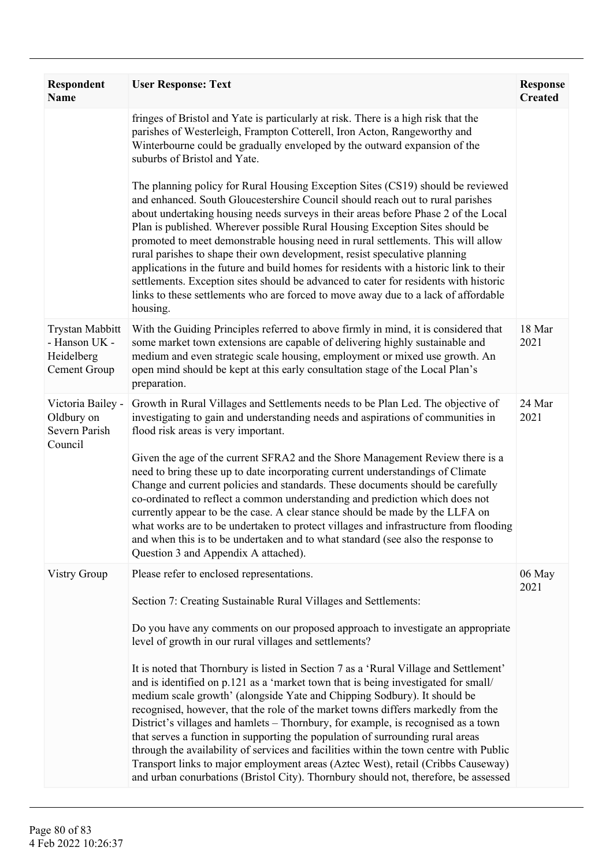| <b>Respondent</b><br><b>Name</b>                                      | <b>User Response: Text</b>                                                                                                                                                                                                                                                                                                                                                                                                                                                                                                                                                                                                                                                                                                                                                                                                                                                                                                                                                                              | <b>Response</b><br><b>Created</b> |
|-----------------------------------------------------------------------|---------------------------------------------------------------------------------------------------------------------------------------------------------------------------------------------------------------------------------------------------------------------------------------------------------------------------------------------------------------------------------------------------------------------------------------------------------------------------------------------------------------------------------------------------------------------------------------------------------------------------------------------------------------------------------------------------------------------------------------------------------------------------------------------------------------------------------------------------------------------------------------------------------------------------------------------------------------------------------------------------------|-----------------------------------|
|                                                                       | fringes of Bristol and Yate is particularly at risk. There is a high risk that the<br>parishes of Westerleigh, Frampton Cotterell, Iron Acton, Rangeworthy and<br>Winterbourne could be gradually enveloped by the outward expansion of the<br>suburbs of Bristol and Yate.                                                                                                                                                                                                                                                                                                                                                                                                                                                                                                                                                                                                                                                                                                                             |                                   |
|                                                                       | The planning policy for Rural Housing Exception Sites (CS19) should be reviewed<br>and enhanced. South Gloucestershire Council should reach out to rural parishes<br>about undertaking housing needs surveys in their areas before Phase 2 of the Local<br>Plan is published. Wherever possible Rural Housing Exception Sites should be<br>promoted to meet demonstrable housing need in rural settlements. This will allow<br>rural parishes to shape their own development, resist speculative planning<br>applications in the future and build homes for residents with a historic link to their<br>settlements. Exception sites should be advanced to cater for residents with historic<br>links to these settlements who are forced to move away due to a lack of affordable<br>housing.                                                                                                                                                                                                           |                                   |
| <b>Trystan Mabbitt</b><br>- Hanson UK -<br>Heidelberg<br>Cement Group | With the Guiding Principles referred to above firmly in mind, it is considered that<br>some market town extensions are capable of delivering highly sustainable and<br>medium and even strategic scale housing, employment or mixed use growth. An<br>open mind should be kept at this early consultation stage of the Local Plan's<br>preparation.                                                                                                                                                                                                                                                                                                                                                                                                                                                                                                                                                                                                                                                     | 18 Mar<br>2021                    |
| Victoria Bailey -<br>Oldbury on<br>Severn Parish<br>Council           | Growth in Rural Villages and Settlements needs to be Plan Led. The objective of<br>investigating to gain and understanding needs and aspirations of communities in<br>flood risk areas is very important.                                                                                                                                                                                                                                                                                                                                                                                                                                                                                                                                                                                                                                                                                                                                                                                               | 24 Mar<br>2021                    |
|                                                                       | Given the age of the current SFRA2 and the Shore Management Review there is a<br>need to bring these up to date incorporating current understandings of Climate<br>Change and current policies and standards. These documents should be carefully<br>co-ordinated to reflect a common understanding and prediction which does not<br>currently appear to be the case. A clear stance should be made by the LLFA on<br>what works are to be undertaken to protect villages and infrastructure from flooding<br>and when this is to be undertaken and to what standard (see also the response to<br>Question 3 and Appendix A attached).                                                                                                                                                                                                                                                                                                                                                                  |                                   |
| <b>Vistry Group</b>                                                   | Please refer to enclosed representations.                                                                                                                                                                                                                                                                                                                                                                                                                                                                                                                                                                                                                                                                                                                                                                                                                                                                                                                                                               | 06 May<br>2021                    |
|                                                                       | Section 7: Creating Sustainable Rural Villages and Settlements:<br>Do you have any comments on our proposed approach to investigate an appropriate<br>level of growth in our rural villages and settlements?<br>It is noted that Thornbury is listed in Section 7 as a 'Rural Village and Settlement'<br>and is identified on p.121 as a 'market town that is being investigated for small/<br>medium scale growth' (alongside Yate and Chipping Sodbury). It should be<br>recognised, however, that the role of the market towns differs markedly from the<br>District's villages and hamlets - Thornbury, for example, is recognised as a town<br>that serves a function in supporting the population of surrounding rural areas<br>through the availability of services and facilities within the town centre with Public<br>Transport links to major employment areas (Aztec West), retail (Cribbs Causeway)<br>and urban conurbations (Bristol City). Thornbury should not, therefore, be assessed |                                   |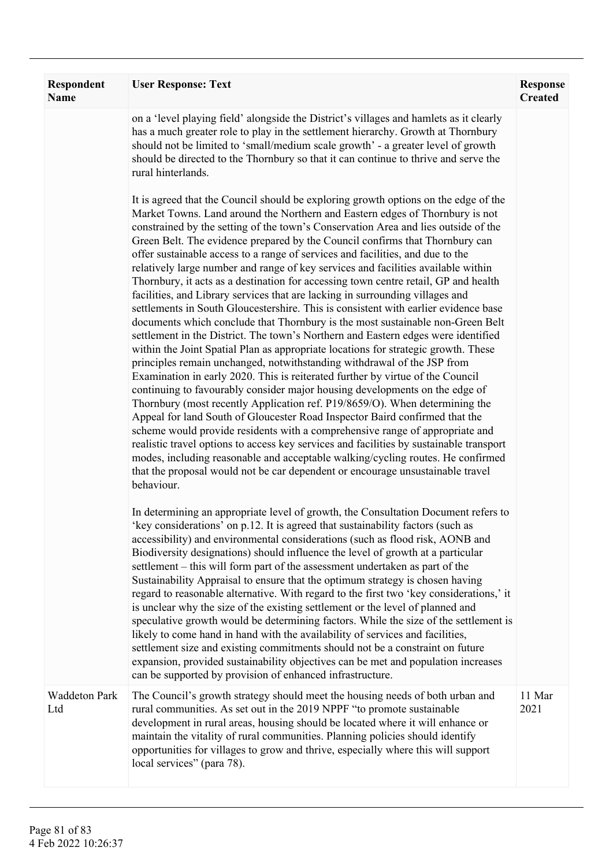| <b>Respondent</b><br><b>Name</b> | <b>User Response: Text</b>                                                                                                                                                                                                                                                                                                                                                                                                                                                                                                                                                                                                                                                                                                                                                                                                                                                                                                                                                                                                                                                                                                                                                                                                                                                                                                                                                                                                                                                                                                                                                                                                                                                                                                                                                                                                                                                                                 | <b>Response</b><br><b>Created</b> |
|----------------------------------|------------------------------------------------------------------------------------------------------------------------------------------------------------------------------------------------------------------------------------------------------------------------------------------------------------------------------------------------------------------------------------------------------------------------------------------------------------------------------------------------------------------------------------------------------------------------------------------------------------------------------------------------------------------------------------------------------------------------------------------------------------------------------------------------------------------------------------------------------------------------------------------------------------------------------------------------------------------------------------------------------------------------------------------------------------------------------------------------------------------------------------------------------------------------------------------------------------------------------------------------------------------------------------------------------------------------------------------------------------------------------------------------------------------------------------------------------------------------------------------------------------------------------------------------------------------------------------------------------------------------------------------------------------------------------------------------------------------------------------------------------------------------------------------------------------------------------------------------------------------------------------------------------------|-----------------------------------|
|                                  | on a 'level playing field' alongside the District's villages and hamlets as it clearly<br>has a much greater role to play in the settlement hierarchy. Growth at Thornbury<br>should not be limited to 'small/medium scale growth' - a greater level of growth<br>should be directed to the Thornbury so that it can continue to thrive and serve the<br>rural hinterlands.                                                                                                                                                                                                                                                                                                                                                                                                                                                                                                                                                                                                                                                                                                                                                                                                                                                                                                                                                                                                                                                                                                                                                                                                                                                                                                                                                                                                                                                                                                                                |                                   |
|                                  | It is agreed that the Council should be exploring growth options on the edge of the<br>Market Towns. Land around the Northern and Eastern edges of Thornbury is not<br>constrained by the setting of the town's Conservation Area and lies outside of the<br>Green Belt. The evidence prepared by the Council confirms that Thornbury can<br>offer sustainable access to a range of services and facilities, and due to the<br>relatively large number and range of key services and facilities available within<br>Thornbury, it acts as a destination for accessing town centre retail, GP and health<br>facilities, and Library services that are lacking in surrounding villages and<br>settlements in South Gloucestershire. This is consistent with earlier evidence base<br>documents which conclude that Thornbury is the most sustainable non-Green Belt<br>settlement in the District. The town's Northern and Eastern edges were identified<br>within the Joint Spatial Plan as appropriate locations for strategic growth. These<br>principles remain unchanged, notwithstanding withdrawal of the JSP from<br>Examination in early 2020. This is reiterated further by virtue of the Council<br>continuing to favourably consider major housing developments on the edge of<br>Thornbury (most recently Application ref. P19/8659/O). When determining the<br>Appeal for land South of Gloucester Road Inspector Baird confirmed that the<br>scheme would provide residents with a comprehensive range of appropriate and<br>realistic travel options to access key services and facilities by sustainable transport<br>modes, including reasonable and acceptable walking/cycling routes. He confirmed<br>that the proposal would not be car dependent or encourage unsustainable travel<br>behaviour.<br>In determining an appropriate level of growth, the Consultation Document refers to |                                   |
|                                  | 'key considerations' on p.12. It is agreed that sustainability factors (such as<br>accessibility) and environmental considerations (such as flood risk, AONB and<br>Biodiversity designations) should influence the level of growth at a particular<br>settlement – this will form part of the assessment undertaken as part of the<br>Sustainability Appraisal to ensure that the optimum strategy is chosen having<br>regard to reasonable alternative. With regard to the first two 'key considerations,' it<br>is unclear why the size of the existing settlement or the level of planned and<br>speculative growth would be determining factors. While the size of the settlement is<br>likely to come hand in hand with the availability of services and facilities,<br>settlement size and existing commitments should not be a constraint on future<br>expansion, provided sustainability objectives can be met and population increases<br>can be supported by provision of enhanced infrastructure.                                                                                                                                                                                                                                                                                                                                                                                                                                                                                                                                                                                                                                                                                                                                                                                                                                                                                              |                                   |
| <b>Waddeton Park</b><br>Ltd      | The Council's growth strategy should meet the housing needs of both urban and<br>rural communities. As set out in the 2019 NPPF "to promote sustainable<br>development in rural areas, housing should be located where it will enhance or<br>maintain the vitality of rural communities. Planning policies should identify<br>opportunities for villages to grow and thrive, especially where this will support<br>local services" (para 78).                                                                                                                                                                                                                                                                                                                                                                                                                                                                                                                                                                                                                                                                                                                                                                                                                                                                                                                                                                                                                                                                                                                                                                                                                                                                                                                                                                                                                                                              | 11 Mar<br>2021                    |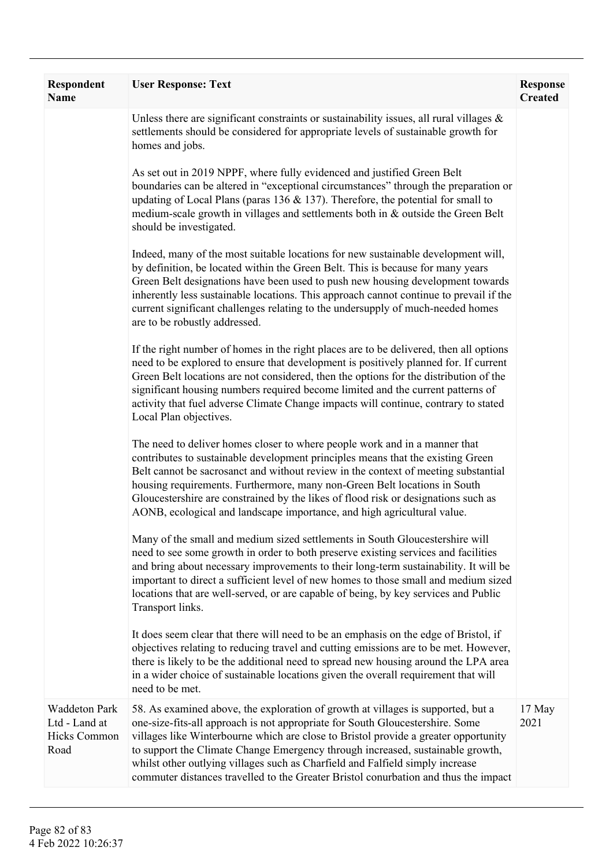| Respondent<br><b>Name</b>                                     | <b>User Response: Text</b>                                                                                                                                                                                                                                                                                                                                                                                                                                                                                         | <b>Response</b><br><b>Created</b> |
|---------------------------------------------------------------|--------------------------------------------------------------------------------------------------------------------------------------------------------------------------------------------------------------------------------------------------------------------------------------------------------------------------------------------------------------------------------------------------------------------------------------------------------------------------------------------------------------------|-----------------------------------|
|                                                               | Unless there are significant constraints or sustainability issues, all rural villages $\&$<br>settlements should be considered for appropriate levels of sustainable growth for<br>homes and jobs.                                                                                                                                                                                                                                                                                                                 |                                   |
|                                                               | As set out in 2019 NPPF, where fully evidenced and justified Green Belt<br>boundaries can be altered in "exceptional circumstances" through the preparation or<br>updating of Local Plans (paras 136 $\&$ 137). Therefore, the potential for small to<br>medium-scale growth in villages and settlements both in & outside the Green Belt<br>should be investigated.                                                                                                                                               |                                   |
|                                                               | Indeed, many of the most suitable locations for new sustainable development will,<br>by definition, be located within the Green Belt. This is because for many years<br>Green Belt designations have been used to push new housing development towards<br>inherently less sustainable locations. This approach cannot continue to prevail if the<br>current significant challenges relating to the undersupply of much-needed homes<br>are to be robustly addressed.                                               |                                   |
|                                                               | If the right number of homes in the right places are to be delivered, then all options<br>need to be explored to ensure that development is positively planned for. If current<br>Green Belt locations are not considered, then the options for the distribution of the<br>significant housing numbers required become limited and the current patterns of<br>activity that fuel adverse Climate Change impacts will continue, contrary to stated<br>Local Plan objectives.                                        |                                   |
|                                                               | The need to deliver homes closer to where people work and in a manner that<br>contributes to sustainable development principles means that the existing Green<br>Belt cannot be sacrosanct and without review in the context of meeting substantial<br>housing requirements. Furthermore, many non-Green Belt locations in South<br>Gloucestershire are constrained by the likes of flood risk or designations such as<br>AONB, ecological and landscape importance, and high agricultural value.                  |                                   |
|                                                               | Many of the small and medium sized settlements in South Gloucestershire will<br>need to see some growth in order to both preserve existing services and facilities<br>and bring about necessary improvements to their long-term sustainability. It will be<br>important to direct a sufficient level of new homes to those small and medium sized<br>locations that are well-served, or are capable of being, by key services and Public<br>Transport links.                                                       |                                   |
|                                                               | It does seem clear that there will need to be an emphasis on the edge of Bristol, if<br>objectives relating to reducing travel and cutting emissions are to be met. However,<br>there is likely to be the additional need to spread new housing around the LPA area<br>in a wider choice of sustainable locations given the overall requirement that will<br>need to be met.                                                                                                                                       |                                   |
| <b>Waddeton Park</b><br>Ltd - Land at<br>Hicks Common<br>Road | 58. As examined above, the exploration of growth at villages is supported, but a<br>one-size-fits-all approach is not appropriate for South Gloucestershire. Some<br>villages like Winterbourne which are close to Bristol provide a greater opportunity<br>to support the Climate Change Emergency through increased, sustainable growth,<br>whilst other outlying villages such as Charfield and Falfield simply increase<br>commuter distances travelled to the Greater Bristol conurbation and thus the impact | 17 May<br>2021                    |